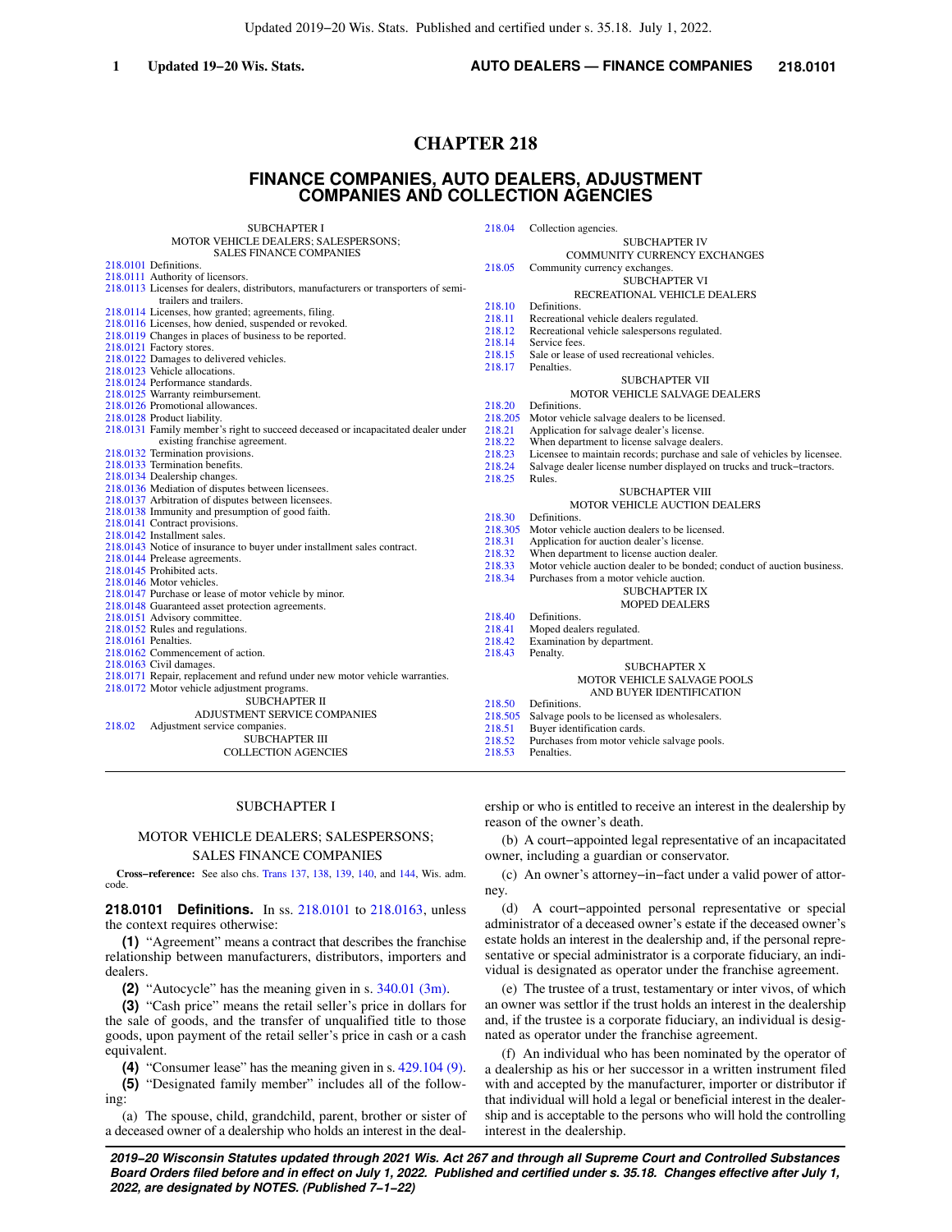Updated 2019−20 Wis. Stats. Published and certified under s. 35.18. July 1, 2022.

# **CHAPTER 218**

## **FINANCE COMPANIES, AUTO DEALERS, ADJUSTMENT COMPANIES AND COLLECTION AGENCIES**

|        | <b>SUBCHAPTER I</b>                                                                 | 21                    |
|--------|-------------------------------------------------------------------------------------|-----------------------|
|        | MOTOR VEHICLE DEALERS; SALESPERSONS;                                                |                       |
|        | <b>SALES FINANCE COMPANIES</b>                                                      |                       |
|        | 218.0101 Definitions.                                                               | 21                    |
|        | 218.0111 Authority of licensors.                                                    |                       |
|        | 218.0113 Licenses for dealers, distributors, manufacturers or transporters of semi- |                       |
|        | trailers and trailers.                                                              |                       |
|        | 218.0114 Licenses, how granted; agreements, filing.                                 | 21                    |
|        | 218.0116 Licenses, how denied, suspended or revoked.                                | 21                    |
|        | 218.0119 Changes in places of business to be reported.                              | $\overline{2}1$       |
|        | 218.0121 Factory stores.                                                            | $\overline{2}1$       |
|        | 218.0122 Damages to delivered vehicles.                                             | 21                    |
|        | 218.0123 Vehicle allocations.                                                       | 21                    |
|        | 218.0124 Performance standards.                                                     |                       |
|        | 218.0125 Warranty reimbursement.                                                    |                       |
|        | 218.0126 Promotional allowances.                                                    | 21                    |
|        | 218.0128 Product liability.                                                         | $\overline{2}1$       |
|        | 218.0131 Family member's right to succeed deceased or incapacitated dealer under    | 21                    |
|        | existing franchise agreement.                                                       | $\overline{21}$       |
|        | 218.0132 Termination provisions.                                                    | $\overline{2}1$       |
|        | 218.0133 Termination benefits.                                                      | $\overline{21}$       |
|        | 218.0134 Dealership changes.                                                        | $\overline{2}1$       |
|        | 218.0136 Mediation of disputes between licensees.                                   |                       |
|        | 218.0137 Arbitration of disputes between licensees.                                 |                       |
|        | 218.0138 Immunity and presumption of good faith.                                    |                       |
|        | 218.0141 Contract provisions.                                                       | 21                    |
|        | 218.0142 Installment sales.                                                         | 21                    |
|        | 218.0143 Notice of insurance to buyer under installment sales contract.             | $\overline{21}$       |
|        | 218.0144 Prelease agreements.                                                       | 21                    |
|        | 218.0145 Prohibited acts.                                                           | 21                    |
|        | 218.0146 Motor vehicles.                                                            | 21                    |
|        | 218.0147 Purchase or lease of motor vehicle by minor.                               |                       |
|        | 218.0148 Guaranteed asset protection agreements.                                    |                       |
|        | 218.0151 Advisory committee.                                                        | 21                    |
|        | 218.0152 Rules and regulations.                                                     | 21                    |
|        | 218.0161 Penalties.                                                                 | 21                    |
|        | 218.0162 Commencement of action.                                                    | $\overline{2}1$       |
|        | 218.0163 Civil damages.                                                             |                       |
|        | 218.0171 Repair, replacement and refund under new motor vehicle warranties.         |                       |
|        | 218.0172 Motor vehicle adjustment programs.                                         |                       |
|        | <b>SUBCHAPTER II</b>                                                                |                       |
|        | <b>ADJUSTMENT SERVICE COMPANIES</b>                                                 | 21<br>$\overline{21}$ |
| 218.02 | Adjustment service companies.                                                       |                       |
|        | <b>SUBCHAPTER III</b>                                                               | 21                    |
|        |                                                                                     | 21                    |
|        | <b>COLLECTION AGENCIES</b>                                                          | 21                    |

#### SUBCHAPTER I

## MOTOR VEHICLE DEALERS; SALESPERSONS;

#### SALES FINANCE COMPANIES

**Cross−reference:** See also chs. [Trans 137](https://docs.legis.wisconsin.gov/document/administrativecode/ch.%20Trans%20137), [138,](https://docs.legis.wisconsin.gov/document/administrativecode/ch.%20Trans%20138) [139](https://docs.legis.wisconsin.gov/document/administrativecode/ch.%20Trans%20139), [140,](https://docs.legis.wisconsin.gov/document/administrativecode/ch.%20Trans%20140) and [144](https://docs.legis.wisconsin.gov/document/administrativecode/ch.%20Trans%20144), Wis. adm. code.

**218.0101 Definitions.** In ss. [218.0101](https://docs.legis.wisconsin.gov/document/statutes/218.0101) to [218.0163](https://docs.legis.wisconsin.gov/document/statutes/218.0163), unless the context requires otherwise:

**(1)** "Agreement" means a contract that describes the franchise relationship between manufacturers, distributors, importers and dealers.

**(2)** "Autocycle" has the meaning given in s. [340.01 \(3m\)](https://docs.legis.wisconsin.gov/document/statutes/340.01(3m)).

**(3)** "Cash price" means the retail seller's price in dollars for the sale of goods, and the transfer of unqualified title to those goods, upon payment of the retail seller's price in cash or a cash equivalent.

**(4)** "Consumer lease" has the meaning given in s. [429.104 \(9\).](https://docs.legis.wisconsin.gov/document/statutes/429.104(9))

**(5)** "Designated family member" includes all of the following:

(a) The spouse, child, grandchild, parent, brother or sister of a deceased owner of a dealership who holds an interest in the deal18.04 Collection agencies. SUBCHAPTER IV

COMMUNITY CURRENCY EXCHANGES 18.05 Community currency exchanges.

SUBCHAPTER VI

#### RECREATIONAL VEHICLE DEALERS

18.10 Definitions.<br>18.11 Recreations. 18.11 Recreational vehicle dealers regulated.<br>18.12 Recreational vehicle salespersons regulated. Recreational vehicle salespersons regulated. 18.14 Service fees.<br>18.15 Sale or lease Sale or lease of used recreational vehicles. 18.17 Penalties. SUBCHAPTER VII MOTOR VEHICLE SALVAGE DEALERS 18.20 Definitions.<br>18.205 Motor vehic Motor vehicle salvage dealers to be licensed. [218.21](https://docs.legis.wisconsin.gov/document/statutes/218.21) Application for salvage dealer's license.<br>
22 When department to license salvage dealer 18.22 When department to license salvage dealers.<br>18.23 Licensee to maintain records; purchase and s Licensee to maintain records; purchase and sale of vehicles by licensee. 2018.24 Salvage dealer license number displayed on trucks and truck–tractors.<br>
<sup>18.25</sup> Rules Rules. SUBCHAPTER VIII

#### MOTOR VEHICLE AUCTION DEALERS

18.30 Definitions.

18.305 Motor vehicle auction dealers to be licensed.<br>18.31 Application for auction dealer's license.

[218.31](https://docs.legis.wisconsin.gov/document/statutes/218.31) Application for auction dealer's license.<br>218.32 When department to license auction deal

- When department to license auction dealer
- [218.33](https://docs.legis.wisconsin.gov/document/statutes/218.33) Motor vehicle auction dealer to be bonded; conduct of auction business.<br>18.34 Purchases from a motor vehicle auction.
- Purchases from a motor vehicle auction.
	- SUBCHAPTER IX MOPED DEALERS

18.40 Definitions.<br>18.41 Moped deal

18.41 Moped dealers regulated.<br>18.42 Examination by department

18.42 Examination by department.<br>18.43 Penalty.

Penalty.

SUBCHAPTER X MOTOR VEHICLE SALVAGE POOLS AND BUYER IDENTIFICATION

18.50 Definitions.<br>18.505 Salvage pool Salvage pools to be licensed as wholesalers.

18.51 Buyer identification cards.

- 18.52 Purchases from motor vehicle salvage pools.<br>18.53 Penalties.
- Penalties.

ership or who is entitled to receive an interest in the dealership by reason of the owner's death.

(b) A court−appointed legal representative of an incapacitated owner, including a guardian or conservator.

(c) An owner's attorney−in−fact under a valid power of attorney.

(d) A court−appointed personal representative or special administrator of a deceased owner's estate if the deceased owner's estate holds an interest in the dealership and, if the personal representative or special administrator is a corporate fiduciary, an individual is designated as operator under the franchise agreement.

(e) The trustee of a trust, testamentary or inter vivos, of which an owner was settlor if the trust holds an interest in the dealership and, if the trustee is a corporate fiduciary, an individual is designated as operator under the franchise agreement.

(f) An individual who has been nominated by the operator of a dealership as his or her successor in a written instrument filed with and accepted by the manufacturer, importer or distributor if that individual will hold a legal or beneficial interest in the dealership and is acceptable to the persons who will hold the controlling interest in the dealership.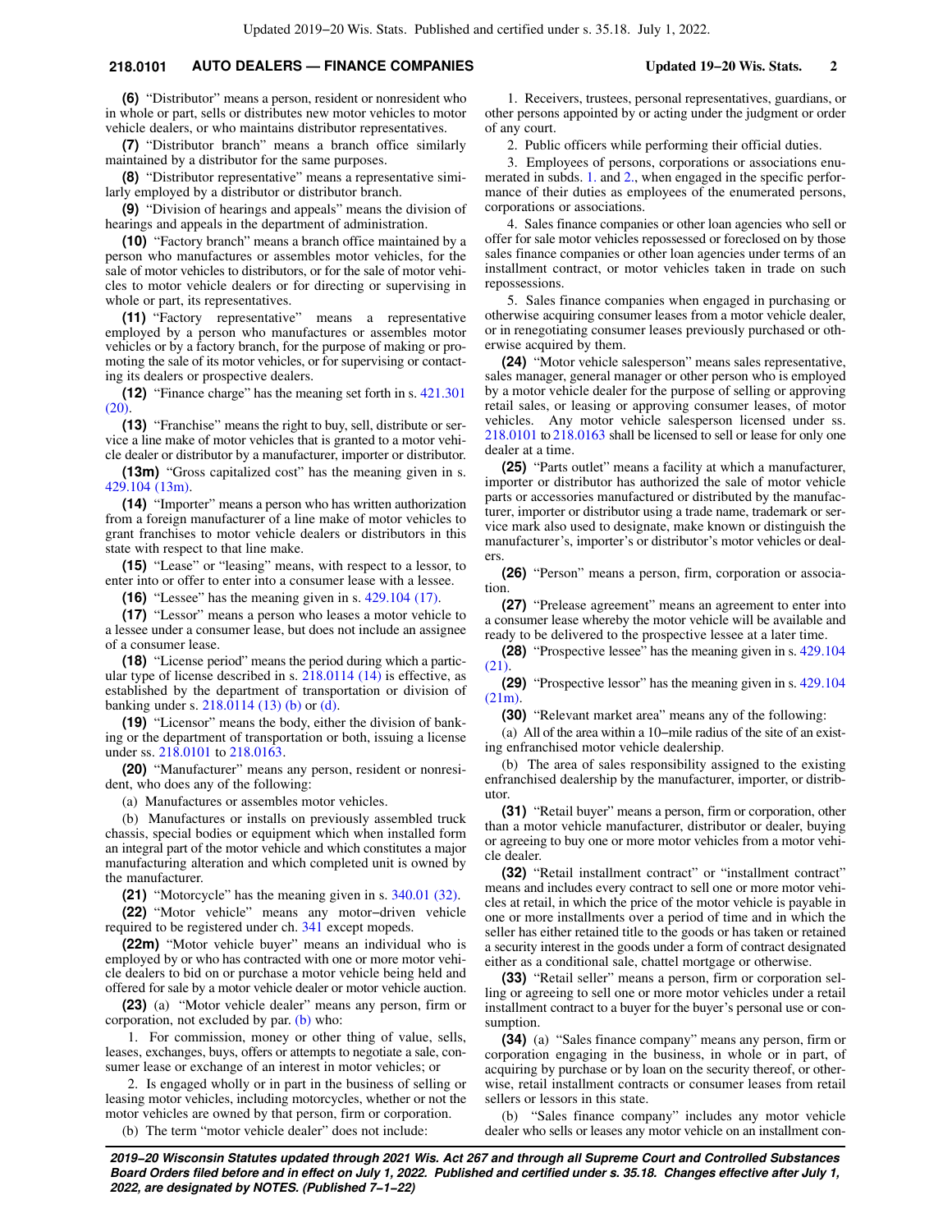## **218.0101 AUTO DEALERS — FINANCE COMPANIES Updated 19−20 Wis. Stats. 2**

**(6)** "Distributor" means a person, resident or nonresident who in whole or part, sells or distributes new motor vehicles to motor vehicle dealers, or who maintains distributor representatives.

**(7)** "Distributor branch" means a branch office similarly maintained by a distributor for the same purposes.

**(8)** "Distributor representative" means a representative similarly employed by a distributor or distributor branch.

**(9)** "Division of hearings and appeals" means the division of hearings and appeals in the department of administration.

**(10)** "Factory branch" means a branch office maintained by a person who manufactures or assembles motor vehicles, for the sale of motor vehicles to distributors, or for the sale of motor vehicles to motor vehicle dealers or for directing or supervising in whole or part, its representatives.

**(11)** "Factory representative" means a representative employed by a person who manufactures or assembles motor vehicles or by a factory branch, for the purpose of making or promoting the sale of its motor vehicles, or for supervising or contacting its dealers or prospective dealers.

**(12)** "Finance charge" has the meaning set forth in s. [421.301](https://docs.legis.wisconsin.gov/document/statutes/421.301(20))  $(20)$ 

**(13)** "Franchise" means the right to buy, sell, distribute or service a line make of motor vehicles that is granted to a motor vehicle dealer or distributor by a manufacturer, importer or distributor.

**(13m)** "Gross capitalized cost" has the meaning given in s. [429.104 \(13m\).](https://docs.legis.wisconsin.gov/document/statutes/429.104(13m))

**(14)** "Importer" means a person who has written authorization from a foreign manufacturer of a line make of motor vehicles to grant franchises to motor vehicle dealers or distributors in this state with respect to that line make.

**(15)** "Lease" or "leasing" means, with respect to a lessor, to enter into or offer to enter into a consumer lease with a lessee.

**(16)** "Lessee" has the meaning given in s. [429.104 \(17\).](https://docs.legis.wisconsin.gov/document/statutes/429.104(17))

**(17)** "Lessor" means a person who leases a motor vehicle to a lessee under a consumer lease, but does not include an assignee of a consumer lease.

**(18)** "License period" means the period during which a particular type of license described in s. [218.0114 \(14\)](https://docs.legis.wisconsin.gov/document/statutes/218.0114(14)) is effective, as established by the department of transportation or division of banking under s. [218.0114 \(13\) \(b\)](https://docs.legis.wisconsin.gov/document/statutes/218.0114(13)(b)) or [\(d\).](https://docs.legis.wisconsin.gov/document/statutes/218.0114(13)(d))

**(19)** "Licensor" means the body, either the division of banking or the department of transportation or both, issuing a license under ss. [218.0101](https://docs.legis.wisconsin.gov/document/statutes/218.0101) to [218.0163.](https://docs.legis.wisconsin.gov/document/statutes/218.0163)

**(20)** "Manufacturer" means any person, resident or nonresident, who does any of the following:

(a) Manufactures or assembles motor vehicles.

(b) Manufactures or installs on previously assembled truck chassis, special bodies or equipment which when installed form an integral part of the motor vehicle and which constitutes a major manufacturing alteration and which completed unit is owned by the manufacturer.

**(21)** "Motorcycle" has the meaning given in s. [340.01 \(32\)](https://docs.legis.wisconsin.gov/document/statutes/340.01(32)).

**(22)** "Motor vehicle" means any motor−driven vehicle required to be registered under ch. [341](https://docs.legis.wisconsin.gov/document/statutes/ch.%20341) except mopeds.

**(22m)** "Motor vehicle buyer" means an individual who is employed by or who has contracted with one or more motor vehicle dealers to bid on or purchase a motor vehicle being held and offered for sale by a motor vehicle dealer or motor vehicle auction.

**(23)** (a) "Motor vehicle dealer" means any person, firm or corporation, not excluded by par. [\(b\)](https://docs.legis.wisconsin.gov/document/statutes/218.0101(23)(b)) who:

1. For commission, money or other thing of value, sells, leases, exchanges, buys, offers or attempts to negotiate a sale, consumer lease or exchange of an interest in motor vehicles; or

2. Is engaged wholly or in part in the business of selling or leasing motor vehicles, including motorcycles, whether or not the motor vehicles are owned by that person, firm or corporation.

(b) The term "motor vehicle dealer" does not include:

1. Receivers, trustees, personal representatives, guardians, or other persons appointed by or acting under the judgment or order of any court.

2. Public officers while performing their official duties.

3. Employees of persons, corporations or associations enumerated in subds. [1.](https://docs.legis.wisconsin.gov/document/statutes/218.0101(23)(b)1.) and [2.](https://docs.legis.wisconsin.gov/document/statutes/218.0101(23)(b)2.), when engaged in the specific performance of their duties as employees of the enumerated persons, corporations or associations.

4. Sales finance companies or other loan agencies who sell or offer for sale motor vehicles repossessed or foreclosed on by those sales finance companies or other loan agencies under terms of an installment contract, or motor vehicles taken in trade on such repossessions.

5. Sales finance companies when engaged in purchasing or otherwise acquiring consumer leases from a motor vehicle dealer, or in renegotiating consumer leases previously purchased or otherwise acquired by them.

**(24)** "Motor vehicle salesperson" means sales representative, sales manager, general manager or other person who is employed by a motor vehicle dealer for the purpose of selling or approving retail sales, or leasing or approving consumer leases, of motor vehicles. Any motor vehicle salesperson licensed under ss. [218.0101](https://docs.legis.wisconsin.gov/document/statutes/218.0101) to [218.0163](https://docs.legis.wisconsin.gov/document/statutes/218.0163) shall be licensed to sell or lease for only one dealer at a time.

**(25)** "Parts outlet" means a facility at which a manufacturer, importer or distributor has authorized the sale of motor vehicle parts or accessories manufactured or distributed by the manufacturer, importer or distributor using a trade name, trademark or service mark also used to designate, make known or distinguish the manufacturer's, importer's or distributor's motor vehicles or dealers.

**(26)** "Person" means a person, firm, corporation or association.

**(27)** "Prelease agreement" means an agreement to enter into a consumer lease whereby the motor vehicle will be available and ready to be delivered to the prospective lessee at a later time.

**(28)** "Prospective lessee" has the meaning given in s. [429.104](https://docs.legis.wisconsin.gov/document/statutes/429.104(21)) [\(21\)](https://docs.legis.wisconsin.gov/document/statutes/429.104(21)).

**(29)** "Prospective lessor" has the meaning given in s. [429.104](https://docs.legis.wisconsin.gov/document/statutes/429.104(21m)) [\(21m\)](https://docs.legis.wisconsin.gov/document/statutes/429.104(21m)).

**(30)** "Relevant market area" means any of the following:

(a) All of the area within a 10−mile radius of the site of an existing enfranchised motor vehicle dealership.

(b) The area of sales responsibility assigned to the existing enfranchised dealership by the manufacturer, importer, or distributor

**(31)** "Retail buyer" means a person, firm or corporation, other than a motor vehicle manufacturer, distributor or dealer, buying or agreeing to buy one or more motor vehicles from a motor vehicle dealer.

**(32)** "Retail installment contract" or "installment contract" means and includes every contract to sell one or more motor vehicles at retail, in which the price of the motor vehicle is payable in one or more installments over a period of time and in which the seller has either retained title to the goods or has taken or retained a security interest in the goods under a form of contract designated either as a conditional sale, chattel mortgage or otherwise.

**(33)** "Retail seller" means a person, firm or corporation selling or agreeing to sell one or more motor vehicles under a retail installment contract to a buyer for the buyer's personal use or consumption.

**(34)** (a) "Sales finance company" means any person, firm or corporation engaging in the business, in whole or in part, of acquiring by purchase or by loan on the security thereof, or otherwise, retail installment contracts or consumer leases from retail sellers or lessors in this state.

(b) "Sales finance company" includes any motor vehicle dealer who sells or leases any motor vehicle on an installment con-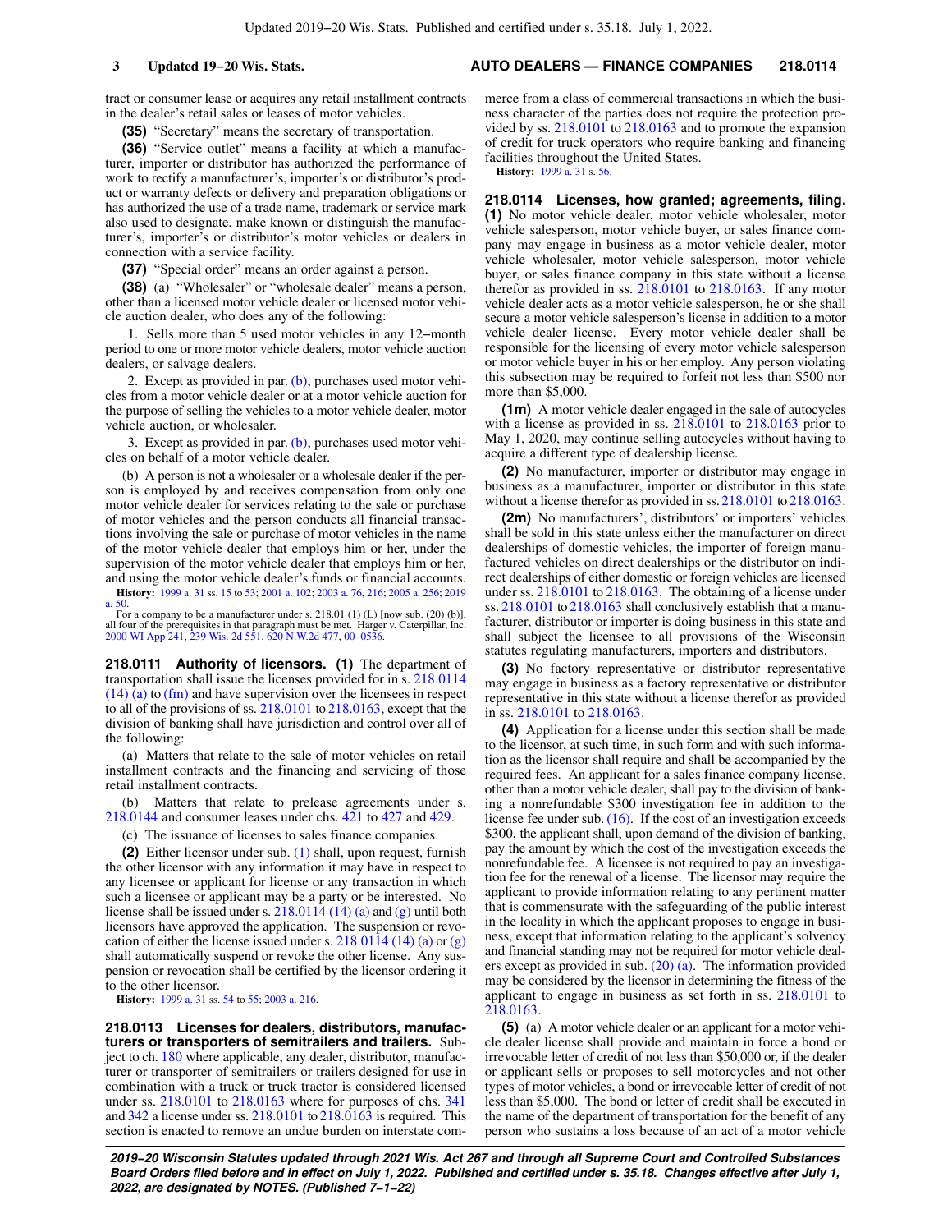#### tract or consumer lease or acquires any retail installment contracts in the dealer's retail sales or leases of motor vehicles.

**(35)** "Secretary" means the secretary of transportation.

**(36)** "Service outlet" means a facility at which a manufacturer, importer or distributor has authorized the performance of work to rectify a manufacturer's, importer's or distributor's product or warranty defects or delivery and preparation obligations or has authorized the use of a trade name, trademark or service mark also used to designate, make known or distinguish the manufacturer's, importer's or distributor's motor vehicles or dealers in connection with a service facility.

**(37)** "Special order" means an order against a person.

**(38)** (a) "Wholesaler" or "wholesale dealer" means a person, other than a licensed motor vehicle dealer or licensed motor vehicle auction dealer, who does any of the following:

1. Sells more than 5 used motor vehicles in any 12−month period to one or more motor vehicle dealers, motor vehicle auction dealers, or salvage dealers.

2. Except as provided in par. [\(b\),](https://docs.legis.wisconsin.gov/document/statutes/218.0101(38)(b)) purchases used motor vehicles from a motor vehicle dealer or at a motor vehicle auction for the purpose of selling the vehicles to a motor vehicle dealer, motor vehicle auction, or wholesaler.

3. Except as provided in par. [\(b\),](https://docs.legis.wisconsin.gov/document/statutes/218.0101(38)(b)) purchases used motor vehicles on behalf of a motor vehicle dealer.

(b) A person is not a wholesaler or a wholesale dealer if the person is employed by and receives compensation from only one motor vehicle dealer for services relating to the sale or purchase of motor vehicles and the person conducts all financial transactions involving the sale or purchase of motor vehicles in the name of the motor vehicle dealer that employs him or her, under the supervision of the motor vehicle dealer that employs him or her, and using the motor vehicle dealer's funds or financial accounts. **History:** [1999 a. 31](https://docs.legis.wisconsin.gov/document/acts/1999/31) ss. [15](https://docs.legis.wisconsin.gov/document/acts/1999/31,%20s.%2015) to [53;](https://docs.legis.wisconsin.gov/document/acts/1999/31,%20s.%2053) [2001 a. 102](https://docs.legis.wisconsin.gov/document/acts/2001/102); [2003 a. 76,](https://docs.legis.wisconsin.gov/document/acts/2003/76) [216;](https://docs.legis.wisconsin.gov/document/acts/2003/216) [2005 a. 256;](https://docs.legis.wisconsin.gov/document/acts/2005/256) [2019](https://docs.legis.wisconsin.gov/document/acts/2019/50)

[a. 50](https://docs.legis.wisconsin.gov/document/acts/2019/50). For a company to be a manufacturer under s. 218.01 (1) (L) [now sub. (20) (b)],

all four of the prerequisites in that paragraph must be met. Harger v. Caterpillar, Inc. [2000 WI App 241,](https://docs.legis.wisconsin.gov/document/courts/2000%20WI%20App%20241) [239 Wis. 2d 551](https://docs.legis.wisconsin.gov/document/courts/239%20Wis.%202d%20551), [620 N.W.2d 477,](https://docs.legis.wisconsin.gov/document/courts/620%20N.W.2d%20477) [00−0536.](https://docs.legis.wisconsin.gov/document/wicourtofappeals/00-0536)

**218.0111 Authority of licensors. (1)** The department of transportation shall issue the licenses provided for in s. [218.0114](https://docs.legis.wisconsin.gov/document/statutes/218.0114(14)(a)) [\(14\) \(a\)](https://docs.legis.wisconsin.gov/document/statutes/218.0114(14)(a)) to [\(fm\)](https://docs.legis.wisconsin.gov/document/statutes/218.0114(14)(fm)) and have supervision over the licensees in respect to all of the provisions of ss. [218.0101](https://docs.legis.wisconsin.gov/document/statutes/218.0101) to [218.0163](https://docs.legis.wisconsin.gov/document/statutes/218.0163), except that the division of banking shall have jurisdiction and control over all of the following:

(a) Matters that relate to the sale of motor vehicles on retail installment contracts and the financing and servicing of those retail installment contracts.

(b) Matters that relate to prelease agreements under s. [218.0144](https://docs.legis.wisconsin.gov/document/statutes/218.0144) and consumer leases under chs. [421](https://docs.legis.wisconsin.gov/document/statutes/ch.%20421) to [427](https://docs.legis.wisconsin.gov/document/statutes/ch.%20427) and [429](https://docs.legis.wisconsin.gov/document/statutes/ch.%20429).

(c) The issuance of licenses to sales finance companies.

**(2)** Either licensor under sub. [\(1\)](https://docs.legis.wisconsin.gov/document/statutes/218.0111(1)) shall, upon request, furnish the other licensor with any information it may have in respect to any licensee or applicant for license or any transaction in which such a licensee or applicant may be a party or be interested. No license shall be issued under s.  $218.0114(14)$  (a) and [\(g\)](https://docs.legis.wisconsin.gov/document/statutes/218.0114(14)(g)) until both licensors have approved the application. The suspension or revocation of either the license issued under s.  $218.0114(14)(a)$  or [\(g\)](https://docs.legis.wisconsin.gov/document/statutes/218.0114(14)(g)) shall automatically suspend or revoke the other license. Any suspension or revocation shall be certified by the licensor ordering it to the other licensor.

**History:** [1999 a. 31](https://docs.legis.wisconsin.gov/document/acts/1999/31) ss. [54](https://docs.legis.wisconsin.gov/document/acts/1999/31,%20s.%2054) to [55;](https://docs.legis.wisconsin.gov/document/acts/1999/31,%20s.%2055) [2003 a. 216](https://docs.legis.wisconsin.gov/document/acts/2003/216).

**218.0113 Licenses for dealers, distributors, manufacturers or transporters of semitrailers and trailers.** Subject to ch. [180](https://docs.legis.wisconsin.gov/document/statutes/ch.%20180) where applicable, any dealer, distributor, manufacturer or transporter of semitrailers or trailers designed for use in combination with a truck or truck tractor is considered licensed under ss. [218.0101](https://docs.legis.wisconsin.gov/document/statutes/218.0101) to [218.0163](https://docs.legis.wisconsin.gov/document/statutes/218.0163) where for purposes of chs. [341](https://docs.legis.wisconsin.gov/document/statutes/ch.%20341) and [342](https://docs.legis.wisconsin.gov/document/statutes/ch.%20342) a license under ss. [218.0101](https://docs.legis.wisconsin.gov/document/statutes/218.0101) to [218.0163](https://docs.legis.wisconsin.gov/document/statutes/218.0163) is required. This section is enacted to remove an undue burden on interstate com-

## **3 Updated 19−20 Wis. Stats. AUTO DEALERS — FINANCE COMPANIES 218.0114**

merce from a class of commercial transactions in which the business character of the parties does not require the protection provided by ss. [218.0101](https://docs.legis.wisconsin.gov/document/statutes/218.0101) to [218.0163](https://docs.legis.wisconsin.gov/document/statutes/218.0163) and to promote the expansion of credit for truck operators who require banking and financing facilities throughout the United States.

**History:** [1999 a. 31](https://docs.legis.wisconsin.gov/document/acts/1999/31) s. [56](https://docs.legis.wisconsin.gov/document/acts/1999/31,%20s.%2056).

**218.0114 Licenses, how granted; agreements, filing. (1)** No motor vehicle dealer, motor vehicle wholesaler, motor vehicle salesperson, motor vehicle buyer, or sales finance company may engage in business as a motor vehicle dealer, motor vehicle wholesaler, motor vehicle salesperson, motor vehicle buyer, or sales finance company in this state without a license therefor as provided in ss. [218.0101](https://docs.legis.wisconsin.gov/document/statutes/218.0101) to [218.0163.](https://docs.legis.wisconsin.gov/document/statutes/218.0163) If any motor vehicle dealer acts as a motor vehicle salesperson, he or she shall secure a motor vehicle salesperson's license in addition to a motor vehicle dealer license. Every motor vehicle dealer shall be responsible for the licensing of every motor vehicle salesperson or motor vehicle buyer in his or her employ. Any person violating this subsection may be required to forfeit not less than \$500 nor more than \$5,000.

**(1m)** A motor vehicle dealer engaged in the sale of autocycles with a license as provided in ss. [218.0101](https://docs.legis.wisconsin.gov/document/statutes/218.0101) to [218.0163](https://docs.legis.wisconsin.gov/document/statutes/218.0163) prior to May 1, 2020, may continue selling autocycles without having to acquire a different type of dealership license.

**(2)** No manufacturer, importer or distributor may engage in business as a manufacturer, importer or distributor in this state without a license therefor as provided in ss. [218.0101](https://docs.legis.wisconsin.gov/document/statutes/218.0101) to [218.0163.](https://docs.legis.wisconsin.gov/document/statutes/218.0163)

**(2m)** No manufacturers', distributors' or importers' vehicles shall be sold in this state unless either the manufacturer on direct dealerships of domestic vehicles, the importer of foreign manufactured vehicles on direct dealerships or the distributor on indirect dealerships of either domestic or foreign vehicles are licensed under ss. [218.0101](https://docs.legis.wisconsin.gov/document/statutes/218.0101) to [218.0163](https://docs.legis.wisconsin.gov/document/statutes/218.0163). The obtaining of a license under ss. [218.0101](https://docs.legis.wisconsin.gov/document/statutes/218.0101) to [218.0163](https://docs.legis.wisconsin.gov/document/statutes/218.0163) shall conclusively establish that a manufacturer, distributor or importer is doing business in this state and shall subject the licensee to all provisions of the Wisconsin statutes regulating manufacturers, importers and distributors.

**(3)** No factory representative or distributor representative may engage in business as a factory representative or distributor representative in this state without a license therefor as provided in ss. [218.0101](https://docs.legis.wisconsin.gov/document/statutes/218.0101) to [218.0163](https://docs.legis.wisconsin.gov/document/statutes/218.0163).

**(4)** Application for a license under this section shall be made to the licensor, at such time, in such form and with such information as the licensor shall require and shall be accompanied by the required fees. An applicant for a sales finance company license, other than a motor vehicle dealer, shall pay to the division of banking a nonrefundable \$300 investigation fee in addition to the license fee under sub.  $(16)$ . If the cost of an investigation exceeds \$300, the applicant shall, upon demand of the division of banking, pay the amount by which the cost of the investigation exceeds the nonrefundable fee. A licensee is not required to pay an investigation fee for the renewal of a license. The licensor may require the applicant to provide information relating to any pertinent matter that is commensurate with the safeguarding of the public interest in the locality in which the applicant proposes to engage in business, except that information relating to the applicant's solvency and financial standing may not be required for motor vehicle dealers except as provided in sub. [\(20\) \(a\).](https://docs.legis.wisconsin.gov/document/statutes/218.0114(20)(a)) The information provided may be considered by the licensor in determining the fitness of the applicant to engage in business as set forth in ss. [218.0101](https://docs.legis.wisconsin.gov/document/statutes/218.0101) to [218.0163.](https://docs.legis.wisconsin.gov/document/statutes/218.0163)

**(5)** (a) A motor vehicle dealer or an applicant for a motor vehicle dealer license shall provide and maintain in force a bond or irrevocable letter of credit of not less than \$50,000 or, if the dealer or applicant sells or proposes to sell motorcycles and not other types of motor vehicles, a bond or irrevocable letter of credit of not less than \$5,000. The bond or letter of credit shall be executed in the name of the department of transportation for the benefit of any person who sustains a loss because of an act of a motor vehicle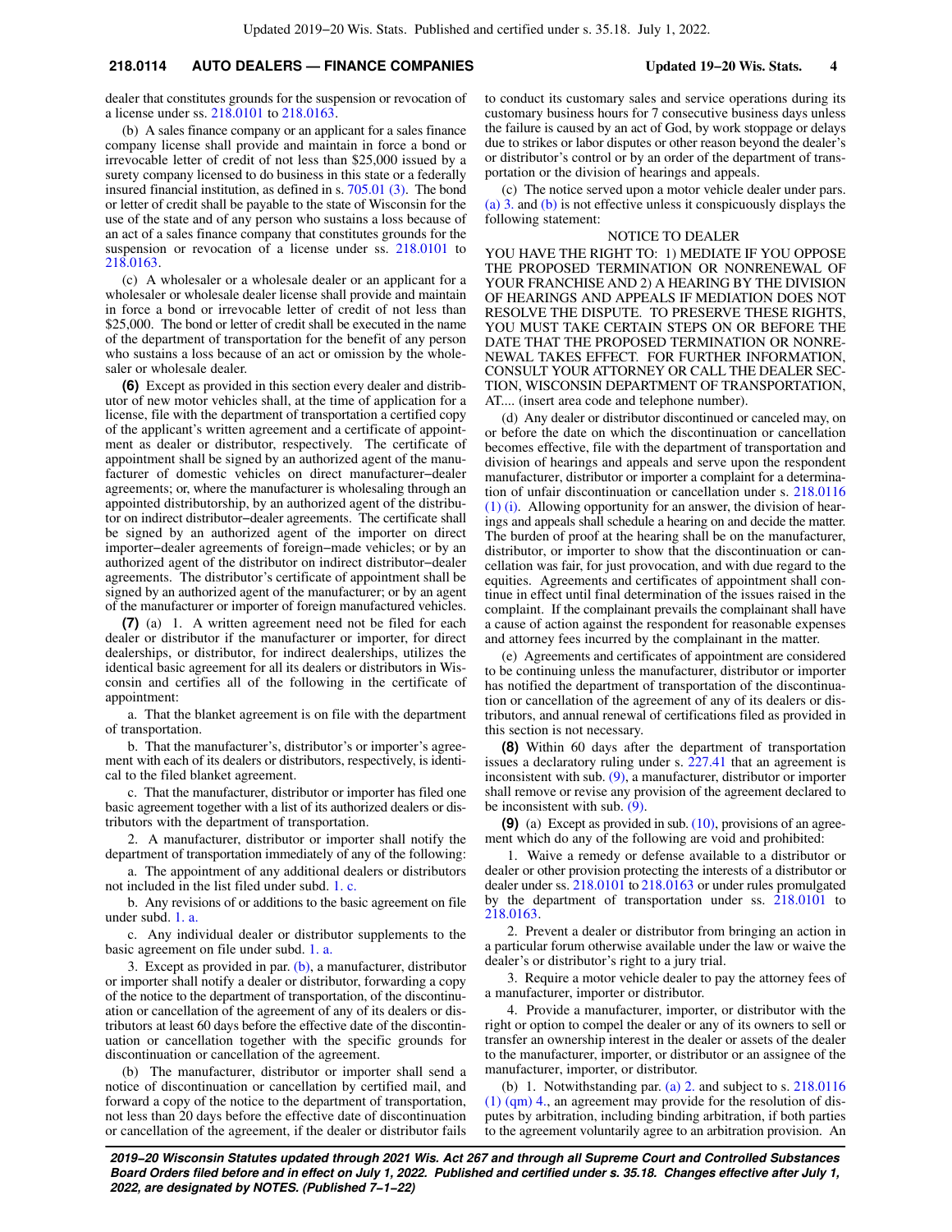## **218.0114 AUTO DEALERS — FINANCE COMPANIES Updated 19−20 Wis. Stats. 4**

dealer that constitutes grounds for the suspension or revocation of a license under ss. [218.0101](https://docs.legis.wisconsin.gov/document/statutes/218.0101) to [218.0163](https://docs.legis.wisconsin.gov/document/statutes/218.0163).

(b) A sales finance company or an applicant for a sales finance company license shall provide and maintain in force a bond or irrevocable letter of credit of not less than \$25,000 issued by a surety company licensed to do business in this state or a federally insured financial institution, as defined in s. [705.01 \(3\).](https://docs.legis.wisconsin.gov/document/statutes/705.01(3)) The bond or letter of credit shall be payable to the state of Wisconsin for the use of the state and of any person who sustains a loss because of an act of a sales finance company that constitutes grounds for the suspension or revocation of a license under ss. [218.0101](https://docs.legis.wisconsin.gov/document/statutes/218.0101) to [218.0163.](https://docs.legis.wisconsin.gov/document/statutes/218.0163)

(c) A wholesaler or a wholesale dealer or an applicant for a wholesaler or wholesale dealer license shall provide and maintain in force a bond or irrevocable letter of credit of not less than \$25,000. The bond or letter of credit shall be executed in the name of the department of transportation for the benefit of any person who sustains a loss because of an act or omission by the wholesaler or wholesale dealer.

**(6)** Except as provided in this section every dealer and distributor of new motor vehicles shall, at the time of application for a license, file with the department of transportation a certified copy of the applicant's written agreement and a certificate of appointment as dealer or distributor, respectively. The certificate of appointment shall be signed by an authorized agent of the manufacturer of domestic vehicles on direct manufacturer−dealer agreements; or, where the manufacturer is wholesaling through an appointed distributorship, by an authorized agent of the distributor on indirect distributor−dealer agreements. The certificate shall be signed by an authorized agent of the importer on direct importer−dealer agreements of foreign−made vehicles; or by an authorized agent of the distributor on indirect distributor−dealer agreements. The distributor's certificate of appointment shall be signed by an authorized agent of the manufacturer; or by an agent of the manufacturer or importer of foreign manufactured vehicles.

**(7)** (a) 1. A written agreement need not be filed for each dealer or distributor if the manufacturer or importer, for direct dealerships, or distributor, for indirect dealerships, utilizes the identical basic agreement for all its dealers or distributors in Wisconsin and certifies all of the following in the certificate of appointment:

a. That the blanket agreement is on file with the department of transportation.

b. That the manufacturer's, distributor's or importer's agreement with each of its dealers or distributors, respectively, is identical to the filed blanket agreement.

c. That the manufacturer, distributor or importer has filed one basic agreement together with a list of its authorized dealers or distributors with the department of transportation.

2. A manufacturer, distributor or importer shall notify the department of transportation immediately of any of the following:

a. The appointment of any additional dealers or distributors not included in the list filed under subd. [1. c.](https://docs.legis.wisconsin.gov/document/statutes/218.0114(7)(a)1.c.)

b. Any revisions of or additions to the basic agreement on file under subd. [1. a.](https://docs.legis.wisconsin.gov/document/statutes/218.0114(7)(a)1.a.)

c. Any individual dealer or distributor supplements to the basic agreement on file under subd. [1. a.](https://docs.legis.wisconsin.gov/document/statutes/218.0114(7)(a)1.a.)

3. Except as provided in par. [\(b\),](https://docs.legis.wisconsin.gov/document/statutes/218.0114(7)(b)) a manufacturer, distributor or importer shall notify a dealer or distributor, forwarding a copy of the notice to the department of transportation, of the discontinuation or cancellation of the agreement of any of its dealers or distributors at least 60 days before the effective date of the discontinuation or cancellation together with the specific grounds for discontinuation or cancellation of the agreement.

(b) The manufacturer, distributor or importer shall send a notice of discontinuation or cancellation by certified mail, and forward a copy of the notice to the department of transportation, not less than 20 days before the effective date of discontinuation or cancellation of the agreement, if the dealer or distributor fails to conduct its customary sales and service operations during its customary business hours for 7 consecutive business days unless the failure is caused by an act of God, by work stoppage or delays due to strikes or labor disputes or other reason beyond the dealer's or distributor's control or by an order of the department of transportation or the division of hearings and appeals.

(c) The notice served upon a motor vehicle dealer under pars. [\(a\) 3.](https://docs.legis.wisconsin.gov/document/statutes/218.0114(7)(a)3.) and [\(b\)](https://docs.legis.wisconsin.gov/document/statutes/218.0114(7)(b)) is not effective unless it conspicuously displays the following statement:

#### NOTICE TO DEALER

YOU HAVE THE RIGHT TO: 1) MEDIATE IF YOU OPPOSE THE PROPOSED TERMINATION OR NONRENEWAL OF YOUR FRANCHISE AND 2) A HEARING BY THE DIVISION OF HEARINGS AND APPEALS IF MEDIATION DOES NOT RESOLVE THE DISPUTE. TO PRESERVE THESE RIGHTS, YOU MUST TAKE CERTAIN STEPS ON OR BEFORE THE DATE THAT THE PROPOSED TERMINATION OR NONRE-NEWAL TAKES EFFECT. FOR FURTHER INFORMATION, CONSULT YOUR ATTORNEY OR CALL THE DEALER SEC-TION, WISCONSIN DEPARTMENT OF TRANSPORTATION, AT.... (insert area code and telephone number).

(d) Any dealer or distributor discontinued or canceled may, on or before the date on which the discontinuation or cancellation becomes effective, file with the department of transportation and division of hearings and appeals and serve upon the respondent manufacturer, distributor or importer a complaint for a determination of unfair discontinuation or cancellation under s. [218.0116](https://docs.legis.wisconsin.gov/document/statutes/218.0116(1)(i)) [\(1\) \(i\)](https://docs.legis.wisconsin.gov/document/statutes/218.0116(1)(i)). Allowing opportunity for an answer, the division of hearings and appeals shall schedule a hearing on and decide the matter. The burden of proof at the hearing shall be on the manufacturer, distributor, or importer to show that the discontinuation or cancellation was fair, for just provocation, and with due regard to the equities. Agreements and certificates of appointment shall continue in effect until final determination of the issues raised in the complaint. If the complainant prevails the complainant shall have a cause of action against the respondent for reasonable expenses and attorney fees incurred by the complainant in the matter.

(e) Agreements and certificates of appointment are considered to be continuing unless the manufacturer, distributor or importer has notified the department of transportation of the discontinuation or cancellation of the agreement of any of its dealers or distributors, and annual renewal of certifications filed as provided in this section is not necessary.

**(8)** Within 60 days after the department of transportation issues a declaratory ruling under s. [227.41](https://docs.legis.wisconsin.gov/document/statutes/227.41) that an agreement is inconsistent with sub. [\(9\)](https://docs.legis.wisconsin.gov/document/statutes/218.0114(9)), a manufacturer, distributor or importer shall remove or revise any provision of the agreement declared to be inconsistent with sub. [\(9\)](https://docs.legis.wisconsin.gov/document/statutes/218.0114(9)).

**(9)** (a) Except as provided in sub. [\(10\)](https://docs.legis.wisconsin.gov/document/statutes/218.0114(10)), provisions of an agreement which do any of the following are void and prohibited:

1. Waive a remedy or defense available to a distributor or dealer or other provision protecting the interests of a distributor or dealer under ss. [218.0101](https://docs.legis.wisconsin.gov/document/statutes/218.0101) to [218.0163](https://docs.legis.wisconsin.gov/document/statutes/218.0163) or under rules promulgated by the department of transportation under ss. [218.0101](https://docs.legis.wisconsin.gov/document/statutes/218.0101) to [218.0163.](https://docs.legis.wisconsin.gov/document/statutes/218.0163)

2. Prevent a dealer or distributor from bringing an action in a particular forum otherwise available under the law or waive the dealer's or distributor's right to a jury trial.

3. Require a motor vehicle dealer to pay the attorney fees of a manufacturer, importer or distributor.

4. Provide a manufacturer, importer, or distributor with the right or option to compel the dealer or any of its owners to sell or transfer an ownership interest in the dealer or assets of the dealer to the manufacturer, importer, or distributor or an assignee of the manufacturer, importer, or distributor.

(b) 1. Notwithstanding par. [\(a\) 2.](https://docs.legis.wisconsin.gov/document/statutes/218.0114(9)(a)2.) and subject to s. [218.0116](https://docs.legis.wisconsin.gov/document/statutes/218.0116(1)(qm)4.) [\(1\) \(qm\) 4.,](https://docs.legis.wisconsin.gov/document/statutes/218.0116(1)(qm)4.) an agreement may provide for the resolution of disputes by arbitration, including binding arbitration, if both parties to the agreement voluntarily agree to an arbitration provision. An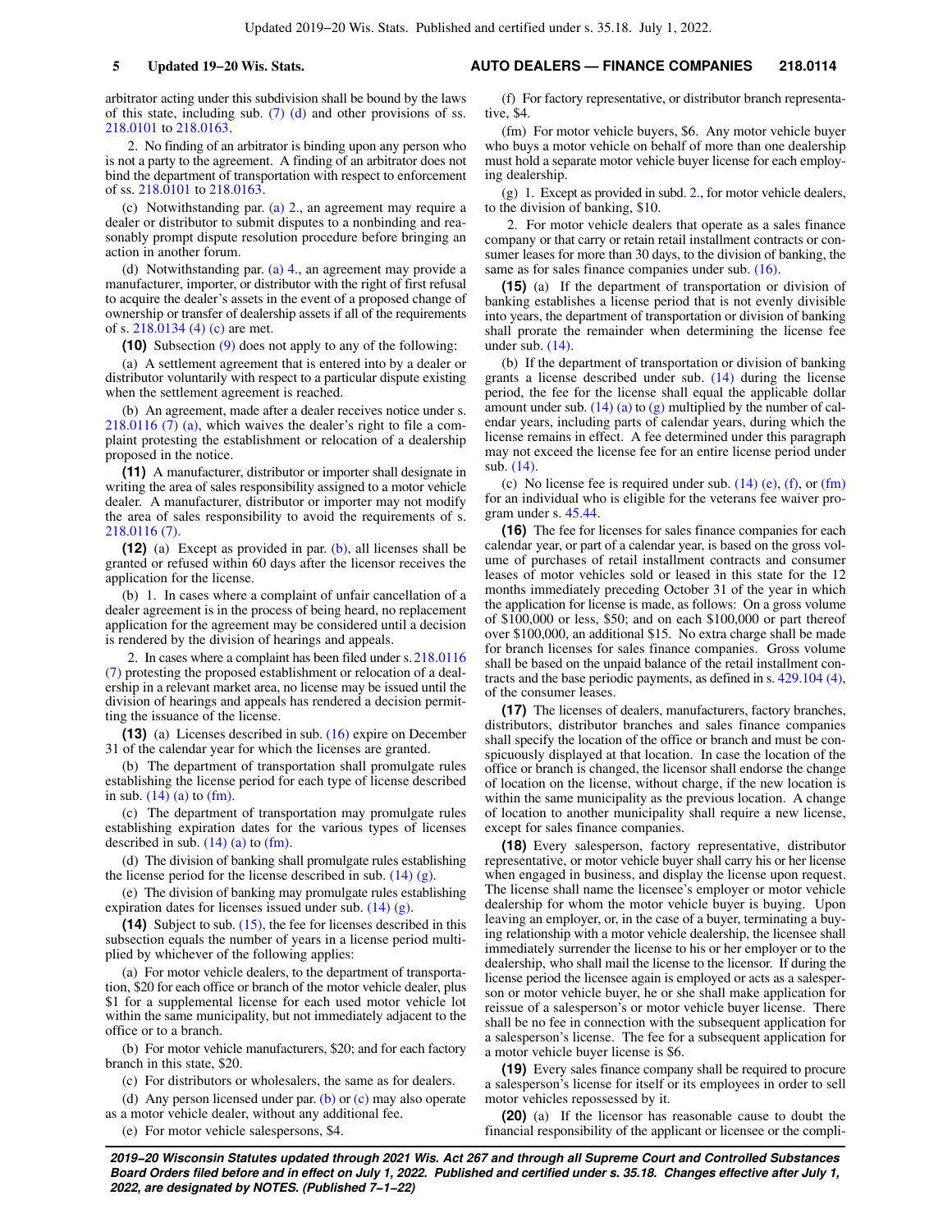arbitrator acting under this subdivision shall be bound by the laws of this state, including sub.  $(7)$  (d) and other provisions of ss. [218.0101](https://docs.legis.wisconsin.gov/document/statutes/218.0101) to [218.0163](https://docs.legis.wisconsin.gov/document/statutes/218.0163).

2. No finding of an arbitrator is binding upon any person who is not a party to the agreement. A finding of an arbitrator does not bind the department of transportation with respect to enforcement of ss. [218.0101](https://docs.legis.wisconsin.gov/document/statutes/218.0101) to [218.0163.](https://docs.legis.wisconsin.gov/document/statutes/218.0163)

(c) Notwithstanding par. [\(a\) 2.,](https://docs.legis.wisconsin.gov/document/statutes/218.0114(9)(a)2.) an agreement may require a dealer or distributor to submit disputes to a nonbinding and reasonably prompt dispute resolution procedure before bringing an action in another forum.

(d) Notwithstanding par. [\(a\) 4.,](https://docs.legis.wisconsin.gov/document/statutes/218.0114(9)(a)4.) an agreement may provide a manufacturer, importer, or distributor with the right of first refusal to acquire the dealer's assets in the event of a proposed change of ownership or transfer of dealership assets if all of the requirements of s. [218.0134 \(4\) \(c\)](https://docs.legis.wisconsin.gov/document/statutes/218.0134(4)(c)) are met.

**(10)** Subsection [\(9\)](https://docs.legis.wisconsin.gov/document/statutes/218.0114(9)) does not apply to any of the following:

(a) A settlement agreement that is entered into by a dealer or distributor voluntarily with respect to a particular dispute existing when the settlement agreement is reached.

(b) An agreement, made after a dealer receives notice under s. [218.0116 \(7\) \(a\),](https://docs.legis.wisconsin.gov/document/statutes/218.0116(7)(a)) which waives the dealer's right to file a complaint protesting the establishment or relocation of a dealership proposed in the notice.

**(11)** A manufacturer, distributor or importer shall designate in writing the area of sales responsibility assigned to a motor vehicle dealer. A manufacturer, distributor or importer may not modify the area of sales responsibility to avoid the requirements of s. [218.0116 \(7\)](https://docs.legis.wisconsin.gov/document/statutes/218.0116(7)).

**(12)** (a) Except as provided in par. [\(b\),](https://docs.legis.wisconsin.gov/document/statutes/218.0114(12)(b)) all licenses shall be granted or refused within 60 days after the licensor receives the application for the license.

(b) 1. In cases where a complaint of unfair cancellation of a dealer agreement is in the process of being heard, no replacement application for the agreement may be considered until a decision is rendered by the division of hearings and appeals.

2. In cases where a complaint has been filed under s. [218.0116](https://docs.legis.wisconsin.gov/document/statutes/218.0116(7)) [\(7\)](https://docs.legis.wisconsin.gov/document/statutes/218.0116(7)) protesting the proposed establishment or relocation of a dealership in a relevant market area, no license may be issued until the division of hearings and appeals has rendered a decision permitting the issuance of the license.

**(13)** (a) Licenses described in sub. [\(16\)](https://docs.legis.wisconsin.gov/document/statutes/218.0114(16)) expire on December 31 of the calendar year for which the licenses are granted.

(b) The department of transportation shall promulgate rules establishing the license period for each type of license described in sub.  $(14)$  (a) to [\(fm\)](https://docs.legis.wisconsin.gov/document/statutes/218.0114(14)(fm)).

(c) The department of transportation may promulgate rules establishing expiration dates for the various types of licenses described in sub.  $(14)$  (a) to [\(fm\)](https://docs.legis.wisconsin.gov/document/statutes/218.0114(14)(fm)).

(d) The division of banking shall promulgate rules establishing the license period for the license described in sub.  $(14)$  (g).

(e) The division of banking may promulgate rules establishing expiration dates for licenses issued under sub. [\(14\) \(g\)](https://docs.legis.wisconsin.gov/document/statutes/218.0114(14)(g)).

**(14)** Subject to sub. [\(15\),](https://docs.legis.wisconsin.gov/document/statutes/218.0114(15)) the fee for licenses described in this subsection equals the number of years in a license period multiplied by whichever of the following applies:

(a) For motor vehicle dealers, to the department of transportation, \$20 for each office or branch of the motor vehicle dealer, plus \$1 for a supplemental license for each used motor vehicle lot within the same municipality, but not immediately adjacent to the office or to a branch.

(b) For motor vehicle manufacturers, \$20; and for each factory branch in this state, \$20.

(c) For distributors or wholesalers, the same as for dealers.

(d) Any person licensed under par. [\(b\)](https://docs.legis.wisconsin.gov/document/statutes/218.0114(14)(b)) or  $(c)$  may also operate as a motor vehicle dealer, without any additional fee.

(e) For motor vehicle salespersons, \$4.

## **5 Updated 19−20 Wis. Stats. AUTO DEALERS — FINANCE COMPANIES 218.0114**

(f) For factory representative, or distributor branch representative, \$4.

(fm) For motor vehicle buyers, \$6. Any motor vehicle buyer who buys a motor vehicle on behalf of more than one dealership must hold a separate motor vehicle buyer license for each employing dealership.

(g) 1. Except as provided in subd. [2.](https://docs.legis.wisconsin.gov/document/statutes/218.0114(14)(g)2.), for motor vehicle dealers, to the division of banking, \$10.

2. For motor vehicle dealers that operate as a sales finance company or that carry or retain retail installment contracts or consumer leases for more than 30 days, to the division of banking, the same as for sales finance companies under sub. [\(16\)](https://docs.legis.wisconsin.gov/document/statutes/218.0114(16)).

**(15)** (a) If the department of transportation or division of banking establishes a license period that is not evenly divisible into years, the department of transportation or division of banking shall prorate the remainder when determining the license fee under sub. [\(14\)](https://docs.legis.wisconsin.gov/document/statutes/218.0114(14)).

(b) If the department of transportation or division of banking grants a license described under sub. [\(14\)](https://docs.legis.wisconsin.gov/document/statutes/218.0114(14)) during the license period, the fee for the license shall equal the applicable dollar amount under sub. [\(14\) \(a\)](https://docs.legis.wisconsin.gov/document/statutes/218.0114(14)(a)) to [\(g\)](https://docs.legis.wisconsin.gov/document/statutes/218.0114(14)(g)) multiplied by the number of calendar years, including parts of calendar years, during which the license remains in effect. A fee determined under this paragraph may not exceed the license fee for an entire license period under sub. [\(14\)](https://docs.legis.wisconsin.gov/document/statutes/218.0114(14)).

(c) No license fee is required under sub.  $(14)$  (e),  $(f)$ , or  $(fm)$ for an individual who is eligible for the veterans fee waiver program under s. [45.44](https://docs.legis.wisconsin.gov/document/statutes/45.44).

**(16)** The fee for licenses for sales finance companies for each calendar year, or part of a calendar year, is based on the gross volume of purchases of retail installment contracts and consumer leases of motor vehicles sold or leased in this state for the 12 months immediately preceding October 31 of the year in which the application for license is made, as follows: On a gross volume of \$100,000 or less, \$50; and on each \$100,000 or part thereof over \$100,000, an additional \$15. No extra charge shall be made for branch licenses for sales finance companies. Gross volume shall be based on the unpaid balance of the retail installment contracts and the base periodic payments, as defined in s. [429.104 \(4\),](https://docs.legis.wisconsin.gov/document/statutes/429.104(4)) of the consumer leases.

**(17)** The licenses of dealers, manufacturers, factory branches, distributors, distributor branches and sales finance companies shall specify the location of the office or branch and must be conspicuously displayed at that location. In case the location of the office or branch is changed, the licensor shall endorse the change of location on the license, without charge, if the new location is within the same municipality as the previous location. A change of location to another municipality shall require a new license, except for sales finance companies.

**(18)** Every salesperson, factory representative, distributor representative, or motor vehicle buyer shall carry his or her license when engaged in business, and display the license upon request. The license shall name the licensee's employer or motor vehicle dealership for whom the motor vehicle buyer is buying. Upon leaving an employer, or, in the case of a buyer, terminating a buying relationship with a motor vehicle dealership, the licensee shall immediately surrender the license to his or her employer or to the dealership, who shall mail the license to the licensor. If during the license period the licensee again is employed or acts as a salesperson or motor vehicle buyer, he or she shall make application for reissue of a salesperson's or motor vehicle buyer license. There shall be no fee in connection with the subsequent application for a salesperson's license. The fee for a subsequent application for a motor vehicle buyer license is \$6.

**(19)** Every sales finance company shall be required to procure a salesperson's license for itself or its employees in order to sell motor vehicles repossessed by it.

**(20)** (a) If the licensor has reasonable cause to doubt the financial responsibility of the applicant or licensee or the compli-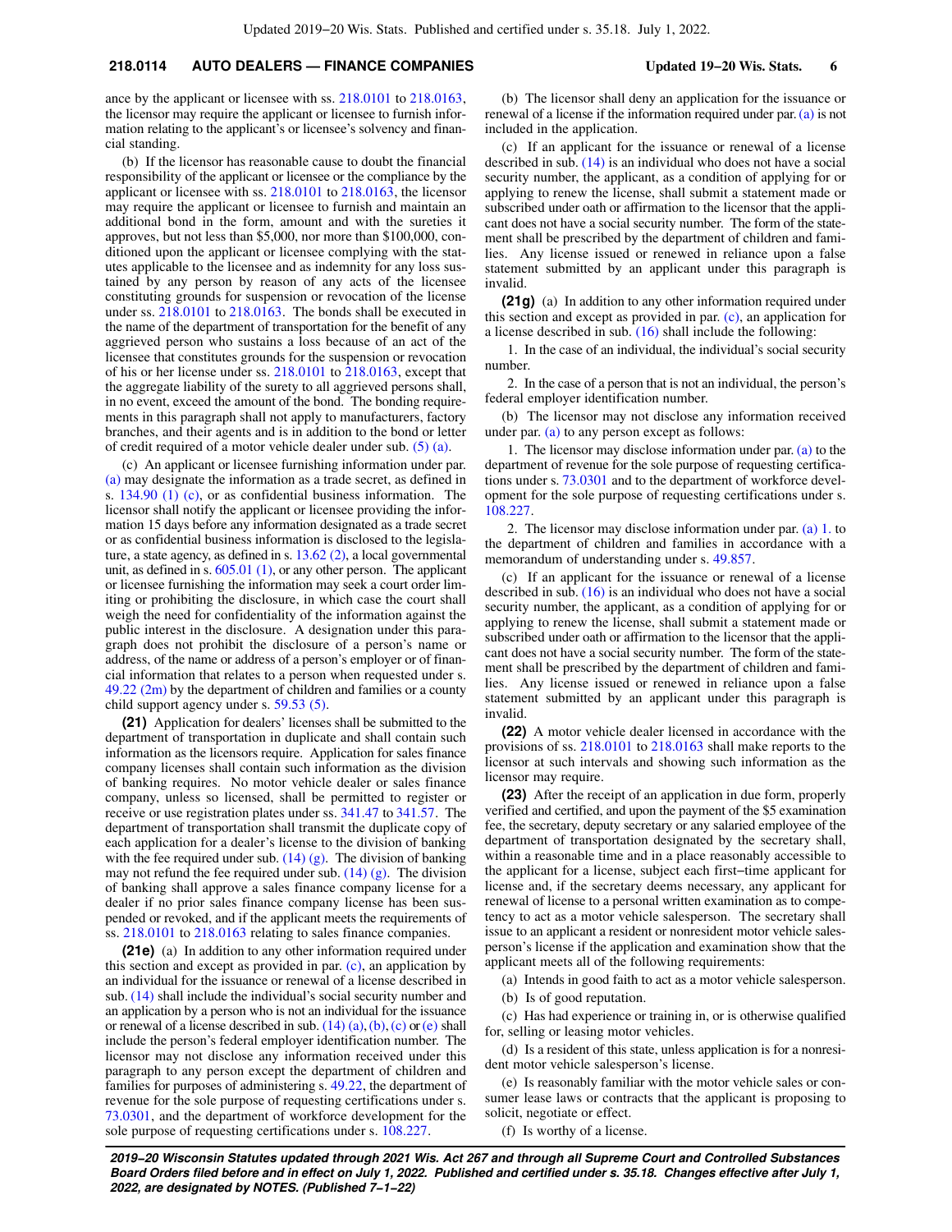## **218.0114 AUTO DEALERS — FINANCE COMPANIES Updated 19−20 Wis. Stats. 6**

ance by the applicant or licensee with ss. [218.0101](https://docs.legis.wisconsin.gov/document/statutes/218.0101) to [218.0163,](https://docs.legis.wisconsin.gov/document/statutes/218.0163) the licensor may require the applicant or licensee to furnish information relating to the applicant's or licensee's solvency and financial standing.

(b) If the licensor has reasonable cause to doubt the financial responsibility of the applicant or licensee or the compliance by the applicant or licensee with ss. [218.0101](https://docs.legis.wisconsin.gov/document/statutes/218.0101) to [218.0163,](https://docs.legis.wisconsin.gov/document/statutes/218.0163) the licensor may require the applicant or licensee to furnish and maintain an additional bond in the form, amount and with the sureties it approves, but not less than \$5,000, nor more than \$100,000, conditioned upon the applicant or licensee complying with the statutes applicable to the licensee and as indemnity for any loss sustained by any person by reason of any acts of the licensee constituting grounds for suspension or revocation of the license under ss. [218.0101](https://docs.legis.wisconsin.gov/document/statutes/218.0101) to [218.0163.](https://docs.legis.wisconsin.gov/document/statutes/218.0163) The bonds shall be executed in the name of the department of transportation for the benefit of any aggrieved person who sustains a loss because of an act of the licensee that constitutes grounds for the suspension or revocation of his or her license under ss. [218.0101](https://docs.legis.wisconsin.gov/document/statutes/218.0101) to [218.0163,](https://docs.legis.wisconsin.gov/document/statutes/218.0163) except that the aggregate liability of the surety to all aggrieved persons shall, in no event, exceed the amount of the bond. The bonding requirements in this paragraph shall not apply to manufacturers, factory branches, and their agents and is in addition to the bond or letter of credit required of a motor vehicle dealer under sub. [\(5\) \(a\)](https://docs.legis.wisconsin.gov/document/statutes/218.0114(5)(a)).

(c) An applicant or licensee furnishing information under par. [\(a\)](https://docs.legis.wisconsin.gov/document/statutes/218.0114(20)(a)) may designate the information as a trade secret, as defined in s. [134.90 \(1\) \(c\)](https://docs.legis.wisconsin.gov/document/statutes/134.90(1)(c)), or as confidential business information. The licensor shall notify the applicant or licensee providing the information 15 days before any information designated as a trade secret or as confidential business information is disclosed to the legislature, a state agency, as defined in s. [13.62 \(2\)](https://docs.legis.wisconsin.gov/document/statutes/13.62(2)), a local governmental unit, as defined in s. [605.01 \(1\)](https://docs.legis.wisconsin.gov/document/statutes/605.01(1)), or any other person. The applicant or licensee furnishing the information may seek a court order limiting or prohibiting the disclosure, in which case the court shall weigh the need for confidentiality of the information against the public interest in the disclosure. A designation under this paragraph does not prohibit the disclosure of a person's name or address, of the name or address of a person's employer or of financial information that relates to a person when requested under s.  $49.22$  (2m) by the department of children and families or a county child support agency under s. [59.53 \(5\).](https://docs.legis.wisconsin.gov/document/statutes/59.53(5))

**(21)** Application for dealers' licenses shall be submitted to the department of transportation in duplicate and shall contain such information as the licensors require. Application for sales finance company licenses shall contain such information as the division of banking requires. No motor vehicle dealer or sales finance company, unless so licensed, shall be permitted to register or receive or use registration plates under ss. [341.47](https://docs.legis.wisconsin.gov/document/statutes/341.47) to [341.57.](https://docs.legis.wisconsin.gov/document/statutes/341.57) The department of transportation shall transmit the duplicate copy of each application for a dealer's license to the division of banking with the fee required under sub.  $(14)$  (g). The division of banking may not refund the fee required under sub.  $(14)$  (g). The division of banking shall approve a sales finance company license for a dealer if no prior sales finance company license has been suspended or revoked, and if the applicant meets the requirements of ss. [218.0101](https://docs.legis.wisconsin.gov/document/statutes/218.0101) to [218.0163](https://docs.legis.wisconsin.gov/document/statutes/218.0163) relating to sales finance companies.

**(21e)** (a) In addition to any other information required under this section and except as provided in par. [\(c\),](https://docs.legis.wisconsin.gov/document/statutes/218.0114(21e)(c)) an application by an individual for the issuance or renewal of a license described in sub. [\(14\)](https://docs.legis.wisconsin.gov/document/statutes/218.0114(14)) shall include the individual's social security number and an application by a person who is not an individual for the issuance or renewal of a license described in sub.  $(14)(a)$ ,  $(b)$ ,  $(c)$  or  $(e)$  shall include the person's federal employer identification number. The licensor may not disclose any information received under this paragraph to any person except the department of children and families for purposes of administering s. [49.22](https://docs.legis.wisconsin.gov/document/statutes/49.22), the department of revenue for the sole purpose of requesting certifications under s. [73.0301](https://docs.legis.wisconsin.gov/document/statutes/73.0301), and the department of workforce development for the sole purpose of requesting certifications under s. [108.227](https://docs.legis.wisconsin.gov/document/statutes/108.227).

(b) The licensor shall deny an application for the issuance or renewal of a license if the information required under par. [\(a\)](https://docs.legis.wisconsin.gov/document/statutes/218.0114(21e)(a)) is not included in the application.

(c) If an applicant for the issuance or renewal of a license described in sub. [\(14\)](https://docs.legis.wisconsin.gov/document/statutes/218.0114(14)) is an individual who does not have a social security number, the applicant, as a condition of applying for or applying to renew the license, shall submit a statement made or subscribed under oath or affirmation to the licensor that the applicant does not have a social security number. The form of the statement shall be prescribed by the department of children and families. Any license issued or renewed in reliance upon a false statement submitted by an applicant under this paragraph is invalid.

**(21g)** (a) In addition to any other information required under this section and except as provided in par. [\(c\),](https://docs.legis.wisconsin.gov/document/statutes/218.0114(21g)(c)) an application for a license described in sub. [\(16\)](https://docs.legis.wisconsin.gov/document/statutes/218.0114(16)) shall include the following:

1. In the case of an individual, the individual's social security number.

2. In the case of a person that is not an individual, the person's federal employer identification number.

(b) The licensor may not disclose any information received under par. [\(a\)](https://docs.legis.wisconsin.gov/document/statutes/218.0114(21g)(a)) to any person except as follows:

1. The licensor may disclose information under par. [\(a\)](https://docs.legis.wisconsin.gov/document/statutes/218.0114(21g)(a)) to the department of revenue for the sole purpose of requesting certifications under s. [73.0301](https://docs.legis.wisconsin.gov/document/statutes/73.0301) and to the department of workforce development for the sole purpose of requesting certifications under s. [108.227](https://docs.legis.wisconsin.gov/document/statutes/108.227).

2. The licensor may disclose information under par.  $(a)$  1. to the department of children and families in accordance with a memorandum of understanding under s. [49.857.](https://docs.legis.wisconsin.gov/document/statutes/49.857)

(c) If an applicant for the issuance or renewal of a license described in sub. [\(16\)](https://docs.legis.wisconsin.gov/document/statutes/218.0114(16)) is an individual who does not have a social security number, the applicant, as a condition of applying for or applying to renew the license, shall submit a statement made or subscribed under oath or affirmation to the licensor that the applicant does not have a social security number. The form of the statement shall be prescribed by the department of children and families. Any license issued or renewed in reliance upon a false statement submitted by an applicant under this paragraph is invalid.

**(22)** A motor vehicle dealer licensed in accordance with the provisions of ss. [218.0101](https://docs.legis.wisconsin.gov/document/statutes/218.0101) to [218.0163](https://docs.legis.wisconsin.gov/document/statutes/218.0163) shall make reports to the licensor at such intervals and showing such information as the licensor may require.

**(23)** After the receipt of an application in due form, properly verified and certified, and upon the payment of the \$5 examination fee, the secretary, deputy secretary or any salaried employee of the department of transportation designated by the secretary shall, within a reasonable time and in a place reasonably accessible to the applicant for a license, subject each first−time applicant for license and, if the secretary deems necessary, any applicant for renewal of license to a personal written examination as to competency to act as a motor vehicle salesperson. The secretary shall issue to an applicant a resident or nonresident motor vehicle salesperson's license if the application and examination show that the applicant meets all of the following requirements:

(a) Intends in good faith to act as a motor vehicle salesperson.

(b) Is of good reputation.

(c) Has had experience or training in, or is otherwise qualified for, selling or leasing motor vehicles.

(d) Is a resident of this state, unless application is for a nonresident motor vehicle salesperson's license.

(e) Is reasonably familiar with the motor vehicle sales or consumer lease laws or contracts that the applicant is proposing to solicit, negotiate or effect.

(f) Is worthy of a license.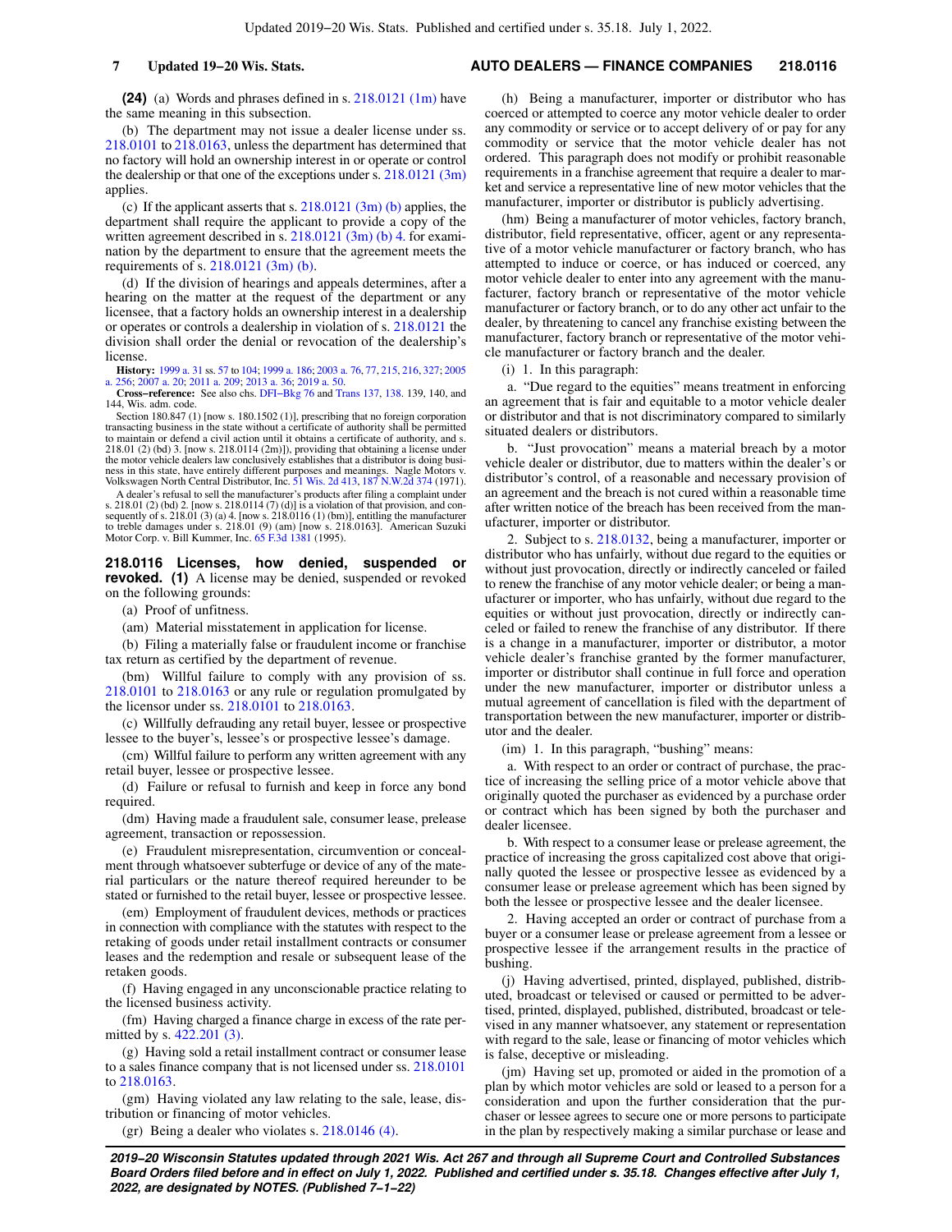**(24)** (a) Words and phrases defined in s. [218.0121 \(1m\)](https://docs.legis.wisconsin.gov/document/statutes/218.0121(1m)) have the same meaning in this subsection.

(b) The department may not issue a dealer license under ss. [218.0101](https://docs.legis.wisconsin.gov/document/statutes/218.0101) to [218.0163](https://docs.legis.wisconsin.gov/document/statutes/218.0163), unless the department has determined that no factory will hold an ownership interest in or operate or control the dealership or that one of the exceptions under s. [218.0121 \(3m\)](https://docs.legis.wisconsin.gov/document/statutes/218.0121(3m)) applies.

(c) If the applicant asserts that s. [218.0121 \(3m\) \(b\)](https://docs.legis.wisconsin.gov/document/statutes/218.0121(3m)(b)) applies, the department shall require the applicant to provide a copy of the written agreement described in s. [218.0121 \(3m\) \(b\) 4.](https://docs.legis.wisconsin.gov/document/statutes/218.0121(3m)(b)4.) for examination by the department to ensure that the agreement meets the requirements of s. [218.0121 \(3m\) \(b\).](https://docs.legis.wisconsin.gov/document/statutes/218.0121(3m)(b))

(d) If the division of hearings and appeals determines, after a hearing on the matter at the request of the department or any licensee, that a factory holds an ownership interest in a dealership or operates or controls a dealership in violation of s. [218.0121](https://docs.legis.wisconsin.gov/document/statutes/218.0121) the division shall order the denial or revocation of the dealership's license.

**History:** [1999 a. 31](https://docs.legis.wisconsin.gov/document/acts/1999/31) ss. [57](https://docs.legis.wisconsin.gov/document/acts/1999/31,%20s.%2057) to [104;](https://docs.legis.wisconsin.gov/document/acts/1999/31,%20s.%20104) [1999 a. 186;](https://docs.legis.wisconsin.gov/document/acts/1999/186) [2003 a. 76](https://docs.legis.wisconsin.gov/document/acts/2003/76), [77](https://docs.legis.wisconsin.gov/document/acts/2003/77), [215,](https://docs.legis.wisconsin.gov/document/acts/2003/215) [216](https://docs.legis.wisconsin.gov/document/acts/2003/216), [327;](https://docs.legis.wisconsin.gov/document/acts/2003/327) [2005](https://docs.legis.wisconsin.gov/document/acts/2005/256) [a. 256;](https://docs.legis.wisconsin.gov/document/acts/2005/256) [2007 a. 20](https://docs.legis.wisconsin.gov/document/acts/2007/20); [2011 a. 209](https://docs.legis.wisconsin.gov/document/acts/2011/209); [2013 a. 36;](https://docs.legis.wisconsin.gov/document/acts/2013/36) [2019 a. 50.](https://docs.legis.wisconsin.gov/document/acts/2019/50)

**Cross−reference:** See also chs. [DFI−Bkg 76](https://docs.legis.wisconsin.gov/document/administrativecode/ch.%20DFI-Bkg%2076) and [Trans 137](https://docs.legis.wisconsin.gov/document/administrativecode/ch.%20Trans%20137), [138](https://docs.legis.wisconsin.gov/document/administrativecode/ch.%20Trans%20138). 139, 140, and 144, Wis. adm. code.

Section 180.847 (1) [now s. 180.1502 (1)], prescribing that no foreign corporation transacting business in the state without a certificate of authority shall be permitted to maintain or defend a civil action until it obtains a certificate of authority, and s.<br>218.01 (2) (bd) 3. [now s. 218.0114 (2m)]), providing that obtaining a license under<br>the motor vehicle dealers law conclusively estab ness in this state, have entirely different purposes and meanings. Nagle Motors v. Volkswagen North Central Distributor, Inc. [51 Wis. 2d 413,](https://docs.legis.wisconsin.gov/document/courts/51%20Wis.%202d%20413) [187 N.W.2d 374](https://docs.legis.wisconsin.gov/document/courts/187%20N.W.2d%20374) (1971).

A dealer's refusal to sell the manufacturer's products after filing a complaint under s. 218.01 (2) (bd) 2. [now s. 218.0114 (7) (d)] is a violation of that provision, and con-sequently of s. 218.01 (3) (a) 4. [now s. 218.0116 (1) (bm)], entitling the manufacturer<br>to treble damages under s. 218.01 (9) (am) [now s. 218.0163]. American Suzuki<br>Motor Corp. v. Bill Kummer, Inc. [65 F.3d 1381](https://docs.legis.wisconsin.gov/document/courts/65%20F.3d%201381) (1995).

**218.0116 Licenses, how denied, suspended or revoked.** (1) A license may be denied, suspended or revoked on the following grounds:

(a) Proof of unfitness.

(am) Material misstatement in application for license.

(b) Filing a materially false or fraudulent income or franchise tax return as certified by the department of revenue.

(bm) Willful failure to comply with any provision of ss. [218.0101](https://docs.legis.wisconsin.gov/document/statutes/218.0101) to [218.0163](https://docs.legis.wisconsin.gov/document/statutes/218.0163) or any rule or regulation promulgated by the licensor under ss. [218.0101](https://docs.legis.wisconsin.gov/document/statutes/218.0101) to [218.0163](https://docs.legis.wisconsin.gov/document/statutes/218.0163).

(c) Willfully defrauding any retail buyer, lessee or prospective lessee to the buyer's, lessee's or prospective lessee's damage.

(cm) Willful failure to perform any written agreement with any retail buyer, lessee or prospective lessee.

(d) Failure or refusal to furnish and keep in force any bond required.

(dm) Having made a fraudulent sale, consumer lease, prelease agreement, transaction or repossession.

(e) Fraudulent misrepresentation, circumvention or concealment through whatsoever subterfuge or device of any of the material particulars or the nature thereof required hereunder to be stated or furnished to the retail buyer, lessee or prospective lessee.

(em) Employment of fraudulent devices, methods or practices in connection with compliance with the statutes with respect to the retaking of goods under retail installment contracts or consumer leases and the redemption and resale or subsequent lease of the retaken goods.

(f) Having engaged in any unconscionable practice relating to the licensed business activity.

(fm) Having charged a finance charge in excess of the rate per-mitted by s. [422.201 \(3\).](https://docs.legis.wisconsin.gov/document/statutes/422.201(3))

(g) Having sold a retail installment contract or consumer lease to a sales finance company that is not licensed under ss. [218.0101](https://docs.legis.wisconsin.gov/document/statutes/218.0101) to [218.0163](https://docs.legis.wisconsin.gov/document/statutes/218.0163).

(gm) Having violated any law relating to the sale, lease, distribution or financing of motor vehicles.

(gr) Being a dealer who violates s. [218.0146 \(4\)](https://docs.legis.wisconsin.gov/document/statutes/218.0146(4)).

**7 Updated 19−20 Wis. Stats. AUTO DEALERS — FINANCE COMPANIES 218.0116**

(h) Being a manufacturer, importer or distributor who has coerced or attempted to coerce any motor vehicle dealer to order any commodity or service or to accept delivery of or pay for any commodity or service that the motor vehicle dealer has not ordered. This paragraph does not modify or prohibit reasonable requirements in a franchise agreement that require a dealer to market and service a representative line of new motor vehicles that the manufacturer, importer or distributor is publicly advertising.

(hm) Being a manufacturer of motor vehicles, factory branch, distributor, field representative, officer, agent or any representative of a motor vehicle manufacturer or factory branch, who has attempted to induce or coerce, or has induced or coerced, any motor vehicle dealer to enter into any agreement with the manufacturer, factory branch or representative of the motor vehicle manufacturer or factory branch, or to do any other act unfair to the dealer, by threatening to cancel any franchise existing between the manufacturer, factory branch or representative of the motor vehicle manufacturer or factory branch and the dealer.

(i) 1. In this paragraph:

a. "Due regard to the equities" means treatment in enforcing an agreement that is fair and equitable to a motor vehicle dealer or distributor and that is not discriminatory compared to similarly situated dealers or distributors.

b. "Just provocation" means a material breach by a motor vehicle dealer or distributor, due to matters within the dealer's or distributor's control, of a reasonable and necessary provision of an agreement and the breach is not cured within a reasonable time after written notice of the breach has been received from the manufacturer, importer or distributor.

2. Subject to s. [218.0132](https://docs.legis.wisconsin.gov/document/statutes/218.0132), being a manufacturer, importer or distributor who has unfairly, without due regard to the equities or without just provocation, directly or indirectly canceled or failed to renew the franchise of any motor vehicle dealer; or being a manufacturer or importer, who has unfairly, without due regard to the equities or without just provocation, directly or indirectly canceled or failed to renew the franchise of any distributor. If there is a change in a manufacturer, importer or distributor, a motor vehicle dealer's franchise granted by the former manufacturer, importer or distributor shall continue in full force and operation under the new manufacturer, importer or distributor unless a mutual agreement of cancellation is filed with the department of transportation between the new manufacturer, importer or distributor and the dealer.

(im) 1. In this paragraph, "bushing" means:

a. With respect to an order or contract of purchase, the practice of increasing the selling price of a motor vehicle above that originally quoted the purchaser as evidenced by a purchase order or contract which has been signed by both the purchaser and dealer licensee.

b. With respect to a consumer lease or prelease agreement, the practice of increasing the gross capitalized cost above that originally quoted the lessee or prospective lessee as evidenced by a consumer lease or prelease agreement which has been signed by both the lessee or prospective lessee and the dealer licensee.

2. Having accepted an order or contract of purchase from a buyer or a consumer lease or prelease agreement from a lessee or prospective lessee if the arrangement results in the practice of bushing.

(j) Having advertised, printed, displayed, published, distributed, broadcast or televised or caused or permitted to be advertised, printed, displayed, published, distributed, broadcast or televised in any manner whatsoever, any statement or representation with regard to the sale, lease or financing of motor vehicles which is false, deceptive or misleading.

(jm) Having set up, promoted or aided in the promotion of a plan by which motor vehicles are sold or leased to a person for a consideration and upon the further consideration that the purchaser or lessee agrees to secure one or more persons to participate in the plan by respectively making a similar purchase or lease and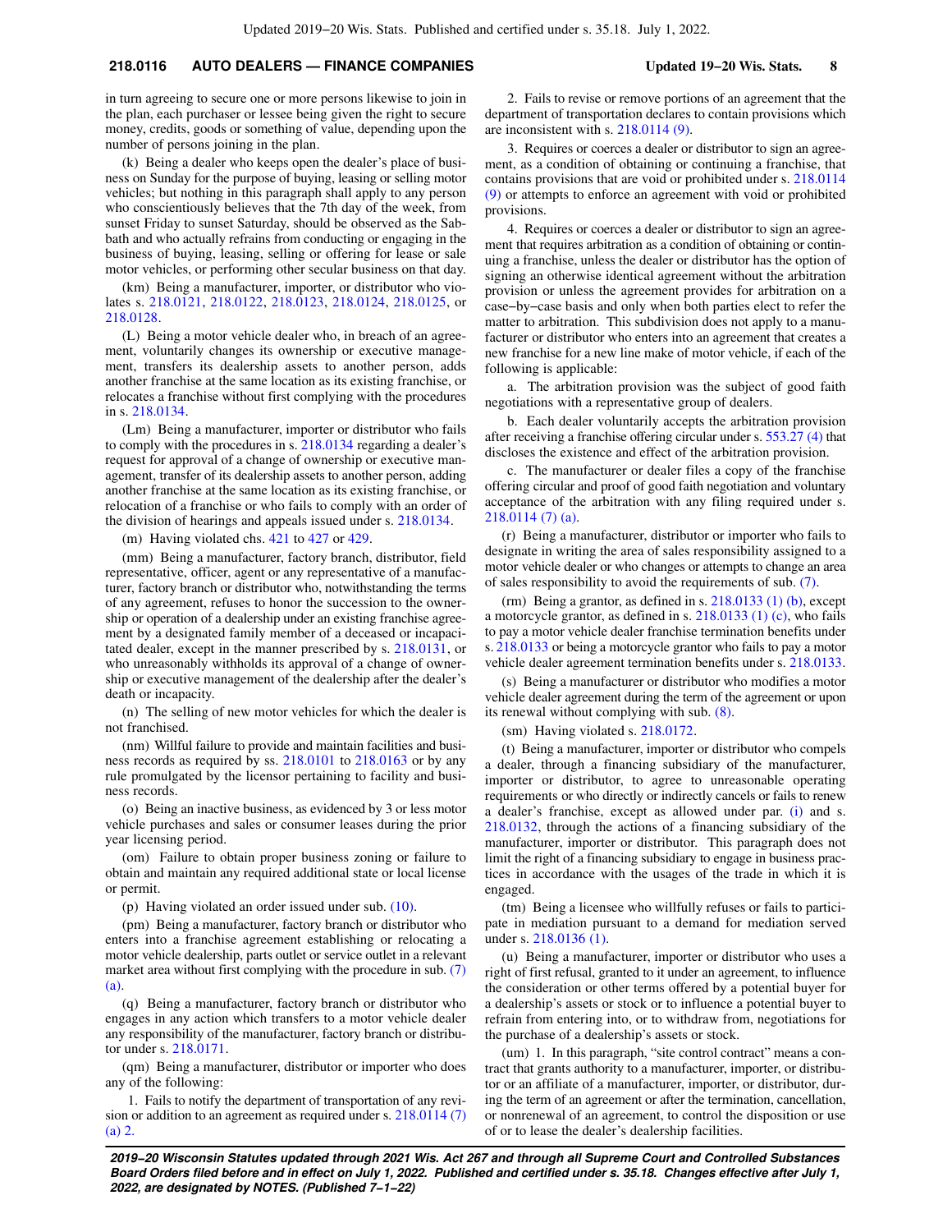## **218.0116 AUTO DEALERS — FINANCE COMPANIES Updated 19−20 Wis. Stats. 8**

in turn agreeing to secure one or more persons likewise to join in the plan, each purchaser or lessee being given the right to secure money, credits, goods or something of value, depending upon the number of persons joining in the plan.

(k) Being a dealer who keeps open the dealer's place of business on Sunday for the purpose of buying, leasing or selling motor vehicles; but nothing in this paragraph shall apply to any person who conscientiously believes that the 7th day of the week, from sunset Friday to sunset Saturday, should be observed as the Sabbath and who actually refrains from conducting or engaging in the business of buying, leasing, selling or offering for lease or sale motor vehicles, or performing other secular business on that day.

(km) Being a manufacturer, importer, or distributor who violates s. [218.0121](https://docs.legis.wisconsin.gov/document/statutes/218.0121), [218.0122](https://docs.legis.wisconsin.gov/document/statutes/218.0122), [218.0123,](https://docs.legis.wisconsin.gov/document/statutes/218.0123) [218.0124,](https://docs.legis.wisconsin.gov/document/statutes/218.0124) [218.0125](https://docs.legis.wisconsin.gov/document/statutes/218.0125), or [218.0128.](https://docs.legis.wisconsin.gov/document/statutes/218.0128)

(L) Being a motor vehicle dealer who, in breach of an agreement, voluntarily changes its ownership or executive management, transfers its dealership assets to another person, adds another franchise at the same location as its existing franchise, or relocates a franchise without first complying with the procedures in s. [218.0134](https://docs.legis.wisconsin.gov/document/statutes/218.0134).

(Lm) Being a manufacturer, importer or distributor who fails to comply with the procedures in s. [218.0134](https://docs.legis.wisconsin.gov/document/statutes/218.0134) regarding a dealer's request for approval of a change of ownership or executive management, transfer of its dealership assets to another person, adding another franchise at the same location as its existing franchise, or relocation of a franchise or who fails to comply with an order of the division of hearings and appeals issued under s. [218.0134.](https://docs.legis.wisconsin.gov/document/statutes/218.0134)

(m) Having violated chs. [421](https://docs.legis.wisconsin.gov/document/statutes/ch.%20421) to [427](https://docs.legis.wisconsin.gov/document/statutes/ch.%20427) or [429.](https://docs.legis.wisconsin.gov/document/statutes/ch.%20429)

(mm) Being a manufacturer, factory branch, distributor, field representative, officer, agent or any representative of a manufacturer, factory branch or distributor who, notwithstanding the terms of any agreement, refuses to honor the succession to the ownership or operation of a dealership under an existing franchise agreement by a designated family member of a deceased or incapacitated dealer, except in the manner prescribed by s. [218.0131,](https://docs.legis.wisconsin.gov/document/statutes/218.0131) or who unreasonably withholds its approval of a change of ownership or executive management of the dealership after the dealer's death or incapacity.

(n) The selling of new motor vehicles for which the dealer is not franchised.

(nm) Willful failure to provide and maintain facilities and business records as required by ss. [218.0101](https://docs.legis.wisconsin.gov/document/statutes/218.0101) to [218.0163](https://docs.legis.wisconsin.gov/document/statutes/218.0163) or by any rule promulgated by the licensor pertaining to facility and business records.

(o) Being an inactive business, as evidenced by 3 or less motor vehicle purchases and sales or consumer leases during the prior year licensing period.

(om) Failure to obtain proper business zoning or failure to obtain and maintain any required additional state or local license or permit.

(p) Having violated an order issued under sub. [\(10\)](https://docs.legis.wisconsin.gov/document/statutes/218.0116(10)).

(pm) Being a manufacturer, factory branch or distributor who enters into a franchise agreement establishing or relocating a motor vehicle dealership, parts outlet or service outlet in a relevant market area without first complying with the procedure in sub. [\(7\)](https://docs.legis.wisconsin.gov/document/statutes/218.0116(7)(a)) [\(a\).](https://docs.legis.wisconsin.gov/document/statutes/218.0116(7)(a))

(q) Being a manufacturer, factory branch or distributor who engages in any action which transfers to a motor vehicle dealer any responsibility of the manufacturer, factory branch or distributor under s. [218.0171](https://docs.legis.wisconsin.gov/document/statutes/218.0171).

(qm) Being a manufacturer, distributor or importer who does any of the following:

1. Fails to notify the department of transportation of any revision or addition to an agreement as required under s. [218.0114 \(7\)](https://docs.legis.wisconsin.gov/document/statutes/218.0114(7)(a)2.) [\(a\) 2.](https://docs.legis.wisconsin.gov/document/statutes/218.0114(7)(a)2.)

2. Fails to revise or remove portions of an agreement that the department of transportation declares to contain provisions which are inconsistent with s. [218.0114 \(9\).](https://docs.legis.wisconsin.gov/document/statutes/218.0114(9))

3. Requires or coerces a dealer or distributor to sign an agreement, as a condition of obtaining or continuing a franchise, that contains provisions that are void or prohibited under s. [218.0114](https://docs.legis.wisconsin.gov/document/statutes/218.0114(9)) [\(9\)](https://docs.legis.wisconsin.gov/document/statutes/218.0114(9)) or attempts to enforce an agreement with void or prohibited provisions.

4. Requires or coerces a dealer or distributor to sign an agreement that requires arbitration as a condition of obtaining or continuing a franchise, unless the dealer or distributor has the option of signing an otherwise identical agreement without the arbitration provision or unless the agreement provides for arbitration on a case−by−case basis and only when both parties elect to refer the matter to arbitration. This subdivision does not apply to a manufacturer or distributor who enters into an agreement that creates a new franchise for a new line make of motor vehicle, if each of the following is applicable:

a. The arbitration provision was the subject of good faith negotiations with a representative group of dealers.

b. Each dealer voluntarily accepts the arbitration provision after receiving a franchise offering circular under s. [553.27 \(4\)](https://docs.legis.wisconsin.gov/document/statutes/553.27(4)) that discloses the existence and effect of the arbitration provision.

c. The manufacturer or dealer files a copy of the franchise offering circular and proof of good faith negotiation and voluntary acceptance of the arbitration with any filing required under s. [218.0114 \(7\) \(a\).](https://docs.legis.wisconsin.gov/document/statutes/218.0114(7)(a))

(r) Being a manufacturer, distributor or importer who fails to designate in writing the area of sales responsibility assigned to a motor vehicle dealer or who changes or attempts to change an area of sales responsibility to avoid the requirements of sub. [\(7\)](https://docs.legis.wisconsin.gov/document/statutes/218.0116(7)).

(rm) Being a grantor, as defined in s. [218.0133 \(1\) \(b\)](https://docs.legis.wisconsin.gov/document/statutes/218.0133(1)(b)), except a motorcycle grantor, as defined in s. [218.0133 \(1\) \(c\)](https://docs.legis.wisconsin.gov/document/statutes/218.0133(1)(c)), who fails to pay a motor vehicle dealer franchise termination benefits under s. [218.0133](https://docs.legis.wisconsin.gov/document/statutes/218.0133) or being a motorcycle grantor who fails to pay a motor vehicle dealer agreement termination benefits under s. [218.0133.](https://docs.legis.wisconsin.gov/document/statutes/218.0133)

(s) Being a manufacturer or distributor who modifies a motor vehicle dealer agreement during the term of the agreement or upon its renewal without complying with sub. [\(8\)](https://docs.legis.wisconsin.gov/document/statutes/218.0116(8)).

(sm) Having violated s. [218.0172](https://docs.legis.wisconsin.gov/document/statutes/218.0172).

(t) Being a manufacturer, importer or distributor who compels a dealer, through a financing subsidiary of the manufacturer, importer or distributor, to agree to unreasonable operating requirements or who directly or indirectly cancels or fails to renew a dealer's franchise, except as allowed under par. [\(i\)](https://docs.legis.wisconsin.gov/document/statutes/218.0116(1)(i)) and s. [218.0132,](https://docs.legis.wisconsin.gov/document/statutes/218.0132) through the actions of a financing subsidiary of the manufacturer, importer or distributor. This paragraph does not limit the right of a financing subsidiary to engage in business practices in accordance with the usages of the trade in which it is engaged.

(tm) Being a licensee who willfully refuses or fails to participate in mediation pursuant to a demand for mediation served under s. [218.0136 \(1\).](https://docs.legis.wisconsin.gov/document/statutes/218.0136(1))

(u) Being a manufacturer, importer or distributor who uses a right of first refusal, granted to it under an agreement, to influence the consideration or other terms offered by a potential buyer for a dealership's assets or stock or to influence a potential buyer to refrain from entering into, or to withdraw from, negotiations for the purchase of a dealership's assets or stock.

(um) 1. In this paragraph, "site control contract" means a contract that grants authority to a manufacturer, importer, or distributor or an affiliate of a manufacturer, importer, or distributor, during the term of an agreement or after the termination, cancellation, or nonrenewal of an agreement, to control the disposition or use of or to lease the dealer's dealership facilities.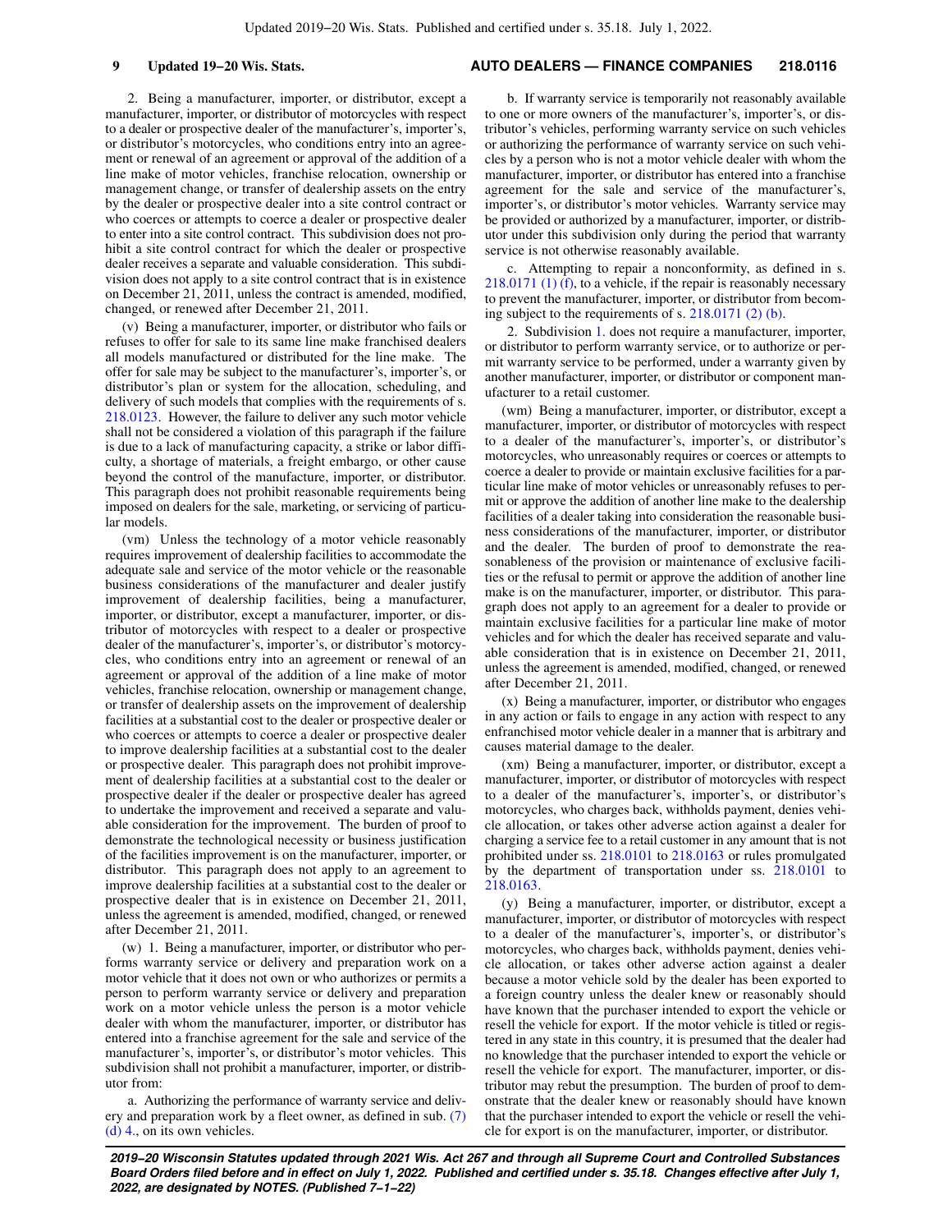2. Being a manufacturer, importer, or distributor, except a manufacturer, importer, or distributor of motorcycles with respect to a dealer or prospective dealer of the manufacturer's, importer's, or distributor's motorcycles, who conditions entry into an agreement or renewal of an agreement or approval of the addition of a line make of motor vehicles, franchise relocation, ownership or management change, or transfer of dealership assets on the entry by the dealer or prospective dealer into a site control contract or who coerces or attempts to coerce a dealer or prospective dealer to enter into a site control contract. This subdivision does not prohibit a site control contract for which the dealer or prospective dealer receives a separate and valuable consideration. This subdivision does not apply to a site control contract that is in existence on December 21, 2011, unless the contract is amended, modified, changed, or renewed after December 21, 2011.

(v) Being a manufacturer, importer, or distributor who fails or refuses to offer for sale to its same line make franchised dealers all models manufactured or distributed for the line make. The offer for sale may be subject to the manufacturer's, importer's, or distributor's plan or system for the allocation, scheduling, and delivery of such models that complies with the requirements of s. [218.0123.](https://docs.legis.wisconsin.gov/document/statutes/218.0123) However, the failure to deliver any such motor vehicle shall not be considered a violation of this paragraph if the failure is due to a lack of manufacturing capacity, a strike or labor difficulty, a shortage of materials, a freight embargo, or other cause beyond the control of the manufacture, importer, or distributor. This paragraph does not prohibit reasonable requirements being imposed on dealers for the sale, marketing, or servicing of particular models.

(vm) Unless the technology of a motor vehicle reasonably requires improvement of dealership facilities to accommodate the adequate sale and service of the motor vehicle or the reasonable business considerations of the manufacturer and dealer justify improvement of dealership facilities, being a manufacturer, importer, or distributor, except a manufacturer, importer, or distributor of motorcycles with respect to a dealer or prospective dealer of the manufacturer's, importer's, or distributor's motorcycles, who conditions entry into an agreement or renewal of an agreement or approval of the addition of a line make of motor vehicles, franchise relocation, ownership or management change, or transfer of dealership assets on the improvement of dealership facilities at a substantial cost to the dealer or prospective dealer or who coerces or attempts to coerce a dealer or prospective dealer to improve dealership facilities at a substantial cost to the dealer or prospective dealer. This paragraph does not prohibit improvement of dealership facilities at a substantial cost to the dealer or prospective dealer if the dealer or prospective dealer has agreed to undertake the improvement and received a separate and valuable consideration for the improvement. The burden of proof to demonstrate the technological necessity or business justification of the facilities improvement is on the manufacturer, importer, or distributor. This paragraph does not apply to an agreement to improve dealership facilities at a substantial cost to the dealer or prospective dealer that is in existence on December 21, 2011, unless the agreement is amended, modified, changed, or renewed after December 21, 2011.

(w) 1. Being a manufacturer, importer, or distributor who performs warranty service or delivery and preparation work on a motor vehicle that it does not own or who authorizes or permits a person to perform warranty service or delivery and preparation work on a motor vehicle unless the person is a motor vehicle dealer with whom the manufacturer, importer, or distributor has entered into a franchise agreement for the sale and service of the manufacturer's, importer's, or distributor's motor vehicles. This subdivision shall not prohibit a manufacturer, importer, or distributor from:

a. Authorizing the performance of warranty service and delivery and preparation work by a fleet owner, as defined in sub. [\(7\)](https://docs.legis.wisconsin.gov/document/statutes/218.0116(7)(d)4.) [\(d\) 4.](https://docs.legis.wisconsin.gov/document/statutes/218.0116(7)(d)4.), on its own vehicles.

#### **9 Updated 19−20 Wis. Stats. AUTO DEALERS — FINANCE COMPANIES 218.0116**

b. If warranty service is temporarily not reasonably available to one or more owners of the manufacturer's, importer's, or distributor's vehicles, performing warranty service on such vehicles or authorizing the performance of warranty service on such vehicles by a person who is not a motor vehicle dealer with whom the manufacturer, importer, or distributor has entered into a franchise agreement for the sale and service of the manufacturer's, importer's, or distributor's motor vehicles. Warranty service may be provided or authorized by a manufacturer, importer, or distributor under this subdivision only during the period that warranty service is not otherwise reasonably available.

c. Attempting to repair a nonconformity, as defined in s. [218.0171 \(1\) \(f\),](https://docs.legis.wisconsin.gov/document/statutes/218.0171(1)(f)) to a vehicle, if the repair is reasonably necessary to prevent the manufacturer, importer, or distributor from becoming subject to the requirements of s. [218.0171 \(2\) \(b\)](https://docs.legis.wisconsin.gov/document/statutes/218.0171(2)(b)).

2. Subdivision [1.](https://docs.legis.wisconsin.gov/document/statutes/218.0116(1)(w)1.) does not require a manufacturer, importer, or distributor to perform warranty service, or to authorize or permit warranty service to be performed, under a warranty given by another manufacturer, importer, or distributor or component manufacturer to a retail customer.

(wm) Being a manufacturer, importer, or distributor, except a manufacturer, importer, or distributor of motorcycles with respect to a dealer of the manufacturer's, importer's, or distributor's motorcycles, who unreasonably requires or coerces or attempts to coerce a dealer to provide or maintain exclusive facilities for a particular line make of motor vehicles or unreasonably refuses to permit or approve the addition of another line make to the dealership facilities of a dealer taking into consideration the reasonable business considerations of the manufacturer, importer, or distributor and the dealer. The burden of proof to demonstrate the reasonableness of the provision or maintenance of exclusive facilities or the refusal to permit or approve the addition of another line make is on the manufacturer, importer, or distributor. This paragraph does not apply to an agreement for a dealer to provide or maintain exclusive facilities for a particular line make of motor vehicles and for which the dealer has received separate and valuable consideration that is in existence on December 21, 2011, unless the agreement is amended, modified, changed, or renewed after December 21, 2011.

(x) Being a manufacturer, importer, or distributor who engages in any action or fails to engage in any action with respect to any enfranchised motor vehicle dealer in a manner that is arbitrary and causes material damage to the dealer.

(xm) Being a manufacturer, importer, or distributor, except a manufacturer, importer, or distributor of motorcycles with respect to a dealer of the manufacturer's, importer's, or distributor's motorcycles, who charges back, withholds payment, denies vehicle allocation, or takes other adverse action against a dealer for charging a service fee to a retail customer in any amount that is not prohibited under ss. [218.0101](https://docs.legis.wisconsin.gov/document/statutes/218.0101) to [218.0163](https://docs.legis.wisconsin.gov/document/statutes/218.0163) or rules promulgated by the department of transportation under ss. [218.0101](https://docs.legis.wisconsin.gov/document/statutes/218.0101) to [218.0163.](https://docs.legis.wisconsin.gov/document/statutes/218.0163)

(y) Being a manufacturer, importer, or distributor, except a manufacturer, importer, or distributor of motorcycles with respect to a dealer of the manufacturer's, importer's, or distributor's motorcycles, who charges back, withholds payment, denies vehicle allocation, or takes other adverse action against a dealer because a motor vehicle sold by the dealer has been exported to a foreign country unless the dealer knew or reasonably should have known that the purchaser intended to export the vehicle or resell the vehicle for export. If the motor vehicle is titled or registered in any state in this country, it is presumed that the dealer had no knowledge that the purchaser intended to export the vehicle or resell the vehicle for export. The manufacturer, importer, or distributor may rebut the presumption. The burden of proof to demonstrate that the dealer knew or reasonably should have known that the purchaser intended to export the vehicle or resell the vehicle for export is on the manufacturer, importer, or distributor.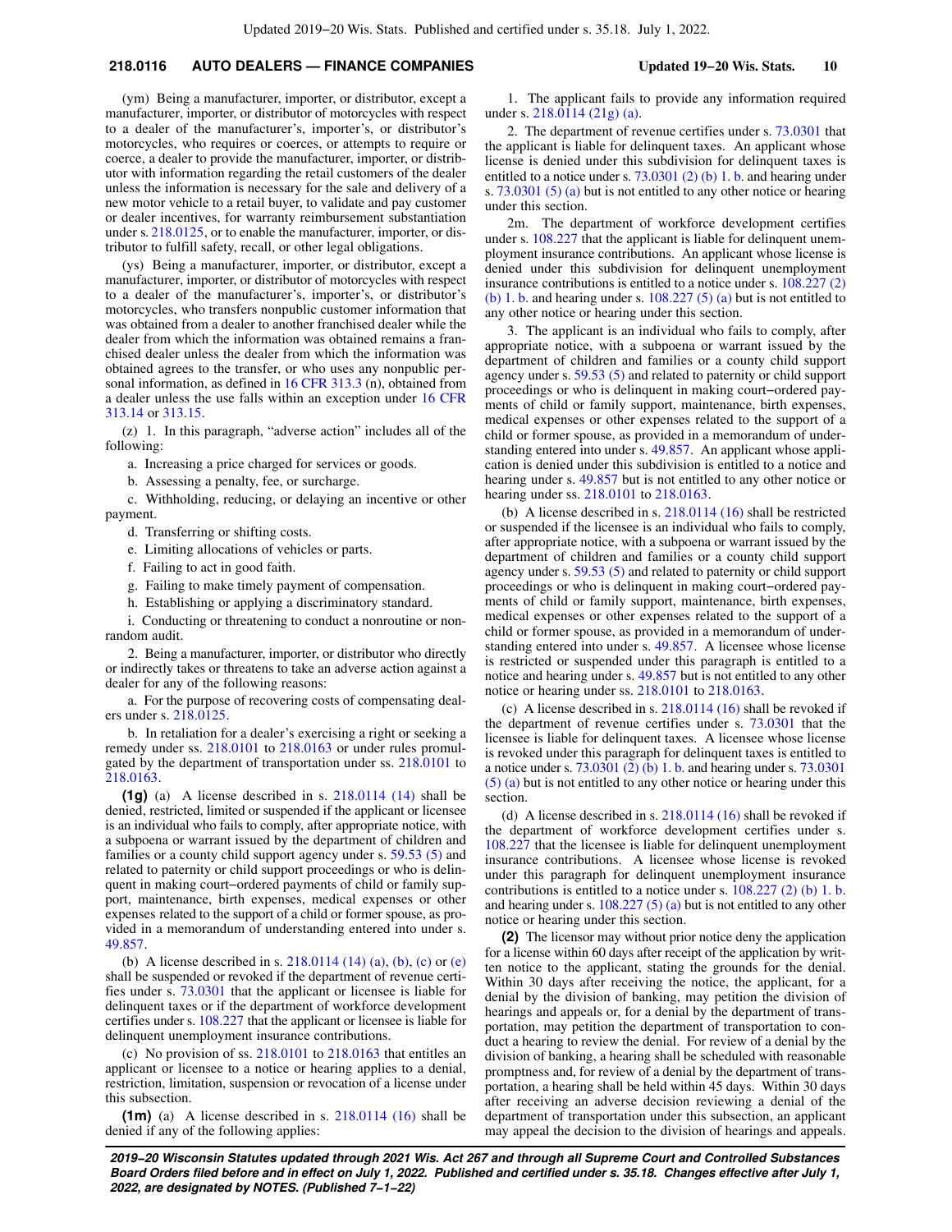## **218.0116 AUTO DEALERS — FINANCE COMPANIES Updated 19−20 Wis. Stats. 10**

(ym) Being a manufacturer, importer, or distributor, except a manufacturer, importer, or distributor of motorcycles with respect to a dealer of the manufacturer's, importer's, or distributor's motorcycles, who requires or coerces, or attempts to require or coerce, a dealer to provide the manufacturer, importer, or distributor with information regarding the retail customers of the dealer unless the information is necessary for the sale and delivery of a new motor vehicle to a retail buyer, to validate and pay customer or dealer incentives, for warranty reimbursement substantiation under s. [218.0125](https://docs.legis.wisconsin.gov/document/statutes/218.0125), or to enable the manufacturer, importer, or distributor to fulfill safety, recall, or other legal obligations.

(ys) Being a manufacturer, importer, or distributor, except a manufacturer, importer, or distributor of motorcycles with respect to a dealer of the manufacturer's, importer's, or distributor's motorcycles, who transfers nonpublic customer information that was obtained from a dealer to another franchised dealer while the dealer from which the information was obtained remains a franchised dealer unless the dealer from which the information was obtained agrees to the transfer, or who uses any nonpublic personal information, as defined in [16 CFR 313.3](https://docs.legis.wisconsin.gov/document/cfr/16%20CFR%20313.3) (n), obtained from a dealer unless the use falls within an exception under [16 CFR](https://docs.legis.wisconsin.gov/document/cfr/16%20CFR%20313.14) [313.14](https://docs.legis.wisconsin.gov/document/cfr/16%20CFR%20313.14) or [313.15.](https://docs.legis.wisconsin.gov/document/cfr/16%20CFR%20313.15)

(z) 1. In this paragraph, "adverse action" includes all of the following:

a. Increasing a price charged for services or goods.

b. Assessing a penalty, fee, or surcharge.

c. Withholding, reducing, or delaying an incentive or other payment.

d. Transferring or shifting costs.

e. Limiting allocations of vehicles or parts.

f. Failing to act in good faith.

- g. Failing to make timely payment of compensation.
- h. Establishing or applying a discriminatory standard.

i. Conducting or threatening to conduct a nonroutine or nonrandom audit.

2. Being a manufacturer, importer, or distributor who directly or indirectly takes or threatens to take an adverse action against a dealer for any of the following reasons:

a. For the purpose of recovering costs of compensating dealers under s. [218.0125.](https://docs.legis.wisconsin.gov/document/statutes/218.0125)

b. In retaliation for a dealer's exercising a right or seeking a remedy under ss. [218.0101](https://docs.legis.wisconsin.gov/document/statutes/218.0101) to [218.0163](https://docs.legis.wisconsin.gov/document/statutes/218.0163) or under rules promulgated by the department of transportation under ss. [218.0101](https://docs.legis.wisconsin.gov/document/statutes/218.0101) to [218.0163.](https://docs.legis.wisconsin.gov/document/statutes/218.0163)

**(1g)** (a) A license described in s. [218.0114 \(14\)](https://docs.legis.wisconsin.gov/document/statutes/218.0114(14)) shall be denied, restricted, limited or suspended if the applicant or licensee is an individual who fails to comply, after appropriate notice, with a subpoena or warrant issued by the department of children and families or a county child support agency under s. [59.53 \(5\)](https://docs.legis.wisconsin.gov/document/statutes/59.53(5)) and related to paternity or child support proceedings or who is delinquent in making court−ordered payments of child or family support, maintenance, birth expenses, medical expenses or other expenses related to the support of a child or former spouse, as provided in a memorandum of understanding entered into under s. [49.857.](https://docs.legis.wisconsin.gov/document/statutes/49.857)

[\(b\)](https://docs.legis.wisconsin.gov/document/statutes/218.0114(14)(b)) A license described in s.  $218.0114$  (14) (a), (b), [\(c\)](https://docs.legis.wisconsin.gov/document/statutes/218.0114(14)(c)) or [\(e\)](https://docs.legis.wisconsin.gov/document/statutes/218.0114(14)(e)) shall be suspended or revoked if the department of revenue certifies under s. [73.0301](https://docs.legis.wisconsin.gov/document/statutes/73.0301) that the applicant or licensee is liable for delinquent taxes or if the department of workforce development certifies under s. [108.227](https://docs.legis.wisconsin.gov/document/statutes/108.227) that the applicant or licensee is liable for delinquent unemployment insurance contributions.

(c) No provision of ss. [218.0101](https://docs.legis.wisconsin.gov/document/statutes/218.0101) to [218.0163](https://docs.legis.wisconsin.gov/document/statutes/218.0163) that entitles an applicant or licensee to a notice or hearing applies to a denial, restriction, limitation, suspension or revocation of a license under this subsection.

**(1m)** (a) A license described in s. [218.0114 \(16\)](https://docs.legis.wisconsin.gov/document/statutes/218.0114(16)) shall be denied if any of the following applies:

1. The applicant fails to provide any information required under s. [218.0114 \(21g\) \(a\).](https://docs.legis.wisconsin.gov/document/statutes/218.0114(21g)(a))

2. The department of revenue certifies under s. [73.0301](https://docs.legis.wisconsin.gov/document/statutes/73.0301) that the applicant is liable for delinquent taxes. An applicant whose license is denied under this subdivision for delinquent taxes is entitled to a notice under s.  $73.0301(2)$  (b) 1. b. and hearing under s. [73.0301 \(5\) \(a\)](https://docs.legis.wisconsin.gov/document/statutes/73.0301(5)(a)) but is not entitled to any other notice or hearing under this section.

2m. The department of workforce development certifies under s. [108.227](https://docs.legis.wisconsin.gov/document/statutes/108.227) that the applicant is liable for delinquent unemployment insurance contributions. An applicant whose license is denied under this subdivision for delinquent unemployment insurance contributions is entitled to a notice under s. [108.227 \(2\)](https://docs.legis.wisconsin.gov/document/statutes/108.227(2)(b)1.b.) [\(b\) 1. b.](https://docs.legis.wisconsin.gov/document/statutes/108.227(2)(b)1.b.) and hearing under s.  $108.227(5)$  (a) but is not entitled to any other notice or hearing under this section.

3. The applicant is an individual who fails to comply, after appropriate notice, with a subpoena or warrant issued by the department of children and families or a county child support agency under s. [59.53 \(5\)](https://docs.legis.wisconsin.gov/document/statutes/59.53(5)) and related to paternity or child support proceedings or who is delinquent in making court−ordered payments of child or family support, maintenance, birth expenses, medical expenses or other expenses related to the support of a child or former spouse, as provided in a memorandum of understanding entered into under s. [49.857](https://docs.legis.wisconsin.gov/document/statutes/49.857). An applicant whose application is denied under this subdivision is entitled to a notice and hearing under s. [49.857](https://docs.legis.wisconsin.gov/document/statutes/49.857) but is not entitled to any other notice or hearing under ss. [218.0101](https://docs.legis.wisconsin.gov/document/statutes/218.0101) to [218.0163](https://docs.legis.wisconsin.gov/document/statutes/218.0163).

(b) A license described in s. [218.0114 \(16\)](https://docs.legis.wisconsin.gov/document/statutes/218.0114(16)) shall be restricted or suspended if the licensee is an individual who fails to comply, after appropriate notice, with a subpoena or warrant issued by the department of children and families or a county child support agency under s. [59.53 \(5\)](https://docs.legis.wisconsin.gov/document/statutes/59.53(5)) and related to paternity or child support proceedings or who is delinquent in making court−ordered payments of child or family support, maintenance, birth expenses, medical expenses or other expenses related to the support of a child or former spouse, as provided in a memorandum of understanding entered into under s. [49.857](https://docs.legis.wisconsin.gov/document/statutes/49.857). A licensee whose license is restricted or suspended under this paragraph is entitled to a notice and hearing under s. [49.857](https://docs.legis.wisconsin.gov/document/statutes/49.857) but is not entitled to any other notice or hearing under ss. [218.0101](https://docs.legis.wisconsin.gov/document/statutes/218.0101) to [218.0163.](https://docs.legis.wisconsin.gov/document/statutes/218.0163)

(c) A license described in s. [218.0114 \(16\)](https://docs.legis.wisconsin.gov/document/statutes/218.0114(16)) shall be revoked if the department of revenue certifies under s. [73.0301](https://docs.legis.wisconsin.gov/document/statutes/73.0301) that the licensee is liable for delinquent taxes. A licensee whose license is revoked under this paragraph for delinquent taxes is entitled to a notice under s. [73.0301 \(2\) \(b\) 1. b.](https://docs.legis.wisconsin.gov/document/statutes/73.0301(2)(b)1.b.) and hearing under s. [73.0301](https://docs.legis.wisconsin.gov/document/statutes/73.0301(5)(a)) [\(5\) \(a\)](https://docs.legis.wisconsin.gov/document/statutes/73.0301(5)(a)) but is not entitled to any other notice or hearing under this section.

(d) A license described in s. [218.0114 \(16\)](https://docs.legis.wisconsin.gov/document/statutes/218.0114(16)) shall be revoked if the department of workforce development certifies under s. [108.227](https://docs.legis.wisconsin.gov/document/statutes/108.227) that the licensee is liable for delinquent unemployment insurance contributions. A licensee whose license is revoked under this paragraph for delinquent unemployment insurance contributions is entitled to a notice under s. [108.227 \(2\) \(b\) 1. b.](https://docs.legis.wisconsin.gov/document/statutes/108.227(2)(b)1.b.) and hearing under s. [108.227 \(5\) \(a\)](https://docs.legis.wisconsin.gov/document/statutes/108.227(5)(a)) but is not entitled to any other notice or hearing under this section.

**(2)** The licensor may without prior notice deny the application for a license within 60 days after receipt of the application by written notice to the applicant, stating the grounds for the denial. Within 30 days after receiving the notice, the applicant, for a denial by the division of banking, may petition the division of hearings and appeals or, for a denial by the department of transportation, may petition the department of transportation to conduct a hearing to review the denial. For review of a denial by the division of banking, a hearing shall be scheduled with reasonable promptness and, for review of a denial by the department of transportation, a hearing shall be held within 45 days. Within 30 days after receiving an adverse decision reviewing a denial of the department of transportation under this subsection, an applicant may appeal the decision to the division of hearings and appeals.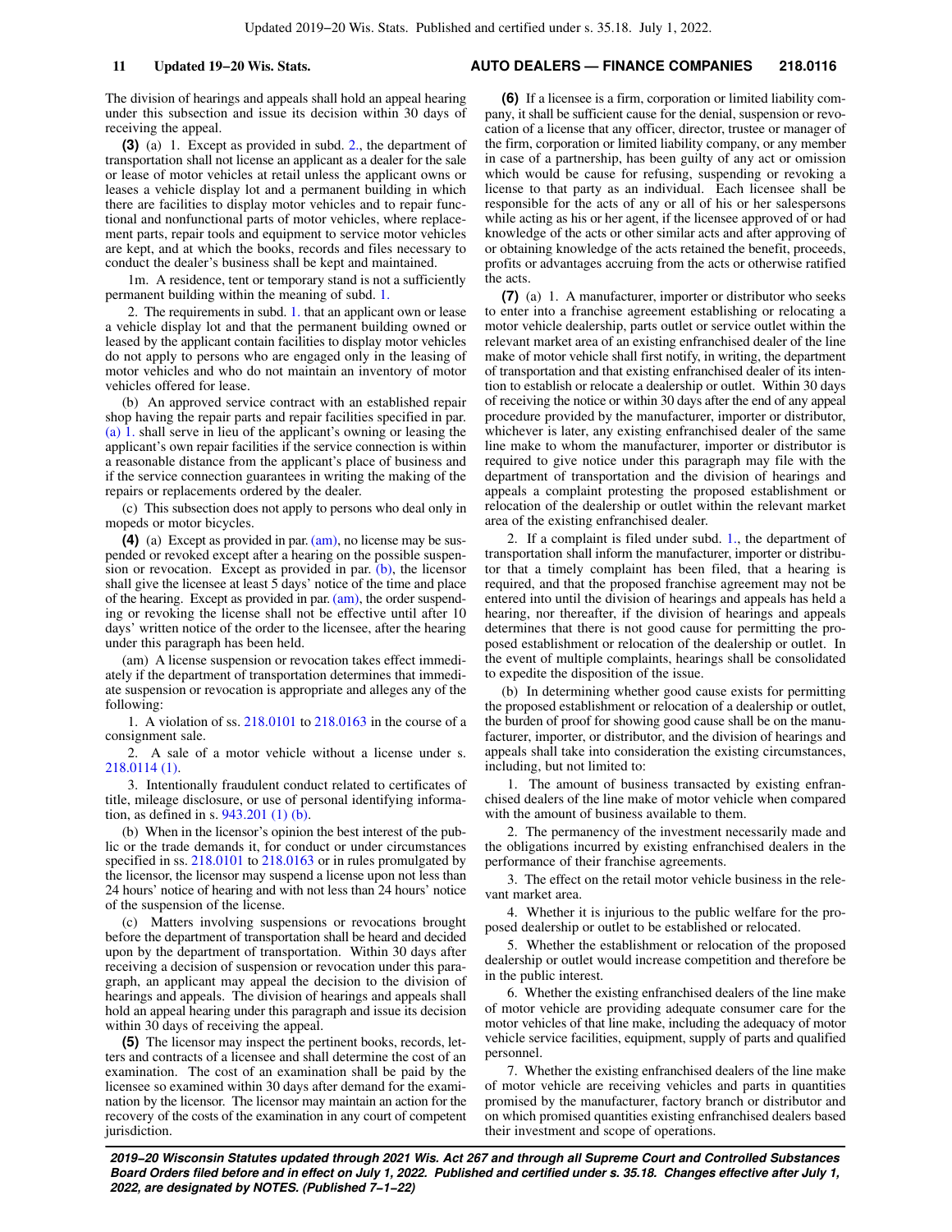The division of hearings and appeals shall hold an appeal hearing under this subsection and issue its decision within 30 days of receiving the appeal.

**(3)** (a) 1. Except as provided in subd. [2.](https://docs.legis.wisconsin.gov/document/statutes/218.0116(3)(a)2.), the department of transportation shall not license an applicant as a dealer for the sale or lease of motor vehicles at retail unless the applicant owns or leases a vehicle display lot and a permanent building in which there are facilities to display motor vehicles and to repair functional and nonfunctional parts of motor vehicles, where replacement parts, repair tools and equipment to service motor vehicles are kept, and at which the books, records and files necessary to conduct the dealer's business shall be kept and maintained.

1m. A residence, tent or temporary stand is not a sufficiently permanent building within the meaning of subd. [1.](https://docs.legis.wisconsin.gov/document/statutes/218.0116(3)(a)1.)

2. The requirements in subd. [1.](https://docs.legis.wisconsin.gov/document/statutes/218.0116(3)(a)1.) that an applicant own or lease a vehicle display lot and that the permanent building owned or leased by the applicant contain facilities to display motor vehicles do not apply to persons who are engaged only in the leasing of motor vehicles and who do not maintain an inventory of motor vehicles offered for lease.

(b) An approved service contract with an established repair shop having the repair parts and repair facilities specified in par. [\(a\) 1.](https://docs.legis.wisconsin.gov/document/statutes/218.0116(3)(a)1.) shall serve in lieu of the applicant's owning or leasing the applicant's own repair facilities if the service connection is within a reasonable distance from the applicant's place of business and if the service connection guarantees in writing the making of the repairs or replacements ordered by the dealer.

(c) This subsection does not apply to persons who deal only in mopeds or motor bicycles.

**(4)** (a) Except as provided in par. [\(am\)](https://docs.legis.wisconsin.gov/document/statutes/218.0116(4)(am)), no license may be suspended or revoked except after a hearing on the possible suspen-sion or revocation. Except as provided in par. [\(b\)](https://docs.legis.wisconsin.gov/document/statutes/218.0116(4)(b)), the licensor shall give the licensee at least 5 days' notice of the time and place of the hearing. Except as provided in par. [\(am\)](https://docs.legis.wisconsin.gov/document/statutes/218.0116(4)(am)), the order suspending or revoking the license shall not be effective until after 10 days' written notice of the order to the licensee, after the hearing under this paragraph has been held.

(am) A license suspension or revocation takes effect immediately if the department of transportation determines that immediate suspension or revocation is appropriate and alleges any of the following:

1. A violation of ss. [218.0101](https://docs.legis.wisconsin.gov/document/statutes/218.0101) to [218.0163](https://docs.legis.wisconsin.gov/document/statutes/218.0163) in the course of a consignment sale.

2. A sale of a motor vehicle without a license under s. [218.0114 \(1\)](https://docs.legis.wisconsin.gov/document/statutes/218.0114(1)).

3. Intentionally fraudulent conduct related to certificates of title, mileage disclosure, or use of personal identifying information, as defined in s. [943.201 \(1\) \(b\)](https://docs.legis.wisconsin.gov/document/statutes/943.201(1)(b)).

(b) When in the licensor's opinion the best interest of the public or the trade demands it, for conduct or under circumstances specified in ss. [218.0101](https://docs.legis.wisconsin.gov/document/statutes/218.0101) to [218.0163](https://docs.legis.wisconsin.gov/document/statutes/218.0163) or in rules promulgated by the licensor, the licensor may suspend a license upon not less than 24 hours' notice of hearing and with not less than 24 hours' notice of the suspension of the license.

(c) Matters involving suspensions or revocations brought before the department of transportation shall be heard and decided upon by the department of transportation. Within 30 days after receiving a decision of suspension or revocation under this paragraph, an applicant may appeal the decision to the division of hearings and appeals. The division of hearings and appeals shall hold an appeal hearing under this paragraph and issue its decision within 30 days of receiving the appeal.

**(5)** The licensor may inspect the pertinent books, records, letters and contracts of a licensee and shall determine the cost of an examination. The cost of an examination shall be paid by the licensee so examined within 30 days after demand for the examination by the licensor. The licensor may maintain an action for the recovery of the costs of the examination in any court of competent jurisdiction.

## **11 Updated 19−20 Wis. Stats. AUTO DEALERS — FINANCE COMPANIES 218.0116**

**(6)** If a licensee is a firm, corporation or limited liability company, it shall be sufficient cause for the denial, suspension or revocation of a license that any officer, director, trustee or manager of the firm, corporation or limited liability company, or any member in case of a partnership, has been guilty of any act or omission which would be cause for refusing, suspending or revoking a license to that party as an individual. Each licensee shall be responsible for the acts of any or all of his or her salespersons while acting as his or her agent, if the licensee approved of or had knowledge of the acts or other similar acts and after approving of or obtaining knowledge of the acts retained the benefit, proceeds, profits or advantages accruing from the acts or otherwise ratified the acts.

**(7)** (a) 1. A manufacturer, importer or distributor who seeks to enter into a franchise agreement establishing or relocating a motor vehicle dealership, parts outlet or service outlet within the relevant market area of an existing enfranchised dealer of the line make of motor vehicle shall first notify, in writing, the department of transportation and that existing enfranchised dealer of its intention to establish or relocate a dealership or outlet. Within 30 days of receiving the notice or within 30 days after the end of any appeal procedure provided by the manufacturer, importer or distributor, whichever is later, any existing enfranchised dealer of the same line make to whom the manufacturer, importer or distributor is required to give notice under this paragraph may file with the department of transportation and the division of hearings and appeals a complaint protesting the proposed establishment or relocation of the dealership or outlet within the relevant market area of the existing enfranchised dealer.

2. If a complaint is filed under subd. [1.](https://docs.legis.wisconsin.gov/document/statutes/218.0116(7)(a)1.), the department of transportation shall inform the manufacturer, importer or distributor that a timely complaint has been filed, that a hearing is required, and that the proposed franchise agreement may not be entered into until the division of hearings and appeals has held a hearing, nor thereafter, if the division of hearings and appeals determines that there is not good cause for permitting the proposed establishment or relocation of the dealership or outlet. In the event of multiple complaints, hearings shall be consolidated to expedite the disposition of the issue.

(b) In determining whether good cause exists for permitting the proposed establishment or relocation of a dealership or outlet, the burden of proof for showing good cause shall be on the manufacturer, importer, or distributor, and the division of hearings and appeals shall take into consideration the existing circumstances, including, but not limited to:

1. The amount of business transacted by existing enfranchised dealers of the line make of motor vehicle when compared with the amount of business available to them.

2. The permanency of the investment necessarily made and the obligations incurred by existing enfranchised dealers in the performance of their franchise agreements.

3. The effect on the retail motor vehicle business in the relevant market area.

4. Whether it is injurious to the public welfare for the proposed dealership or outlet to be established or relocated.

5. Whether the establishment or relocation of the proposed dealership or outlet would increase competition and therefore be in the public interest.

6. Whether the existing enfranchised dealers of the line make of motor vehicle are providing adequate consumer care for the motor vehicles of that line make, including the adequacy of motor vehicle service facilities, equipment, supply of parts and qualified personnel.

7. Whether the existing enfranchised dealers of the line make of motor vehicle are receiving vehicles and parts in quantities promised by the manufacturer, factory branch or distributor and on which promised quantities existing enfranchised dealers based their investment and scope of operations.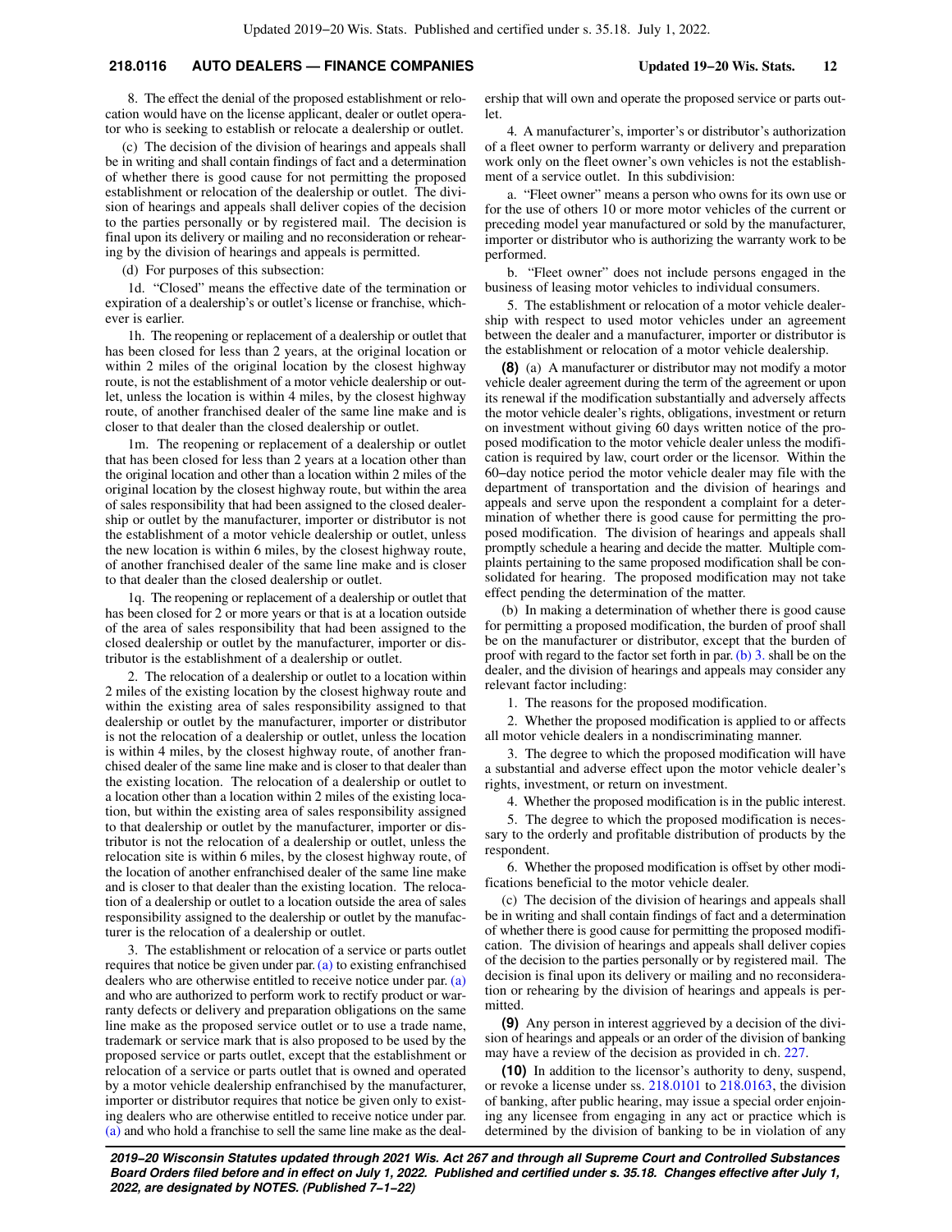## **218.0116 AUTO DEALERS — FINANCE COMPANIES Updated 19−20 Wis. Stats. 12**

8. The effect the denial of the proposed establishment or relocation would have on the license applicant, dealer or outlet operator who is seeking to establish or relocate a dealership or outlet.

(c) The decision of the division of hearings and appeals shall be in writing and shall contain findings of fact and a determination of whether there is good cause for not permitting the proposed establishment or relocation of the dealership or outlet. The division of hearings and appeals shall deliver copies of the decision to the parties personally or by registered mail. The decision is final upon its delivery or mailing and no reconsideration or rehearing by the division of hearings and appeals is permitted.

(d) For purposes of this subsection:

1d. "Closed" means the effective date of the termination or expiration of a dealership's or outlet's license or franchise, whichever is earlier.

1h. The reopening or replacement of a dealership or outlet that has been closed for less than 2 years, at the original location or within 2 miles of the original location by the closest highway route, is not the establishment of a motor vehicle dealership or outlet, unless the location is within 4 miles, by the closest highway route, of another franchised dealer of the same line make and is closer to that dealer than the closed dealership or outlet.

1m. The reopening or replacement of a dealership or outlet that has been closed for less than 2 years at a location other than the original location and other than a location within 2 miles of the original location by the closest highway route, but within the area of sales responsibility that had been assigned to the closed dealership or outlet by the manufacturer, importer or distributor is not the establishment of a motor vehicle dealership or outlet, unless the new location is within 6 miles, by the closest highway route, of another franchised dealer of the same line make and is closer to that dealer than the closed dealership or outlet.

1q. The reopening or replacement of a dealership or outlet that has been closed for 2 or more years or that is at a location outside of the area of sales responsibility that had been assigned to the closed dealership or outlet by the manufacturer, importer or distributor is the establishment of a dealership or outlet.

2. The relocation of a dealership or outlet to a location within 2 miles of the existing location by the closest highway route and within the existing area of sales responsibility assigned to that dealership or outlet by the manufacturer, importer or distributor is not the relocation of a dealership or outlet, unless the location is within 4 miles, by the closest highway route, of another franchised dealer of the same line make and is closer to that dealer than the existing location. The relocation of a dealership or outlet to a location other than a location within 2 miles of the existing location, but within the existing area of sales responsibility assigned to that dealership or outlet by the manufacturer, importer or distributor is not the relocation of a dealership or outlet, unless the relocation site is within 6 miles, by the closest highway route, of the location of another enfranchised dealer of the same line make and is closer to that dealer than the existing location. The relocation of a dealership or outlet to a location outside the area of sales responsibility assigned to the dealership or outlet by the manufacturer is the relocation of a dealership or outlet.

3. The establishment or relocation of a service or parts outlet requires that notice be given under par. [\(a\)](https://docs.legis.wisconsin.gov/document/statutes/218.0116(7)(a)) to existing enfranchised dealers who are otherwise entitled to receive notice under par. [\(a\)](https://docs.legis.wisconsin.gov/document/statutes/218.0116(7)(a)) and who are authorized to perform work to rectify product or warranty defects or delivery and preparation obligations on the same line make as the proposed service outlet or to use a trade name, trademark or service mark that is also proposed to be used by the proposed service or parts outlet, except that the establishment or relocation of a service or parts outlet that is owned and operated by a motor vehicle dealership enfranchised by the manufacturer, importer or distributor requires that notice be given only to existing dealers who are otherwise entitled to receive notice under par. [\(a\)](https://docs.legis.wisconsin.gov/document/statutes/218.0116(7)(a)) and who hold a franchise to sell the same line make as the dealership that will own and operate the proposed service or parts outlet.

4. A manufacturer's, importer's or distributor's authorization of a fleet owner to perform warranty or delivery and preparation work only on the fleet owner's own vehicles is not the establishment of a service outlet. In this subdivision:

a. "Fleet owner" means a person who owns for its own use or for the use of others 10 or more motor vehicles of the current or preceding model year manufactured or sold by the manufacturer, importer or distributor who is authorizing the warranty work to be performed.

b. "Fleet owner" does not include persons engaged in the business of leasing motor vehicles to individual consumers.

5. The establishment or relocation of a motor vehicle dealership with respect to used motor vehicles under an agreement between the dealer and a manufacturer, importer or distributor is the establishment or relocation of a motor vehicle dealership.

**(8)** (a) A manufacturer or distributor may not modify a motor vehicle dealer agreement during the term of the agreement or upon its renewal if the modification substantially and adversely affects the motor vehicle dealer's rights, obligations, investment or return on investment without giving 60 days written notice of the proposed modification to the motor vehicle dealer unless the modification is required by law, court order or the licensor. Within the 60−day notice period the motor vehicle dealer may file with the department of transportation and the division of hearings and appeals and serve upon the respondent a complaint for a determination of whether there is good cause for permitting the proposed modification. The division of hearings and appeals shall promptly schedule a hearing and decide the matter. Multiple complaints pertaining to the same proposed modification shall be consolidated for hearing. The proposed modification may not take effect pending the determination of the matter.

(b) In making a determination of whether there is good cause for permitting a proposed modification, the burden of proof shall be on the manufacturer or distributor, except that the burden of proof with regard to the factor set forth in par. [\(b\) 3.](https://docs.legis.wisconsin.gov/document/statutes/218.0116(8)(b)3.) shall be on the dealer, and the division of hearings and appeals may consider any relevant factor including:

1. The reasons for the proposed modification.

2. Whether the proposed modification is applied to or affects all motor vehicle dealers in a nondiscriminating manner.

3. The degree to which the proposed modification will have a substantial and adverse effect upon the motor vehicle dealer's rights, investment, or return on investment.

4. Whether the proposed modification is in the public interest.

5. The degree to which the proposed modification is necessary to the orderly and profitable distribution of products by the respondent.

6. Whether the proposed modification is offset by other modifications beneficial to the motor vehicle dealer.

(c) The decision of the division of hearings and appeals shall be in writing and shall contain findings of fact and a determination of whether there is good cause for permitting the proposed modification. The division of hearings and appeals shall deliver copies of the decision to the parties personally or by registered mail. The decision is final upon its delivery or mailing and no reconsideration or rehearing by the division of hearings and appeals is permitted.

**(9)** Any person in interest aggrieved by a decision of the division of hearings and appeals or an order of the division of banking may have a review of the decision as provided in ch. [227](https://docs.legis.wisconsin.gov/document/statutes/ch.%20227).

**(10)** In addition to the licensor's authority to deny, suspend, or revoke a license under ss. [218.0101](https://docs.legis.wisconsin.gov/document/statutes/218.0101) to [218.0163](https://docs.legis.wisconsin.gov/document/statutes/218.0163), the division of banking, after public hearing, may issue a special order enjoining any licensee from engaging in any act or practice which is determined by the division of banking to be in violation of any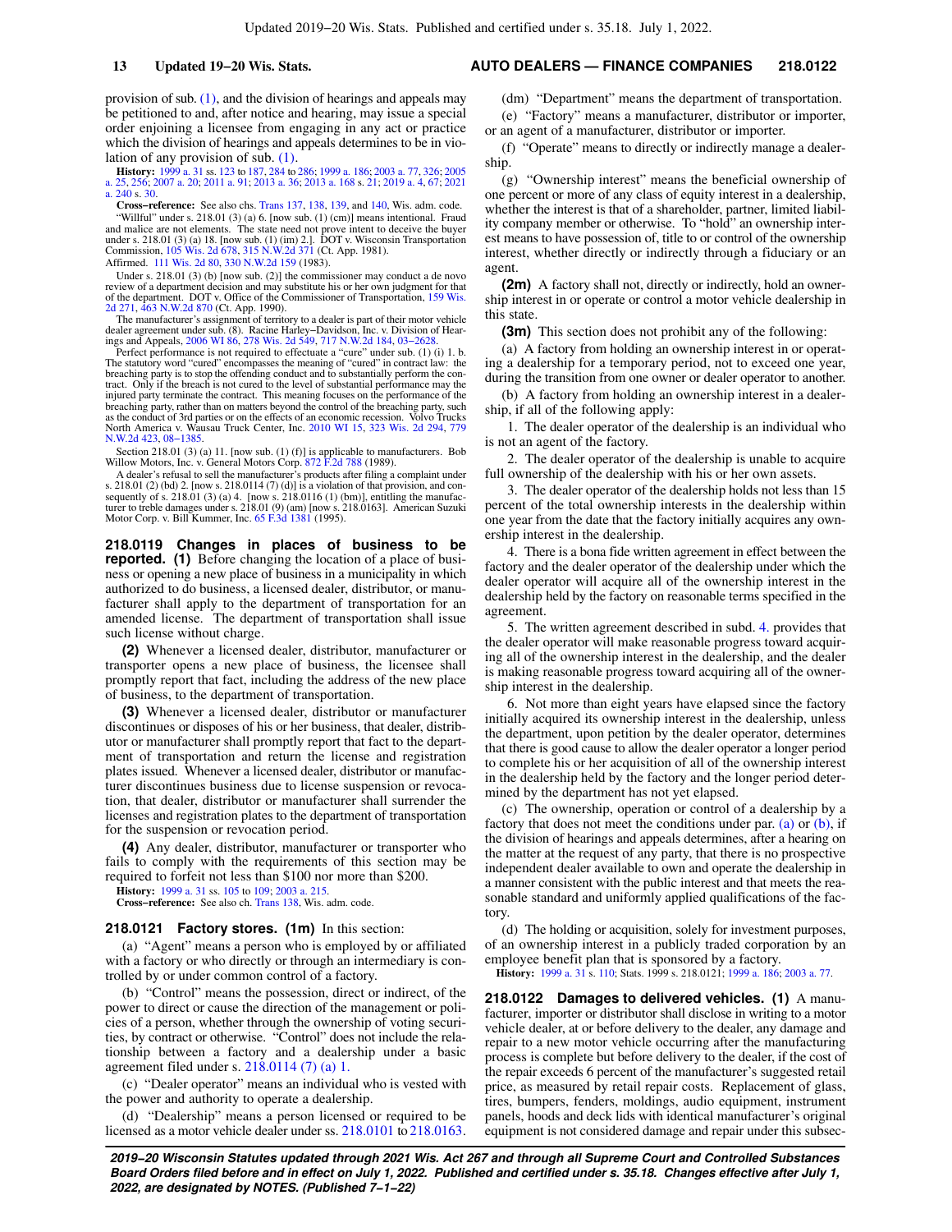#### **13 Updated 19−20 Wis. Stats. AUTO DEALERS — FINANCE COMPANIES 218.0122**

provision of sub. [\(1\)](https://docs.legis.wisconsin.gov/document/statutes/218.0116(1)), and the division of hearings and appeals may be petitioned to and, after notice and hearing, may issue a special order enjoining a licensee from engaging in any act or practice which the division of hearings and appeals determines to be in violation of any provision of sub. [\(1\).](https://docs.legis.wisconsin.gov/document/statutes/218.0116(1))

**History:** [1999 a. 31](https://docs.legis.wisconsin.gov/document/acts/1999/31) ss. [123](https://docs.legis.wisconsin.gov/document/acts/1999/31,%20s.%20123) to [187,](https://docs.legis.wisconsin.gov/document/acts/1999/31,%20s.%20187) [284](https://docs.legis.wisconsin.gov/document/acts/1999/31,%20s.%20284) to [286](https://docs.legis.wisconsin.gov/document/acts/1999/31,%20s.%20286); [1999 a. 186](https://docs.legis.wisconsin.gov/document/acts/1999/186); [2003 a. 77](https://docs.legis.wisconsin.gov/document/acts/2003/77), [326;](https://docs.legis.wisconsin.gov/document/acts/2003/326) [2005](https://docs.legis.wisconsin.gov/document/acts/2005/25) [a. 25](https://docs.legis.wisconsin.gov/document/acts/2005/25), [256](https://docs.legis.wisconsin.gov/document/acts/2005/256); [2007 a. 20;](https://docs.legis.wisconsin.gov/document/acts/2007/20) [2011 a. 91;](https://docs.legis.wisconsin.gov/document/acts/2011/91) [2013 a. 36](https://docs.legis.wisconsin.gov/document/acts/2013/36); [2013 a. 168](https://docs.legis.wisconsin.gov/document/acts/2013/168) s. [21](https://docs.legis.wisconsin.gov/document/acts/2013/168,%20s.%2021); [2019 a. 4](https://docs.legis.wisconsin.gov/document/acts/2019/4), [67;](https://docs.legis.wisconsin.gov/document/acts/2019/67) [2021](https://docs.legis.wisconsin.gov/document/acts/2021/240) [a. 240](https://docs.legis.wisconsin.gov/document/acts/2021/240) s. [30.](https://docs.legis.wisconsin.gov/document/acts/2021/240,%20s.%2030)

**Cross−reference:** See also chs. [Trans 137,](https://docs.legis.wisconsin.gov/document/administrativecode/ch.%20Trans%20137) [138,](https://docs.legis.wisconsin.gov/document/administrativecode/ch.%20Trans%20138) [139,](https://docs.legis.wisconsin.gov/document/administrativecode/ch.%20Trans%20139) and [140,](https://docs.legis.wisconsin.gov/document/administrativecode/ch.%20Trans%20140) Wis. adm. code. "Willful" under s. 218.01 (3) (a) 6. [now sub. (1) (cm)] means intentional. Fraud and malice are not elements. The state need not prove intent to deceive the buyer under s. 218.01 (3) (a) 18. [now sub. (1) (im) 2.]. DOT v. Wisconsin Transportation Commission, [105 Wis. 2d 678,](https://docs.legis.wisconsin.gov/document/courts/105%20Wis.%202d%20678) [315 N.W.2d 371](https://docs.legis.wisconsin.gov/document/courts/315%20N.W.2d%20371) (Ct. App. 1981). Affirmed. [111 Wis. 2d 80,](https://docs.legis.wisconsin.gov/document/courts/111%20Wis.%202d%2080) [330 N.W.2d 159](https://docs.legis.wisconsin.gov/document/courts/330%20N.W.2d%20159) (1983).

Under s. 218.01 (3) (b) [now sub. (2)] the commissioner may conduct a de novo review of a department decision and may substitute his or her own judgment for that of the department. DOT v. Office of the Commissioner of Transportation, [159 Wis.](https://docs.legis.wisconsin.gov/document/courts/159%20Wis.%202d%20271) [2d 271](https://docs.legis.wisconsin.gov/document/courts/159%20Wis.%202d%20271), [463 N.W.2d 870](https://docs.legis.wisconsin.gov/document/courts/463%20N.W.2d%20870) (Ct. App. 1990).

The manufacturer's assignment of territory to a dealer is part of their motor vehicle dealer agreement under sub. (8). Racine Harley−Davidson, Inc. v. Division of Hear-ings and Appeals, [2006 WI 86](https://docs.legis.wisconsin.gov/document/courts/2006%20WI%2086), [278 Wis. 2d 549,](https://docs.legis.wisconsin.gov/document/courts/278%20Wis.%202d%20549) [717 N.W.2d 184](https://docs.legis.wisconsin.gov/document/courts/717%20N.W.2d%20184), [03−2628](https://docs.legis.wisconsin.gov/document/wisupremecourt/03-2628).

Perfect performance is not required to effectuate a "cure" under sub. (1) (i) 1. b. The statutory word "cured" encompasses the meaning of "cured" in contract law: the breaching party is to stop the offending conduct and to substantially perform the contract. Only if the breach is not cured to the level of substantial performance may the injured party terminate the contract. This meaning focuses on the performance of the breaching party, rather than on matters beyond the control of the breaching party, such as the conduct of 3rd parties or on the effects of an economic recession. Volvo Trucks<br>North America v. Wausau Truck Center, Inc. [2010 WI 15](https://docs.legis.wisconsin.gov/document/courts/2010%20WI%2015), [323 Wis. 2d 294](https://docs.legis.wisconsin.gov/document/courts/323%20Wis.%202d%20294), [779](https://docs.legis.wisconsin.gov/document/courts/779%20N.W.2d%20423)<br>[N.W.2d 423,](https://docs.legis.wisconsin.gov/document/courts/779%20N.W.2d%20423) [08−1385.](https://docs.legis.wisconsin.gov/document/wisupremecourt/08-1385)

Section 218.01 (3) (a) 11. [now sub. (1) (f)] is applicable to manufacturers. Bob Willow Motors, Inc. v. General Motors Corp. [872 F.2d 788](https://docs.legis.wisconsin.gov/document/courts/872%20F.2d%20788) (1989).

A dealer's refusal to sell the manufacturer's products after filing a complaint under s. 218.01 (2) (bd) 2. [now s. 218.0114 (7) (d)] is a violation of that provision, and con-<br>sequently of s. 218.01 (3) (a) 4. [now s. 218.0116 (1) (bm)], entitling the manufac-<br>turer to treble damages under s. 218.01 (9) (

**218.0119 Changes in places of business to be reported. (1)** Before changing the location of a place of business or opening a new place of business in a municipality in which authorized to do business, a licensed dealer, distributor, or manufacturer shall apply to the department of transportation for an amended license. The department of transportation shall issue such license without charge.

**(2)** Whenever a licensed dealer, distributor, manufacturer or transporter opens a new place of business, the licensee shall promptly report that fact, including the address of the new place of business, to the department of transportation.

**(3)** Whenever a licensed dealer, distributor or manufacturer discontinues or disposes of his or her business, that dealer, distributor or manufacturer shall promptly report that fact to the department of transportation and return the license and registration plates issued. Whenever a licensed dealer, distributor or manufacturer discontinues business due to license suspension or revocation, that dealer, distributor or manufacturer shall surrender the licenses and registration plates to the department of transportation for the suspension or revocation period.

**(4)** Any dealer, distributor, manufacturer or transporter who fails to comply with the requirements of this section may be required to forfeit not less than \$100 nor more than \$200.

**History:** [1999 a. 31](https://docs.legis.wisconsin.gov/document/acts/1999/31) ss. [105](https://docs.legis.wisconsin.gov/document/acts/1999/31,%20s.%20105) to [109;](https://docs.legis.wisconsin.gov/document/acts/1999/31,%20s.%20109) [2003 a. 215](https://docs.legis.wisconsin.gov/document/acts/2003/215).

**Cross−reference:** See also ch. [Trans 138](https://docs.legis.wisconsin.gov/document/administrativecode/ch.%20Trans%20138), Wis. adm. code.

#### **218.0121 Factory stores. (1m)** In this section:

(a) "Agent" means a person who is employed by or affiliated with a factory or who directly or through an intermediary is controlled by or under common control of a factory.

(b) "Control" means the possession, direct or indirect, of the power to direct or cause the direction of the management or policies of a person, whether through the ownership of voting securities, by contract or otherwise. "Control" does not include the relationship between a factory and a dealership under a basic agreement filed under s. [218.0114 \(7\) \(a\) 1.](https://docs.legis.wisconsin.gov/document/statutes/218.0114(7)(a)1.)

(c) "Dealer operator" means an individual who is vested with the power and authority to operate a dealership.

(d) "Dealership" means a person licensed or required to be licensed as a motor vehicle dealer under ss. [218.0101](https://docs.legis.wisconsin.gov/document/statutes/218.0101) to [218.0163.](https://docs.legis.wisconsin.gov/document/statutes/218.0163)

(dm) "Department" means the department of transportation. (e) "Factory" means a manufacturer, distributor or importer, or an agent of a manufacturer, distributor or importer.

(f) "Operate" means to directly or indirectly manage a dealership.

(g) "Ownership interest" means the beneficial ownership of one percent or more of any class of equity interest in a dealership, whether the interest is that of a shareholder, partner, limited liability company member or otherwise. To "hold" an ownership interest means to have possession of, title to or control of the ownership interest, whether directly or indirectly through a fiduciary or an agent.

**(2m)** A factory shall not, directly or indirectly, hold an ownership interest in or operate or control a motor vehicle dealership in this state.

**(3m)** This section does not prohibit any of the following:

(a) A factory from holding an ownership interest in or operating a dealership for a temporary period, not to exceed one year, during the transition from one owner or dealer operator to another.

(b) A factory from holding an ownership interest in a dealership, if all of the following apply:

1. The dealer operator of the dealership is an individual who is not an agent of the factory.

2. The dealer operator of the dealership is unable to acquire full ownership of the dealership with his or her own assets.

3. The dealer operator of the dealership holds not less than 15 percent of the total ownership interests in the dealership within one year from the date that the factory initially acquires any ownership interest in the dealership.

4. There is a bona fide written agreement in effect between the factory and the dealer operator of the dealership under which the dealer operator will acquire all of the ownership interest in the dealership held by the factory on reasonable terms specified in the agreement.

5. The written agreement described in subd. [4.](https://docs.legis.wisconsin.gov/document/statutes/218.0121(3m)(b)4.) provides that the dealer operator will make reasonable progress toward acquiring all of the ownership interest in the dealership, and the dealer is making reasonable progress toward acquiring all of the ownership interest in the dealership.

6. Not more than eight years have elapsed since the factory initially acquired its ownership interest in the dealership, unless the department, upon petition by the dealer operator, determines that there is good cause to allow the dealer operator a longer period to complete his or her acquisition of all of the ownership interest in the dealership held by the factory and the longer period determined by the department has not yet elapsed.

(c) The ownership, operation or control of a dealership by a factory that does not meet the conditions under par. [\(a\)](https://docs.legis.wisconsin.gov/document/statutes/218.0121(3m)(a)) or [\(b\)](https://docs.legis.wisconsin.gov/document/statutes/218.0121(3m)(b)), if the division of hearings and appeals determines, after a hearing on the matter at the request of any party, that there is no prospective independent dealer available to own and operate the dealership in a manner consistent with the public interest and that meets the reasonable standard and uniformly applied qualifications of the factory.

(d) The holding or acquisition, solely for investment purposes, of an ownership interest in a publicly traded corporation by an employee benefit plan that is sponsored by a factory. **History:** [1999 a. 31](https://docs.legis.wisconsin.gov/document/acts/1999/31) s. [110](https://docs.legis.wisconsin.gov/document/acts/1999/31,%20s.%20110); Stats. 1999 s. 218.0121; [1999 a. 186](https://docs.legis.wisconsin.gov/document/acts/1999/186); [2003 a. 77](https://docs.legis.wisconsin.gov/document/acts/2003/77).

**218.0122 Damages to delivered vehicles. (1)** A manufacturer, importer or distributor shall disclose in writing to a motor vehicle dealer, at or before delivery to the dealer, any damage and repair to a new motor vehicle occurring after the manufacturing process is complete but before delivery to the dealer, if the cost of the repair exceeds 6 percent of the manufacturer's suggested retail price, as measured by retail repair costs. Replacement of glass, tires, bumpers, fenders, moldings, audio equipment, instrument panels, hoods and deck lids with identical manufacturer's original equipment is not considered damage and repair under this subsec-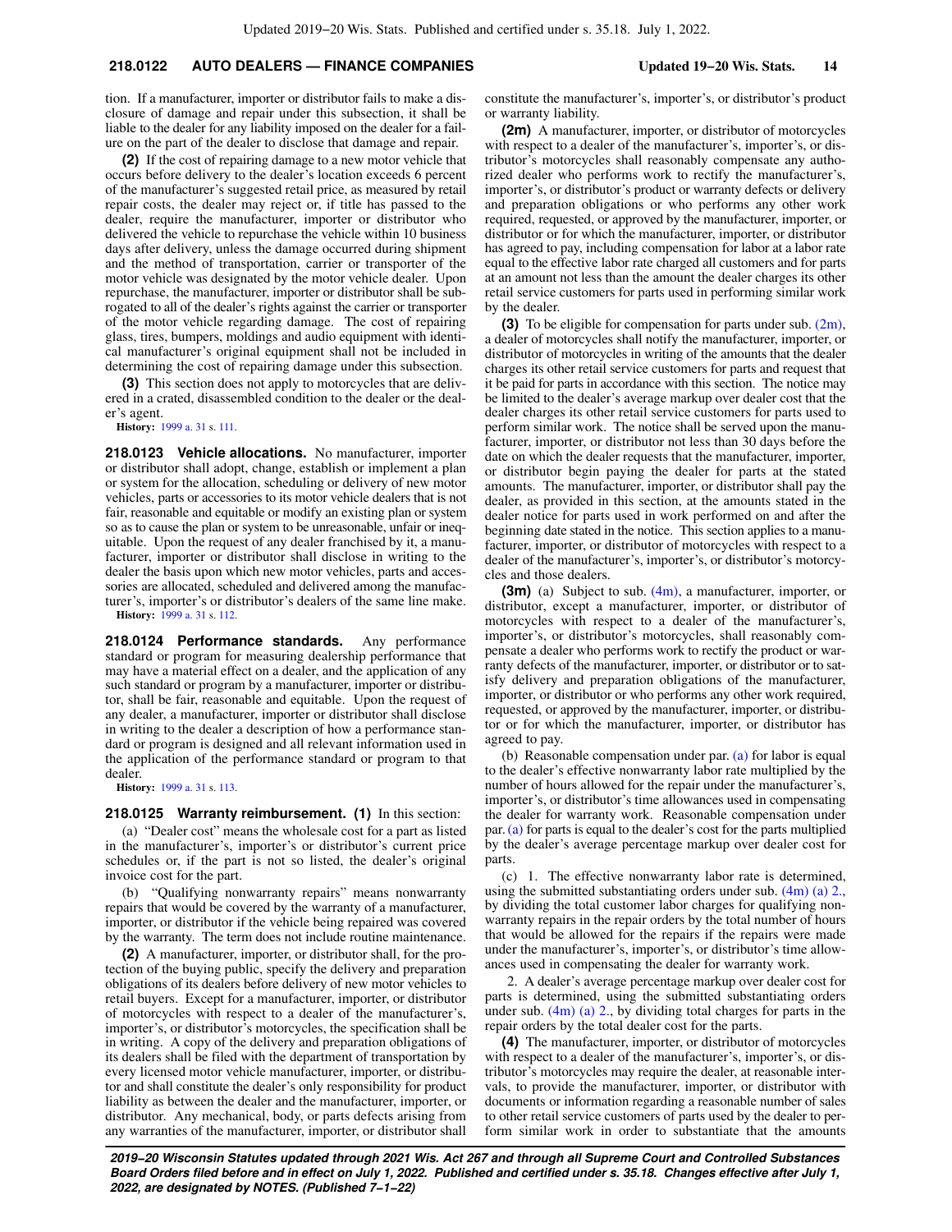## **218.0122 AUTO DEALERS — FINANCE COMPANIES Updated 19−20 Wis. Stats. 14**

tion. If a manufacturer, importer or distributor fails to make a disclosure of damage and repair under this subsection, it shall be liable to the dealer for any liability imposed on the dealer for a failure on the part of the dealer to disclose that damage and repair.

**(2)** If the cost of repairing damage to a new motor vehicle that occurs before delivery to the dealer's location exceeds 6 percent of the manufacturer's suggested retail price, as measured by retail repair costs, the dealer may reject or, if title has passed to the dealer, require the manufacturer, importer or distributor who delivered the vehicle to repurchase the vehicle within 10 business days after delivery, unless the damage occurred during shipment and the method of transportation, carrier or transporter of the motor vehicle was designated by the motor vehicle dealer. Upon repurchase, the manufacturer, importer or distributor shall be subrogated to all of the dealer's rights against the carrier or transporter of the motor vehicle regarding damage. The cost of repairing glass, tires, bumpers, moldings and audio equipment with identical manufacturer's original equipment shall not be included in determining the cost of repairing damage under this subsection.

**(3)** This section does not apply to motorcycles that are delivered in a crated, disassembled condition to the dealer or the dealer's agent.

**History:** [1999 a. 31](https://docs.legis.wisconsin.gov/document/acts/1999/31) s. [111.](https://docs.legis.wisconsin.gov/document/acts/1999/31,%20s.%20111)

**218.0123 Vehicle allocations.** No manufacturer, importer or distributor shall adopt, change, establish or implement a plan or system for the allocation, scheduling or delivery of new motor vehicles, parts or accessories to its motor vehicle dealers that is not fair, reasonable and equitable or modify an existing plan or system so as to cause the plan or system to be unreasonable, unfair or inequitable. Upon the request of any dealer franchised by it, a manufacturer, importer or distributor shall disclose in writing to the dealer the basis upon which new motor vehicles, parts and accessories are allocated, scheduled and delivered among the manufacturer's, importer's or distributor's dealers of the same line make. **History:** [1999 a. 31](https://docs.legis.wisconsin.gov/document/acts/1999/31) s. [112](https://docs.legis.wisconsin.gov/document/acts/1999/31,%20s.%20112).

**218.0124 Performance standards.** Any performance standard or program for measuring dealership performance that may have a material effect on a dealer, and the application of any such standard or program by a manufacturer, importer or distributor, shall be fair, reasonable and equitable. Upon the request of any dealer, a manufacturer, importer or distributor shall disclose in writing to the dealer a description of how a performance standard or program is designed and all relevant information used in the application of the performance standard or program to that dealer.

**History:** [1999 a. 31](https://docs.legis.wisconsin.gov/document/acts/1999/31) s. [113](https://docs.legis.wisconsin.gov/document/acts/1999/31,%20s.%20113).

**218.0125 Warranty reimbursement. (1)** In this section: (a) "Dealer cost" means the wholesale cost for a part as listed in the manufacturer's, importer's or distributor's current price schedules or, if the part is not so listed, the dealer's original invoice cost for the part.

(b) "Qualifying nonwarranty repairs" means nonwarranty repairs that would be covered by the warranty of a manufacturer, importer, or distributor if the vehicle being repaired was covered by the warranty. The term does not include routine maintenance.

**(2)** A manufacturer, importer, or distributor shall, for the protection of the buying public, specify the delivery and preparation obligations of its dealers before delivery of new motor vehicles to retail buyers. Except for a manufacturer, importer, or distributor of motorcycles with respect to a dealer of the manufacturer's, importer's, or distributor's motorcycles, the specification shall be in writing. A copy of the delivery and preparation obligations of its dealers shall be filed with the department of transportation by every licensed motor vehicle manufacturer, importer, or distributor and shall constitute the dealer's only responsibility for product liability as between the dealer and the manufacturer, importer, or distributor. Any mechanical, body, or parts defects arising from any warranties of the manufacturer, importer, or distributor shall

constitute the manufacturer's, importer's, or distributor's product or warranty liability.

**(2m)** A manufacturer, importer, or distributor of motorcycles with respect to a dealer of the manufacturer's, importer's, or distributor's motorcycles shall reasonably compensate any authorized dealer who performs work to rectify the manufacturer's, importer's, or distributor's product or warranty defects or delivery and preparation obligations or who performs any other work required, requested, or approved by the manufacturer, importer, or distributor or for which the manufacturer, importer, or distributor has agreed to pay, including compensation for labor at a labor rate equal to the effective labor rate charged all customers and for parts at an amount not less than the amount the dealer charges its other retail service customers for parts used in performing similar work by the dealer.

**(3)** To be eligible for compensation for parts under sub. [\(2m\),](https://docs.legis.wisconsin.gov/document/statutes/218.0125(2m)) a dealer of motorcycles shall notify the manufacturer, importer, or distributor of motorcycles in writing of the amounts that the dealer charges its other retail service customers for parts and request that it be paid for parts in accordance with this section. The notice may be limited to the dealer's average markup over dealer cost that the dealer charges its other retail service customers for parts used to perform similar work. The notice shall be served upon the manufacturer, importer, or distributor not less than 30 days before the date on which the dealer requests that the manufacturer, importer, or distributor begin paying the dealer for parts at the stated amounts. The manufacturer, importer, or distributor shall pay the dealer, as provided in this section, at the amounts stated in the dealer notice for parts used in work performed on and after the beginning date stated in the notice. This section applies to a manufacturer, importer, or distributor of motorcycles with respect to a dealer of the manufacturer's, importer's, or distributor's motorcycles and those dealers.

**(3m)** (a) Subject to sub. [\(4m\)](https://docs.legis.wisconsin.gov/document/statutes/218.0125(4m)), a manufacturer, importer, or distributor, except a manufacturer, importer, or distributor of motorcycles with respect to a dealer of the manufacturer's, importer's, or distributor's motorcycles, shall reasonably compensate a dealer who performs work to rectify the product or warranty defects of the manufacturer, importer, or distributor or to satisfy delivery and preparation obligations of the manufacturer, importer, or distributor or who performs any other work required, requested, or approved by the manufacturer, importer, or distributor or for which the manufacturer, importer, or distributor has agreed to pay.

(b) Reasonable compensation under par. [\(a\)](https://docs.legis.wisconsin.gov/document/statutes/218.0125(3m)(a)) for labor is equal to the dealer's effective nonwarranty labor rate multiplied by the number of hours allowed for the repair under the manufacturer's, importer's, or distributor's time allowances used in compensating the dealer for warranty work. Reasonable compensation under par.[\(a\)](https://docs.legis.wisconsin.gov/document/statutes/218.0125(3m)(a)) for parts is equal to the dealer's cost for the parts multiplied by the dealer's average percentage markup over dealer cost for parts.

(c) 1. The effective nonwarranty labor rate is determined, using the submitted substantiating orders under sub. [\(4m\) \(a\) 2.,](https://docs.legis.wisconsin.gov/document/statutes/218.0125(4m)(a)2.) by dividing the total customer labor charges for qualifying nonwarranty repairs in the repair orders by the total number of hours that would be allowed for the repairs if the repairs were made under the manufacturer's, importer's, or distributor's time allowances used in compensating the dealer for warranty work.

2. A dealer's average percentage markup over dealer cost for parts is determined, using the submitted substantiating orders under sub.  $(4m)$  (a) 2., by dividing total charges for parts in the repair orders by the total dealer cost for the parts.

**(4)** The manufacturer, importer, or distributor of motorcycles with respect to a dealer of the manufacturer's, importer's, or distributor's motorcycles may require the dealer, at reasonable intervals, to provide the manufacturer, importer, or distributor with documents or information regarding a reasonable number of sales to other retail service customers of parts used by the dealer to perform similar work in order to substantiate that the amounts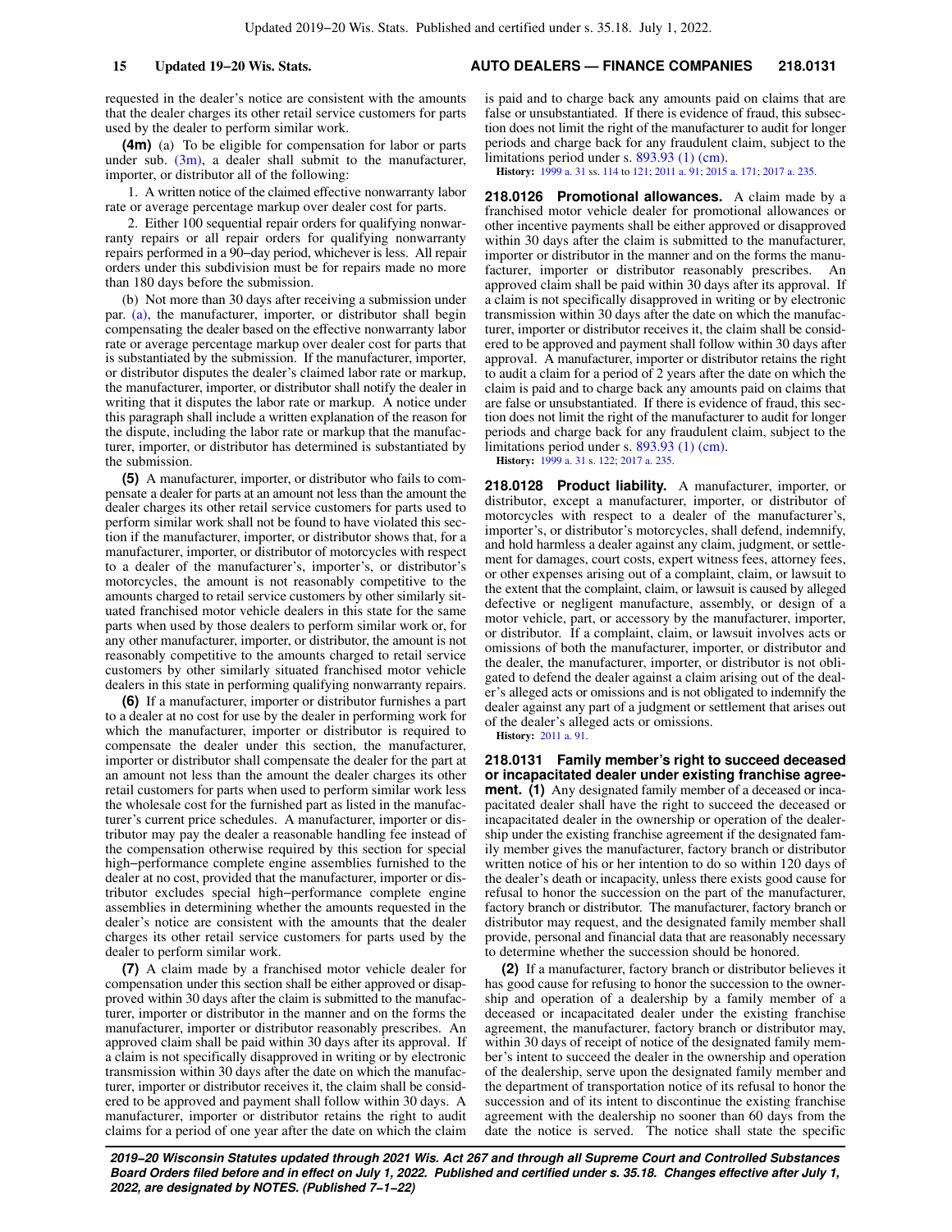requested in the dealer's notice are consistent with the amounts that the dealer charges its other retail service customers for parts used by the dealer to perform similar work.

**(4m)** (a) To be eligible for compensation for labor or parts under sub.  $(3m)$ , a dealer shall submit to the manufacturer, importer, or distributor all of the following:

1. A written notice of the claimed effective nonwarranty labor rate or average percentage markup over dealer cost for parts.

2. Either 100 sequential repair orders for qualifying nonwarranty repairs or all repair orders for qualifying nonwarranty repairs performed in a 90−day period, whichever is less. All repair orders under this subdivision must be for repairs made no more than 180 days before the submission.

(b) Not more than 30 days after receiving a submission under par. [\(a\),](https://docs.legis.wisconsin.gov/document/statutes/218.0125(4m)(a)) the manufacturer, importer, or distributor shall begin compensating the dealer based on the effective nonwarranty labor rate or average percentage markup over dealer cost for parts that is substantiated by the submission. If the manufacturer, importer, or distributor disputes the dealer's claimed labor rate or markup, the manufacturer, importer, or distributor shall notify the dealer in writing that it disputes the labor rate or markup. A notice under this paragraph shall include a written explanation of the reason for the dispute, including the labor rate or markup that the manufacturer, importer, or distributor has determined is substantiated by the submission.

**(5)** A manufacturer, importer, or distributor who fails to compensate a dealer for parts at an amount not less than the amount the dealer charges its other retail service customers for parts used to perform similar work shall not be found to have violated this section if the manufacturer, importer, or distributor shows that, for a manufacturer, importer, or distributor of motorcycles with respect to a dealer of the manufacturer's, importer's, or distributor's motorcycles, the amount is not reasonably competitive to the amounts charged to retail service customers by other similarly situated franchised motor vehicle dealers in this state for the same parts when used by those dealers to perform similar work or, for any other manufacturer, importer, or distributor, the amount is not reasonably competitive to the amounts charged to retail service customers by other similarly situated franchised motor vehicle dealers in this state in performing qualifying nonwarranty repairs.

**(6)** If a manufacturer, importer or distributor furnishes a part to a dealer at no cost for use by the dealer in performing work for which the manufacturer, importer or distributor is required to compensate the dealer under this section, the manufacturer, importer or distributor shall compensate the dealer for the part at an amount not less than the amount the dealer charges its other retail customers for parts when used to perform similar work less the wholesale cost for the furnished part as listed in the manufacturer's current price schedules. A manufacturer, importer or distributor may pay the dealer a reasonable handling fee instead of the compensation otherwise required by this section for special high−performance complete engine assemblies furnished to the dealer at no cost, provided that the manufacturer, importer or distributor excludes special high−performance complete engine assemblies in determining whether the amounts requested in the dealer's notice are consistent with the amounts that the dealer charges its other retail service customers for parts used by the dealer to perform similar work.

**(7)** A claim made by a franchised motor vehicle dealer for compensation under this section shall be either approved or disapproved within 30 days after the claim is submitted to the manufacturer, importer or distributor in the manner and on the forms the manufacturer, importer or distributor reasonably prescribes. An approved claim shall be paid within 30 days after its approval. If a claim is not specifically disapproved in writing or by electronic transmission within 30 days after the date on which the manufacturer, importer or distributor receives it, the claim shall be considered to be approved and payment shall follow within 30 days. A manufacturer, importer or distributor retains the right to audit claims for a period of one year after the date on which the claim

**15 Updated 19−20 Wis. Stats. AUTO DEALERS — FINANCE COMPANIES 218.0131**

is paid and to charge back any amounts paid on claims that are false or unsubstantiated. If there is evidence of fraud, this subsection does not limit the right of the manufacturer to audit for longer periods and charge back for any fraudulent claim, subject to the limitations period under s. [893.93 \(1\) \(cm\)](https://docs.legis.wisconsin.gov/document/statutes/893.93(1)(cm)).

**History:** [1999 a. 31](https://docs.legis.wisconsin.gov/document/acts/1999/31) ss. [114](https://docs.legis.wisconsin.gov/document/acts/1999/31,%20s.%20114) to [121;](https://docs.legis.wisconsin.gov/document/acts/1999/31,%20s.%20121) [2011 a. 91](https://docs.legis.wisconsin.gov/document/acts/2011/91); [2015 a. 171](https://docs.legis.wisconsin.gov/document/acts/2015/171); [2017 a. 235.](https://docs.legis.wisconsin.gov/document/acts/2017/235)

**218.0126 Promotional allowances.** A claim made by a franchised motor vehicle dealer for promotional allowances or other incentive payments shall be either approved or disapproved within 30 days after the claim is submitted to the manufacturer, importer or distributor in the manner and on the forms the manufacturer, importer or distributor reasonably prescribes. An approved claim shall be paid within 30 days after its approval. If a claim is not specifically disapproved in writing or by electronic transmission within 30 days after the date on which the manufacturer, importer or distributor receives it, the claim shall be considered to be approved and payment shall follow within 30 days after approval. A manufacturer, importer or distributor retains the right to audit a claim for a period of 2 years after the date on which the claim is paid and to charge back any amounts paid on claims that are false or unsubstantiated. If there is evidence of fraud, this section does not limit the right of the manufacturer to audit for longer periods and charge back for any fraudulent claim, subject to the limitations period under s. [893.93 \(1\) \(cm\)](https://docs.legis.wisconsin.gov/document/statutes/893.93(1)(cm)).

**History:** [1999 a. 31](https://docs.legis.wisconsin.gov/document/acts/1999/31) s. [122;](https://docs.legis.wisconsin.gov/document/acts/1999/31,%20s.%20122) [2017 a. 235](https://docs.legis.wisconsin.gov/document/acts/2017/235).

**218.0128 Product liability.** A manufacturer, importer, or distributor, except a manufacturer, importer, or distributor of motorcycles with respect to a dealer of the manufacturer's, importer's, or distributor's motorcycles, shall defend, indemnify, and hold harmless a dealer against any claim, judgment, or settlement for damages, court costs, expert witness fees, attorney fees, or other expenses arising out of a complaint, claim, or lawsuit to the extent that the complaint, claim, or lawsuit is caused by alleged defective or negligent manufacture, assembly, or design of a motor vehicle, part, or accessory by the manufacturer, importer, or distributor. If a complaint, claim, or lawsuit involves acts or omissions of both the manufacturer, importer, or distributor and the dealer, the manufacturer, importer, or distributor is not obligated to defend the dealer against a claim arising out of the dealer's alleged acts or omissions and is not obligated to indemnify the dealer against any part of a judgment or settlement that arises out of the dealer's alleged acts or omissions.

**History:** [2011 a. 91.](https://docs.legis.wisconsin.gov/document/acts/2011/91)

**218.0131 Family member's right to succeed deceased or incapacitated dealer under existing franchise agreement.** (1) Any designated family member of a deceased or incapacitated dealer shall have the right to succeed the deceased or incapacitated dealer in the ownership or operation of the dealership under the existing franchise agreement if the designated family member gives the manufacturer, factory branch or distributor written notice of his or her intention to do so within 120 days of the dealer's death or incapacity, unless there exists good cause for refusal to honor the succession on the part of the manufacturer, factory branch or distributor. The manufacturer, factory branch or distributor may request, and the designated family member shall provide, personal and financial data that are reasonably necessary to determine whether the succession should be honored.

**(2)** If a manufacturer, factory branch or distributor believes it has good cause for refusing to honor the succession to the ownership and operation of a dealership by a family member of a deceased or incapacitated dealer under the existing franchise agreement, the manufacturer, factory branch or distributor may, within 30 days of receipt of notice of the designated family member's intent to succeed the dealer in the ownership and operation of the dealership, serve upon the designated family member and the department of transportation notice of its refusal to honor the succession and of its intent to discontinue the existing franchise agreement with the dealership no sooner than 60 days from the date the notice is served. The notice shall state the specific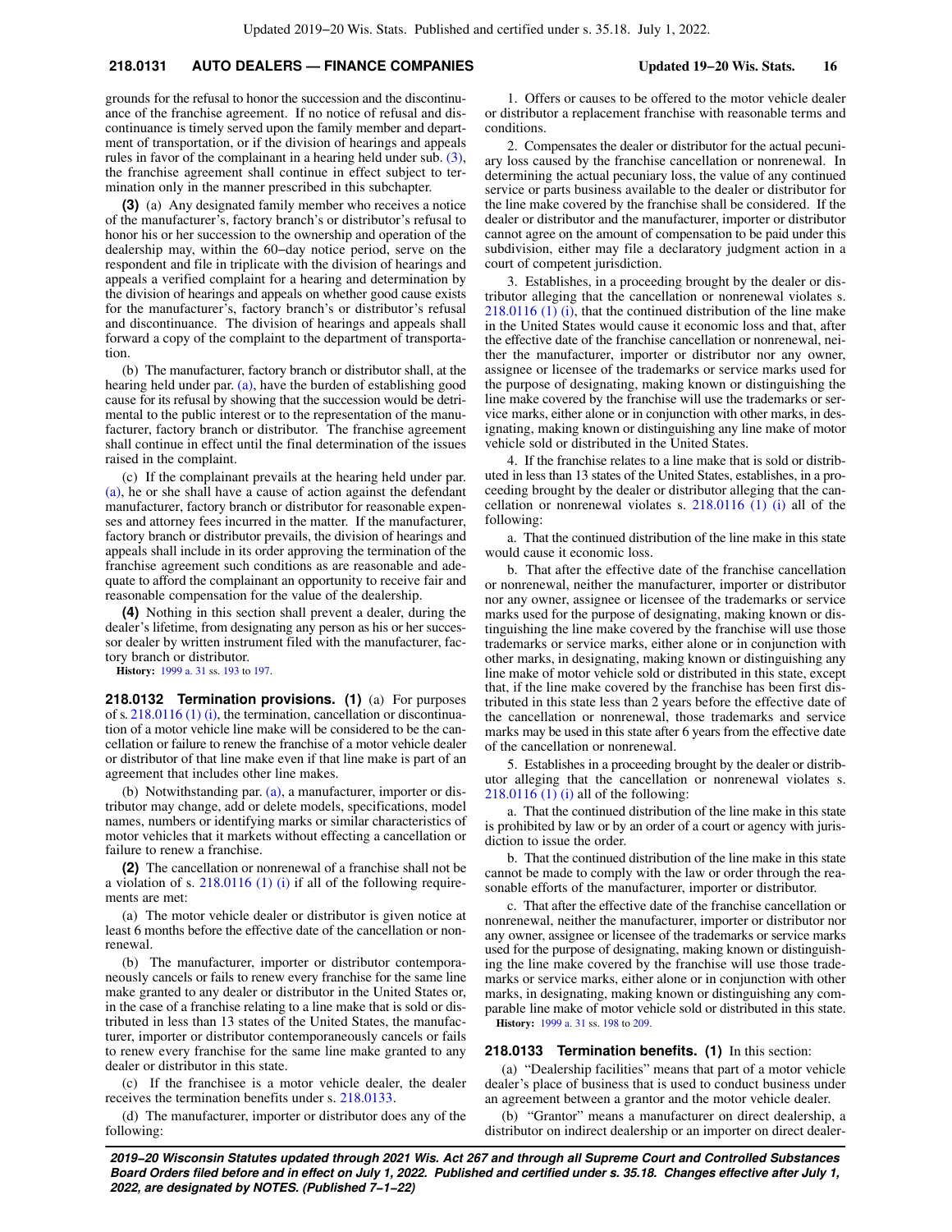## **218.0131 AUTO DEALERS — FINANCE COMPANIES Updated 19−20 Wis. Stats. 16**

grounds for the refusal to honor the succession and the discontinuance of the franchise agreement. If no notice of refusal and discontinuance is timely served upon the family member and department of transportation, or if the division of hearings and appeals rules in favor of the complainant in a hearing held under sub. [\(3\),](https://docs.legis.wisconsin.gov/document/statutes/218.0131(3)) the franchise agreement shall continue in effect subject to termination only in the manner prescribed in this subchapter.

**(3)** (a) Any designated family member who receives a notice of the manufacturer's, factory branch's or distributor's refusal to honor his or her succession to the ownership and operation of the dealership may, within the 60−day notice period, serve on the respondent and file in triplicate with the division of hearings and appeals a verified complaint for a hearing and determination by the division of hearings and appeals on whether good cause exists for the manufacturer's, factory branch's or distributor's refusal and discontinuance. The division of hearings and appeals shall forward a copy of the complaint to the department of transportation.

(b) The manufacturer, factory branch or distributor shall, at the hearing held under par. [\(a\),](https://docs.legis.wisconsin.gov/document/statutes/218.0131(3)(a)) have the burden of establishing good cause for its refusal by showing that the succession would be detrimental to the public interest or to the representation of the manufacturer, factory branch or distributor. The franchise agreement shall continue in effect until the final determination of the issues raised in the complaint.

(c) If the complainant prevails at the hearing held under par. [\(a\),](https://docs.legis.wisconsin.gov/document/statutes/218.0131(3)(a)) he or she shall have a cause of action against the defendant manufacturer, factory branch or distributor for reasonable expenses and attorney fees incurred in the matter. If the manufacturer, factory branch or distributor prevails, the division of hearings and appeals shall include in its order approving the termination of the franchise agreement such conditions as are reasonable and adequate to afford the complainant an opportunity to receive fair and reasonable compensation for the value of the dealership.

**(4)** Nothing in this section shall prevent a dealer, during the dealer's lifetime, from designating any person as his or her successor dealer by written instrument filed with the manufacturer, factory branch or distributor.

**History:** [1999 a. 31](https://docs.legis.wisconsin.gov/document/acts/1999/31) ss. [193](https://docs.legis.wisconsin.gov/document/acts/1999/31,%20s.%20193) to [197.](https://docs.legis.wisconsin.gov/document/acts/1999/31,%20s.%20197)

**218.0132 Termination provisions. (1)** (a) For purposes of s. [218.0116 \(1\) \(i\),](https://docs.legis.wisconsin.gov/document/statutes/218.0116(1)(i)) the termination, cancellation or discontinuation of a motor vehicle line make will be considered to be the cancellation or failure to renew the franchise of a motor vehicle dealer or distributor of that line make even if that line make is part of an agreement that includes other line makes.

(b) Notwithstanding par. [\(a\)](https://docs.legis.wisconsin.gov/document/statutes/218.0132(1)(a)), a manufacturer, importer or distributor may change, add or delete models, specifications, model names, numbers or identifying marks or similar characteristics of motor vehicles that it markets without effecting a cancellation or failure to renew a franchise.

**(2)** The cancellation or nonrenewal of a franchise shall not be a violation of s. [218.0116 \(1\) \(i\)](https://docs.legis.wisconsin.gov/document/statutes/218.0116(1)(i)) if all of the following requirements are met:

(a) The motor vehicle dealer or distributor is given notice at least 6 months before the effective date of the cancellation or nonrenewal.

(b) The manufacturer, importer or distributor contemporaneously cancels or fails to renew every franchise for the same line make granted to any dealer or distributor in the United States or, in the case of a franchise relating to a line make that is sold or distributed in less than 13 states of the United States, the manufacturer, importer or distributor contemporaneously cancels or fails to renew every franchise for the same line make granted to any dealer or distributor in this state.

(c) If the franchisee is a motor vehicle dealer, the dealer receives the termination benefits under s. [218.0133.](https://docs.legis.wisconsin.gov/document/statutes/218.0133)

(d) The manufacturer, importer or distributor does any of the following:

1. Offers or causes to be offered to the motor vehicle dealer or distributor a replacement franchise with reasonable terms and conditions.

2. Compensates the dealer or distributor for the actual pecuniary loss caused by the franchise cancellation or nonrenewal. In determining the actual pecuniary loss, the value of any continued service or parts business available to the dealer or distributor for the line make covered by the franchise shall be considered. If the dealer or distributor and the manufacturer, importer or distributor cannot agree on the amount of compensation to be paid under this subdivision, either may file a declaratory judgment action in a court of competent jurisdiction.

3. Establishes, in a proceeding brought by the dealer or distributor alleging that the cancellation or nonrenewal violates s. [218.0116 \(1\) \(i\)](https://docs.legis.wisconsin.gov/document/statutes/218.0116(1)(i)), that the continued distribution of the line make in the United States would cause it economic loss and that, after the effective date of the franchise cancellation or nonrenewal, neither the manufacturer, importer or distributor nor any owner, assignee or licensee of the trademarks or service marks used for the purpose of designating, making known or distinguishing the line make covered by the franchise will use the trademarks or service marks, either alone or in conjunction with other marks, in designating, making known or distinguishing any line make of motor vehicle sold or distributed in the United States.

4. If the franchise relates to a line make that is sold or distributed in less than 13 states of the United States, establishes, in a proceeding brought by the dealer or distributor alleging that the cancellation or nonrenewal violates s.  $218.0116$  (1) (i) all of the following:

a. That the continued distribution of the line make in this state would cause it economic loss.

b. That after the effective date of the franchise cancellation or nonrenewal, neither the manufacturer, importer or distributor nor any owner, assignee or licensee of the trademarks or service marks used for the purpose of designating, making known or distinguishing the line make covered by the franchise will use those trademarks or service marks, either alone or in conjunction with other marks, in designating, making known or distinguishing any line make of motor vehicle sold or distributed in this state, except that, if the line make covered by the franchise has been first distributed in this state less than 2 years before the effective date of the cancellation or nonrenewal, those trademarks and service marks may be used in this state after 6 years from the effective date of the cancellation or nonrenewal.

5. Establishes in a proceeding brought by the dealer or distributor alleging that the cancellation or nonrenewal violates s.  $218.0116$  (1) (i) all of the following:

a. That the continued distribution of the line make in this state is prohibited by law or by an order of a court or agency with jurisdiction to issue the order.

b. That the continued distribution of the line make in this state cannot be made to comply with the law or order through the reasonable efforts of the manufacturer, importer or distributor.

c. That after the effective date of the franchise cancellation or nonrenewal, neither the manufacturer, importer or distributor nor any owner, assignee or licensee of the trademarks or service marks used for the purpose of designating, making known or distinguishing the line make covered by the franchise will use those trademarks or service marks, either alone or in conjunction with other marks, in designating, making known or distinguishing any comparable line make of motor vehicle sold or distributed in this state. **History:** [1999 a. 31](https://docs.legis.wisconsin.gov/document/acts/1999/31) ss. [198](https://docs.legis.wisconsin.gov/document/acts/1999/31,%20s.%20198) to [209.](https://docs.legis.wisconsin.gov/document/acts/1999/31,%20s.%20209)

#### **218.0133 Termination benefits. (1)** In this section:

(a) "Dealership facilities" means that part of a motor vehicle dealer's place of business that is used to conduct business under an agreement between a grantor and the motor vehicle dealer.

(b) "Grantor" means a manufacturer on direct dealership, a distributor on indirect dealership or an importer on direct dealer-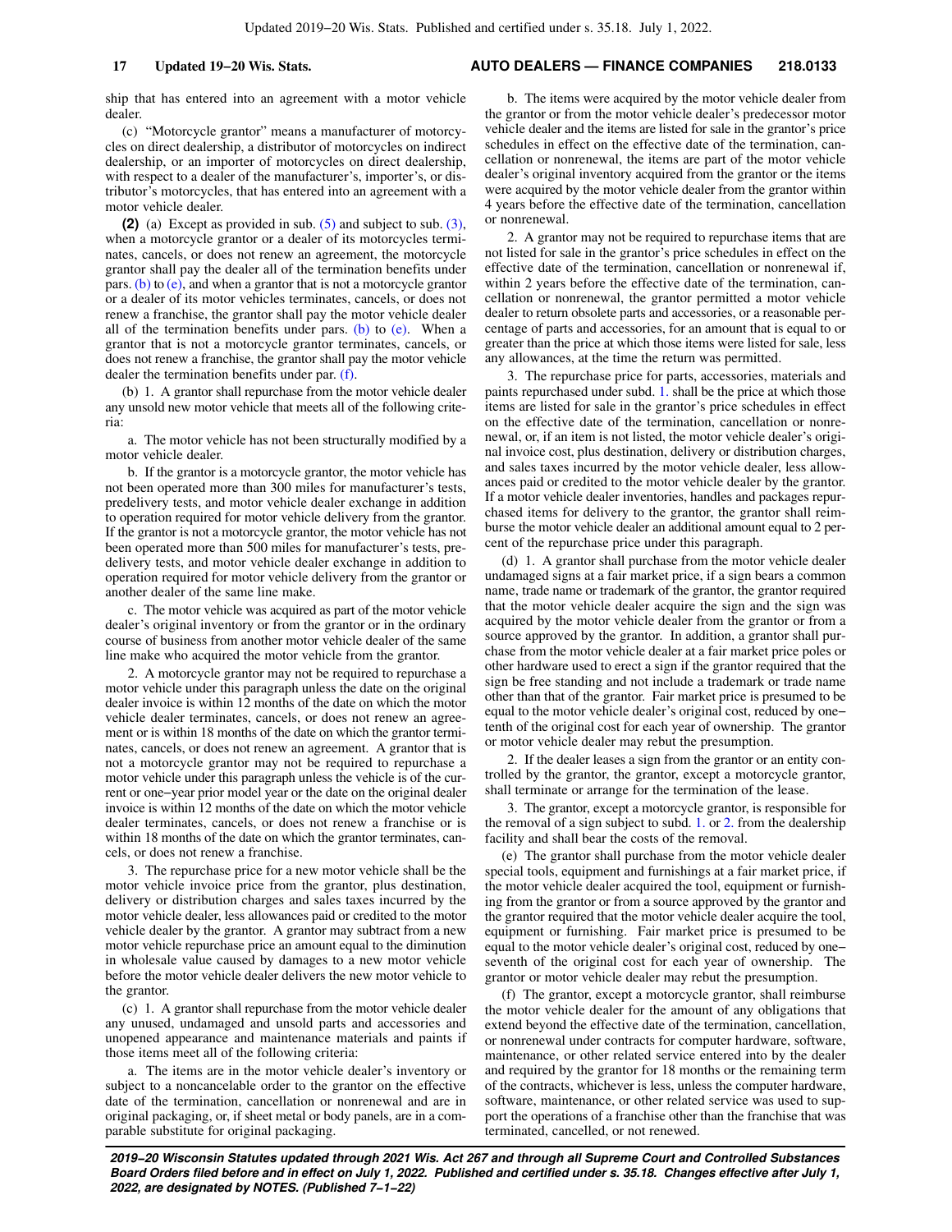#### ship that has entered into an agreement with a motor vehicle dealer.

(c) "Motorcycle grantor" means a manufacturer of motorcycles on direct dealership, a distributor of motorcycles on indirect dealership, or an importer of motorcycles on direct dealership, with respect to a dealer of the manufacturer's, importer's, or distributor's motorcycles, that has entered into an agreement with a motor vehicle dealer.

**(2)** (a) Except as provided in sub. [\(5\)](https://docs.legis.wisconsin.gov/document/statutes/218.0133(5)) and subject to sub. [\(3\),](https://docs.legis.wisconsin.gov/document/statutes/218.0133(3)) when a motorcycle grantor or a dealer of its motorcycles terminates, cancels, or does not renew an agreement, the motorcycle grantor shall pay the dealer all of the termination benefits under pars. [\(b\)](https://docs.legis.wisconsin.gov/document/statutes/218.0133(2)(b)) to  $(e)$ , and when a grantor that is not a motorcycle grantor or a dealer of its motor vehicles terminates, cancels, or does not renew a franchise, the grantor shall pay the motor vehicle dealer all of the termination benefits under pars. [\(b\)](https://docs.legis.wisconsin.gov/document/statutes/218.0133(2)(b)) to [\(e\).](https://docs.legis.wisconsin.gov/document/statutes/218.0133(2)(e)) When a grantor that is not a motorcycle grantor terminates, cancels, or does not renew a franchise, the grantor shall pay the motor vehicle dealer the termination benefits under par. [\(f\).](https://docs.legis.wisconsin.gov/document/statutes/218.0133(2)(f))

(b) 1. A grantor shall repurchase from the motor vehicle dealer any unsold new motor vehicle that meets all of the following criteria:

a. The motor vehicle has not been structurally modified by a motor vehicle dealer.

b. If the grantor is a motorcycle grantor, the motor vehicle has not been operated more than 300 miles for manufacturer's tests, predelivery tests, and motor vehicle dealer exchange in addition to operation required for motor vehicle delivery from the grantor. If the grantor is not a motorcycle grantor, the motor vehicle has not been operated more than 500 miles for manufacturer's tests, predelivery tests, and motor vehicle dealer exchange in addition to operation required for motor vehicle delivery from the grantor or another dealer of the same line make.

c. The motor vehicle was acquired as part of the motor vehicle dealer's original inventory or from the grantor or in the ordinary course of business from another motor vehicle dealer of the same line make who acquired the motor vehicle from the grantor.

2. A motorcycle grantor may not be required to repurchase a motor vehicle under this paragraph unless the date on the original dealer invoice is within 12 months of the date on which the motor vehicle dealer terminates, cancels, or does not renew an agreement or is within 18 months of the date on which the grantor terminates, cancels, or does not renew an agreement. A grantor that is not a motorcycle grantor may not be required to repurchase a motor vehicle under this paragraph unless the vehicle is of the current or one−year prior model year or the date on the original dealer invoice is within 12 months of the date on which the motor vehicle dealer terminates, cancels, or does not renew a franchise or is within 18 months of the date on which the grantor terminates, cancels, or does not renew a franchise.

3. The repurchase price for a new motor vehicle shall be the motor vehicle invoice price from the grantor, plus destination, delivery or distribution charges and sales taxes incurred by the motor vehicle dealer, less allowances paid or credited to the motor vehicle dealer by the grantor. A grantor may subtract from a new motor vehicle repurchase price an amount equal to the diminution in wholesale value caused by damages to a new motor vehicle before the motor vehicle dealer delivers the new motor vehicle to the grantor.

(c) 1. A grantor shall repurchase from the motor vehicle dealer any unused, undamaged and unsold parts and accessories and unopened appearance and maintenance materials and paints if those items meet all of the following criteria:

a. The items are in the motor vehicle dealer's inventory or subject to a noncancelable order to the grantor on the effective date of the termination, cancellation or nonrenewal and are in original packaging, or, if sheet metal or body panels, are in a comparable substitute for original packaging.

b. The items were acquired by the motor vehicle dealer from the grantor or from the motor vehicle dealer's predecessor motor vehicle dealer and the items are listed for sale in the grantor's price schedules in effect on the effective date of the termination, cancellation or nonrenewal, the items are part of the motor vehicle dealer's original inventory acquired from the grantor or the items were acquired by the motor vehicle dealer from the grantor within 4 years before the effective date of the termination, cancellation or nonrenewal.

2. A grantor may not be required to repurchase items that are not listed for sale in the grantor's price schedules in effect on the effective date of the termination, cancellation or nonrenewal if, within 2 years before the effective date of the termination, cancellation or nonrenewal, the grantor permitted a motor vehicle dealer to return obsolete parts and accessories, or a reasonable percentage of parts and accessories, for an amount that is equal to or greater than the price at which those items were listed for sale, less any allowances, at the time the return was permitted.

3. The repurchase price for parts, accessories, materials and paints repurchased under subd. [1.](https://docs.legis.wisconsin.gov/document/statutes/218.0133(2)(c)1.) shall be the price at which those items are listed for sale in the grantor's price schedules in effect on the effective date of the termination, cancellation or nonrenewal, or, if an item is not listed, the motor vehicle dealer's original invoice cost, plus destination, delivery or distribution charges, and sales taxes incurred by the motor vehicle dealer, less allowances paid or credited to the motor vehicle dealer by the grantor. If a motor vehicle dealer inventories, handles and packages repurchased items for delivery to the grantor, the grantor shall reimburse the motor vehicle dealer an additional amount equal to 2 percent of the repurchase price under this paragraph.

(d) 1. A grantor shall purchase from the motor vehicle dealer undamaged signs at a fair market price, if a sign bears a common name, trade name or trademark of the grantor, the grantor required that the motor vehicle dealer acquire the sign and the sign was acquired by the motor vehicle dealer from the grantor or from a source approved by the grantor. In addition, a grantor shall purchase from the motor vehicle dealer at a fair market price poles or other hardware used to erect a sign if the grantor required that the sign be free standing and not include a trademark or trade name other than that of the grantor. Fair market price is presumed to be equal to the motor vehicle dealer's original cost, reduced by one− tenth of the original cost for each year of ownership. The grantor or motor vehicle dealer may rebut the presumption.

2. If the dealer leases a sign from the grantor or an entity controlled by the grantor, the grantor, except a motorcycle grantor, shall terminate or arrange for the termination of the lease.

3. The grantor, except a motorcycle grantor, is responsible for the removal of a sign subject to subd. [1.](https://docs.legis.wisconsin.gov/document/statutes/218.0133(2)(d)1.) or [2.](https://docs.legis.wisconsin.gov/document/statutes/218.0133(2)(d)2.) from the dealership facility and shall bear the costs of the removal.

(e) The grantor shall purchase from the motor vehicle dealer special tools, equipment and furnishings at a fair market price, if the motor vehicle dealer acquired the tool, equipment or furnishing from the grantor or from a source approved by the grantor and the grantor required that the motor vehicle dealer acquire the tool, equipment or furnishing. Fair market price is presumed to be equal to the motor vehicle dealer's original cost, reduced by one− seventh of the original cost for each year of ownership. The grantor or motor vehicle dealer may rebut the presumption.

(f) The grantor, except a motorcycle grantor, shall reimburse the motor vehicle dealer for the amount of any obligations that extend beyond the effective date of the termination, cancellation, or nonrenewal under contracts for computer hardware, software, maintenance, or other related service entered into by the dealer and required by the grantor for 18 months or the remaining term of the contracts, whichever is less, unless the computer hardware, software, maintenance, or other related service was used to support the operations of a franchise other than the franchise that was terminated, cancelled, or not renewed.

**2019−20 Wisconsin Statutes updated through 2021 Wis. Act 267 and through all Supreme Court and Controlled Substances Board Orders filed before and in effect on July 1, 2022. Published and certified under s. 35.18. Changes effective after July 1, 2022, are designated by NOTES. (Published 7−1−22)**

## **17 Updated 19−20 Wis. Stats. AUTO DEALERS — FINANCE COMPANIES 218.0133**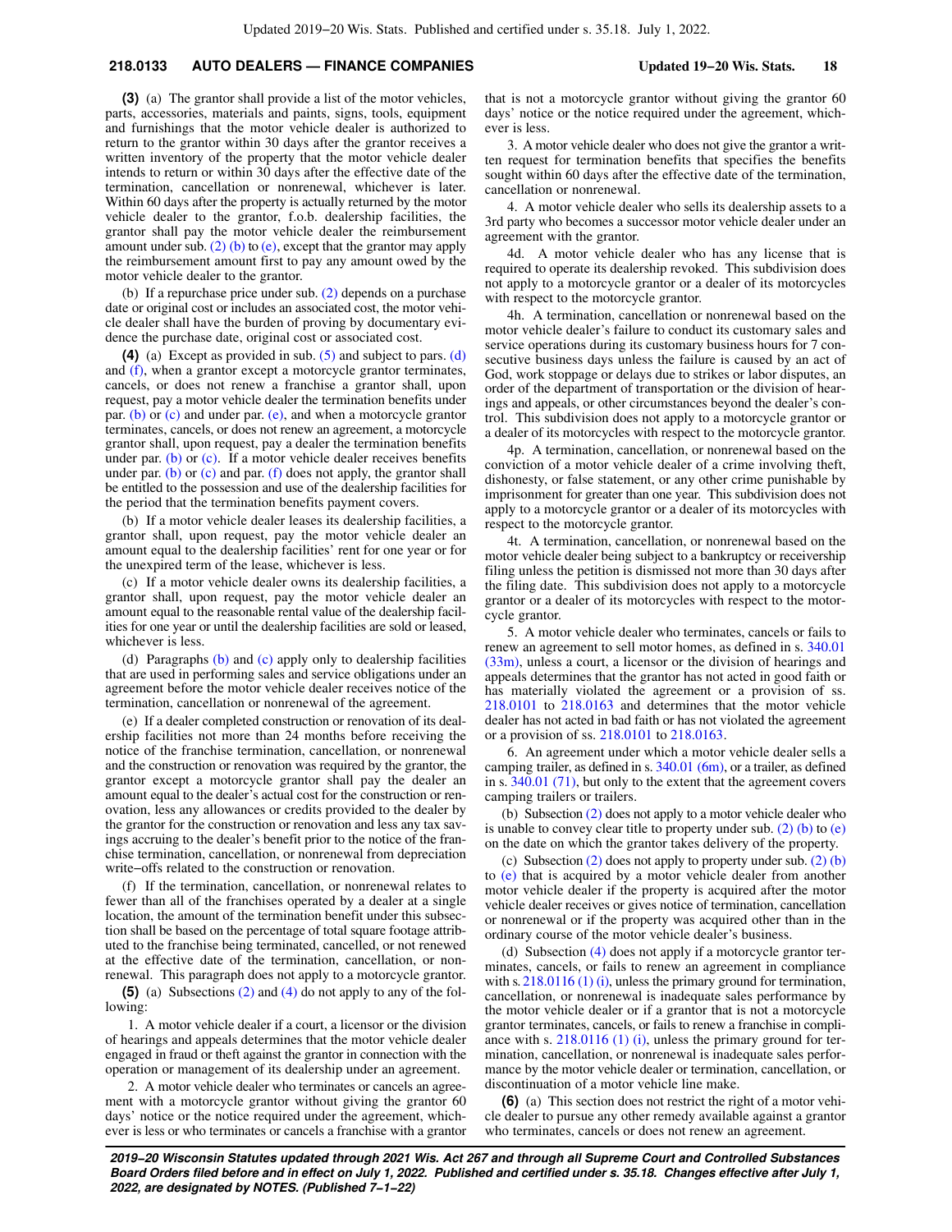## **218.0133 AUTO DEALERS — FINANCE COMPANIES Updated 19−20 Wis. Stats. 18**

**(3)** (a) The grantor shall provide a list of the motor vehicles, parts, accessories, materials and paints, signs, tools, equipment and furnishings that the motor vehicle dealer is authorized to return to the grantor within 30 days after the grantor receives a written inventory of the property that the motor vehicle dealer intends to return or within 30 days after the effective date of the termination, cancellation or nonrenewal, whichever is later. Within 60 days after the property is actually returned by the motor vehicle dealer to the grantor, f.o.b. dealership facilities, the grantor shall pay the motor vehicle dealer the reimbursement amount under sub. [\(2\) \(b\)](https://docs.legis.wisconsin.gov/document/statutes/218.0133(2)(b)) to [\(e\)](https://docs.legis.wisconsin.gov/document/statutes/218.0133(2)(e)), except that the grantor may apply the reimbursement amount first to pay any amount owed by the motor vehicle dealer to the grantor.

(b) If a repurchase price under sub. [\(2\)](https://docs.legis.wisconsin.gov/document/statutes/218.0133(2)) depends on a purchase date or original cost or includes an associated cost, the motor vehicle dealer shall have the burden of proving by documentary evidence the purchase date, original cost or associated cost.

**(4)** (a) Except as provided in sub. [\(5\)](https://docs.legis.wisconsin.gov/document/statutes/218.0133(5)) and subject to pars. [\(d\)](https://docs.legis.wisconsin.gov/document/statutes/218.0133(4)(d)) and [\(f\)](https://docs.legis.wisconsin.gov/document/statutes/218.0133(4)(f)), when a grantor except a motorcycle grantor terminates, cancels, or does not renew a franchise a grantor shall, upon request, pay a motor vehicle dealer the termination benefits under par. [\(b\)](https://docs.legis.wisconsin.gov/document/statutes/218.0133(4)(b)) or [\(c\)](https://docs.legis.wisconsin.gov/document/statutes/218.0133(4)(c)) and under par. [\(e\),](https://docs.legis.wisconsin.gov/document/statutes/218.0133(4)(e)) and when a motorcycle grantor terminates, cancels, or does not renew an agreement, a motorcycle grantor shall, upon request, pay a dealer the termination benefits under par.  $(b)$  or  $(c)$ . If a motor vehicle dealer receives benefits under par. [\(b\)](https://docs.legis.wisconsin.gov/document/statutes/218.0133(4)(b)) or [\(c\)](https://docs.legis.wisconsin.gov/document/statutes/218.0133(4)(c)) and par. [\(f\)](https://docs.legis.wisconsin.gov/document/statutes/218.0133(4)(f)) does not apply, the grantor shall be entitled to the possession and use of the dealership facilities for the period that the termination benefits payment covers.

(b) If a motor vehicle dealer leases its dealership facilities, a grantor shall, upon request, pay the motor vehicle dealer an amount equal to the dealership facilities' rent for one year or for the unexpired term of the lease, whichever is less.

(c) If a motor vehicle dealer owns its dealership facilities, a grantor shall, upon request, pay the motor vehicle dealer an amount equal to the reasonable rental value of the dealership facilities for one year or until the dealership facilities are sold or leased, whichever is less.

(d) Paragraphs  $(b)$  and  $(c)$  apply only to dealership facilities that are used in performing sales and service obligations under an agreement before the motor vehicle dealer receives notice of the termination, cancellation or nonrenewal of the agreement.

(e) If a dealer completed construction or renovation of its dealership facilities not more than 24 months before receiving the notice of the franchise termination, cancellation, or nonrenewal and the construction or renovation was required by the grantor, the grantor except a motorcycle grantor shall pay the dealer an amount equal to the dealer's actual cost for the construction or renovation, less any allowances or credits provided to the dealer by the grantor for the construction or renovation and less any tax savings accruing to the dealer's benefit prior to the notice of the franchise termination, cancellation, or nonrenewal from depreciation write−offs related to the construction or renovation.

(f) If the termination, cancellation, or nonrenewal relates to fewer than all of the franchises operated by a dealer at a single location, the amount of the termination benefit under this subsection shall be based on the percentage of total square footage attributed to the franchise being terminated, cancelled, or not renewed at the effective date of the termination, cancellation, or nonrenewal. This paragraph does not apply to a motorcycle grantor.

**(5)** (a) Subsections [\(2\)](https://docs.legis.wisconsin.gov/document/statutes/218.0133(2)) and [\(4\)](https://docs.legis.wisconsin.gov/document/statutes/218.0133(4)) do not apply to any of the following:

1. A motor vehicle dealer if a court, a licensor or the division of hearings and appeals determines that the motor vehicle dealer engaged in fraud or theft against the grantor in connection with the operation or management of its dealership under an agreement.

2. A motor vehicle dealer who terminates or cancels an agreement with a motorcycle grantor without giving the grantor 60 days' notice or the notice required under the agreement, whichever is less or who terminates or cancels a franchise with a grantor that is not a motorcycle grantor without giving the grantor 60 days' notice or the notice required under the agreement, whichever is less.

3. A motor vehicle dealer who does not give the grantor a written request for termination benefits that specifies the benefits sought within 60 days after the effective date of the termination, cancellation or nonrenewal.

4. A motor vehicle dealer who sells its dealership assets to a 3rd party who becomes a successor motor vehicle dealer under an agreement with the grantor.

4d. A motor vehicle dealer who has any license that is required to operate its dealership revoked. This subdivision does not apply to a motorcycle grantor or a dealer of its motorcycles with respect to the motorcycle grantor.

4h. A termination, cancellation or nonrenewal based on the motor vehicle dealer's failure to conduct its customary sales and service operations during its customary business hours for 7 consecutive business days unless the failure is caused by an act of God, work stoppage or delays due to strikes or labor disputes, an order of the department of transportation or the division of hearings and appeals, or other circumstances beyond the dealer's control. This subdivision does not apply to a motorcycle grantor or a dealer of its motorcycles with respect to the motorcycle grantor.

4p. A termination, cancellation, or nonrenewal based on the conviction of a motor vehicle dealer of a crime involving theft, dishonesty, or false statement, or any other crime punishable by imprisonment for greater than one year. This subdivision does not apply to a motorcycle grantor or a dealer of its motorcycles with respect to the motorcycle grantor.

4t. A termination, cancellation, or nonrenewal based on the motor vehicle dealer being subject to a bankruptcy or receivership filing unless the petition is dismissed not more than 30 days after the filing date. This subdivision does not apply to a motorcycle grantor or a dealer of its motorcycles with respect to the motorcycle grantor.

5. A motor vehicle dealer who terminates, cancels or fails to renew an agreement to sell motor homes, as defined in s. [340.01](https://docs.legis.wisconsin.gov/document/statutes/340.01(33m)) [\(33m\)](https://docs.legis.wisconsin.gov/document/statutes/340.01(33m)), unless a court, a licensor or the division of hearings and appeals determines that the grantor has not acted in good faith or has materially violated the agreement or a provision of ss. [218.0101](https://docs.legis.wisconsin.gov/document/statutes/218.0101) to [218.0163](https://docs.legis.wisconsin.gov/document/statutes/218.0163) and determines that the motor vehicle dealer has not acted in bad faith or has not violated the agreement or a provision of ss. [218.0101](https://docs.legis.wisconsin.gov/document/statutes/218.0101) to [218.0163.](https://docs.legis.wisconsin.gov/document/statutes/218.0163)

6. An agreement under which a motor vehicle dealer sells a camping trailer, as defined in s. [340.01 \(6m\),](https://docs.legis.wisconsin.gov/document/statutes/340.01(6m)) or a trailer, as defined in s. [340.01 \(71\),](https://docs.legis.wisconsin.gov/document/statutes/340.01(71)) but only to the extent that the agreement covers camping trailers or trailers.

(b) Subsection [\(2\)](https://docs.legis.wisconsin.gov/document/statutes/218.0133(2)) does not apply to a motor vehicle dealer who is unable to convey clear title to property under sub.  $(2)$  (b) to  $(e)$ on the date on which the grantor takes delivery of the property.

(c) Subsection [\(2\)](https://docs.legis.wisconsin.gov/document/statutes/218.0133(2)) does not apply to property under sub. [\(2\) \(b\)](https://docs.legis.wisconsin.gov/document/statutes/218.0133(2)(b)) to [\(e\)](https://docs.legis.wisconsin.gov/document/statutes/218.0133(2)(e)) that is acquired by a motor vehicle dealer from another motor vehicle dealer if the property is acquired after the motor vehicle dealer receives or gives notice of termination, cancellation or nonrenewal or if the property was acquired other than in the ordinary course of the motor vehicle dealer's business.

(d) Subsection [\(4\)](https://docs.legis.wisconsin.gov/document/statutes/218.0133(4)) does not apply if a motorcycle grantor terminates, cancels, or fails to renew an agreement in compliance with s. [218.0116 \(1\) \(i\),](https://docs.legis.wisconsin.gov/document/statutes/218.0116(1)(i)) unless the primary ground for termination, cancellation, or nonrenewal is inadequate sales performance by the motor vehicle dealer or if a grantor that is not a motorcycle grantor terminates, cancels, or fails to renew a franchise in compliance with s. [218.0116 \(1\) \(i\),](https://docs.legis.wisconsin.gov/document/statutes/218.0116(1)(i)) unless the primary ground for termination, cancellation, or nonrenewal is inadequate sales performance by the motor vehicle dealer or termination, cancellation, or discontinuation of a motor vehicle line make.

**(6)** (a) This section does not restrict the right of a motor vehicle dealer to pursue any other remedy available against a grantor who terminates, cancels or does not renew an agreement.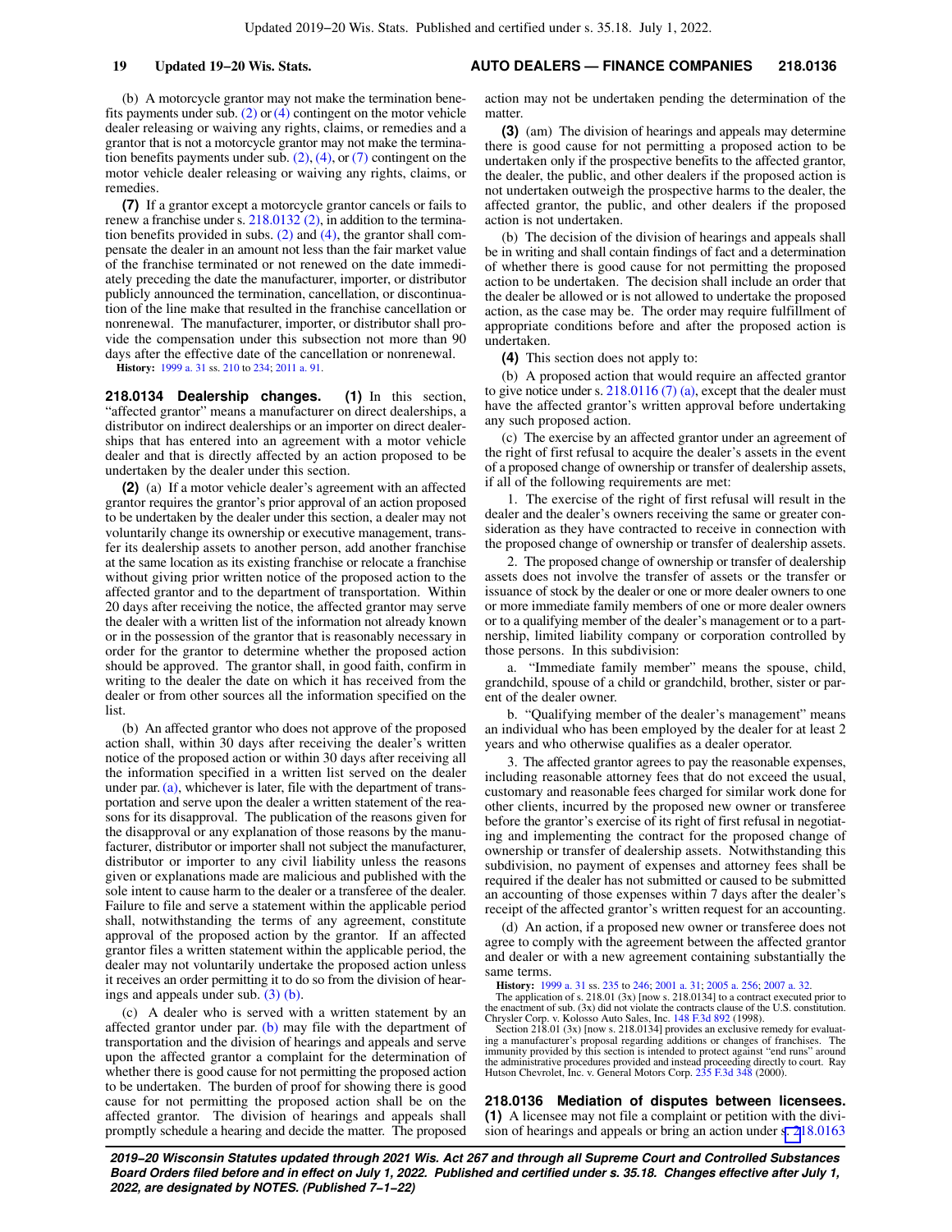(b) A motorcycle grantor may not make the termination benefits payments under sub.  $(2)$  or  $(4)$  contingent on the motor vehicle dealer releasing or waiving any rights, claims, or remedies and a grantor that is not a motorcycle grantor may not make the termination benefits payments under sub.  $(2)$ ,  $(4)$ , or  $(7)$  contingent on the motor vehicle dealer releasing or waiving any rights, claims, or remedies.

**(7)** If a grantor except a motorcycle grantor cancels or fails to renew a franchise under s. [218.0132 \(2\),](https://docs.legis.wisconsin.gov/document/statutes/218.0132(2)) in addition to the termination benefits provided in subs. [\(2\)](https://docs.legis.wisconsin.gov/document/statutes/218.0133(2)) and [\(4\),](https://docs.legis.wisconsin.gov/document/statutes/218.0133(4)) the grantor shall compensate the dealer in an amount not less than the fair market value of the franchise terminated or not renewed on the date immediately preceding the date the manufacturer, importer, or distributor publicly announced the termination, cancellation, or discontinuation of the line make that resulted in the franchise cancellation or nonrenewal. The manufacturer, importer, or distributor shall provide the compensation under this subsection not more than 90 days after the effective date of the cancellation or nonrenewal.

**History:** [1999 a. 31](https://docs.legis.wisconsin.gov/document/acts/1999/31) ss. [210](https://docs.legis.wisconsin.gov/document/acts/1999/31,%20s.%20210) to [234;](https://docs.legis.wisconsin.gov/document/acts/1999/31,%20s.%20234) [2011 a. 91](https://docs.legis.wisconsin.gov/document/acts/2011/91).

**218.0134 Dealership changes. (1)** In this section, "affected grantor" means a manufacturer on direct dealerships, a distributor on indirect dealerships or an importer on direct dealerships that has entered into an agreement with a motor vehicle dealer and that is directly affected by an action proposed to be undertaken by the dealer under this section.

**(2)** (a) If a motor vehicle dealer's agreement with an affected grantor requires the grantor's prior approval of an action proposed to be undertaken by the dealer under this section, a dealer may not voluntarily change its ownership or executive management, transfer its dealership assets to another person, add another franchise at the same location as its existing franchise or relocate a franchise without giving prior written notice of the proposed action to the affected grantor and to the department of transportation. Within 20 days after receiving the notice, the affected grantor may serve the dealer with a written list of the information not already known or in the possession of the grantor that is reasonably necessary in order for the grantor to determine whether the proposed action should be approved. The grantor shall, in good faith, confirm in writing to the dealer the date on which it has received from the dealer or from other sources all the information specified on the list.

(b) An affected grantor who does not approve of the proposed action shall, within 30 days after receiving the dealer's written notice of the proposed action or within 30 days after receiving all the information specified in a written list served on the dealer under par.  $(a)$ , whichever is later, file with the department of transportation and serve upon the dealer a written statement of the reasons for its disapproval. The publication of the reasons given for the disapproval or any explanation of those reasons by the manufacturer, distributor or importer shall not subject the manufacturer, distributor or importer to any civil liability unless the reasons given or explanations made are malicious and published with the sole intent to cause harm to the dealer or a transferee of the dealer. Failure to file and serve a statement within the applicable period shall, notwithstanding the terms of any agreement, constitute approval of the proposed action by the grantor. If an affected grantor files a written statement within the applicable period, the dealer may not voluntarily undertake the proposed action unless it receives an order permitting it to do so from the division of hearings and appeals under sub. [\(3\) \(b\)](https://docs.legis.wisconsin.gov/document/statutes/218.0134(3)(b)).

(c) A dealer who is served with a written statement by an affected grantor under par. [\(b\)](https://docs.legis.wisconsin.gov/document/statutes/218.0134(2)(b)) may file with the department of transportation and the division of hearings and appeals and serve upon the affected grantor a complaint for the determination of whether there is good cause for not permitting the proposed action to be undertaken. The burden of proof for showing there is good cause for not permitting the proposed action shall be on the affected grantor. The division of hearings and appeals shall promptly schedule a hearing and decide the matter. The proposed

#### **19 Updated 19−20 Wis. Stats. AUTO DEALERS — FINANCE COMPANIES 218.0136**

action may not be undertaken pending the determination of the matter.

**(3)** (am) The division of hearings and appeals may determine there is good cause for not permitting a proposed action to be undertaken only if the prospective benefits to the affected grantor, the dealer, the public, and other dealers if the proposed action is not undertaken outweigh the prospective harms to the dealer, the affected grantor, the public, and other dealers if the proposed action is not undertaken.

(b) The decision of the division of hearings and appeals shall be in writing and shall contain findings of fact and a determination of whether there is good cause for not permitting the proposed action to be undertaken. The decision shall include an order that the dealer be allowed or is not allowed to undertake the proposed action, as the case may be. The order may require fulfillment of appropriate conditions before and after the proposed action is undertaken.

**(4)** This section does not apply to:

(b) A proposed action that would require an affected grantor to give notice under s.  $218.0116(7)(a)$ , except that the dealer must have the affected grantor's written approval before undertaking any such proposed action.

(c) The exercise by an affected grantor under an agreement of the right of first refusal to acquire the dealer's assets in the event of a proposed change of ownership or transfer of dealership assets, if all of the following requirements are met:

1. The exercise of the right of first refusal will result in the dealer and the dealer's owners receiving the same or greater consideration as they have contracted to receive in connection with the proposed change of ownership or transfer of dealership assets.

2. The proposed change of ownership or transfer of dealership assets does not involve the transfer of assets or the transfer or issuance of stock by the dealer or one or more dealer owners to one or more immediate family members of one or more dealer owners or to a qualifying member of the dealer's management or to a partnership, limited liability company or corporation controlled by those persons. In this subdivision:

a. "Immediate family member" means the spouse, child, grandchild, spouse of a child or grandchild, brother, sister or parent of the dealer owner.

b. "Qualifying member of the dealer's management" means an individual who has been employed by the dealer for at least 2 years and who otherwise qualifies as a dealer operator.

3. The affected grantor agrees to pay the reasonable expenses, including reasonable attorney fees that do not exceed the usual, customary and reasonable fees charged for similar work done for other clients, incurred by the proposed new owner or transferee before the grantor's exercise of its right of first refusal in negotiating and implementing the contract for the proposed change of ownership or transfer of dealership assets. Notwithstanding this subdivision, no payment of expenses and attorney fees shall be required if the dealer has not submitted or caused to be submitted an accounting of those expenses within 7 days after the dealer's receipt of the affected grantor's written request for an accounting.

(d) An action, if a proposed new owner or transferee does not agree to comply with the agreement between the affected grantor and dealer or with a new agreement containing substantially the same terms.

**History:** [1999 a. 31](https://docs.legis.wisconsin.gov/document/acts/1999/31) ss. [235](https://docs.legis.wisconsin.gov/document/acts/1999/31,%20s.%20235) to [246;](https://docs.legis.wisconsin.gov/document/acts/1999/31,%20s.%20246) [2001 a. 31;](https://docs.legis.wisconsin.gov/document/acts/2001/31) [2005 a. 256;](https://docs.legis.wisconsin.gov/document/acts/2005/256) [2007 a. 32.](https://docs.legis.wisconsin.gov/document/acts/2007/32)

The application of s. 218.01 (3x) [now s. 218.0134] to a contract executed prior to the enactment of sub. (3x) did not violate the contracts clause of the U.S. constitution. Chrysler Corp. v. Kolosso Auto Sales, Inc. [148 F.3d 892](https://docs.legis.wisconsin.gov/document/courts/148%20F.3d%20892) (1998).

Section 218.01 (3x) [now s. 218.0134] provides an exclusive remedy for evaluat-<br>ing a manufacturer's proposal regarding additions or changes of franchises. The<br>immunity provided by this section is intended to protect again the administrative procedures provided and instead proceeding directly to court. Ray Hutson Chevrolet, Inc. v. General Motors Corp. [235 F.3d 348](https://docs.legis.wisconsin.gov/document/courts/235%20F.3d%20348) (2000).

**218.0136 Mediation of disputes between licensees. (1)** A licensee may not file a complaint or petition with the division of hearings and appeals or bring an action under [s. 21](https://docs.legis.wisconsin.gov/document/statutes/218.0163(1))8.0163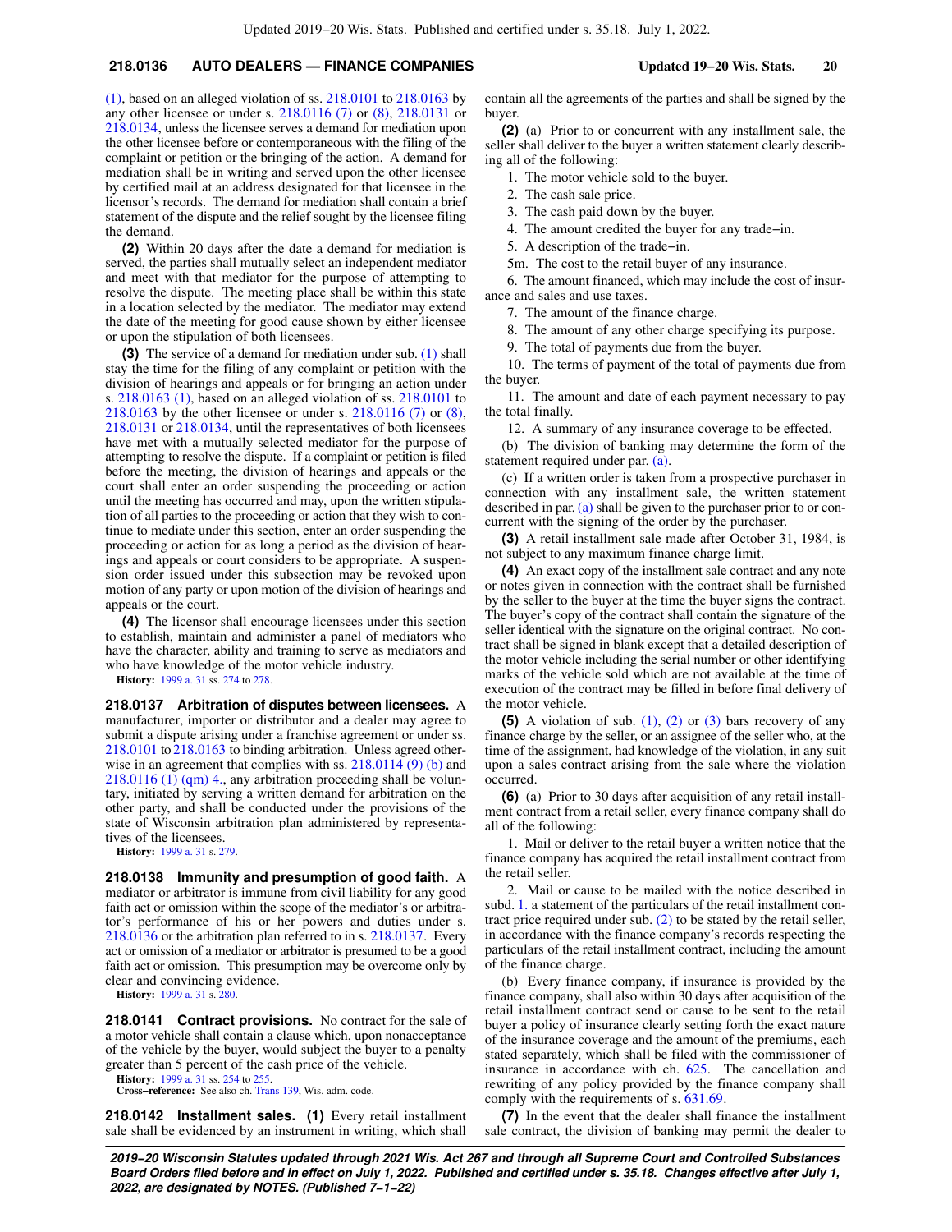## **218.0136 AUTO DEALERS — FINANCE COMPANIES Updated 19−20 Wis. Stats. 20**

[\(1\)](https://docs.legis.wisconsin.gov/document/statutes/218.0163(1)), based on an alleged violation of ss. [218.0101](https://docs.legis.wisconsin.gov/document/statutes/218.0101) to [218.0163](https://docs.legis.wisconsin.gov/document/statutes/218.0163) by any other licensee or under s. [218.0116 \(7\)](https://docs.legis.wisconsin.gov/document/statutes/218.0116(7)) or [\(8\)](https://docs.legis.wisconsin.gov/document/statutes/218.0116(8)), [218.0131](https://docs.legis.wisconsin.gov/document/statutes/218.0131) or [218.0134,](https://docs.legis.wisconsin.gov/document/statutes/218.0134) unless the licensee serves a demand for mediation upon the other licensee before or contemporaneous with the filing of the complaint or petition or the bringing of the action. A demand for mediation shall be in writing and served upon the other licensee by certified mail at an address designated for that licensee in the licensor's records. The demand for mediation shall contain a brief statement of the dispute and the relief sought by the licensee filing the demand.

**(2)** Within 20 days after the date a demand for mediation is served, the parties shall mutually select an independent mediator and meet with that mediator for the purpose of attempting to resolve the dispute. The meeting place shall be within this state in a location selected by the mediator. The mediator may extend the date of the meeting for good cause shown by either licensee or upon the stipulation of both licensees.

**(3)** The service of a demand for mediation under sub. [\(1\)](https://docs.legis.wisconsin.gov/document/statutes/218.0136(1)) shall stay the time for the filing of any complaint or petition with the division of hearings and appeals or for bringing an action under s. [218.0163 \(1\),](https://docs.legis.wisconsin.gov/document/statutes/218.0163(1)) based on an alleged violation of ss. [218.0101](https://docs.legis.wisconsin.gov/document/statutes/218.0101) to [218.0163](https://docs.legis.wisconsin.gov/document/statutes/218.0163) by the other licensee or under s. [218.0116 \(7\)](https://docs.legis.wisconsin.gov/document/statutes/218.0116(7)) or [\(8\),](https://docs.legis.wisconsin.gov/document/statutes/218.0116(8)) [218.0131](https://docs.legis.wisconsin.gov/document/statutes/218.0131) or [218.0134](https://docs.legis.wisconsin.gov/document/statutes/218.0134), until the representatives of both licensees have met with a mutually selected mediator for the purpose of attempting to resolve the dispute. If a complaint or petition is filed before the meeting, the division of hearings and appeals or the court shall enter an order suspending the proceeding or action until the meeting has occurred and may, upon the written stipulation of all parties to the proceeding or action that they wish to continue to mediate under this section, enter an order suspending the proceeding or action for as long a period as the division of hearings and appeals or court considers to be appropriate. A suspension order issued under this subsection may be revoked upon motion of any party or upon motion of the division of hearings and appeals or the court.

**(4)** The licensor shall encourage licensees under this section to establish, maintain and administer a panel of mediators who have the character, ability and training to serve as mediators and who have knowledge of the motor vehicle industry.

**History:** [1999 a. 31](https://docs.legis.wisconsin.gov/document/acts/1999/31) ss. [274](https://docs.legis.wisconsin.gov/document/acts/1999/31,%20s.%20274) to [278.](https://docs.legis.wisconsin.gov/document/acts/1999/31,%20s.%20278)

**218.0137 Arbitration of disputes between licensees.** A manufacturer, importer or distributor and a dealer may agree to submit a dispute arising under a franchise agreement or under ss. [218.0101](https://docs.legis.wisconsin.gov/document/statutes/218.0101) to [218.0163](https://docs.legis.wisconsin.gov/document/statutes/218.0163) to binding arbitration. Unless agreed other-wise in an agreement that complies with ss. [218.0114 \(9\) \(b\)](https://docs.legis.wisconsin.gov/document/statutes/218.0114(9)(b)) and [218.0116 \(1\) \(qm\) 4.](https://docs.legis.wisconsin.gov/document/statutes/218.0116(1)(qm)4.), any arbitration proceeding shall be voluntary, initiated by serving a written demand for arbitration on the other party, and shall be conducted under the provisions of the state of Wisconsin arbitration plan administered by representatives of the licensees.

**History:** [1999 a. 31](https://docs.legis.wisconsin.gov/document/acts/1999/31) s. [279](https://docs.legis.wisconsin.gov/document/acts/1999/31,%20s.%20279).

**218.0138 Immunity and presumption of good faith.** A mediator or arbitrator is immune from civil liability for any good faith act or omission within the scope of the mediator's or arbitrator's performance of his or her powers and duties under s. [218.0136](https://docs.legis.wisconsin.gov/document/statutes/218.0136) or the arbitration plan referred to in s. [218.0137](https://docs.legis.wisconsin.gov/document/statutes/218.0137). Every act or omission of a mediator or arbitrator is presumed to be a good faith act or omission. This presumption may be overcome only by clear and convincing evidence.

**History:** [1999 a. 31](https://docs.legis.wisconsin.gov/document/acts/1999/31) s. [280](https://docs.legis.wisconsin.gov/document/acts/1999/31,%20s.%20280).

**218.0141 Contract provisions.** No contract for the sale of a motor vehicle shall contain a clause which, upon nonacceptance of the vehicle by the buyer, would subject the buyer to a penalty greater than 5 percent of the cash price of the vehicle.

**History:** [1999 a. 31](https://docs.legis.wisconsin.gov/document/acts/1999/31) ss. [254](https://docs.legis.wisconsin.gov/document/acts/1999/31,%20s.%20254) to [255.](https://docs.legis.wisconsin.gov/document/acts/1999/31,%20s.%20255)

**Cross−reference:** See also ch. [Trans 139](https://docs.legis.wisconsin.gov/document/administrativecode/ch.%20Trans%20139), Wis. adm. code.

**218.0142 Installment sales. (1)** Every retail installment sale shall be evidenced by an instrument in writing, which shall contain all the agreements of the parties and shall be signed by the buyer.

**(2)** (a) Prior to or concurrent with any installment sale, the seller shall deliver to the buyer a written statement clearly describing all of the following:

1. The motor vehicle sold to the buyer.

2. The cash sale price.

3. The cash paid down by the buyer.

4. The amount credited the buyer for any trade−in.

5. A description of the trade−in.

5m. The cost to the retail buyer of any insurance.

6. The amount financed, which may include the cost of insurance and sales and use taxes.

7. The amount of the finance charge.

8. The amount of any other charge specifying its purpose.

9. The total of payments due from the buyer.

10. The terms of payment of the total of payments due from the buyer.

11. The amount and date of each payment necessary to pay the total finally.

12. A summary of any insurance coverage to be effected.

(b) The division of banking may determine the form of the statement required under par. [\(a\).](https://docs.legis.wisconsin.gov/document/statutes/218.0142(2)(a))

(c) If a written order is taken from a prospective purchaser in connection with any installment sale, the written statement described in par. [\(a\)](https://docs.legis.wisconsin.gov/document/statutes/218.0142(2)(a)) shall be given to the purchaser prior to or concurrent with the signing of the order by the purchaser.

**(3)** A retail installment sale made after October 31, 1984, is not subject to any maximum finance charge limit.

**(4)** An exact copy of the installment sale contract and any note or notes given in connection with the contract shall be furnished by the seller to the buyer at the time the buyer signs the contract. The buyer's copy of the contract shall contain the signature of the seller identical with the signature on the original contract. No contract shall be signed in blank except that a detailed description of the motor vehicle including the serial number or other identifying marks of the vehicle sold which are not available at the time of execution of the contract may be filled in before final delivery of the motor vehicle.

**(5)** A violation of sub. [\(1\)](https://docs.legis.wisconsin.gov/document/statutes/218.0142(1)), [\(2\)](https://docs.legis.wisconsin.gov/document/statutes/218.0142(2)) or [\(3\)](https://docs.legis.wisconsin.gov/document/statutes/218.0142(3)) bars recovery of any finance charge by the seller, or an assignee of the seller who, at the time of the assignment, had knowledge of the violation, in any suit upon a sales contract arising from the sale where the violation occurred.

**(6)** (a) Prior to 30 days after acquisition of any retail installment contract from a retail seller, every finance company shall do all of the following:

1. Mail or deliver to the retail buyer a written notice that the finance company has acquired the retail installment contract from the retail seller.

2. Mail or cause to be mailed with the notice described in subd. [1.](https://docs.legis.wisconsin.gov/document/statutes/218.0142(6)(a)1.) a statement of the particulars of the retail installment contract price required under sub. [\(2\)](https://docs.legis.wisconsin.gov/document/statutes/218.0142(2)) to be stated by the retail seller, in accordance with the finance company's records respecting the particulars of the retail installment contract, including the amount of the finance charge.

(b) Every finance company, if insurance is provided by the finance company, shall also within 30 days after acquisition of the retail installment contract send or cause to be sent to the retail buyer a policy of insurance clearly setting forth the exact nature of the insurance coverage and the amount of the premiums, each stated separately, which shall be filed with the commissioner of insurance in accordance with ch. [625](https://docs.legis.wisconsin.gov/document/statutes/ch.%20625). The cancellation and rewriting of any policy provided by the finance company shall comply with the requirements of s. [631.69](https://docs.legis.wisconsin.gov/document/statutes/631.69).

**(7)** In the event that the dealer shall finance the installment sale contract, the division of banking may permit the dealer to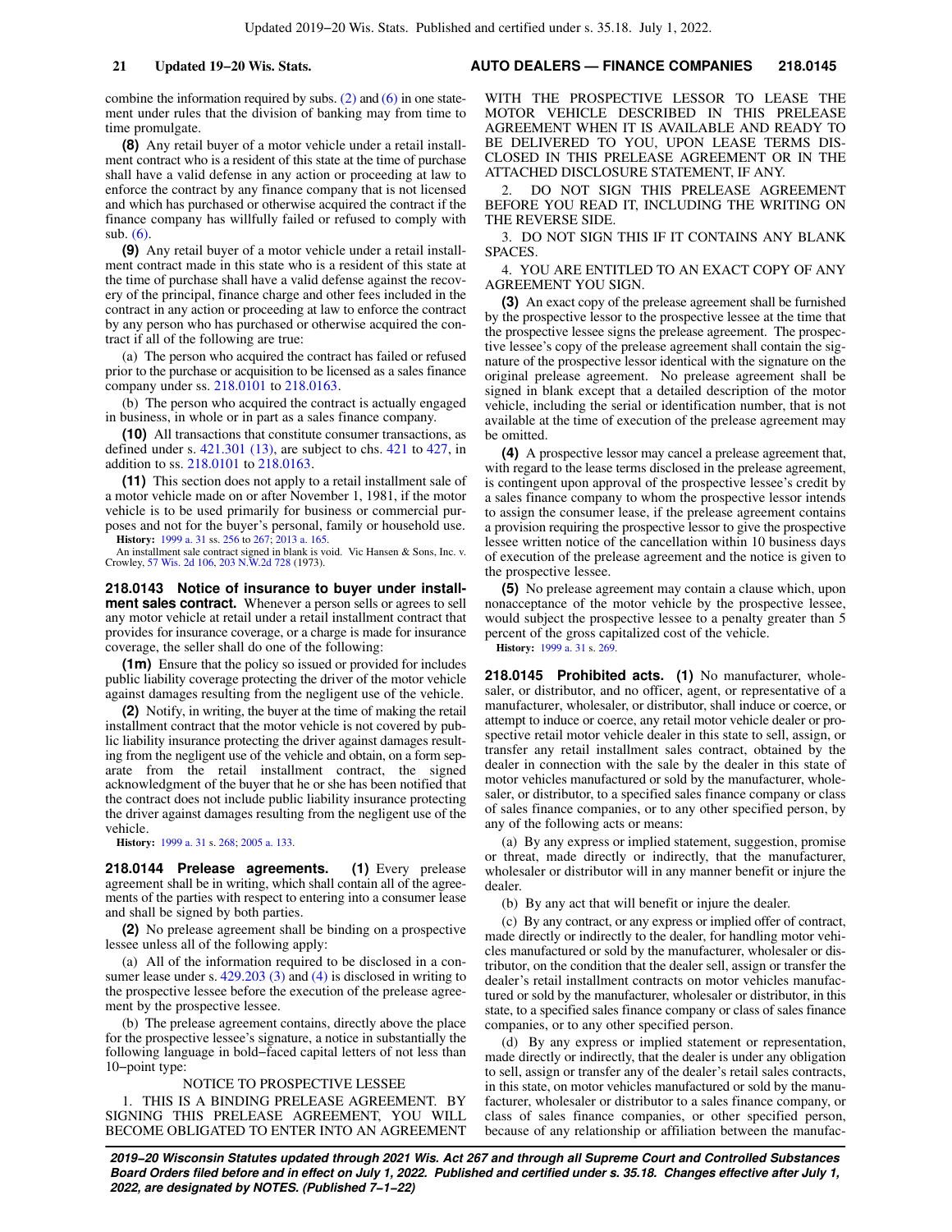## **21 Updated 19−20 Wis. Stats. AUTO DEALERS — FINANCE COMPANIES 218.0145**

combine the information required by subs.  $(2)$  and  $(6)$  in one statement under rules that the division of banking may from time to time promulgate.

**(8)** Any retail buyer of a motor vehicle under a retail installment contract who is a resident of this state at the time of purchase shall have a valid defense in any action or proceeding at law to enforce the contract by any finance company that is not licensed and which has purchased or otherwise acquired the contract if the finance company has willfully failed or refused to comply with sub. [\(6\)](https://docs.legis.wisconsin.gov/document/statutes/218.0142(6)).

**(9)** Any retail buyer of a motor vehicle under a retail installment contract made in this state who is a resident of this state at the time of purchase shall have a valid defense against the recovery of the principal, finance charge and other fees included in the contract in any action or proceeding at law to enforce the contract by any person who has purchased or otherwise acquired the contract if all of the following are true:

(a) The person who acquired the contract has failed or refused prior to the purchase or acquisition to be licensed as a sales finance company under ss. [218.0101](https://docs.legis.wisconsin.gov/document/statutes/218.0101) to [218.0163](https://docs.legis.wisconsin.gov/document/statutes/218.0163).

(b) The person who acquired the contract is actually engaged in business, in whole or in part as a sales finance company.

**(10)** All transactions that constitute consumer transactions, as defined under s. [421.301 \(13\),](https://docs.legis.wisconsin.gov/document/statutes/421.301(13)) are subject to chs. [421](https://docs.legis.wisconsin.gov/document/statutes/ch.%20421) to [427](https://docs.legis.wisconsin.gov/document/statutes/ch.%20427), in addition to ss. [218.0101](https://docs.legis.wisconsin.gov/document/statutes/218.0101) to [218.0163](https://docs.legis.wisconsin.gov/document/statutes/218.0163).

**(11)** This section does not apply to a retail installment sale of a motor vehicle made on or after November 1, 1981, if the motor vehicle is to be used primarily for business or commercial purposes and not for the buyer's personal, family or household use. **History:** [1999 a. 31](https://docs.legis.wisconsin.gov/document/acts/1999/31) ss. [256](https://docs.legis.wisconsin.gov/document/acts/1999/31,%20s.%20256) to [267;](https://docs.legis.wisconsin.gov/document/acts/1999/31,%20s.%20267) [2013 a. 165](https://docs.legis.wisconsin.gov/document/acts/2013/165).

An installment sale contract signed in blank is void. Vic Hansen & Sons, Inc. v. Crowley, [57 Wis. 2d 106](https://docs.legis.wisconsin.gov/document/courts/57%20Wis.%202d%20106), [203 N.W.2d 728](https://docs.legis.wisconsin.gov/document/courts/203%20N.W.2d%20728) (1973).

**218.0143 Notice of insurance to buyer under installment sales contract.** Whenever a person sells or agrees to sell any motor vehicle at retail under a retail installment contract that provides for insurance coverage, or a charge is made for insurance coverage, the seller shall do one of the following:

**(1m)** Ensure that the policy so issued or provided for includes public liability coverage protecting the driver of the motor vehicle against damages resulting from the negligent use of the vehicle.

**(2)** Notify, in writing, the buyer at the time of making the retail installment contract that the motor vehicle is not covered by public liability insurance protecting the driver against damages resulting from the negligent use of the vehicle and obtain, on a form separate from the retail installment contract, the signed acknowledgment of the buyer that he or she has been notified that the contract does not include public liability insurance protecting the driver against damages resulting from the negligent use of the vehicle.

**History:** [1999 a. 31](https://docs.legis.wisconsin.gov/document/acts/1999/31) s. [268](https://docs.legis.wisconsin.gov/document/acts/1999/31,%20s.%20268); [2005 a. 133](https://docs.legis.wisconsin.gov/document/acts/2005/133).

**218.0144 Prelease agreements. (1)** Every prelease agreement shall be in writing, which shall contain all of the agreements of the parties with respect to entering into a consumer lease and shall be signed by both parties.

**(2)** No prelease agreement shall be binding on a prospective lessee unless all of the following apply:

(a) All of the information required to be disclosed in a con-sumer lease under s. [429.203 \(3\)](https://docs.legis.wisconsin.gov/document/statutes/429.203(3)) and [\(4\)](https://docs.legis.wisconsin.gov/document/statutes/429.203(4)) is disclosed in writing to the prospective lessee before the execution of the prelease agreement by the prospective lessee.

(b) The prelease agreement contains, directly above the place for the prospective lessee's signature, a notice in substantially the following language in bold−faced capital letters of not less than 10−point type:

## NOTICE TO PROSPECTIVE LESSEE

1. THIS IS A BINDING PRELEASE AGREEMENT. BY SIGNING THIS PRELEASE AGREEMENT, YOU WILL BECOME OBLIGATED TO ENTER INTO AN AGREEMENT

WITH THE PROSPECTIVE LESSOR TO LEASE THE MOTOR VEHICLE DESCRIBED IN THIS PRELEASE AGREEMENT WHEN IT IS AVAILABLE AND READY TO BE DELIVERED TO YOU, UPON LEASE TERMS DIS-CLOSED IN THIS PRELEASE AGREEMENT OR IN THE ATTACHED DISCLOSURE STATEMENT, IF ANY.

2. DO NOT SIGN THIS PRELEASE AGREEMENT BEFORE YOU READ IT, INCLUDING THE WRITING ON THE REVERSE SIDE.

3. DO NOT SIGN THIS IF IT CONTAINS ANY BLANK SPACES.

4. YOU ARE ENTITLED TO AN EXACT COPY OF ANY AGREEMENT YOU SIGN.

**(3)** An exact copy of the prelease agreement shall be furnished by the prospective lessor to the prospective lessee at the time that the prospective lessee signs the prelease agreement. The prospective lessee's copy of the prelease agreement shall contain the signature of the prospective lessor identical with the signature on the original prelease agreement. No prelease agreement shall be signed in blank except that a detailed description of the motor vehicle, including the serial or identification number, that is not available at the time of execution of the prelease agreement may be omitted.

**(4)** A prospective lessor may cancel a prelease agreement that, with regard to the lease terms disclosed in the prelease agreement, is contingent upon approval of the prospective lessee's credit by a sales finance company to whom the prospective lessor intends to assign the consumer lease, if the prelease agreement contains a provision requiring the prospective lessor to give the prospective lessee written notice of the cancellation within 10 business days of execution of the prelease agreement and the notice is given to the prospective lessee.

**(5)** No prelease agreement may contain a clause which, upon nonacceptance of the motor vehicle by the prospective lessee, would subject the prospective lessee to a penalty greater than 5 percent of the gross capitalized cost of the vehicle.

**History:** [1999 a. 31](https://docs.legis.wisconsin.gov/document/acts/1999/31) s. [269.](https://docs.legis.wisconsin.gov/document/acts/1999/31,%20s.%20269)

**218.0145 Prohibited acts. (1)** No manufacturer, wholesaler, or distributor, and no officer, agent, or representative of a manufacturer, wholesaler, or distributor, shall induce or coerce, or attempt to induce or coerce, any retail motor vehicle dealer or prospective retail motor vehicle dealer in this state to sell, assign, or transfer any retail installment sales contract, obtained by the dealer in connection with the sale by the dealer in this state of motor vehicles manufactured or sold by the manufacturer, wholesaler, or distributor, to a specified sales finance company or class of sales finance companies, or to any other specified person, by any of the following acts or means:

(a) By any express or implied statement, suggestion, promise or threat, made directly or indirectly, that the manufacturer, wholesaler or distributor will in any manner benefit or injure the dealer.

(b) By any act that will benefit or injure the dealer.

(c) By any contract, or any express or implied offer of contract, made directly or indirectly to the dealer, for handling motor vehicles manufactured or sold by the manufacturer, wholesaler or distributor, on the condition that the dealer sell, assign or transfer the dealer's retail installment contracts on motor vehicles manufactured or sold by the manufacturer, wholesaler or distributor, in this state, to a specified sales finance company or class of sales finance companies, or to any other specified person.

(d) By any express or implied statement or representation, made directly or indirectly, that the dealer is under any obligation to sell, assign or transfer any of the dealer's retail sales contracts, in this state, on motor vehicles manufactured or sold by the manufacturer, wholesaler or distributor to a sales finance company, or class of sales finance companies, or other specified person, because of any relationship or affiliation between the manufac-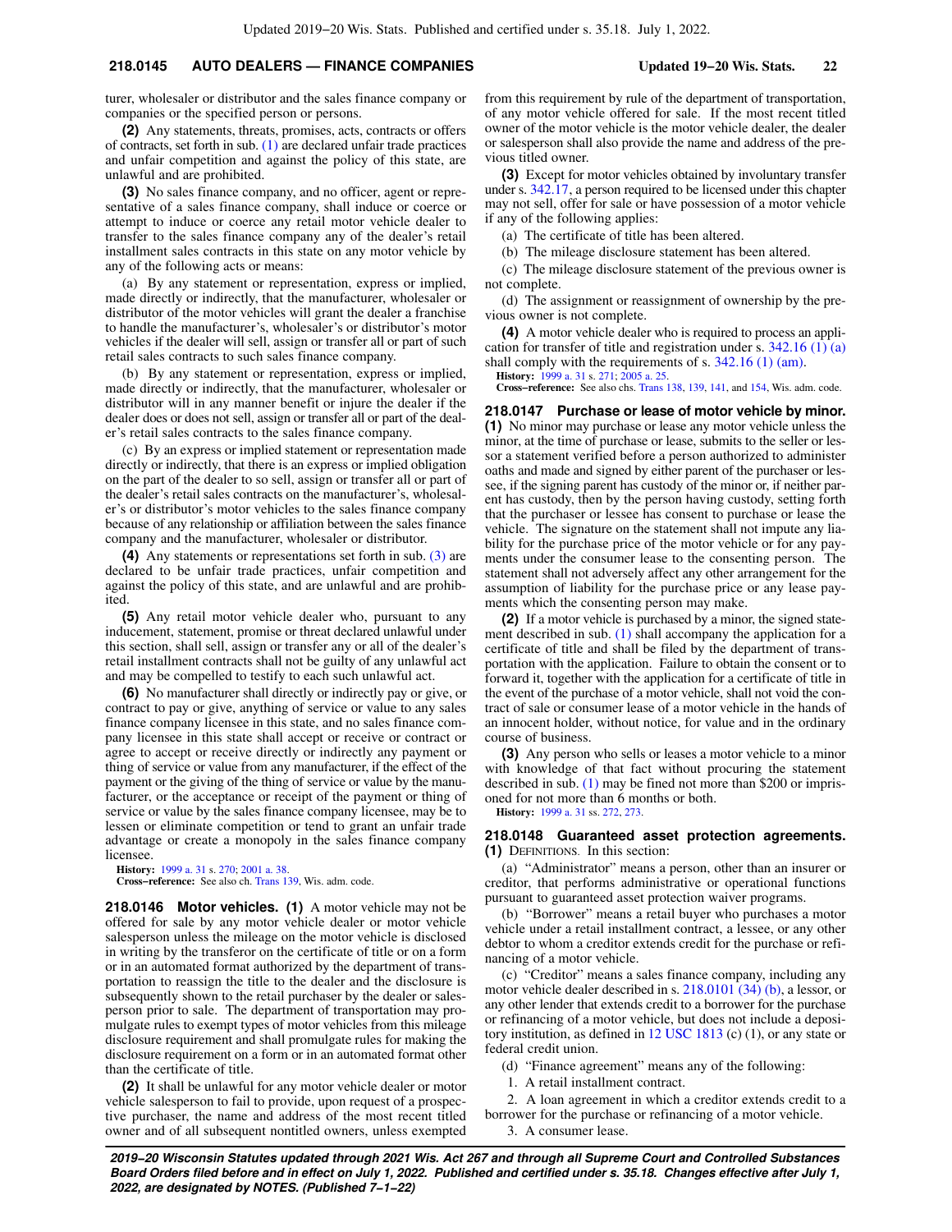## **218.0145 AUTO DEALERS — FINANCE COMPANIES Updated 19−20 Wis. Stats. 22**

turer, wholesaler or distributor and the sales finance company or companies or the specified person or persons.

**(2)** Any statements, threats, promises, acts, contracts or offers of contracts, set forth in sub. [\(1\)](https://docs.legis.wisconsin.gov/document/statutes/218.0145(1)) are declared unfair trade practices and unfair competition and against the policy of this state, are unlawful and are prohibited.

**(3)** No sales finance company, and no officer, agent or representative of a sales finance company, shall induce or coerce or attempt to induce or coerce any retail motor vehicle dealer to transfer to the sales finance company any of the dealer's retail installment sales contracts in this state on any motor vehicle by any of the following acts or means:

(a) By any statement or representation, express or implied, made directly or indirectly, that the manufacturer, wholesaler or distributor of the motor vehicles will grant the dealer a franchise to handle the manufacturer's, wholesaler's or distributor's motor vehicles if the dealer will sell, assign or transfer all or part of such retail sales contracts to such sales finance company.

(b) By any statement or representation, express or implied, made directly or indirectly, that the manufacturer, wholesaler or distributor will in any manner benefit or injure the dealer if the dealer does or does not sell, assign or transfer all or part of the dealer's retail sales contracts to the sales finance company.

(c) By an express or implied statement or representation made directly or indirectly, that there is an express or implied obligation on the part of the dealer to so sell, assign or transfer all or part of the dealer's retail sales contracts on the manufacturer's, wholesaler's or distributor's motor vehicles to the sales finance company because of any relationship or affiliation between the sales finance company and the manufacturer, wholesaler or distributor.

**(4)** Any statements or representations set forth in sub. [\(3\)](https://docs.legis.wisconsin.gov/document/statutes/218.0145(3)) are declared to be unfair trade practices, unfair competition and against the policy of this state, and are unlawful and are prohibited.

**(5)** Any retail motor vehicle dealer who, pursuant to any inducement, statement, promise or threat declared unlawful under this section, shall sell, assign or transfer any or all of the dealer's retail installment contracts shall not be guilty of any unlawful act and may be compelled to testify to each such unlawful act.

**(6)** No manufacturer shall directly or indirectly pay or give, or contract to pay or give, anything of service or value to any sales finance company licensee in this state, and no sales finance company licensee in this state shall accept or receive or contract or agree to accept or receive directly or indirectly any payment or thing of service or value from any manufacturer, if the effect of the payment or the giving of the thing of service or value by the manufacturer, or the acceptance or receipt of the payment or thing of service or value by the sales finance company licensee, may be to lessen or eliminate competition or tend to grant an unfair trade advantage or create a monopoly in the sales finance company licensee.

**History:** [1999 a. 31](https://docs.legis.wisconsin.gov/document/acts/1999/31) s. [270](https://docs.legis.wisconsin.gov/document/acts/1999/31,%20s.%20270); [2001 a. 38.](https://docs.legis.wisconsin.gov/document/acts/2001/38)

**Cross−reference:** See also ch. [Trans 139](https://docs.legis.wisconsin.gov/document/administrativecode/ch.%20Trans%20139), Wis. adm. code.

**218.0146 Motor vehicles. (1)** A motor vehicle may not be offered for sale by any motor vehicle dealer or motor vehicle salesperson unless the mileage on the motor vehicle is disclosed in writing by the transferor on the certificate of title or on a form or in an automated format authorized by the department of transportation to reassign the title to the dealer and the disclosure is subsequently shown to the retail purchaser by the dealer or salesperson prior to sale. The department of transportation may promulgate rules to exempt types of motor vehicles from this mileage disclosure requirement and shall promulgate rules for making the disclosure requirement on a form or in an automated format other than the certificate of title.

**(2)** It shall be unlawful for any motor vehicle dealer or motor vehicle salesperson to fail to provide, upon request of a prospective purchaser, the name and address of the most recent titled owner and of all subsequent nontitled owners, unless exempted from this requirement by rule of the department of transportation, of any motor vehicle offered for sale. If the most recent titled owner of the motor vehicle is the motor vehicle dealer, the dealer or salesperson shall also provide the name and address of the previous titled owner.

**(3)** Except for motor vehicles obtained by involuntary transfer under s. [342.17](https://docs.legis.wisconsin.gov/document/statutes/342.17), a person required to be licensed under this chapter may not sell, offer for sale or have possession of a motor vehicle if any of the following applies:

(a) The certificate of title has been altered.

(b) The mileage disclosure statement has been altered.

(c) The mileage disclosure statement of the previous owner is not complete.

(d) The assignment or reassignment of ownership by the previous owner is not complete.

**(4)** A motor vehicle dealer who is required to process an application for transfer of title and registration under s. [342.16 \(1\) \(a\)](https://docs.legis.wisconsin.gov/document/statutes/342.16(1)(a)) shall comply with the requirements of s. [342.16 \(1\) \(am\).](https://docs.legis.wisconsin.gov/document/statutes/342.16(1)(am))

**History:** [1999 a. 31](https://docs.legis.wisconsin.gov/document/acts/1999/31) s. [271;](https://docs.legis.wisconsin.gov/document/acts/1999/31,%20s.%20271) [2005 a. 25.](https://docs.legis.wisconsin.gov/document/acts/2005/25)

**Cross−reference:** See also chs. [Trans 138](https://docs.legis.wisconsin.gov/document/administrativecode/ch.%20Trans%20138), [139](https://docs.legis.wisconsin.gov/document/administrativecode/ch.%20Trans%20139), [141](https://docs.legis.wisconsin.gov/document/administrativecode/ch.%20Trans%20141), and [154](https://docs.legis.wisconsin.gov/document/administrativecode/ch.%20Trans%20154), Wis. adm. code.

**218.0147 Purchase or lease of motor vehicle by minor. (1)** No minor may purchase or lease any motor vehicle unless the minor, at the time of purchase or lease, submits to the seller or lessor a statement verified before a person authorized to administer oaths and made and signed by either parent of the purchaser or lessee, if the signing parent has custody of the minor or, if neither parent has custody, then by the person having custody, setting forth that the purchaser or lessee has consent to purchase or lease the vehicle. The signature on the statement shall not impute any liability for the purchase price of the motor vehicle or for any payments under the consumer lease to the consenting person. The statement shall not adversely affect any other arrangement for the assumption of liability for the purchase price or any lease payments which the consenting person may make.

**(2)** If a motor vehicle is purchased by a minor, the signed statement described in sub. [\(1\)](https://docs.legis.wisconsin.gov/document/statutes/218.0147(1)) shall accompany the application for a certificate of title and shall be filed by the department of transportation with the application. Failure to obtain the consent or to forward it, together with the application for a certificate of title in the event of the purchase of a motor vehicle, shall not void the contract of sale or consumer lease of a motor vehicle in the hands of an innocent holder, without notice, for value and in the ordinary course of business.

**(3)** Any person who sells or leases a motor vehicle to a minor with knowledge of that fact without procuring the statement described in sub. [\(1\)](https://docs.legis.wisconsin.gov/document/statutes/218.0147(1)) may be fined not more than \$200 or imprisoned for not more than 6 months or both.

**History:** [1999 a. 31](https://docs.legis.wisconsin.gov/document/acts/1999/31) ss. [272](https://docs.legis.wisconsin.gov/document/acts/1999/31,%20s.%20272), [273](https://docs.legis.wisconsin.gov/document/acts/1999/31,%20s.%20273).

#### **218.0148 Guaranteed asset protection agreements. (1)** DEFINITIONS. In this section:

(a) "Administrator" means a person, other than an insurer or creditor, that performs administrative or operational functions pursuant to guaranteed asset protection waiver programs.

(b) "Borrower" means a retail buyer who purchases a motor vehicle under a retail installment contract, a lessee, or any other debtor to whom a creditor extends credit for the purchase or refinancing of a motor vehicle.

(c) "Creditor" means a sales finance company, including any motor vehicle dealer described in s. [218.0101 \(34\) \(b\)](https://docs.legis.wisconsin.gov/document/statutes/218.0101(34)(b)), a lessor, or any other lender that extends credit to a borrower for the purchase or refinancing of a motor vehicle, but does not include a depository institution, as defined in [12 USC 1813](https://docs.legis.wisconsin.gov/document/usc/12%20USC%201813) (c) (1), or any state or federal credit union.

(d) "Finance agreement" means any of the following:

1. A retail installment contract.

2. A loan agreement in which a creditor extends credit to a borrower for the purchase or refinancing of a motor vehicle.

3. A consumer lease.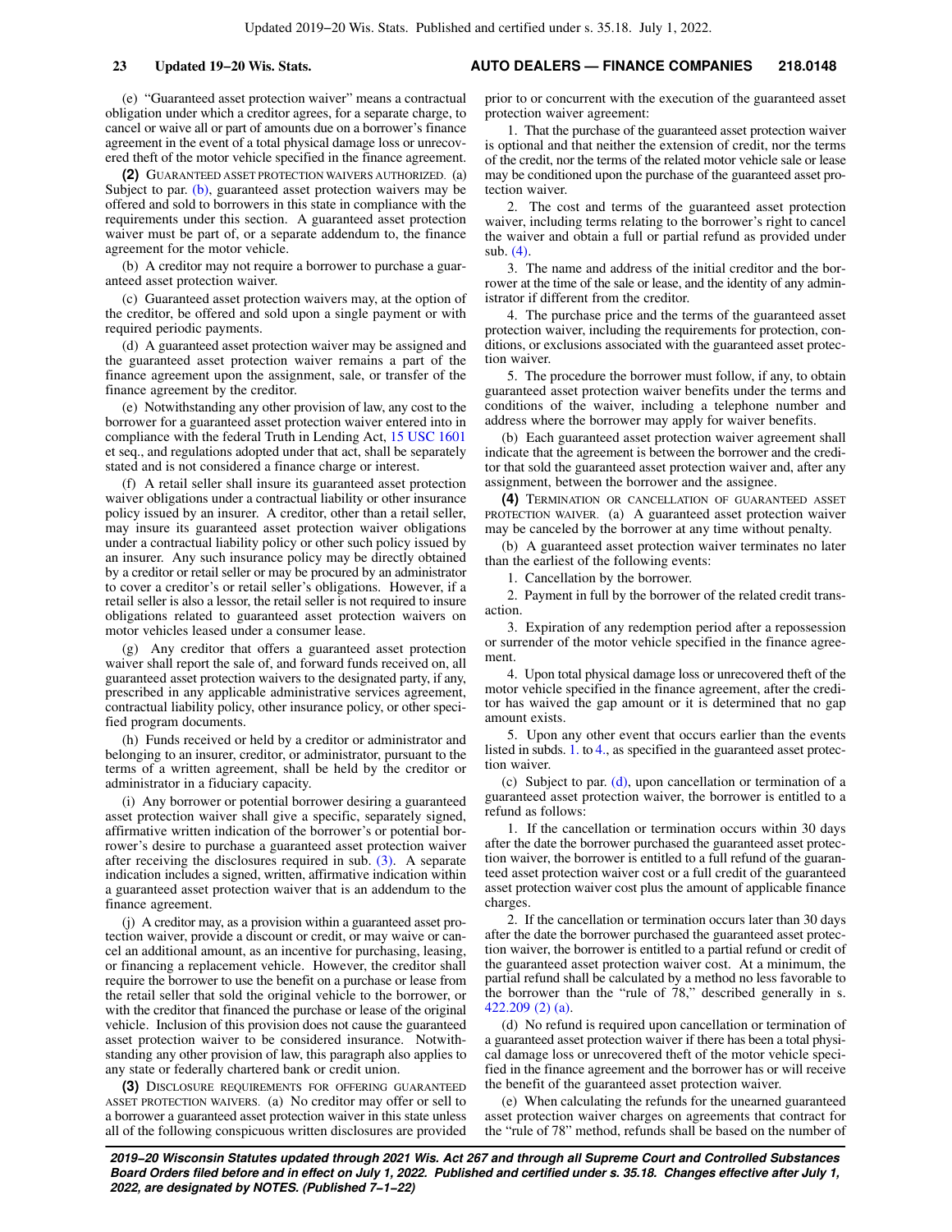## **23 Updated 19−20 Wis. Stats. AUTO DEALERS — FINANCE COMPANIES 218.0148**

(e) "Guaranteed asset protection waiver" means a contractual obligation under which a creditor agrees, for a separate charge, to cancel or waive all or part of amounts due on a borrower's finance agreement in the event of a total physical damage loss or unrecovered theft of the motor vehicle specified in the finance agreement.

**(2)** GUARANTEED ASSET PROTECTION WAIVERS AUTHORIZED. (a) Subject to par.  $(b)$ , guaranteed asset protection waivers may be offered and sold to borrowers in this state in compliance with the requirements under this section. A guaranteed asset protection waiver must be part of, or a separate addendum to, the finance agreement for the motor vehicle.

(b) A creditor may not require a borrower to purchase a guaranteed asset protection waiver.

(c) Guaranteed asset protection waivers may, at the option of the creditor, be offered and sold upon a single payment or with required periodic payments.

(d) A guaranteed asset protection waiver may be assigned and the guaranteed asset protection waiver remains a part of the finance agreement upon the assignment, sale, or transfer of the finance agreement by the creditor.

(e) Notwithstanding any other provision of law, any cost to the borrower for a guaranteed asset protection waiver entered into in compliance with the federal Truth in Lending Act, [15 USC 1601](https://docs.legis.wisconsin.gov/document/usc/15%20USC%201601) et seq., and regulations adopted under that act, shall be separately stated and is not considered a finance charge or interest.

(f) A retail seller shall insure its guaranteed asset protection waiver obligations under a contractual liability or other insurance policy issued by an insurer. A creditor, other than a retail seller, may insure its guaranteed asset protection waiver obligations under a contractual liability policy or other such policy issued by an insurer. Any such insurance policy may be directly obtained by a creditor or retail seller or may be procured by an administrator to cover a creditor's or retail seller's obligations. However, if a retail seller is also a lessor, the retail seller is not required to insure obligations related to guaranteed asset protection waivers on motor vehicles leased under a consumer lease.

(g) Any creditor that offers a guaranteed asset protection waiver shall report the sale of, and forward funds received on, all guaranteed asset protection waivers to the designated party, if any, prescribed in any applicable administrative services agreement, contractual liability policy, other insurance policy, or other specified program documents.

(h) Funds received or held by a creditor or administrator and belonging to an insurer, creditor, or administrator, pursuant to the terms of a written agreement, shall be held by the creditor or administrator in a fiduciary capacity.

(i) Any borrower or potential borrower desiring a guaranteed asset protection waiver shall give a specific, separately signed, affirmative written indication of the borrower's or potential borrower's desire to purchase a guaranteed asset protection waiver after receiving the disclosures required in sub. [\(3\).](https://docs.legis.wisconsin.gov/document/statutes/218.0148(3)) A separate indication includes a signed, written, affirmative indication within a guaranteed asset protection waiver that is an addendum to the finance agreement.

(j) A creditor may, as a provision within a guaranteed asset protection waiver, provide a discount or credit, or may waive or cancel an additional amount, as an incentive for purchasing, leasing, or financing a replacement vehicle. However, the creditor shall require the borrower to use the benefit on a purchase or lease from the retail seller that sold the original vehicle to the borrower, or with the creditor that financed the purchase or lease of the original vehicle. Inclusion of this provision does not cause the guaranteed asset protection waiver to be considered insurance. Notwithstanding any other provision of law, this paragraph also applies to any state or federally chartered bank or credit union.

**(3)** DISCLOSURE REQUIREMENTS FOR OFFERING GUARANTEED ASSET PROTECTION WAIVERS. (a) No creditor may offer or sell to a borrower a guaranteed asset protection waiver in this state unless all of the following conspicuous written disclosures are provided prior to or concurrent with the execution of the guaranteed asset protection waiver agreement:

1. That the purchase of the guaranteed asset protection waiver is optional and that neither the extension of credit, nor the terms of the credit, nor the terms of the related motor vehicle sale or lease may be conditioned upon the purchase of the guaranteed asset protection waiver.

2. The cost and terms of the guaranteed asset protection waiver, including terms relating to the borrower's right to cancel the waiver and obtain a full or partial refund as provided under sub. [\(4\).](https://docs.legis.wisconsin.gov/document/statutes/218.0148(4))

3. The name and address of the initial creditor and the borrower at the time of the sale or lease, and the identity of any administrator if different from the creditor.

4. The purchase price and the terms of the guaranteed asset protection waiver, including the requirements for protection, conditions, or exclusions associated with the guaranteed asset protection waiver.

5. The procedure the borrower must follow, if any, to obtain guaranteed asset protection waiver benefits under the terms and conditions of the waiver, including a telephone number and address where the borrower may apply for waiver benefits.

(b) Each guaranteed asset protection waiver agreement shall indicate that the agreement is between the borrower and the creditor that sold the guaranteed asset protection waiver and, after any assignment, between the borrower and the assignee.

**(4)** TERMINATION OR CANCELLATION OF GUARANTEED ASSET PROTECTION WAIVER. (a) A guaranteed asset protection waiver may be canceled by the borrower at any time without penalty.

(b) A guaranteed asset protection waiver terminates no later than the earliest of the following events:

1. Cancellation by the borrower.

2. Payment in full by the borrower of the related credit transaction.

3. Expiration of any redemption period after a repossession or surrender of the motor vehicle specified in the finance agreement.

4. Upon total physical damage loss or unrecovered theft of the motor vehicle specified in the finance agreement, after the creditor has waived the gap amount or it is determined that no gap amount exists.

5. Upon any other event that occurs earlier than the events listed in subds. [1.](https://docs.legis.wisconsin.gov/document/statutes/218.0148(4)(b)1.) to [4.,](https://docs.legis.wisconsin.gov/document/statutes/218.0148(4)(b)4.) as specified in the guaranteed asset protection waiver.

(c) Subject to par. [\(d\),](https://docs.legis.wisconsin.gov/document/statutes/218.0148(4)(d)) upon cancellation or termination of a guaranteed asset protection waiver, the borrower is entitled to a refund as follows:

1. If the cancellation or termination occurs within 30 days after the date the borrower purchased the guaranteed asset protection waiver, the borrower is entitled to a full refund of the guaranteed asset protection waiver cost or a full credit of the guaranteed asset protection waiver cost plus the amount of applicable finance charges.

2. If the cancellation or termination occurs later than 30 days after the date the borrower purchased the guaranteed asset protection waiver, the borrower is entitled to a partial refund or credit of the guaranteed asset protection waiver cost. At a minimum, the partial refund shall be calculated by a method no less favorable to the borrower than the "rule of 78," described generally in s. [422.209 \(2\) \(a\).](https://docs.legis.wisconsin.gov/document/statutes/422.209(2)(a))

(d) No refund is required upon cancellation or termination of a guaranteed asset protection waiver if there has been a total physical damage loss or unrecovered theft of the motor vehicle specified in the finance agreement and the borrower has or will receive the benefit of the guaranteed asset protection waiver.

(e) When calculating the refunds for the unearned guaranteed asset protection waiver charges on agreements that contract for the "rule of 78" method, refunds shall be based on the number of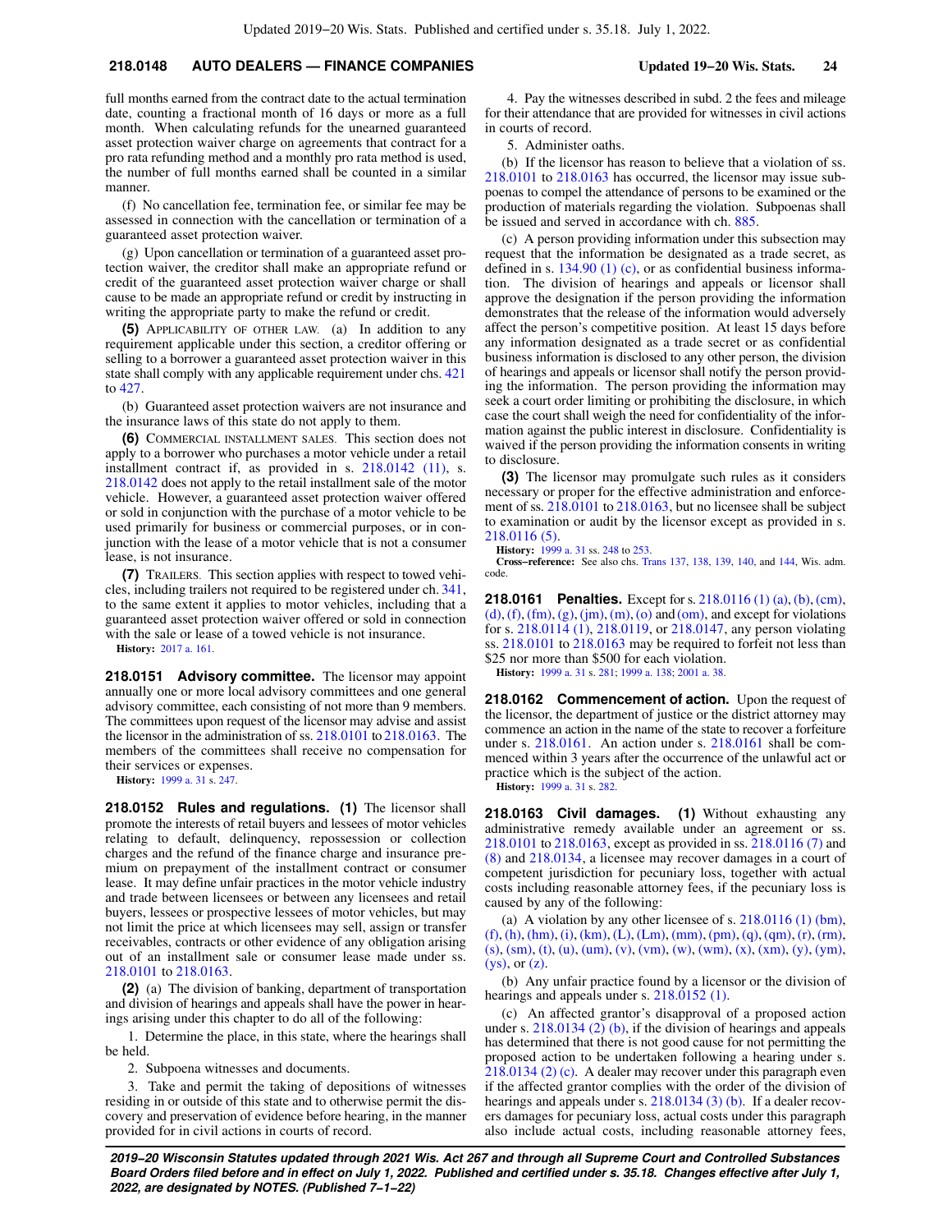## **218.0148 AUTO DEALERS — FINANCE COMPANIES Updated 19−20 Wis. Stats. 24**

full months earned from the contract date to the actual termination date, counting a fractional month of 16 days or more as a full month. When calculating refunds for the unearned guaranteed asset protection waiver charge on agreements that contract for a pro rata refunding method and a monthly pro rata method is used, the number of full months earned shall be counted in a similar manner.

(f) No cancellation fee, termination fee, or similar fee may be assessed in connection with the cancellation or termination of a guaranteed asset protection waiver.

(g) Upon cancellation or termination of a guaranteed asset protection waiver, the creditor shall make an appropriate refund or credit of the guaranteed asset protection waiver charge or shall cause to be made an appropriate refund or credit by instructing in writing the appropriate party to make the refund or credit.

**(5)** APPLICABILITY OF OTHER LAW. (a) In addition to any requirement applicable under this section, a creditor offering or selling to a borrower a guaranteed asset protection waiver in this state shall comply with any applicable requirement under chs. [421](https://docs.legis.wisconsin.gov/document/statutes/ch.%20421) to [427.](https://docs.legis.wisconsin.gov/document/statutes/ch.%20427)

(b) Guaranteed asset protection waivers are not insurance and the insurance laws of this state do not apply to them.

**(6)** COMMERCIAL INSTALLMENT SALES. This section does not apply to a borrower who purchases a motor vehicle under a retail installment contract if, as provided in s. [218.0142 \(11\),](https://docs.legis.wisconsin.gov/document/statutes/218.0142(11)) s. [218.0142](https://docs.legis.wisconsin.gov/document/statutes/218.0142) does not apply to the retail installment sale of the motor vehicle. However, a guaranteed asset protection waiver offered or sold in conjunction with the purchase of a motor vehicle to be used primarily for business or commercial purposes, or in conjunction with the lease of a motor vehicle that is not a consumer lease, is not insurance.

**(7)** TRAILERS. This section applies with respect to towed vehicles, including trailers not required to be registered under ch. [341,](https://docs.legis.wisconsin.gov/document/statutes/ch.%20341) to the same extent it applies to motor vehicles, including that a guaranteed asset protection waiver offered or sold in connection with the sale or lease of a towed vehicle is not insurance.

**History:** [2017 a. 161](https://docs.legis.wisconsin.gov/document/acts/2017/161).

**218.0151 Advisory committee.** The licensor may appoint annually one or more local advisory committees and one general advisory committee, each consisting of not more than 9 members. The committees upon request of the licensor may advise and assist the licensor in the administration of ss. [218.0101](https://docs.legis.wisconsin.gov/document/statutes/218.0101) to [218.0163](https://docs.legis.wisconsin.gov/document/statutes/218.0163). The members of the committees shall receive no compensation for their services or expenses.

**History:** [1999 a. 31](https://docs.legis.wisconsin.gov/document/acts/1999/31) s. [247](https://docs.legis.wisconsin.gov/document/acts/1999/31,%20s.%20247).

**218.0152 Rules and regulations. (1)** The licensor shall promote the interests of retail buyers and lessees of motor vehicles relating to default, delinquency, repossession or collection charges and the refund of the finance charge and insurance premium on prepayment of the installment contract or consumer lease. It may define unfair practices in the motor vehicle industry and trade between licensees or between any licensees and retail buyers, lessees or prospective lessees of motor vehicles, but may not limit the price at which licensees may sell, assign or transfer receivables, contracts or other evidence of any obligation arising out of an installment sale or consumer lease made under ss. [218.0101](https://docs.legis.wisconsin.gov/document/statutes/218.0101) to [218.0163](https://docs.legis.wisconsin.gov/document/statutes/218.0163).

**(2)** (a) The division of banking, department of transportation and division of hearings and appeals shall have the power in hearings arising under this chapter to do all of the following:

1. Determine the place, in this state, where the hearings shall be held.

2. Subpoena witnesses and documents.

3. Take and permit the taking of depositions of witnesses residing in or outside of this state and to otherwise permit the discovery and preservation of evidence before hearing, in the manner provided for in civil actions in courts of record.

4. Pay the witnesses described in subd. 2 the fees and mileage for their attendance that are provided for witnesses in civil actions in courts of record.

5. Administer oaths.

(b) If the licensor has reason to believe that a violation of ss. [218.0101](https://docs.legis.wisconsin.gov/document/statutes/218.0101) to [218.0163](https://docs.legis.wisconsin.gov/document/statutes/218.0163) has occurred, the licensor may issue subpoenas to compel the attendance of persons to be examined or the production of materials regarding the violation. Subpoenas shall be issued and served in accordance with ch. [885](https://docs.legis.wisconsin.gov/document/statutes/ch.%20885).

(c) A person providing information under this subsection may request that the information be designated as a trade secret, as defined in s. [134.90 \(1\) \(c\)](https://docs.legis.wisconsin.gov/document/statutes/134.90(1)(c)), or as confidential business information. The division of hearings and appeals or licensor shall approve the designation if the person providing the information demonstrates that the release of the information would adversely affect the person's competitive position. At least 15 days before any information designated as a trade secret or as confidential business information is disclosed to any other person, the division of hearings and appeals or licensor shall notify the person providing the information. The person providing the information may seek a court order limiting or prohibiting the disclosure, in which case the court shall weigh the need for confidentiality of the information against the public interest in disclosure. Confidentiality is waived if the person providing the information consents in writing to disclosure.

**(3)** The licensor may promulgate such rules as it considers necessary or proper for the effective administration and enforcement of ss. [218.0101](https://docs.legis.wisconsin.gov/document/statutes/218.0101) to [218.0163,](https://docs.legis.wisconsin.gov/document/statutes/218.0163) but no licensee shall be subject to examination or audit by the licensor except as provided in s. [218.0116 \(5\)](https://docs.legis.wisconsin.gov/document/statutes/218.0116(5)).

**History:** [1999 a. 31](https://docs.legis.wisconsin.gov/document/acts/1999/31) ss. [248](https://docs.legis.wisconsin.gov/document/acts/1999/31,%20s.%20248) to [253.](https://docs.legis.wisconsin.gov/document/acts/1999/31,%20s.%20253)

**Cross−reference:** See also chs. [Trans 137](https://docs.legis.wisconsin.gov/document/administrativecode/ch.%20Trans%20137), [138,](https://docs.legis.wisconsin.gov/document/administrativecode/ch.%20Trans%20138) [139](https://docs.legis.wisconsin.gov/document/administrativecode/ch.%20Trans%20139), [140,](https://docs.legis.wisconsin.gov/document/administrativecode/ch.%20Trans%20140) and [144,](https://docs.legis.wisconsin.gov/document/administrativecode/ch.%20Trans%20144) Wis. adm. code.

**218.0161 Penalties.** Except for s. [218.0116 \(1\) \(a\),](https://docs.legis.wisconsin.gov/document/statutes/218.0116(1)(a)) [\(b\)](https://docs.legis.wisconsin.gov/document/statutes/218.0116(1)(b)), [\(cm\),](https://docs.legis.wisconsin.gov/document/statutes/218.0116(1)(cm))  $(d)$ ,  $(f)$ ,  $(fm)$ ,  $(g)$ ,  $(jm)$ ,  $(m)$ ,  $(o)$  and  $(om)$ , and except for violations for s. [218.0114 \(1\)](https://docs.legis.wisconsin.gov/document/statutes/218.0114(1)), [218.0119,](https://docs.legis.wisconsin.gov/document/statutes/218.0119) or [218.0147,](https://docs.legis.wisconsin.gov/document/statutes/218.0147) any person violating ss. [218.0101](https://docs.legis.wisconsin.gov/document/statutes/218.0101) to [218.0163](https://docs.legis.wisconsin.gov/document/statutes/218.0163) may be required to forfeit not less than \$25 nor more than \$500 for each violation.

**History:** [1999 a. 31](https://docs.legis.wisconsin.gov/document/acts/1999/31) s. [281;](https://docs.legis.wisconsin.gov/document/acts/1999/31,%20s.%20281) [1999 a. 138](https://docs.legis.wisconsin.gov/document/acts/1999/138); [2001 a. 38](https://docs.legis.wisconsin.gov/document/acts/2001/38).

**218.0162 Commencement of action.** Upon the request of the licensor, the department of justice or the district attorney may commence an action in the name of the state to recover a forfeiture under s. [218.0161](https://docs.legis.wisconsin.gov/document/statutes/218.0161). An action under s. [218.0161](https://docs.legis.wisconsin.gov/document/statutes/218.0161) shall be commenced within 3 years after the occurrence of the unlawful act or practice which is the subject of the action.

**History:** [1999 a. 31](https://docs.legis.wisconsin.gov/document/acts/1999/31) s. [282.](https://docs.legis.wisconsin.gov/document/acts/1999/31,%20s.%20282)

**218.0163 Civil damages. (1)** Without exhausting any administrative remedy available under an agreement or ss. [218.0101](https://docs.legis.wisconsin.gov/document/statutes/218.0101) to [218.0163,](https://docs.legis.wisconsin.gov/document/statutes/218.0163) except as provided in ss. [218.0116 \(7\)](https://docs.legis.wisconsin.gov/document/statutes/218.0116(7)) and [\(8\)](https://docs.legis.wisconsin.gov/document/statutes/218.0116(8)) and [218.0134,](https://docs.legis.wisconsin.gov/document/statutes/218.0134) a licensee may recover damages in a court of competent jurisdiction for pecuniary loss, together with actual costs including reasonable attorney fees, if the pecuniary loss is caused by any of the following:

(a) A violation by any other licensee of s.  $218.0116(1)$  (bm),  $(f), (h), (hm), (i), (km), (L), (Lm), (mm), (pm), (q), (qm), (r), (rm),$  $(f), (h), (hm), (i), (km), (L), (Lm), (mm), (pm), (q), (qm), (r), (rm),$  $(f), (h), (hm), (i), (km), (L), (Lm), (mm), (pm), (q), (qm), (r), (rm),$  $(f), (h), (hm), (i), (km), (L), (Lm), (mm), (pm), (q), (qm), (r), (rm),$  $(f), (h), (hm), (i), (km), (L), (Lm), (mm), (pm), (q), (qm), (r), (rm),$  $(f), (h), (hm), (i), (km), (L), (Lm), (mm), (pm), (q), (qm), (r), (rm),$  $(f), (h), (hm), (i), (km), (L), (Lm), (mm), (pm), (q), (qm), (r), (rm),$  $(f), (h), (hm), (i), (km), (L), (Lm), (mm), (pm), (q), (qm), (r), (rm),$  $(f), (h), (hm), (i), (km), (L), (Lm), (mm), (pm), (q), (qm), (r), (rm),$  $(f), (h), (hm), (i), (km), (L), (Lm), (mm), (pm), (q), (qm), (r), (rm),$  $(f), (h), (hm), (i), (km), (L), (Lm), (mm), (pm), (q), (qm), (r), (rm),$  $(f), (h), (hm), (i), (km), (L), (Lm), (mm), (pm), (q), (qm), (r), (rm),$  $(f), (h), (hm), (i), (km), (L), (Lm), (mm), (pm), (q), (qm), (r), (rm),$  $(f), (h), (hm), (i), (km), (L), (Lm), (mm), (pm), (q), (qm), (r), (rm),$  $(f), (h), (hm), (i), (km), (L), (Lm), (mm), (pm), (q), (qm), (r), (rm),$  $(f), (h), (hm), (i), (km), (L), (Lm), (mm), (pm), (q), (qm), (r), (rm),$  $(f), (h), (hm), (i), (km), (L), (Lm), (mm), (pm), (q), (qm), (r), (rm),$  $(f), (h), (hm), (i), (km), (L), (Lm), (mm), (pm), (q), (qm), (r), (rm),$  $(f), (h), (hm), (i), (km), (L), (Lm), (mm), (pm), (q), (qm), (r), (rm),$  $(f), (h), (hm), (i), (km), (L), (Lm), (mm), (pm), (q), (qm), (r), (rm),$  $(f), (h), (hm), (i), (km), (L), (Lm), (mm), (pm), (q), (qm), (r), (rm),$  $(f), (h), (hm), (i), (km), (L), (Lm), (mm), (pm), (q), (qm), (r), (rm),$ [\(s\),](https://docs.legis.wisconsin.gov/document/statutes/218.0116(1)(s)) [\(sm\)](https://docs.legis.wisconsin.gov/document/statutes/218.0116(1)(sm)), [\(t\)](https://docs.legis.wisconsin.gov/document/statutes/218.0116(1)(t)), [\(u\),](https://docs.legis.wisconsin.gov/document/statutes/218.0116(1)(u)) [\(um\),](https://docs.legis.wisconsin.gov/document/statutes/218.0116(1)(um)) [\(v\)](https://docs.legis.wisconsin.gov/document/statutes/218.0116(1)(v)), [\(vm\)](https://docs.legis.wisconsin.gov/document/statutes/218.0116(1)(vm)), [\(w\)](https://docs.legis.wisconsin.gov/document/statutes/218.0116(1)(w)), [\(wm\),](https://docs.legis.wisconsin.gov/document/statutes/218.0116(1)(wm)) [\(x\),](https://docs.legis.wisconsin.gov/document/statutes/218.0116(1)(x)) [\(xm\)](https://docs.legis.wisconsin.gov/document/statutes/218.0116(1)(xm)), [\(y\)](https://docs.legis.wisconsin.gov/document/statutes/218.0116(1)(y)), [\(ym\),](https://docs.legis.wisconsin.gov/document/statutes/218.0116(1)(ym)) [\(ys\)](https://docs.legis.wisconsin.gov/document/statutes/218.0116(1)(ys)), or [\(z\)](https://docs.legis.wisconsin.gov/document/statutes/218.0116(1)(z)).

(b) Any unfair practice found by a licensor or the division of hearings and appeals under s. [218.0152 \(1\)](https://docs.legis.wisconsin.gov/document/statutes/218.0152(1)).

(c) An affected grantor's disapproval of a proposed action under s. [218.0134 \(2\) \(b\)](https://docs.legis.wisconsin.gov/document/statutes/218.0134(2)(b)), if the division of hearings and appeals has determined that there is not good cause for not permitting the proposed action to be undertaken following a hearing under s. [218.0134 \(2\) \(c\).](https://docs.legis.wisconsin.gov/document/statutes/218.0134(2)(c)) A dealer may recover under this paragraph even if the affected grantor complies with the order of the division of hearings and appeals under s. [218.0134 \(3\) \(b\).](https://docs.legis.wisconsin.gov/document/statutes/218.0134(3)(b)) If a dealer recovers damages for pecuniary loss, actual costs under this paragraph also include actual costs, including reasonable attorney fees,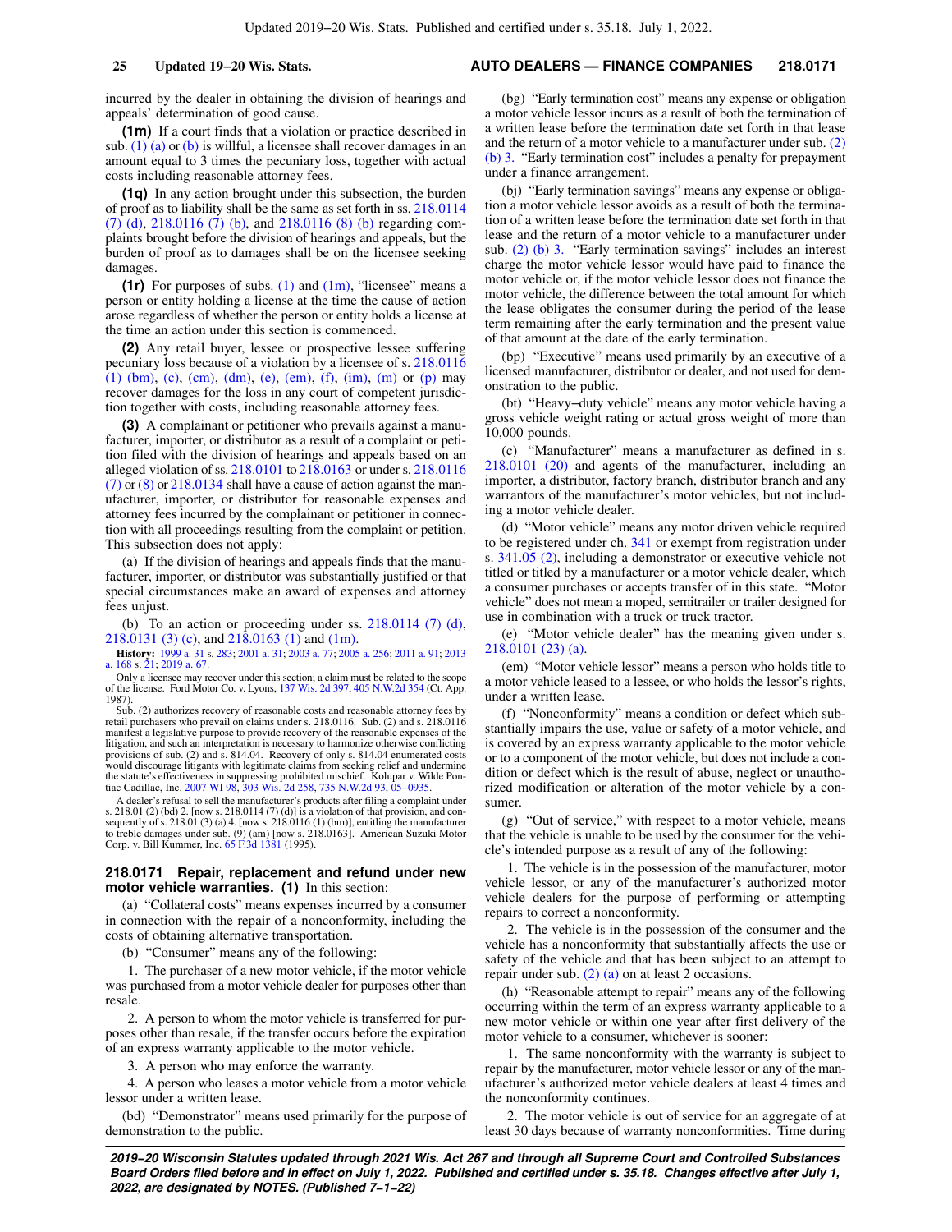incurred by the dealer in obtaining the division of hearings and appeals' determination of good cause.

**(1m)** If a court finds that a violation or practice described in sub.  $(1)$  (a) or [\(b\)](https://docs.legis.wisconsin.gov/document/statutes/218.0163(1)(b)) is willful, a licensee shall recover damages in an amount equal to 3 times the pecuniary loss, together with actual costs including reasonable attorney fees.

**(1q)** In any action brought under this subsection, the burden of proof as to liability shall be the same as set forth in ss. [218.0114](https://docs.legis.wisconsin.gov/document/statutes/218.0114(7)(d)) [\(7\) \(d\),](https://docs.legis.wisconsin.gov/document/statutes/218.0114(7)(d)) [218.0116 \(7\) \(b\)](https://docs.legis.wisconsin.gov/document/statutes/218.0116(7)(b)), and [218.0116 \(8\) \(b\)](https://docs.legis.wisconsin.gov/document/statutes/218.0116(8)(b)) regarding complaints brought before the division of hearings and appeals, but the burden of proof as to damages shall be on the licensee seeking damages.

**(1r)** For purposes of subs. [\(1\)](https://docs.legis.wisconsin.gov/document/statutes/218.0163(1)) and [\(1m\)](https://docs.legis.wisconsin.gov/document/statutes/218.0163(1m)), "licensee" means a person or entity holding a license at the time the cause of action arose regardless of whether the person or entity holds a license at the time an action under this section is commenced.

**(2)** Any retail buyer, lessee or prospective lessee suffering pecuniary loss because of a violation by a licensee of s. [218.0116](https://docs.legis.wisconsin.gov/document/statutes/218.0116(1)(bm)) [\(1\) \(bm\)](https://docs.legis.wisconsin.gov/document/statutes/218.0116(1)(bm)), [\(c\)](https://docs.legis.wisconsin.gov/document/statutes/218.0116(1)(c)), [\(cm\)](https://docs.legis.wisconsin.gov/document/statutes/218.0116(1)(cm)), [\(dm\),](https://docs.legis.wisconsin.gov/document/statutes/218.0116(1)(dm)) [\(e\),](https://docs.legis.wisconsin.gov/document/statutes/218.0116(1)(e)) [\(em\)](https://docs.legis.wisconsin.gov/document/statutes/218.0116(1)(em)), [\(f\)](https://docs.legis.wisconsin.gov/document/statutes/218.0116(1)(f)), [\(im\),](https://docs.legis.wisconsin.gov/document/statutes/218.0116(1)(im)) [\(m\)](https://docs.legis.wisconsin.gov/document/statutes/218.0116(1)(m)) or [\(p\)](https://docs.legis.wisconsin.gov/document/statutes/218.0116(1)(p)) may recover damages for the loss in any court of competent jurisdiction together with costs, including reasonable attorney fees.

**(3)** A complainant or petitioner who prevails against a manufacturer, importer, or distributor as a result of a complaint or petition filed with the division of hearings and appeals based on an alleged violation of ss. [218.0101](https://docs.legis.wisconsin.gov/document/statutes/218.0101) to [218.0163](https://docs.legis.wisconsin.gov/document/statutes/218.0163) or under s. [218.0116](https://docs.legis.wisconsin.gov/document/statutes/218.0116(7))  $(7)$  or  $(8)$  or  $218.0134$  shall have a cause of action against the manufacturer, importer, or distributor for reasonable expenses and attorney fees incurred by the complainant or petitioner in connection with all proceedings resulting from the complaint or petition. This subsection does not apply:

(a) If the division of hearings and appeals finds that the manufacturer, importer, or distributor was substantially justified or that special circumstances make an award of expenses and attorney fees unjust.

(b) To an action or proceeding under ss.  $218.0114$  (7) (d), [218.0131 \(3\) \(c\),](https://docs.legis.wisconsin.gov/document/statutes/218.0131(3)(c)) and [218.0163 \(1\)](https://docs.legis.wisconsin.gov/document/statutes/218.0163(1)) and [\(1m\).](https://docs.legis.wisconsin.gov/document/statutes/218.0163(1m))

**History:** [1999 a. 31](https://docs.legis.wisconsin.gov/document/acts/1999/31) s. [283;](https://docs.legis.wisconsin.gov/document/acts/1999/31,%20s.%20283) [2001 a. 31](https://docs.legis.wisconsin.gov/document/acts/2001/31); [2003 a. 77;](https://docs.legis.wisconsin.gov/document/acts/2003/77) [2005 a. 256](https://docs.legis.wisconsin.gov/document/acts/2005/256); [2011 a. 91;](https://docs.legis.wisconsin.gov/document/acts/2011/91) [2013](https://docs.legis.wisconsin.gov/document/acts/2013/168) [a. 168](https://docs.legis.wisconsin.gov/document/acts/2013/168) s. [21;](https://docs.legis.wisconsin.gov/document/acts/2013/168,%20s.%2021) [2019 a. 67](https://docs.legis.wisconsin.gov/document/acts/2019/67).

Only a licensee may recover under this section; a claim must be related to the scope of the license. Ford Motor Co. v. Lyons, [137 Wis. 2d 397,](https://docs.legis.wisconsin.gov/document/courts/137%20Wis.%202d%20397) [405 N.W.2d 354](https://docs.legis.wisconsin.gov/document/courts/405%20N.W.2d%20354) (Ct. App. 1987).

Sub. (2) authorizes recovery of reasonable costs and reasonable attorney fees by retail purchasers who prevail on claims under s. 218.0116. Sub. (2) and s. 218.0116 manifest a legislative purpose to provide recovery of the reasonable expenses of the litigation, and such an interpretation is necessary to harmonize otherwise conflicting provisions of sub. (2) and s. 814.04. Recovery of only s. 814.04 enumerated costs would discourage litigants with legitimate claims from seeking relief and undermine<br>the statute's effectiveness in suppressing prohibited mischief. Kolupar v. Wilde Pon-<br>tiac Cadillac, Inc. [2007 WI 98](https://docs.legis.wisconsin.gov/document/courts/2007%20WI%2098), [303 Wis. 2d 258,](https://docs.legis.wisconsin.gov/document/courts/303%20Wis.%202d%20258) 735

A dealer's refusal to sell the manufacturer's products after filing a complaint under s. 218.01 (2) (bd) 2. [now s. 218.0114 (7) (d)] is a violation of that provision, and consequently of s. 218.01 (3) (a) 4. [now s. 218.0116 (1) (bm)], entitling the manufacturer to treble damages under sub. (9) (am) [now s Corp. v. Bill Kummer, Inc. [65 F.3d 1381](https://docs.legis.wisconsin.gov/document/courts/65%20F.3d%201381) (1995).

#### **218.0171 Repair, replacement and refund under new motor vehicle warranties. (1)** In this section:

(a) "Collateral costs" means expenses incurred by a consumer in connection with the repair of a nonconformity, including the costs of obtaining alternative transportation.

(b) "Consumer" means any of the following:

1. The purchaser of a new motor vehicle, if the motor vehicle was purchased from a motor vehicle dealer for purposes other than resale.

2. A person to whom the motor vehicle is transferred for purposes other than resale, if the transfer occurs before the expiration of an express warranty applicable to the motor vehicle.

3. A person who may enforce the warranty.

4. A person who leases a motor vehicle from a motor vehicle lessor under a written lease.

(bd) "Demonstrator" means used primarily for the purpose of demonstration to the public.

## **25 Updated 19−20 Wis. Stats. AUTO DEALERS — FINANCE COMPANIES 218.0171**

(bg) "Early termination cost" means any expense or obligation a motor vehicle lessor incurs as a result of both the termination of a written lease before the termination date set forth in that lease and the return of a motor vehicle to a manufacturer under sub. [\(2\)](https://docs.legis.wisconsin.gov/document/statutes/218.0171(2)(b)3.) [\(b\) 3.](https://docs.legis.wisconsin.gov/document/statutes/218.0171(2)(b)3.) "Early termination cost" includes a penalty for prepayment under a finance arrangement.

(bj) "Early termination savings" means any expense or obligation a motor vehicle lessor avoids as a result of both the termination of a written lease before the termination date set forth in that lease and the return of a motor vehicle to a manufacturer under sub. [\(2\) \(b\) 3.](https://docs.legis.wisconsin.gov/document/statutes/218.0171(2)(b)3.) "Early termination savings" includes an interest charge the motor vehicle lessor would have paid to finance the motor vehicle or, if the motor vehicle lessor does not finance the motor vehicle, the difference between the total amount for which the lease obligates the consumer during the period of the lease term remaining after the early termination and the present value of that amount at the date of the early termination.

(bp) "Executive" means used primarily by an executive of a licensed manufacturer, distributor or dealer, and not used for demonstration to the public.

(bt) "Heavy−duty vehicle" means any motor vehicle having a gross vehicle weight rating or actual gross weight of more than 10,000 pounds.

(c) "Manufacturer" means a manufacturer as defined in s. [218.0101 \(20\)](https://docs.legis.wisconsin.gov/document/statutes/218.0101(20)) and agents of the manufacturer, including an importer, a distributor, factory branch, distributor branch and any warrantors of the manufacturer's motor vehicles, but not including a motor vehicle dealer.

(d) "Motor vehicle" means any motor driven vehicle required to be registered under ch. [341](https://docs.legis.wisconsin.gov/document/statutes/ch.%20341) or exempt from registration under s. [341.05 \(2\)](https://docs.legis.wisconsin.gov/document/statutes/341.05(2)), including a demonstrator or executive vehicle not titled or titled by a manufacturer or a motor vehicle dealer, which a consumer purchases or accepts transfer of in this state. "Motor vehicle" does not mean a moped, semitrailer or trailer designed for use in combination with a truck or truck tractor.

(e) "Motor vehicle dealer" has the meaning given under s. [218.0101 \(23\) \(a\).](https://docs.legis.wisconsin.gov/document/statutes/218.0101(23)(a))

(em) "Motor vehicle lessor" means a person who holds title to a motor vehicle leased to a lessee, or who holds the lessor's rights, under a written lease.

(f) "Nonconformity" means a condition or defect which substantially impairs the use, value or safety of a motor vehicle, and is covered by an express warranty applicable to the motor vehicle or to a component of the motor vehicle, but does not include a condition or defect which is the result of abuse, neglect or unauthorized modification or alteration of the motor vehicle by a consumer.

(g) "Out of service," with respect to a motor vehicle, means that the vehicle is unable to be used by the consumer for the vehicle's intended purpose as a result of any of the following:

1. The vehicle is in the possession of the manufacturer, motor vehicle lessor, or any of the manufacturer's authorized motor vehicle dealers for the purpose of performing or attempting repairs to correct a nonconformity.

2. The vehicle is in the possession of the consumer and the vehicle has a nonconformity that substantially affects the use or safety of the vehicle and that has been subject to an attempt to repair under sub. [\(2\) \(a\)](https://docs.legis.wisconsin.gov/document/statutes/218.0171(2)(a)) on at least 2 occasions.

(h) "Reasonable attempt to repair" means any of the following occurring within the term of an express warranty applicable to a new motor vehicle or within one year after first delivery of the motor vehicle to a consumer, whichever is sooner:

1. The same nonconformity with the warranty is subject to repair by the manufacturer, motor vehicle lessor or any of the manufacturer's authorized motor vehicle dealers at least 4 times and the nonconformity continues.

2. The motor vehicle is out of service for an aggregate of at least 30 days because of warranty nonconformities. Time during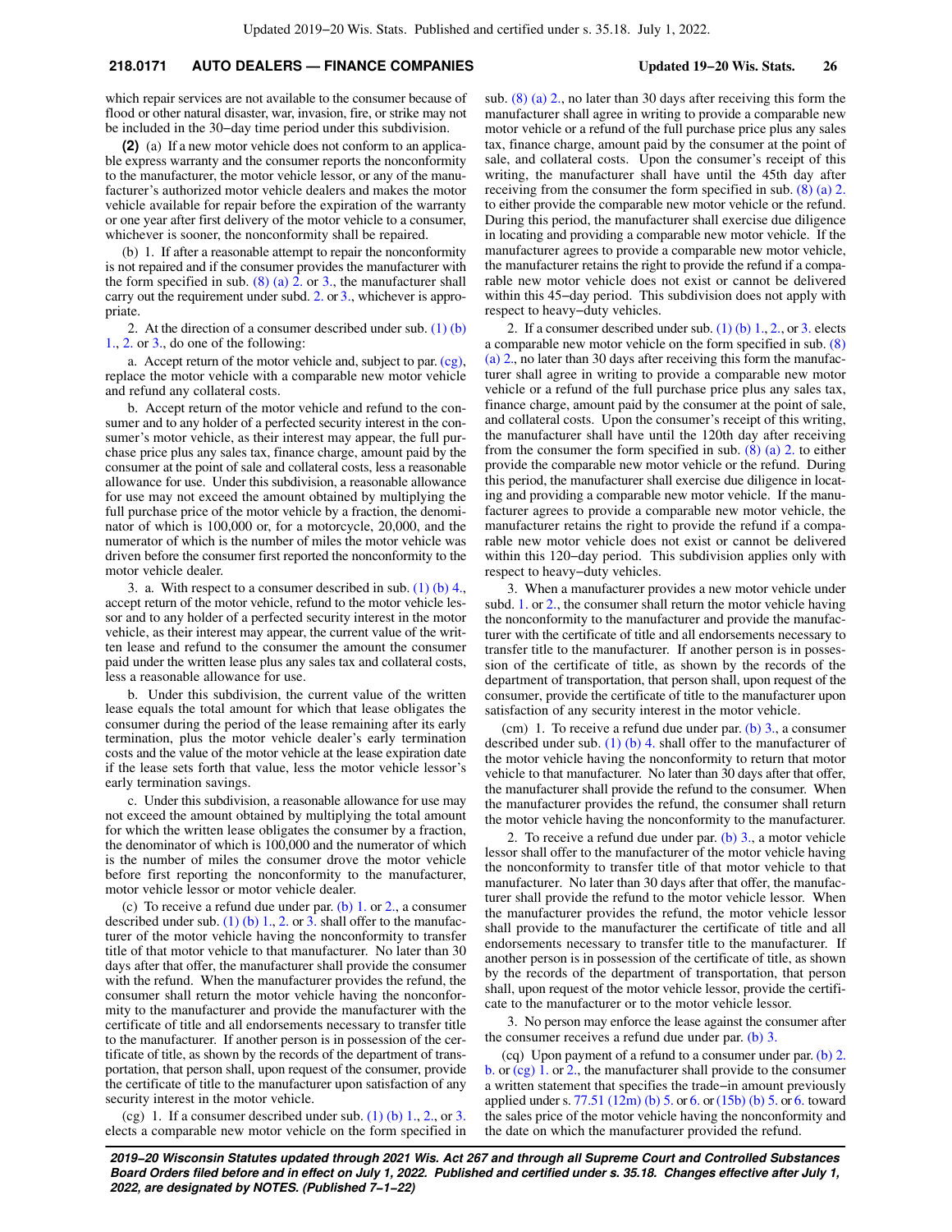## **218.0171 AUTO DEALERS — FINANCE COMPANIES Updated 19−20 Wis. Stats. 26**

which repair services are not available to the consumer because of flood or other natural disaster, war, invasion, fire, or strike may not be included in the 30−day time period under this subdivision.

**(2)** (a) If a new motor vehicle does not conform to an applicable express warranty and the consumer reports the nonconformity to the manufacturer, the motor vehicle lessor, or any of the manufacturer's authorized motor vehicle dealers and makes the motor vehicle available for repair before the expiration of the warranty or one year after first delivery of the motor vehicle to a consumer, whichever is sooner, the nonconformity shall be repaired.

(b) 1. If after a reasonable attempt to repair the nonconformity is not repaired and if the consumer provides the manufacturer with the form specified in sub.  $(8)$  (a) 2. or [3.](https://docs.legis.wisconsin.gov/document/statutes/218.0171(8)(a)3.), the manufacturer shall carry out the requirement under subd. [2.](https://docs.legis.wisconsin.gov/document/statutes/218.0171(2)(b)2.) or [3.,](https://docs.legis.wisconsin.gov/document/statutes/218.0171(2)(b)3.) whichever is appropriate.

2. At the direction of a consumer described under sub.  $(1)$  (b) [1.,](https://docs.legis.wisconsin.gov/document/statutes/218.0171(1)(b)1.) [2.](https://docs.legis.wisconsin.gov/document/statutes/218.0171(1)(b)2.) or [3.,](https://docs.legis.wisconsin.gov/document/statutes/218.0171(1)(b)3.) do one of the following:

a. Accept return of the motor vehicle and, subject to par. [\(cg\),](https://docs.legis.wisconsin.gov/document/statutes/218.0171(2)(cg)) replace the motor vehicle with a comparable new motor vehicle and refund any collateral costs.

b. Accept return of the motor vehicle and refund to the consumer and to any holder of a perfected security interest in the consumer's motor vehicle, as their interest may appear, the full purchase price plus any sales tax, finance charge, amount paid by the consumer at the point of sale and collateral costs, less a reasonable allowance for use. Under this subdivision, a reasonable allowance for use may not exceed the amount obtained by multiplying the full purchase price of the motor vehicle by a fraction, the denominator of which is 100,000 or, for a motorcycle, 20,000, and the numerator of which is the number of miles the motor vehicle was driven before the consumer first reported the nonconformity to the motor vehicle dealer.

3. a. With respect to a consumer described in sub. [\(1\) \(b\) 4.,](https://docs.legis.wisconsin.gov/document/statutes/218.0171(1)(b)4.) accept return of the motor vehicle, refund to the motor vehicle lessor and to any holder of a perfected security interest in the motor vehicle, as their interest may appear, the current value of the written lease and refund to the consumer the amount the consumer paid under the written lease plus any sales tax and collateral costs, less a reasonable allowance for use.

b. Under this subdivision, the current value of the written lease equals the total amount for which that lease obligates the consumer during the period of the lease remaining after its early termination, plus the motor vehicle dealer's early termination costs and the value of the motor vehicle at the lease expiration date if the lease sets forth that value, less the motor vehicle lessor's early termination savings.

c. Under this subdivision, a reasonable allowance for use may not exceed the amount obtained by multiplying the total amount for which the written lease obligates the consumer by a fraction, the denominator of which is 100,000 and the numerator of which is the number of miles the consumer drove the motor vehicle before first reporting the nonconformity to the manufacturer, motor vehicle lessor or motor vehicle dealer.

(c) To receive a refund due under par. [\(b\) 1.](https://docs.legis.wisconsin.gov/document/statutes/218.0171(2)(b)1.) or  $2$ , a consumer described under sub. [\(1\) \(b\) 1.](https://docs.legis.wisconsin.gov/document/statutes/218.0171(1)(b)1.), [2.](https://docs.legis.wisconsin.gov/document/statutes/218.0171(1)(b)2.) or [3.](https://docs.legis.wisconsin.gov/document/statutes/218.0171(1)(b)3.) shall offer to the manufacturer of the motor vehicle having the nonconformity to transfer title of that motor vehicle to that manufacturer. No later than 30 days after that offer, the manufacturer shall provide the consumer with the refund. When the manufacturer provides the refund, the consumer shall return the motor vehicle having the nonconformity to the manufacturer and provide the manufacturer with the certificate of title and all endorsements necessary to transfer title to the manufacturer. If another person is in possession of the certificate of title, as shown by the records of the department of transportation, that person shall, upon request of the consumer, provide the certificate of title to the manufacturer upon satisfaction of any security interest in the motor vehicle.

(cg) 1. If a consumer described under sub. (1) (b)  $1, 2,$ , or [3.](https://docs.legis.wisconsin.gov/document/statutes/218.0171(1)(b)3.) elects a comparable new motor vehicle on the form specified in sub. [\(8\) \(a\) 2.](https://docs.legis.wisconsin.gov/document/statutes/218.0171(8)(a)2.), no later than 30 days after receiving this form the manufacturer shall agree in writing to provide a comparable new motor vehicle or a refund of the full purchase price plus any sales tax, finance charge, amount paid by the consumer at the point of sale, and collateral costs. Upon the consumer's receipt of this writing, the manufacturer shall have until the 45th day after receiving from the consumer the form specified in sub. [\(8\) \(a\) 2.](https://docs.legis.wisconsin.gov/document/statutes/218.0171(8)(a)2.) to either provide the comparable new motor vehicle or the refund. During this period, the manufacturer shall exercise due diligence in locating and providing a comparable new motor vehicle. If the manufacturer agrees to provide a comparable new motor vehicle, the manufacturer retains the right to provide the refund if a comparable new motor vehicle does not exist or cannot be delivered within this 45−day period. This subdivision does not apply with respect to heavy−duty vehicles.

[2.](https://docs.legis.wisconsin.gov/document/statutes/218.0171(1)(b)2.) If a consumer described under sub. (1) (b)  $1, 2,$  or  $3$ . elects a comparable new motor vehicle on the form specified in sub. [\(8\)](https://docs.legis.wisconsin.gov/document/statutes/218.0171(8)(a)2.) [\(a\) 2.,](https://docs.legis.wisconsin.gov/document/statutes/218.0171(8)(a)2.) no later than 30 days after receiving this form the manufacturer shall agree in writing to provide a comparable new motor vehicle or a refund of the full purchase price plus any sales tax, finance charge, amount paid by the consumer at the point of sale, and collateral costs. Upon the consumer's receipt of this writing, the manufacturer shall have until the 120th day after receiving from the consumer the form specified in sub.  $(8)$   $(a)$  2. to either provide the comparable new motor vehicle or the refund. During this period, the manufacturer shall exercise due diligence in locating and providing a comparable new motor vehicle. If the manufacturer agrees to provide a comparable new motor vehicle, the manufacturer retains the right to provide the refund if a comparable new motor vehicle does not exist or cannot be delivered within this 120−day period. This subdivision applies only with respect to heavy−duty vehicles.

3. When a manufacturer provides a new motor vehicle under subd. [1.](https://docs.legis.wisconsin.gov/document/statutes/218.0171(2)(cg)1.) or [2.](https://docs.legis.wisconsin.gov/document/statutes/218.0171(2)(cg)2.), the consumer shall return the motor vehicle having the nonconformity to the manufacturer and provide the manufacturer with the certificate of title and all endorsements necessary to transfer title to the manufacturer. If another person is in possession of the certificate of title, as shown by the records of the department of transportation, that person shall, upon request of the consumer, provide the certificate of title to the manufacturer upon satisfaction of any security interest in the motor vehicle.

(cm) 1. To receive a refund due under par. (b)  $3<sub>1</sub>$ , a consumer described under sub. [\(1\) \(b\) 4.](https://docs.legis.wisconsin.gov/document/statutes/218.0171(1)(b)4.) shall offer to the manufacturer of the motor vehicle having the nonconformity to return that motor vehicle to that manufacturer. No later than 30 days after that offer, the manufacturer shall provide the refund to the consumer. When the manufacturer provides the refund, the consumer shall return the motor vehicle having the nonconformity to the manufacturer.

2. To receive a refund due under par.  $(b)$  3., a motor vehicle lessor shall offer to the manufacturer of the motor vehicle having the nonconformity to transfer title of that motor vehicle to that manufacturer. No later than 30 days after that offer, the manufacturer shall provide the refund to the motor vehicle lessor. When the manufacturer provides the refund, the motor vehicle lessor shall provide to the manufacturer the certificate of title and all endorsements necessary to transfer title to the manufacturer. If another person is in possession of the certificate of title, as shown by the records of the department of transportation, that person shall, upon request of the motor vehicle lessor, provide the certificate to the manufacturer or to the motor vehicle lessor.

3. No person may enforce the lease against the consumer after the consumer receives a refund due under par. [\(b\) 3.](https://docs.legis.wisconsin.gov/document/statutes/218.0171(2)(b)3.)

(cq) Upon payment of a refund to a consumer under par.  $(b)$  2. [b.](https://docs.legis.wisconsin.gov/document/statutes/218.0171(2)(b)2.b.) or [\(cg\) 1.](https://docs.legis.wisconsin.gov/document/statutes/218.0171(2)(cg)1.) or [2.](https://docs.legis.wisconsin.gov/document/statutes/218.0171(2)(cg)2.), the manufacturer shall provide to the consumer a written statement that specifies the trade−in amount previously applied under s. [77.51 \(12m\) \(b\) 5.](https://docs.legis.wisconsin.gov/document/statutes/77.51(12m)(b)5.) or [6.](https://docs.legis.wisconsin.gov/document/statutes/77.51(15b)(b)6.) or [\(15b\) \(b\) 5.](https://docs.legis.wisconsin.gov/document/statutes/77.51(15b)(b)5.) or 6. toward the sales price of the motor vehicle having the nonconformity and the date on which the manufacturer provided the refund.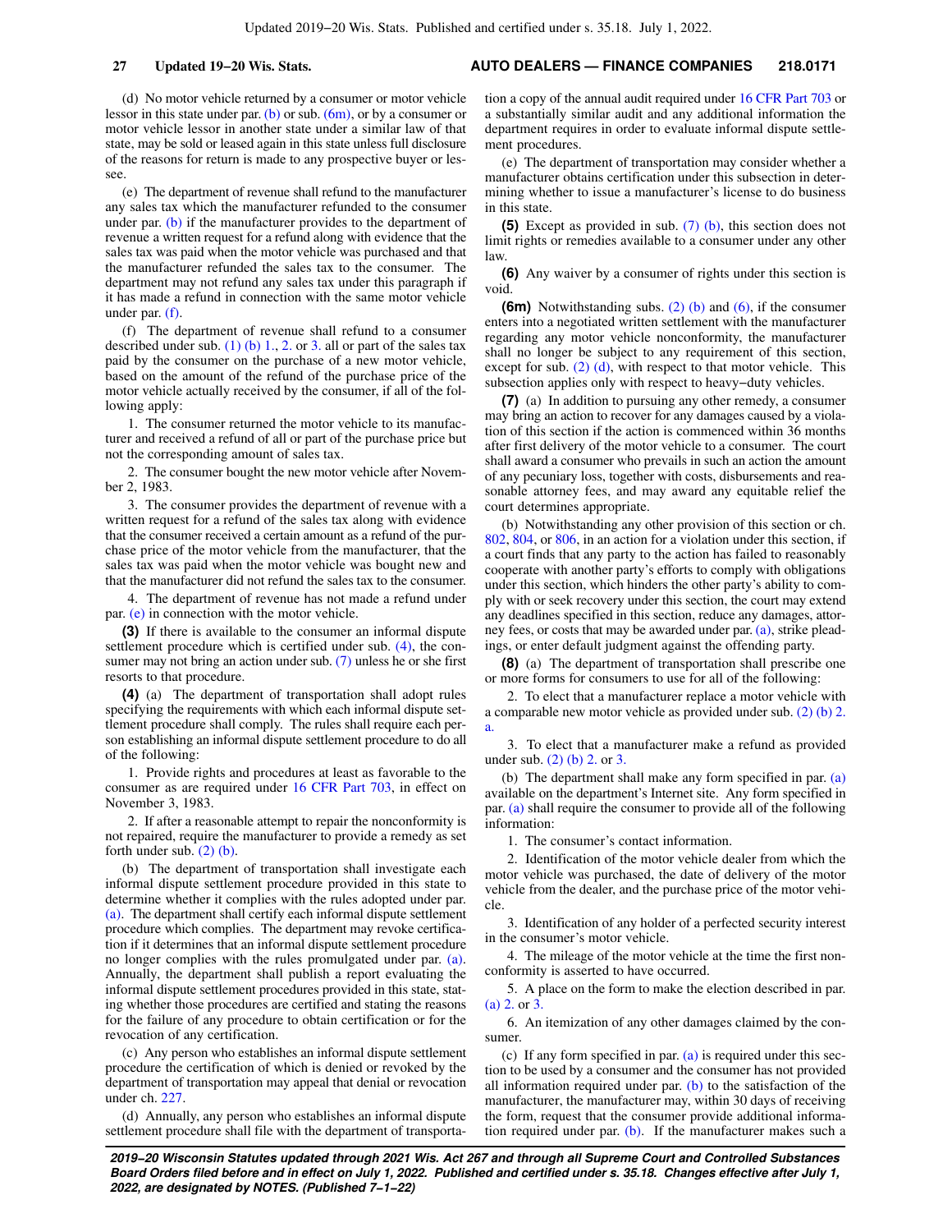## **27 Updated 19−20 Wis. Stats. AUTO DEALERS — FINANCE COMPANIES 218.0171**

(d) No motor vehicle returned by a consumer or motor vehicle lessor in this state under par. [\(b\)](https://docs.legis.wisconsin.gov/document/statutes/218.0171(2)(b)) or sub.  $(6m)$ , or by a consumer or motor vehicle lessor in another state under a similar law of that state, may be sold or leased again in this state unless full disclosure of the reasons for return is made to any prospective buyer or lessee.

(e) The department of revenue shall refund to the manufacturer any sales tax which the manufacturer refunded to the consumer under par. [\(b\)](https://docs.legis.wisconsin.gov/document/statutes/218.0171(2)(b)) if the manufacturer provides to the department of revenue a written request for a refund along with evidence that the sales tax was paid when the motor vehicle was purchased and that the manufacturer refunded the sales tax to the consumer. The department may not refund any sales tax under this paragraph if it has made a refund in connection with the same motor vehicle under par. [\(f\)](https://docs.legis.wisconsin.gov/document/statutes/218.0171(2)(f)).

(f) The department of revenue shall refund to a consumer described under sub. [\(1\) \(b\) 1.,](https://docs.legis.wisconsin.gov/document/statutes/218.0171(1)(b)1.) [2.](https://docs.legis.wisconsin.gov/document/statutes/218.0171(1)(b)2.) or [3.](https://docs.legis.wisconsin.gov/document/statutes/218.0171(1)(b)3.) all or part of the sales tax paid by the consumer on the purchase of a new motor vehicle, based on the amount of the refund of the purchase price of the motor vehicle actually received by the consumer, if all of the following apply:

1. The consumer returned the motor vehicle to its manufacturer and received a refund of all or part of the purchase price but not the corresponding amount of sales tax.

2. The consumer bought the new motor vehicle after November 2, 1983.

3. The consumer provides the department of revenue with a written request for a refund of the sales tax along with evidence that the consumer received a certain amount as a refund of the purchase price of the motor vehicle from the manufacturer, that the sales tax was paid when the motor vehicle was bought new and that the manufacturer did not refund the sales tax to the consumer.

4. The department of revenue has not made a refund under par. [\(e\)](https://docs.legis.wisconsin.gov/document/statutes/218.0171(2)(e)) in connection with the motor vehicle.

**(3)** If there is available to the consumer an informal dispute settlement procedure which is certified under sub. [\(4\),](https://docs.legis.wisconsin.gov/document/statutes/218.0171(4)) the consumer may not bring an action under sub. [\(7\)](https://docs.legis.wisconsin.gov/document/statutes/218.0171(7)) unless he or she first resorts to that procedure.

**(4)** (a) The department of transportation shall adopt rules specifying the requirements with which each informal dispute settlement procedure shall comply. The rules shall require each person establishing an informal dispute settlement procedure to do all of the following:

1. Provide rights and procedures at least as favorable to the consumer as are required under [16 CFR Part 703,](https://docs.legis.wisconsin.gov/document/cfr/16%20CFR%20703) in effect on November 3, 1983.

2. If after a reasonable attempt to repair the nonconformity is not repaired, require the manufacturer to provide a remedy as set forth under sub.  $(2)$  (b).

(b) The department of transportation shall investigate each informal dispute settlement procedure provided in this state to determine whether it complies with the rules adopted under par. [\(a\).](https://docs.legis.wisconsin.gov/document/statutes/218.0171(4)(a)) The department shall certify each informal dispute settlement procedure which complies. The department may revoke certification if it determines that an informal dispute settlement procedure no longer complies with the rules promulgated under par. [\(a\).](https://docs.legis.wisconsin.gov/document/statutes/218.0171(4)(a)) Annually, the department shall publish a report evaluating the informal dispute settlement procedures provided in this state, stating whether those procedures are certified and stating the reasons for the failure of any procedure to obtain certification or for the revocation of any certification.

(c) Any person who establishes an informal dispute settlement procedure the certification of which is denied or revoked by the department of transportation may appeal that denial or revocation under ch. [227](https://docs.legis.wisconsin.gov/document/statutes/ch.%20227).

(d) Annually, any person who establishes an informal dispute settlement procedure shall file with the department of transportation a copy of the annual audit required under [16 CFR Part 703](https://docs.legis.wisconsin.gov/document/cfr/16%20CFR%20703) or a substantially similar audit and any additional information the department requires in order to evaluate informal dispute settlement procedures.

(e) The department of transportation may consider whether a manufacturer obtains certification under this subsection in determining whether to issue a manufacturer's license to do business in this state.

**(5)** Except as provided in sub. [\(7\) \(b\),](https://docs.legis.wisconsin.gov/document/statutes/218.0171(7)(b)) this section does not limit rights or remedies available to a consumer under any other law.

**(6)** Any waiver by a consumer of rights under this section is void.

**(6m)** Notwithstanding subs. [\(2\) \(b\)](https://docs.legis.wisconsin.gov/document/statutes/218.0171(2)(b)) and [\(6\),](https://docs.legis.wisconsin.gov/document/statutes/218.0171(6)) if the consumer enters into a negotiated written settlement with the manufacturer regarding any motor vehicle nonconformity, the manufacturer shall no longer be subject to any requirement of this section, except for sub. [\(2\) \(d\),](https://docs.legis.wisconsin.gov/document/statutes/218.0171(2)(d)) with respect to that motor vehicle. This subsection applies only with respect to heavy−duty vehicles.

**(7)** (a) In addition to pursuing any other remedy, a consumer may bring an action to recover for any damages caused by a violation of this section if the action is commenced within 36 months after first delivery of the motor vehicle to a consumer. The court shall award a consumer who prevails in such an action the amount of any pecuniary loss, together with costs, disbursements and reasonable attorney fees, and may award any equitable relief the court determines appropriate.

(b) Notwithstanding any other provision of this section or ch. [802,](https://docs.legis.wisconsin.gov/document/statutes/ch.%20802) [804](https://docs.legis.wisconsin.gov/document/statutes/ch.%20804), or [806,](https://docs.legis.wisconsin.gov/document/statutes/ch.%20806) in an action for a violation under this section, if a court finds that any party to the action has failed to reasonably cooperate with another party's efforts to comply with obligations under this section, which hinders the other party's ability to comply with or seek recovery under this section, the court may extend any deadlines specified in this section, reduce any damages, attorney fees, or costs that may be awarded under par. [\(a\)](https://docs.legis.wisconsin.gov/document/statutes/218.0171(7)(a)), strike pleadings, or enter default judgment against the offending party.

**(8)** (a) The department of transportation shall prescribe one or more forms for consumers to use for all of the following:

2. To elect that a manufacturer replace a motor vehicle with a comparable new motor vehicle as provided under sub. [\(2\) \(b\) 2.](https://docs.legis.wisconsin.gov/document/statutes/218.0171(2)(b)2.a.) [a.](https://docs.legis.wisconsin.gov/document/statutes/218.0171(2)(b)2.a.)

3. To elect that a manufacturer make a refund as provided under sub. [\(2\) \(b\) 2.](https://docs.legis.wisconsin.gov/document/statutes/218.0171(2)(b)2.) or [3.](https://docs.legis.wisconsin.gov/document/statutes/218.0171(2)(b)3.)

(b) The department shall make any form specified in par. [\(a\)](https://docs.legis.wisconsin.gov/document/statutes/218.0171(8)(a)) available on the department's Internet site. Any form specified in par. [\(a\)](https://docs.legis.wisconsin.gov/document/statutes/218.0171(8)(a)) shall require the consumer to provide all of the following information:

1. The consumer's contact information.

2. Identification of the motor vehicle dealer from which the motor vehicle was purchased, the date of delivery of the motor vehicle from the dealer, and the purchase price of the motor vehicle.

3. Identification of any holder of a perfected security interest in the consumer's motor vehicle.

4. The mileage of the motor vehicle at the time the first nonconformity is asserted to have occurred.

5. A place on the form to make the election described in par. [\(a\) 2.](https://docs.legis.wisconsin.gov/document/statutes/218.0171(8)(a)2.) or [3.](https://docs.legis.wisconsin.gov/document/statutes/218.0171(8)(a)3.)

6. An itemization of any other damages claimed by the consumer.

(c) If any form specified in par. [\(a\)](https://docs.legis.wisconsin.gov/document/statutes/218.0171(8)(a)) is required under this section to be used by a consumer and the consumer has not provided all information required under par. [\(b\)](https://docs.legis.wisconsin.gov/document/statutes/218.0171(8)(b)) to the satisfaction of the manufacturer, the manufacturer may, within 30 days of receiving the form, request that the consumer provide additional information required under par. [\(b\)](https://docs.legis.wisconsin.gov/document/statutes/218.0171(8)(b)). If the manufacturer makes such a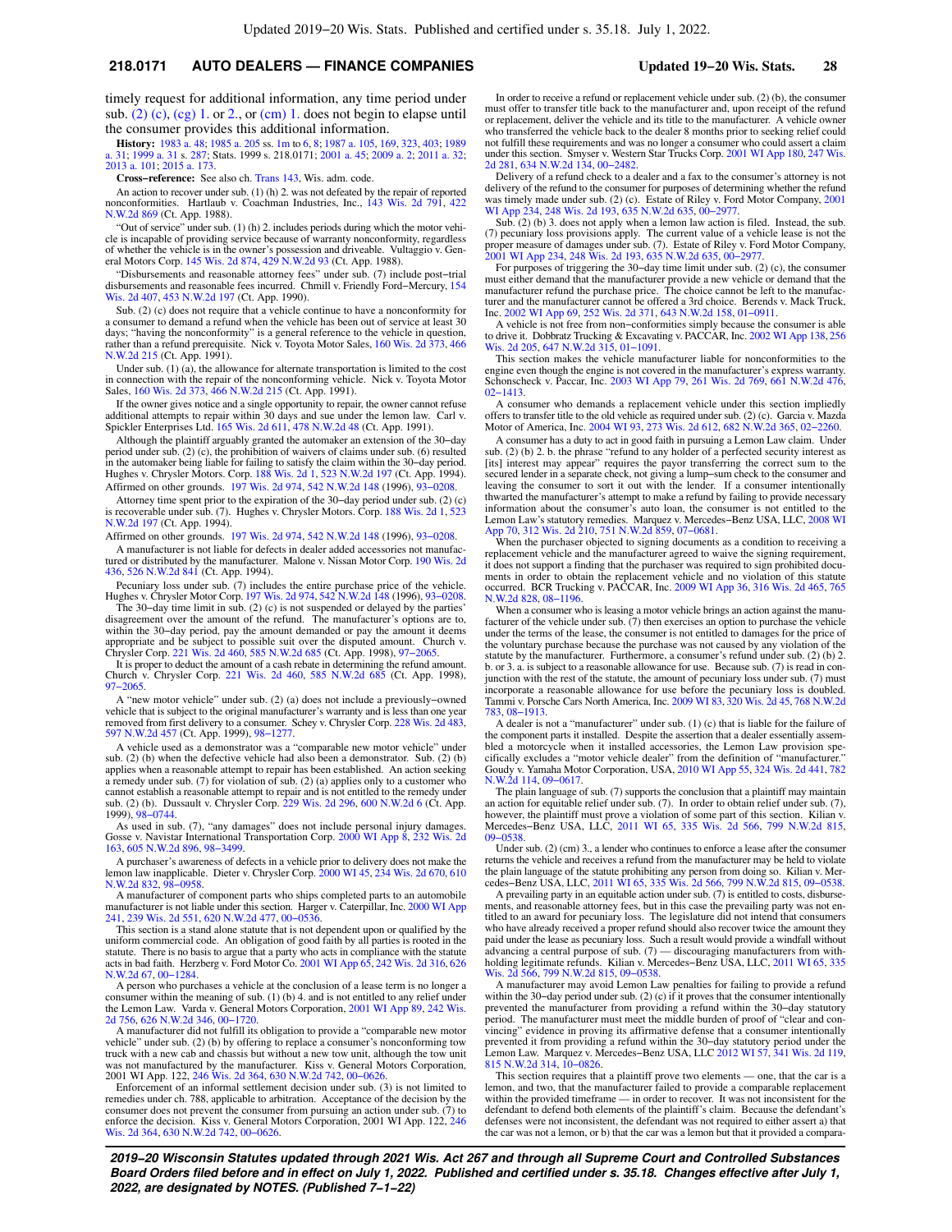## **218.0171 AUTO DEALERS — FINANCE COMPANIES Updated 19−20 Wis. Stats. 28**

timely request for additional information, any time period under sub. [\(2\) \(c\)](https://docs.legis.wisconsin.gov/document/statutes/218.0171(2)(c)), [\(cg\) 1.](https://docs.legis.wisconsin.gov/document/statutes/218.0171(2)(cg)1.) or [2.](https://docs.legis.wisconsin.gov/document/statutes/218.0171(2)(cg)2.), or [\(cm\) 1.](https://docs.legis.wisconsin.gov/document/statutes/218.0171(2)(cm)1.) does not begin to elapse until the consumer provides this additional information.

**History:** [1983 a. 48;](https://docs.legis.wisconsin.gov/document/acts/1983/48) [1985 a. 205](https://docs.legis.wisconsin.gov/document/acts/1985/205) ss. [1m](https://docs.legis.wisconsin.gov/document/acts/1985/205,%20s.%201m) to [6,](https://docs.legis.wisconsin.gov/document/acts/1985/205,%20s.%206) [8](https://docs.legis.wisconsin.gov/document/acts/1985/205,%20s.%208); [1987 a. 105](https://docs.legis.wisconsin.gov/document/acts/1987/105), [169,](https://docs.legis.wisconsin.gov/document/acts/1987/169) [323,](https://docs.legis.wisconsin.gov/document/acts/1987/323) [403;](https://docs.legis.wisconsin.gov/document/acts/1987/403) [1989](https://docs.legis.wisconsin.gov/document/acts/1989/31) [a. 31](https://docs.legis.wisconsin.gov/document/acts/1989/31); [1999 a. 31](https://docs.legis.wisconsin.gov/document/acts/1999/31) s. [287](https://docs.legis.wisconsin.gov/document/acts/1999/31,%20s.%20287); Stats. 1999 s. 218.0171; [2001 a. 45](https://docs.legis.wisconsin.gov/document/acts/2001/45); [2009 a. 2](https://docs.legis.wisconsin.gov/document/acts/2009/2); [2011 a. 32](https://docs.legis.wisconsin.gov/document/acts/2011/32); [2013 a. 101;](https://docs.legis.wisconsin.gov/document/acts/2013/101) [2015 a. 173](https://docs.legis.wisconsin.gov/document/acts/2015/173).

**Cross−reference:** See also ch. [Trans 143](https://docs.legis.wisconsin.gov/document/administrativecode/ch.%20Trans%20143), Wis. adm. code.

An action to recover under sub. (1) (h) 2. was not defeated by the repair of reported nonconformities. Hartlaub v. Coachman Industries, Inc., [143 Wis. 2d 791,](https://docs.legis.wisconsin.gov/document/courts/143%20Wis.%202d%20791) [422](https://docs.legis.wisconsin.gov/document/courts/422%20N.W.2d%20869) [N.W.2d 869](https://docs.legis.wisconsin.gov/document/courts/422%20N.W.2d%20869) (Ct. App. 1988).

"Out of service" under sub. (1) (h) 2. includes periods during which the motor vehicle is incapable of providing service because of warranty nonconformity, regardless of whether the vehicle is in the owner's possession and driveable. Vultaggio v. General Motors Corp. [145 Wis. 2d 874,](https://docs.legis.wisconsin.gov/document/courts/145%20Wis.%202d%20874) [429 N.W.2d 93](https://docs.legis.wisconsin.gov/document/courts/429%20N.W.2d%2093) (Ct. App. 1988).

"Disbursements and reasonable attorney fees" under sub. (7) include post−trial disbursements and reasonable fees incurred. Chmill v. Friendly Ford−Mercury, [154](https://docs.legis.wisconsin.gov/document/courts/154%20Wis.%202d%20407) [Wis. 2d 407,](https://docs.legis.wisconsin.gov/document/courts/154%20Wis.%202d%20407) [453 N.W.2d 197](https://docs.legis.wisconsin.gov/document/courts/453%20N.W.2d%20197) (Ct. App. 1990).

Sub. (2) (c) does not require that a vehicle continue to have a nonconformity for a consumer to demand a refund when the vehicle has been out of service at least 30 days; "having the nonconformity" is a general reference to the vehicle in question, rather than a refund prerequisite. Nick v. Toyota Motor Sales, [160 Wis. 2d 373](https://docs.legis.wisconsin.gov/document/courts/160%20Wis.%202d%20373), [466](https://docs.legis.wisconsin.gov/document/courts/466%20N.W.2d%20215) [N.W.2d 215](https://docs.legis.wisconsin.gov/document/courts/466%20N.W.2d%20215) (Ct. App. 1991).

Under sub. (1) (a), the allowance for alternate transportation is limited to the cost in connection with the repair of the nonconforming vehicle. Nick v. Toyota Motor Sales, [160 Wis. 2d 373](https://docs.legis.wisconsin.gov/document/courts/160%20Wis.%202d%20373), [466 N.W.2d 215](https://docs.legis.wisconsin.gov/document/courts/466%20N.W.2d%20215) (Ct. App. 1991).

If the owner gives notice and a single opportunity to repair, the owner cannot refuse additional attempts to repair within 30 days and sue under the lemon law. Carl v. Spickler Enterprises Ltd. [165 Wis. 2d 611](https://docs.legis.wisconsin.gov/document/courts/165%20Wis.%202d%20611), 478 N.W.2d

Although the plaintiff arguably granted the automaker an extension of the 30−day period under sub. (2) (c), the prohibition of waivers of claims under sub. (6) resulted in the automaker being liable for failing to satisfy the claim within the 30−day period. Hughes v. Chrysler Motors. Corp. [188 Wis. 2d 1,](https://docs.legis.wisconsin.gov/document/courts/188%20Wis.%202d%201) [523 N.W.2d 197](https://docs.legis.wisconsin.gov/document/courts/523%20N.W.2d%20197) (Ct. App. 1994). Affirmed on other grounds. [197 Wis. 2d 974](https://docs.legis.wisconsin.gov/document/courts/197%20Wis.%202d%20974), [542 N.W.2d 148](https://docs.legis.wisconsin.gov/document/courts/542%20N.W.2d%20148) (1996), [93−0208.](https://docs.legis.wisconsin.gov/document/wisupremecourt/93-0208)

Attorney time spent prior to the expiration of the 30−day period under sub. (2) (c) is recoverable under sub. (7). Hughes v. Chrysler Motors. Corp. [188 Wis. 2d 1](https://docs.legis.wisconsin.gov/document/courts/188%20Wis.%202d%201), [523](https://docs.legis.wisconsin.gov/document/courts/523%20N.W.2d%20197) [N.W.2d 197](https://docs.legis.wisconsin.gov/document/courts/523%20N.W.2d%20197) (Ct. App. 1994).

Affirmed on other grounds. [197 Wis. 2d 974](https://docs.legis.wisconsin.gov/document/courts/197%20Wis.%202d%20974), [542 N.W.2d 148](https://docs.legis.wisconsin.gov/document/courts/542%20N.W.2d%20148) (1996), [93−0208.](https://docs.legis.wisconsin.gov/document/wisupremecourt/93-0208)

A manufacturer is not liable for defects in dealer added accessories not manufactured or distributed by the manufacturer. Malone v. Nissan Motor Corp. [190 Wis. 2d](https://docs.legis.wisconsin.gov/document/courts/190%20Wis.%202d%20436) [436](https://docs.legis.wisconsin.gov/document/courts/190%20Wis.%202d%20436), [526 N.W.2d 841](https://docs.legis.wisconsin.gov/document/courts/526%20N.W.2d%20841) (Ct. App. 1994).

Pecuniary loss under sub. (7) includes the entire purchase price of the vehicle. Hughes v. Chrysler Motor Corp. [197 Wis. 2d 974](https://docs.legis.wisconsin.gov/document/courts/197%20Wis.%202d%20974), [542 N.W.2d 148](https://docs.legis.wisconsin.gov/document/courts/542%20N.W.2d%20148) (1996), [93−0208](https://docs.legis.wisconsin.gov/document/wisupremecourt/93-0208). The 30−day time limit in sub. (2) (c) is not suspended or delayed by the parties'

disagreement over the amount of the refund. The manufacturer's options are to, within the 30−day period, pay the amount demanded or pay the amount it deems appropriate and be subject to possible suit over the disputed amount. Church v. Chrysler Corp. [221 Wis. 2d 460](https://docs.legis.wisconsin.gov/document/courts/221%20Wis.%202d%20460), [585 N.W.2d 685](https://docs.legis.wisconsin.gov/document/courts/585%20N.W.2d%20685) (Ct. App. 1998), [97−2065](https://docs.legis.wisconsin.gov/document/wicourtofappeals/97-2065).

It is proper to deduct the amount of a cash rebate in determining the refund amount. Church v. Chrysler Corp. [221 Wis. 2d 460,](https://docs.legis.wisconsin.gov/document/courts/221%20Wis.%202d%20460) [585 N.W.2d 685](https://docs.legis.wisconsin.gov/document/courts/585%20N.W.2d%20685) (Ct. App. 1998), [97−2065](https://docs.legis.wisconsin.gov/document/wicourtofappeals/97-2065).

A "new motor vehicle" under sub. (2) (a) does not include a previously−owned vehicle that is subject to the original manufacturer's warranty and is less than one year removed from first delivery to a consumer. Schey v. Chrysler Corp. [228 Wis. 2d 483](https://docs.legis.wisconsin.gov/document/courts/228%20Wis.%202d%20483), [597 N.W.2d 457](https://docs.legis.wisconsin.gov/document/courts/597%20N.W.2d%20457) (Ct. App. 1999), [98−1277](https://docs.legis.wisconsin.gov/document/wicourtofappeals/98-1277).

A vehicle used as a demonstrator was a "comparable new motor vehicle" under sub. (2) (b) when the defective vehicle had also been a demonstrator. Sub. (2) (b) applies when a reasonable attempt to repair has been established. An action seeking a remedy under sub. (7) for violation of sub. (2) (a) applies only to a customer who cannot establish a reasonable attempt to repair and is not entitled to the remedy under sub. (2) (b). Dussault v. Chrysler Corp. [229 Wis. 2d 296,](https://docs.legis.wisconsin.gov/document/courts/229%20Wis.%202d%20296) [600 N.W.2d 6](https://docs.legis.wisconsin.gov/document/courts/600%20N.W.2d%206) (Ct. App. 1999), [98−0744](https://docs.legis.wisconsin.gov/document/wicourtofappeals/98-0744).

As used in sub. (7), "any damages" does not include personal injury damages. Gosse v. Navistar International Transportation Corp. [2000 WI App 8](https://docs.legis.wisconsin.gov/document/courts/2000%20WI%20App%208), [232 Wis. 2d](https://docs.legis.wisconsin.gov/document/courts/232%20Wis.%202d%20163) [163](https://docs.legis.wisconsin.gov/document/courts/232%20Wis.%202d%20163), [605 N.W.2d 896,](https://docs.legis.wisconsin.gov/document/courts/605%20N.W.2d%20896) [98−3499](https://docs.legis.wisconsin.gov/document/wicourtofappeals/98-3499).

A purchaser's awareness of defects in a vehicle prior to delivery does not make the lemon law inapplicable. Dieter v. Chrysler Corp. [2000 WI 45,](https://docs.legis.wisconsin.gov/document/courts/2000%20WI%2045) [234 Wis. 2d 670](https://docs.legis.wisconsin.gov/document/courts/234%20Wis.%202d%20670), [610](https://docs.legis.wisconsin.gov/document/courts/610%20N.W.2d%20832) [N.W.2d 832,](https://docs.legis.wisconsin.gov/document/courts/610%20N.W.2d%20832) [98−0958.](https://docs.legis.wisconsin.gov/document/wisupremecourt/98-0958)

A manufacturer of component parts who ships completed parts to an automobile manufacturer is not liable under this section. Harger v. Caterpillar, Inc. [2000 WI App](https://docs.legis.wisconsin.gov/document/courts/2000%20WI%20App%20241) [241](https://docs.legis.wisconsin.gov/document/courts/2000%20WI%20App%20241), [239 Wis. 2d 551,](https://docs.legis.wisconsin.gov/document/courts/239%20Wis.%202d%20551) [620 N.W.2d 477,](https://docs.legis.wisconsin.gov/document/courts/620%20N.W.2d%20477) [00−0536.](https://docs.legis.wisconsin.gov/document/wicourtofappeals/00-0536)

This section is a stand alone statute that is not dependent upon or qualified by the uniform commercial code. An obligation of good faith by all parties is rooted in the statute. There is no basis to argue that a party who acts in compliance with the statute acts in bad faith. Herzberg v. Ford Motor Co. [2001 WI App 65,](https://docs.legis.wisconsin.gov/document/courts/2001%20WI%20App%2065) [242 Wis. 2d 316](https://docs.legis.wisconsin.gov/document/courts/242%20Wis.%202d%20316), [626](https://docs.legis.wisconsin.gov/document/courts/626%20N.W.2d%2067) [N.W.2d 67](https://docs.legis.wisconsin.gov/document/courts/626%20N.W.2d%2067), [00−1284](https://docs.legis.wisconsin.gov/document/wicourtofappeals/00-1284).

A person who purchases a vehicle at the conclusion of a lease term is no longer a consumer within the meaning of sub. (1) (b) 4. and is not entitled to any relief under the Lemon Law. Varda v. General Motors Corporation, [2001 WI App 89,](https://docs.legis.wisconsin.gov/document/courts/2001%20WI%20App%2089) [242 Wis.](https://docs.legis.wisconsin.gov/document/courts/242%20Wis.%202d%20756) [2d 756](https://docs.legis.wisconsin.gov/document/courts/242%20Wis.%202d%20756), [626 N.W.2d 346,](https://docs.legis.wisconsin.gov/document/courts/626%20N.W.2d%20346) [00−1720.](https://docs.legis.wisconsin.gov/document/wicourtofappeals/00-1720)

A manufacturer did not fulfill its obligation to provide a "comparable new motor vehicle" under sub. (2) (b) by offering to replace a consumer's nonconforming tow truck with a new cab and chassis but without a new tow unit, although the tow unit was not manufactured by the manufacturer. Kiss v. General Motors Corporation, 2001 WI App. 122, [246 Wis. 2d 364,](https://docs.legis.wisconsin.gov/document/courts/246%20Wis.%202d%20364) [630 N.W.2d 742,](https://docs.legis.wisconsin.gov/document/courts/630%20N.W.2d%20742) 00–0626.

Enforcement of an informal settlement decision under sub. (3) is not limited to remedies under ch. 788, applicable to arbitration. Acceptance of the decision by the consumer does not prevent the consumer from pursuing an action under sub. (7) to enforce the decision. Kiss v. General Motors Corporation, 2001 WI App. 122, [246](https://docs.legis.wisconsin.gov/document/courts/246%20Wis.%202d%20364) [Wis. 2d 364,](https://docs.legis.wisconsin.gov/document/courts/246%20Wis.%202d%20364) [630 N.W.2d 742](https://docs.legis.wisconsin.gov/document/courts/630%20N.W.2d%20742), 00-0626.

In order to receive a refund or replacement vehicle under sub. (2) (b), the consumer must offer to transfer title back to the manufacturer and, upon receipt of the refund or replacement, deliver the vehicle and its title to the manufacturer. A vehicle owner who transferred the vehicle back to the dealer 8 months prior to seeking relief could not fulfill these requirements and was no longer a consumer who could assert a claim under this section. Smyser v. Western Star Trucks Corp. [2001 WI App 180,](https://docs.legis.wisconsin.gov/document/courts/2001%20WI%20App%20180) [247 Wis.](https://docs.legis.wisconsin.gov/document/courts/247%20Wis.%202d%20281) [2d 281](https://docs.legis.wisconsin.gov/document/courts/247%20Wis.%202d%20281), [634 N.W.2d 134,](https://docs.legis.wisconsin.gov/document/courts/634%20N.W.2d%20134) [00−2482](https://docs.legis.wisconsin.gov/document/wicourtofappeals/00-2482).

Delivery of a refund check to a dealer and a fax to the consumer's attorney is not delivery of the refund to the consumer for purposes of determining whether the refund was timely made under sub. (2) (c). Estate of Riley v. Ford Motor Company, [2001](https://docs.legis.wisconsin.gov/document/courts/2001%20WI%20App%20234) [WI App 234](https://docs.legis.wisconsin.gov/document/courts/2001%20WI%20App%20234), [248 Wis. 2d 193,](https://docs.legis.wisconsin.gov/document/courts/248%20Wis.%202d%20193) [635 N.W.2d 635](https://docs.legis.wisconsin.gov/document/courts/635%20N.W.2d%20635), [00−2977](https://docs.legis.wisconsin.gov/document/wicourtofappeals/00-2977).

Sub.  $(2)$  (b) 3. does not apply when a lemon law action is filed. Instead, the sub. (7) pecuniary loss provisions apply. The current value of a vehicle lease is not the proper measure of damages under sub. (7). Estate of Riley v. Ford Motor Company, [2001 WI App 234,](https://docs.legis.wisconsin.gov/document/courts/2001%20WI%20App%20234) [248 Wis. 2d 193](https://docs.legis.wisconsin.gov/document/courts/248%20Wis.%202d%20193), [635 N.W.2d 635](https://docs.legis.wisconsin.gov/document/courts/635%20N.W.2d%20635), [00−2977](https://docs.legis.wisconsin.gov/document/wicourtofappeals/00-2977).

For purposes of triggering the 30−day time limit under sub. (2) (c), the consumer must either demand that the manufacturer provide a new vehicle or demand that the manufacturer refund the purchase price. The choice cannot be left to the manufacturer and the manufacturer cannot be offered a 3rd choice. Berends v. Mack Truck, Inc. [2002 WI App 69,](https://docs.legis.wisconsin.gov/document/courts/2002%20WI%20App%2069) [252 Wis. 2d 371](https://docs.legis.wisconsin.gov/document/courts/252%20Wis.%202d%20371), [643 N.W.2d 158](https://docs.legis.wisconsin.gov/document/courts/643%20N.W.2d%20158), [01−0911.](https://docs.legis.wisconsin.gov/document/wicourtofappeals/01-0911) A vehicle is not free from non−conformities simply because the consumer is able

to drive it. Dobbratz Trucking & Excavating v. PACCAR, Inc. [2002 WI App 138,](https://docs.legis.wisconsin.gov/document/courts/2002%20WI%20App%20138) [256](https://docs.legis.wisconsin.gov/document/courts/256%20Wis.%202d%20205) [Wis. 2d 205,](https://docs.legis.wisconsin.gov/document/courts/256%20Wis.%202d%20205) [647 N.W.2d 315](https://docs.legis.wisconsin.gov/document/courts/647%20N.W.2d%20315), [01−1091.](https://docs.legis.wisconsin.gov/document/wicourtofappeals/01-1091)

This section makes the vehicle manufacturer liable for nonconformities to the engine even though the engine is not covered in the manufacturer's express warranty. Schonscheck v. Paccar, Inc. [2003 WI App 79](https://docs.legis.wisconsin.gov/document/courts/2003%20WI%20App%2079), [261 Wis. 2d 769,](https://docs.legis.wisconsin.gov/document/courts/261%20Wis.%202d%20769) [661 N.W.2d 476](https://docs.legis.wisconsin.gov/document/courts/661%20N.W.2d%20476), [02−1413.](https://docs.legis.wisconsin.gov/document/wicourtofappeals/02-1413)

A consumer who demands a replacement vehicle under this section impliedly offers to transfer title to the old vehicle as required under sub. (2) (c). Garcia v. Mazda Motor of America, Inc. [2004 WI 93](https://docs.legis.wisconsin.gov/document/courts/2004%20WI%2093), [273 Wis. 2d 612,](https://docs.legis.wisconsin.gov/document/courts/273%20Wis.%202d%20612) [682 N.W.2d 365,](https://docs.legis.wisconsin.gov/document/courts/682%20N.W.2d%20365) [02−2260.](https://docs.legis.wisconsin.gov/document/wisupremecourt/02-2260)

A consumer has a duty to act in good faith in pursuing a Lemon Law claim. Under sub. (2) (b) 2. b. the phrase "refund to any holder of a perfected security interest as [its] interest may appear" requires the payor transferring the correct sum to the secured lender in a separate check, not giving a lump−sum check to the consumer and leaving the consumer to sort it out with the lender. If a consumer intentionally thwarted the manufacturer's attempt to make a refund by failing to provide necessary information about the consumer's auto loan, the consumer is not entitled to the<br>Lemon Law's statutory remedies. Marquez v. Mercedes-Benz USA, LLC, [2008 WI](https://docs.legis.wisconsin.gov/document/courts/2008%20WI%20App%2070)<br>[App 70,](https://docs.legis.wisconsin.gov/document/courts/2008%20WI%20App%2070) [312 Wis. 2d 210](https://docs.legis.wisconsin.gov/document/courts/312%20Wis.%202d%20210), [751 N.W.2d 859](https://docs.legis.wisconsin.gov/document/courts/751%20N.W.2d%20859), 07-0681.<br>When the purchase

replacement vehicle and the manufacturer agreed to waive the signing requirement, it does not support a finding that the purchaser was required to sign prohibited docu-ments in order to obtain the replacement vehicle and no violation of this statute occurred. BCR Trucking v. PACCAR, Inc. [2009 WI App 36](https://docs.legis.wisconsin.gov/document/courts/2009%20WI%20App%2036), [316 Wis. 2d 465](https://docs.legis.wisconsin.gov/document/courts/316%20Wis.%202d%20465), [765](https://docs.legis.wisconsin.gov/document/courts/765%20N.W.2d%20828) [N.W.2d 828,](https://docs.legis.wisconsin.gov/document/courts/765%20N.W.2d%20828) [08−1196.](https://docs.legis.wisconsin.gov/document/wicourtofappeals/08-1196)

When a consumer who is leasing a motor vehicle brings an action against the manufacturer of the vehicle under sub. (7) then exercises an option to purchase the vehicle under the terms of the lease, the consumer is not entitled to damages for the price of the voluntary purchase because the purchase was not caused by any violation of the statute by the manufacturer. Furthermore, a consumer's refund under sub. (2) (b) 2. manufacturer. Furthermore, a consumer's refund under sub.  $(2)$  (b) 2. b. or 3. a. is subject to a reasonable allowance for use. Because sub. (7) is read in conjunction with the rest of the statute, the amount of pecuniary loss under sub. (7) must incorporate a reasonable allowance for use before the pecuniary loss is doubled. Tammi v. Porsche Cars North America, Inc. [2009 WI 83,](https://docs.legis.wisconsin.gov/document/courts/2009%20WI%2083) [320 Wis. 2d 45](https://docs.legis.wisconsin.gov/document/courts/320%20Wis.%202d%2045), [768 N.W.2d](https://docs.legis.wisconsin.gov/document/courts/768%20N.W.2d%20783) [783,](https://docs.legis.wisconsin.gov/document/courts/768%20N.W.2d%20783) [08−1913.](https://docs.legis.wisconsin.gov/document/wisupremecourt/08-1913)

A dealer is not a "manufacturer" under sub. (1) (c) that is liable for the failure of the component parts it installed. Despite the assertion that a dealer essentially assembled a motorcycle when it installed accessories, the Lemon Law provision specifically excludes a "motor vehicle dealer" from the definition of "manufacturer." Goudy v. Yamaha Motor Corporation, USA, [2010 WI App 55](https://docs.legis.wisconsin.gov/document/courts/2010%20WI%20App%2055), [324 Wis. 2d 441,](https://docs.legis.wisconsin.gov/document/courts/324%20Wis.%202d%20441) [782](https://docs.legis.wisconsin.gov/document/courts/782%20N.W.2d%20114) [N.W.2d 114,](https://docs.legis.wisconsin.gov/document/courts/782%20N.W.2d%20114) [09−0617.](https://docs.legis.wisconsin.gov/document/wicourtofappeals/09-0617)

The plain language of sub. (7) supports the conclusion that a plaintiff may maintain an action for equitable relief under sub. (7). In order to obtain relief under sub. (7), however, the plaintiff must prove a violation of some part of this section. Kilian v. Mercedes−Benz USA, LLC, [2011 WI 65](https://docs.legis.wisconsin.gov/document/courts/2011%20WI%2065), [335 Wis. 2d 566,](https://docs.legis.wisconsin.gov/document/courts/335%20Wis.%202d%20566) [799 N.W.2d 815](https://docs.legis.wisconsin.gov/document/courts/799%20N.W.2d%20815), [09−0538.](https://docs.legis.wisconsin.gov/document/wisupremecourt/09-0538)

Under sub. (2) (cm) 3., a lender who continues to enforce a lease after the consumer returns the vehicle and receives a refund from the manufacturer may be held to violate the plain language of the statute prohibiting any person from doing so. Kilian v. Mer-cedes−Benz USA, LLC, [2011 WI 65,](https://docs.legis.wisconsin.gov/document/courts/2011%20WI%2065) [335 Wis. 2d 566](https://docs.legis.wisconsin.gov/document/courts/335%20Wis.%202d%20566), [799 N.W.2d 815,](https://docs.legis.wisconsin.gov/document/courts/799%20N.W.2d%20815) [09−0538.](https://docs.legis.wisconsin.gov/document/wisupremecourt/09-0538)

A prevailing party in an equitable action under sub. (7) is entitled to costs, disbursements, and reasonable attorney fees, but in this case the prevailing party was not en-titled to an award for pecuniary loss. The legislature did not intend that consumers who have already received a proper refund should also recover twice the amount they paid under the lease as pecuniary loss. Such a result would provide a windfall without advancing a central purpose of sub. (7) — discouraging manufacturers from withholding legitimate refunds. Kilian v. Mercedes−Benz USA, LLC, [2011 WI 65](https://docs.legis.wisconsin.gov/document/courts/2011%20WI%2065), [335](https://docs.legis.wisconsin.gov/document/courts/335%20Wis.%202d%20566) [Wis. 2d 566,](https://docs.legis.wisconsin.gov/document/courts/335%20Wis.%202d%20566) [799 N.W.2d 815](https://docs.legis.wisconsin.gov/document/courts/799%20N.W.2d%20815), [09−0538.](https://docs.legis.wisconsin.gov/document/wisupremecourt/09-0538)

A manufacturer may avoid Lemon Law penalties for failing to provide a refund within the 30−day period under sub. (2) (c) if it proves that the consumer intentionally prevented the manufacturer from providing a refund within the 30−day statutory period. The manufacturer must meet the middle burden of proof of "clear and con-vincing" evidence in proving its affirmative defense that a consumer intentionally prevented it from providing a refund within the 30−day statutory period under the Lemon Law. Marquez v. Mercedes−Benz USA, LLC [2012 WI 57](https://docs.legis.wisconsin.gov/document/courts/2012%20WI%2057), [341 Wis. 2d 119](https://docs.legis.wisconsin.gov/document/courts/341%20Wis.%202d%20119), [815 N.W.2d 314](https://docs.legis.wisconsin.gov/document/courts/815%20N.W.2d%20314), [10−0826](https://docs.legis.wisconsin.gov/document/wisupremecourt/10-0826).

This section requires that a plaintiff prove two elements — one, that the car is a lemon, and two, that the manufacturer failed to provide a comparable replacement within the provided timeframe — in order to recover. It was not inconsistent for the defendant to defend both elements of the plaintiff's claim. Because the defendant's defenses were not inconsistent, the defendant was not required to either assert a) that the car was not a lemon, or b) that the car was a lemon but that it provided a compara-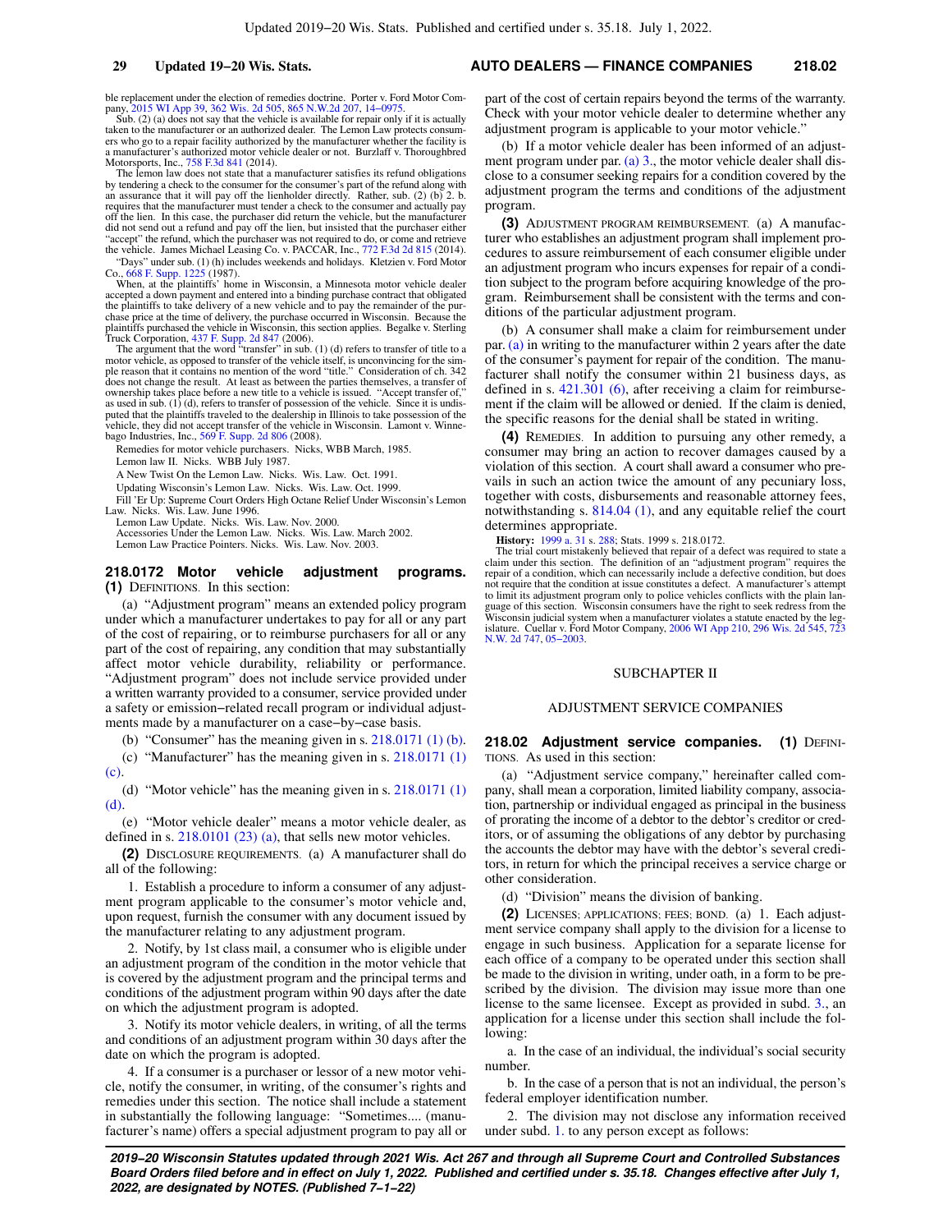## **29 Updated 19−20 Wis. Stats. AUTO DEALERS — FINANCE COMPANIES 218.02**

ble replacement under the election of remedies doctrine. Porter v. Ford Motor Company, [2015 WI App 39,](https://docs.legis.wisconsin.gov/document/courts/2015%20WI%20App%2039) [362 Wis. 2d 505](https://docs.legis.wisconsin.gov/document/courts/362%20Wis.%202d%20505), [865 N.W.2d 207](https://docs.legis.wisconsin.gov/document/courts/865%20N.W.2d%20207), [14−0975](https://docs.legis.wisconsin.gov/document/wicourtofappeals/14-0975). Sub. (2) (a) does not say that the vehicle is available for repair only if it is actually

taken to the manufacturer or an authorized dealer. The Lemon Law protects consum-<br>ers who go to a repair facility authorized by the manufacturer whether the facility is<br>a manufacturer's authorized motor vehicle dealer or n Motorsports, Inc., [758 F.3d 841](https://docs.legis.wisconsin.gov/document/courts/758%20F.3d%20841) (2014).

The lemon law does not state that a manufacturer satisfies its refund obligations by tendering a check to the consumer for the consumer's part of the refund along with an assurance that it will pay off the lienholder directly. Rather, sub. (2) (b) 2. b. requires that the manufacturer must tender a check to the consumer and actually pay off the lien. In this case, the purchaser did return the vehicle, but the manufacturer did not send out a refund and pay off the lien, but insisted that the purchaser either "accept" the refund, which the purchaser was not required to do, or come and retrieve the vehicle. James Michael Leasing Co. v. PACCAR, Inc., [772 F.3d 2d 815](https://docs.legis.wisconsin.gov/document/courts/772%20F.3d%202d%20815) (2014). "Days" under sub. (1) (h) includes weekends and holidays. Kletzien v. Ford Motor Co., [668 F. Supp. 1225](https://docs.legis.wisconsin.gov/document/courts/668%20F.%20Supp.%201225) (1987).

When, at the plaintiffs' home in Wisconsin, a Minnesota motor vehicle dealer accepted a down payment and entered into a binding purchase contract that obligated the plaintiffs to take delivery of a new vehicle and to pay the remainder of the pur-

chase price at the time of delivery, the purchase occurred in Wisconsin. Because the plaintiffs purchased the vehicle in Wisconsin, this section applies. Begalke v. Sterling Truck Corporation, [437 F. Supp. 2d 847](https://docs.legis.wisconsin.gov/document/courts/437%20F.%20Supp.%202d%20847) (2006).<br>T ownership takes place before a new title to a vehicle is issued. "Accept transfer of,"<br>as used in sub. (1) (d), refers to transfer of possession of the vehicle. Since it is undis-<br>puted that the plaintiffs traveled to the vehicle, they did not accept transfer of the vehicle in Wisconsin. Lamont v. Winne-bago Industries, Inc., [569 F. Supp. 2d 806](https://docs.legis.wisconsin.gov/document/courts/569%20F.%20Supp.%202d%20806) (2008).

Remedies for motor vehicle purchasers. Nicks, WBB March, 1985.

Lemon law II. Nicks. WBB July 1987.

A New Twist On the Lemon Law. Nicks. Wis. Law. Oct. 1991.

Updating Wisconsin's Lemon Law. Nicks. Wis. Law. Oct. 1999.

Fill 'Er Up: Supreme Court Orders High Octane Relief Under Wisconsin's Lemon Law. Nicks. Wis. Law. June 1996. Lemon Law Update. Nicks. Wis. Law. Nov. 2000.

Accessories Under the Lemon Law. Nicks. Wis. Law. March 2002.

Lemon Law Practice Pointers. Nicks. Wis. Law. Nov. 2003.

## **218.0172 Motor vehicle adjustment programs. (1)** DEFINITIONS. In this section:

(a) "Adjustment program" means an extended policy program under which a manufacturer undertakes to pay for all or any part of the cost of repairing, or to reimburse purchasers for all or any part of the cost of repairing, any condition that may substantially affect motor vehicle durability, reliability or performance. "Adjustment program" does not include service provided under a written warranty provided to a consumer, service provided under a safety or emission−related recall program or individual adjustments made by a manufacturer on a case−by−case basis.

(b) "Consumer" has the meaning given in s.  $218.0171$  (1) (b).

(c) "Manufacturer" has the meaning given in s. [218.0171 \(1\)](https://docs.legis.wisconsin.gov/document/statutes/218.0171(1)(c)) [\(c\).](https://docs.legis.wisconsin.gov/document/statutes/218.0171(1)(c))

(d) "Motor vehicle" has the meaning given in s. [218.0171 \(1\)](https://docs.legis.wisconsin.gov/document/statutes/218.0171(1)(d)) [\(d\)](https://docs.legis.wisconsin.gov/document/statutes/218.0171(1)(d)).

(e) "Motor vehicle dealer" means a motor vehicle dealer, as defined in s.  $218.0101(23)$  (a), that sells new motor vehicles.

**(2)** DISCLOSURE REQUIREMENTS. (a) A manufacturer shall do all of the following:

1. Establish a procedure to inform a consumer of any adjustment program applicable to the consumer's motor vehicle and, upon request, furnish the consumer with any document issued by the manufacturer relating to any adjustment program.

2. Notify, by 1st class mail, a consumer who is eligible under an adjustment program of the condition in the motor vehicle that is covered by the adjustment program and the principal terms and conditions of the adjustment program within 90 days after the date on which the adjustment program is adopted.

3. Notify its motor vehicle dealers, in writing, of all the terms and conditions of an adjustment program within 30 days after the date on which the program is adopted.

4. If a consumer is a purchaser or lessor of a new motor vehicle, notify the consumer, in writing, of the consumer's rights and remedies under this section. The notice shall include a statement in substantially the following language: "Sometimes.... (manufacturer's name) offers a special adjustment program to pay all or part of the cost of certain repairs beyond the terms of the warranty. Check with your motor vehicle dealer to determine whether any adjustment program is applicable to your motor vehicle."

(b) If a motor vehicle dealer has been informed of an adjust-ment program under par. [\(a\) 3.](https://docs.legis.wisconsin.gov/document/statutes/218.0172(2)(a)3.), the motor vehicle dealer shall disclose to a consumer seeking repairs for a condition covered by the adjustment program the terms and conditions of the adjustment program.

**(3)** ADJUSTMENT PROGRAM REIMBURSEMENT. (a) A manufacturer who establishes an adjustment program shall implement procedures to assure reimbursement of each consumer eligible under an adjustment program who incurs expenses for repair of a condition subject to the program before acquiring knowledge of the program. Reimbursement shall be consistent with the terms and conditions of the particular adjustment program.

(b) A consumer shall make a claim for reimbursement under par. [\(a\)](https://docs.legis.wisconsin.gov/document/statutes/218.0172(3)(a)) in writing to the manufacturer within 2 years after the date of the consumer's payment for repair of the condition. The manufacturer shall notify the consumer within 21 business days, as defined in s. [421.301 \(6\)](https://docs.legis.wisconsin.gov/document/statutes/421.301(6)), after receiving a claim for reimbursement if the claim will be allowed or denied. If the claim is denied, the specific reasons for the denial shall be stated in writing.

**(4)** REMEDIES. In addition to pursuing any other remedy, a consumer may bring an action to recover damages caused by a violation of this section. A court shall award a consumer who prevails in such an action twice the amount of any pecuniary loss, together with costs, disbursements and reasonable attorney fees, notwithstanding s. [814.04 \(1\)](https://docs.legis.wisconsin.gov/document/statutes/814.04(1)), and any equitable relief the court determines appropriate.

**History:** [1999 a. 31](https://docs.legis.wisconsin.gov/document/acts/1999/31) s. [288;](https://docs.legis.wisconsin.gov/document/acts/1999/31,%20s.%20288) Stats. 1999 s. 218.0172.

The trial court mistakenly believed that repair of a defect was required to state a claim under this section. The definition of an "adjustment program" requires the repair of a condition, which can necessarily include a defective condition, but does not require that the condition at issue constitutes a defect. A manufacturer's attempt to limit its adjustment program only to police vehicles conflicts with the plain lanage of this section. Wisconsin consumers have the right to seek redress from the guage of this section. Wisconsin consumers nary and region when a manufacturer violates a statute enacted by the leg-<br>Wisconsin judicial system when a manufacturer violates a statute enacted by the legislature. Cuellar v. Ford Motor Company, [2006 WI App 210](https://docs.legis.wisconsin.gov/document/courts/2006%20WI%20App%20210), [296 Wis. 2d 545](https://docs.legis.wisconsin.gov/document/courts/296%20Wis.%202d%20545), [723](https://docs.legis.wisconsin.gov/document/courts/723%20N.W.%202d%20747) [N.W. 2d 747,](https://docs.legis.wisconsin.gov/document/courts/723%20N.W.%202d%20747) [05−2003.](https://docs.legis.wisconsin.gov/document/wicourtofappeals/05-2003)

#### SUBCHAPTER II

#### ADJUSTMENT SERVICE COMPANIES

#### 218.02 Adjustment service companies. (1) DEFINI-TIONS. As used in this section:

(a) "Adjustment service company," hereinafter called company, shall mean a corporation, limited liability company, association, partnership or individual engaged as principal in the business of prorating the income of a debtor to the debtor's creditor or creditors, or of assuming the obligations of any debtor by purchasing the accounts the debtor may have with the debtor's several creditors, in return for which the principal receives a service charge or other consideration.

(d) "Division" means the division of banking.

**(2)** LICENSES; APPLICATIONS; FEES; BOND. (a) 1. Each adjustment service company shall apply to the division for a license to engage in such business. Application for a separate license for each office of a company to be operated under this section shall be made to the division in writing, under oath, in a form to be prescribed by the division. The division may issue more than one license to the same licensee. Except as provided in subd. [3.,](https://docs.legis.wisconsin.gov/document/statutes/218.02(2)(a)3.) an application for a license under this section shall include the following:

a. In the case of an individual, the individual's social security number.

b. In the case of a person that is not an individual, the person's federal employer identification number.

2. The division may not disclose any information received under subd. [1.](https://docs.legis.wisconsin.gov/document/statutes/218.02(2)(a)1.) to any person except as follows: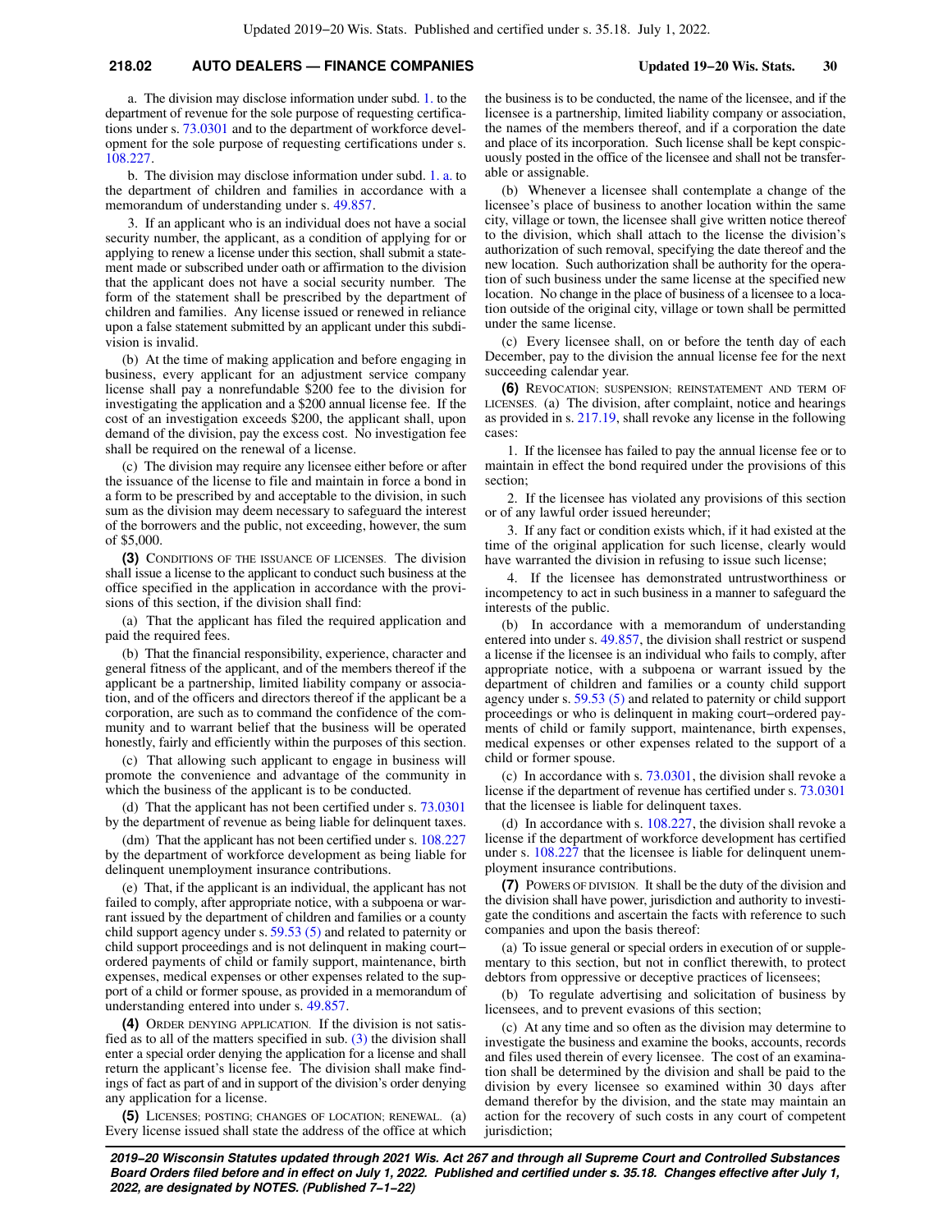## **218.02 AUTO DEALERS — FINANCE COMPANIES Updated 19−20 Wis. Stats. 30**

a. The division may disclose information under subd. [1.](https://docs.legis.wisconsin.gov/document/statutes/218.02(2)(a)1.) to the department of revenue for the sole purpose of requesting certifications under s. [73.0301](https://docs.legis.wisconsin.gov/document/statutes/73.0301) and to the department of workforce development for the sole purpose of requesting certifications under s. [108.227](https://docs.legis.wisconsin.gov/document/statutes/108.227).

b. The division may disclose information under subd. [1. a.](https://docs.legis.wisconsin.gov/document/statutes/218.02(2)(a)1.a.) to the department of children and families in accordance with a memorandum of understanding under s. [49.857.](https://docs.legis.wisconsin.gov/document/statutes/49.857)

3. If an applicant who is an individual does not have a social security number, the applicant, as a condition of applying for or applying to renew a license under this section, shall submit a statement made or subscribed under oath or affirmation to the division that the applicant does not have a social security number. The form of the statement shall be prescribed by the department of children and families. Any license issued or renewed in reliance upon a false statement submitted by an applicant under this subdivision is invalid.

(b) At the time of making application and before engaging in business, every applicant for an adjustment service company license shall pay a nonrefundable \$200 fee to the division for investigating the application and a \$200 annual license fee. If the cost of an investigation exceeds \$200, the applicant shall, upon demand of the division, pay the excess cost. No investigation fee shall be required on the renewal of a license.

(c) The division may require any licensee either before or after the issuance of the license to file and maintain in force a bond in a form to be prescribed by and acceptable to the division, in such sum as the division may deem necessary to safeguard the interest of the borrowers and the public, not exceeding, however, the sum of \$5,000.

**(3)** CONDITIONS OF THE ISSUANCE OF LICENSES. The division shall issue a license to the applicant to conduct such business at the office specified in the application in accordance with the provisions of this section, if the division shall find:

(a) That the applicant has filed the required application and paid the required fees.

(b) That the financial responsibility, experience, character and general fitness of the applicant, and of the members thereof if the applicant be a partnership, limited liability company or association, and of the officers and directors thereof if the applicant be a corporation, are such as to command the confidence of the community and to warrant belief that the business will be operated honestly, fairly and efficiently within the purposes of this section.

(c) That allowing such applicant to engage in business will promote the convenience and advantage of the community in which the business of the applicant is to be conducted.

(d) That the applicant has not been certified under s. [73.0301](https://docs.legis.wisconsin.gov/document/statutes/73.0301) by the department of revenue as being liable for delinquent taxes.

(dm) That the applicant has not been certified under s. [108.227](https://docs.legis.wisconsin.gov/document/statutes/108.227) by the department of workforce development as being liable for delinquent unemployment insurance contributions.

(e) That, if the applicant is an individual, the applicant has not failed to comply, after appropriate notice, with a subpoena or warrant issued by the department of children and families or a county child support agency under s. [59.53 \(5\)](https://docs.legis.wisconsin.gov/document/statutes/59.53(5)) and related to paternity or child support proceedings and is not delinquent in making court− ordered payments of child or family support, maintenance, birth expenses, medical expenses or other expenses related to the support of a child or former spouse, as provided in a memorandum of understanding entered into under s. [49.857](https://docs.legis.wisconsin.gov/document/statutes/49.857).

**(4)** ORDER DENYING APPLICATION. If the division is not satisfied as to all of the matters specified in sub.  $(3)$  the division shall enter a special order denying the application for a license and shall return the applicant's license fee. The division shall make findings of fact as part of and in support of the division's order denying any application for a license.

**(5)** LICENSES; POSTING; CHANGES OF LOCATION; RENEWAL. (a) Every license issued shall state the address of the office at which the business is to be conducted, the name of the licensee, and if the licensee is a partnership, limited liability company or association, the names of the members thereof, and if a corporation the date and place of its incorporation. Such license shall be kept conspicuously posted in the office of the licensee and shall not be transferable or assignable.

(b) Whenever a licensee shall contemplate a change of the licensee's place of business to another location within the same city, village or town, the licensee shall give written notice thereof to the division, which shall attach to the license the division's authorization of such removal, specifying the date thereof and the new location. Such authorization shall be authority for the operation of such business under the same license at the specified new location. No change in the place of business of a licensee to a location outside of the original city, village or town shall be permitted under the same license.

(c) Every licensee shall, on or before the tenth day of each December, pay to the division the annual license fee for the next succeeding calendar year.

**(6)** REVOCATION; SUSPENSION; REINSTATEMENT AND TERM OF LICENSES. (a) The division, after complaint, notice and hearings as provided in s. [217.19,](https://docs.legis.wisconsin.gov/document/statutes/217.19) shall revoke any license in the following cases

1. If the licensee has failed to pay the annual license fee or to maintain in effect the bond required under the provisions of this section;

2. If the licensee has violated any provisions of this section or of any lawful order issued hereunder;

3. If any fact or condition exists which, if it had existed at the time of the original application for such license, clearly would have warranted the division in refusing to issue such license;

4. If the licensee has demonstrated untrustworthiness or incompetency to act in such business in a manner to safeguard the interests of the public.

(b) In accordance with a memorandum of understanding entered into under s. [49.857,](https://docs.legis.wisconsin.gov/document/statutes/49.857) the division shall restrict or suspend a license if the licensee is an individual who fails to comply, after appropriate notice, with a subpoena or warrant issued by the department of children and families or a county child support agency under s. [59.53 \(5\)](https://docs.legis.wisconsin.gov/document/statutes/59.53(5)) and related to paternity or child support proceedings or who is delinquent in making court−ordered payments of child or family support, maintenance, birth expenses, medical expenses or other expenses related to the support of a child or former spouse.

(c) In accordance with s. [73.0301](https://docs.legis.wisconsin.gov/document/statutes/73.0301), the division shall revoke a license if the department of revenue has certified under s. [73.0301](https://docs.legis.wisconsin.gov/document/statutes/73.0301) that the licensee is liable for delinquent taxes.

(d) In accordance with s. [108.227,](https://docs.legis.wisconsin.gov/document/statutes/108.227) the division shall revoke a license if the department of workforce development has certified under s. [108.227](https://docs.legis.wisconsin.gov/document/statutes/108.227) that the licensee is liable for delinquent unemployment insurance contributions.

**(7)** POWERS OF DIVISION. It shall be the duty of the division and the division shall have power, jurisdiction and authority to investigate the conditions and ascertain the facts with reference to such companies and upon the basis thereof:

(a) To issue general or special orders in execution of or supplementary to this section, but not in conflict therewith, to protect debtors from oppressive or deceptive practices of licensees;

(b) To regulate advertising and solicitation of business by licensees, and to prevent evasions of this section;

(c) At any time and so often as the division may determine to investigate the business and examine the books, accounts, records and files used therein of every licensee. The cost of an examination shall be determined by the division and shall be paid to the division by every licensee so examined within 30 days after demand therefor by the division, and the state may maintain an action for the recovery of such costs in any court of competent jurisdiction;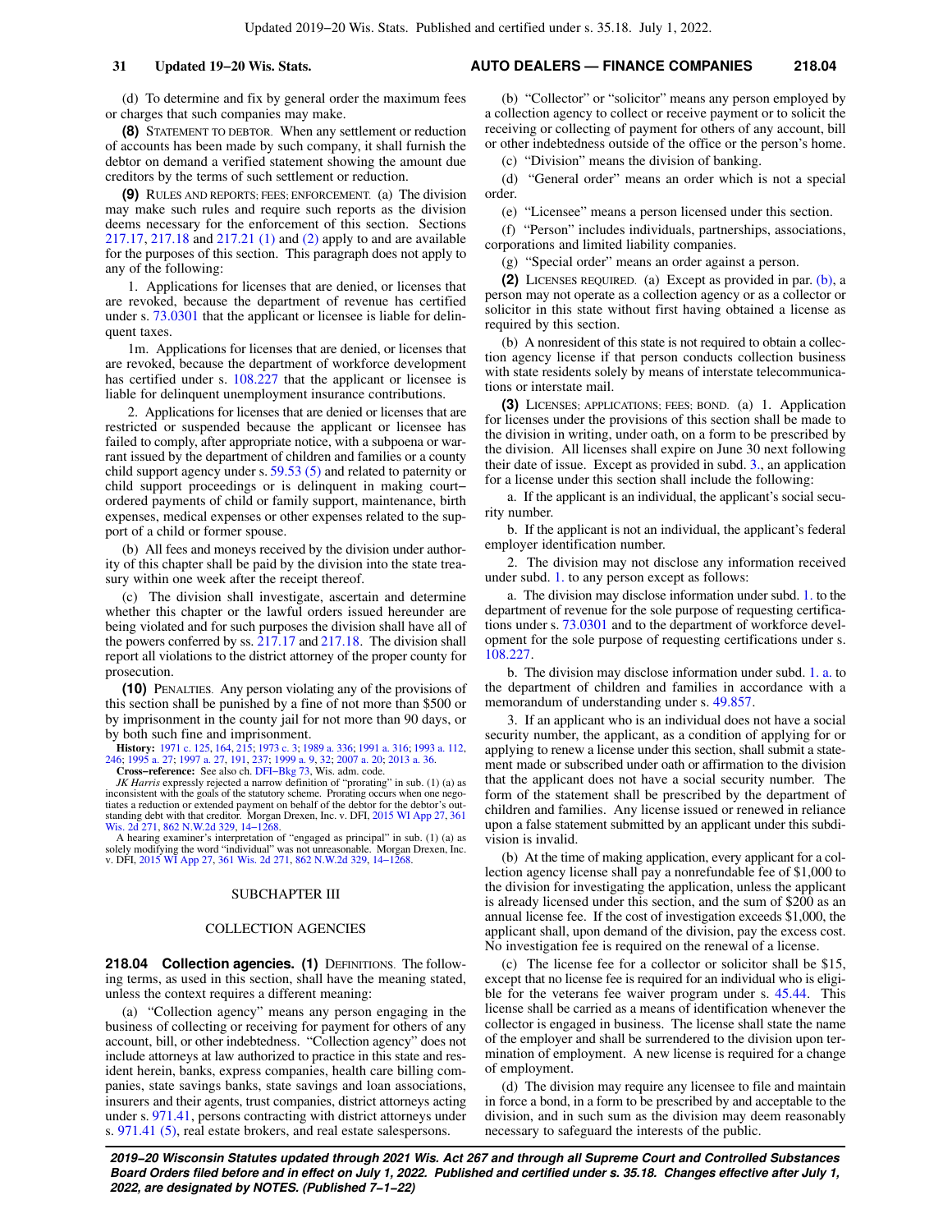(d) To determine and fix by general order the maximum fees or charges that such companies may make.

**(8)** STATEMENT TO DEBTOR. When any settlement or reduction of accounts has been made by such company, it shall furnish the debtor on demand a verified statement showing the amount due creditors by the terms of such settlement or reduction.

**(9)** RULES AND REPORTS; FEES; ENFORCEMENT. (a) The division may make such rules and require such reports as the division deems necessary for the enforcement of this section. Sections [217.17,](https://docs.legis.wisconsin.gov/document/statutes/217.17) [217.18](https://docs.legis.wisconsin.gov/document/statutes/217.18) and [217.21 \(1\)](https://docs.legis.wisconsin.gov/document/statutes/217.21(1)) and [\(2\)](https://docs.legis.wisconsin.gov/document/statutes/217.21(2)) apply to and are available for the purposes of this section. This paragraph does not apply to any of the following:

1. Applications for licenses that are denied, or licenses that are revoked, because the department of revenue has certified under s. [73.0301](https://docs.legis.wisconsin.gov/document/statutes/73.0301) that the applicant or licensee is liable for delinquent taxes.

1m. Applications for licenses that are denied, or licenses that are revoked, because the department of workforce development has certified under s. [108.227](https://docs.legis.wisconsin.gov/document/statutes/108.227) that the applicant or licensee is liable for delinquent unemployment insurance contributions.

2. Applications for licenses that are denied or licenses that are restricted or suspended because the applicant or licensee has failed to comply, after appropriate notice, with a subpoena or warrant issued by the department of children and families or a county child support agency under s. [59.53 \(5\)](https://docs.legis.wisconsin.gov/document/statutes/59.53(5)) and related to paternity or child support proceedings or is delinquent in making court− ordered payments of child or family support, maintenance, birth expenses, medical expenses or other expenses related to the support of a child or former spouse.

(b) All fees and moneys received by the division under authority of this chapter shall be paid by the division into the state treasury within one week after the receipt thereof.

(c) The division shall investigate, ascertain and determine whether this chapter or the lawful orders issued hereunder are being violated and for such purposes the division shall have all of the powers conferred by ss. [217.17](https://docs.legis.wisconsin.gov/document/statutes/217.17) and [217.18](https://docs.legis.wisconsin.gov/document/statutes/217.18). The division shall report all violations to the district attorney of the proper county for prosecution.

**(10)** PENALTIES. Any person violating any of the provisions of this section shall be punished by a fine of not more than \$500 or by imprisonment in the county jail for not more than 90 days, or by both such fine and imprisonment.

**History:** [1971 c. 125](https://docs.legis.wisconsin.gov/document/acts/1971/125), [164,](https://docs.legis.wisconsin.gov/document/acts/1971/164) [215;](https://docs.legis.wisconsin.gov/document/acts/1971/215) [1973 c. 3](https://docs.legis.wisconsin.gov/document/acts/1973/3); [1989 a. 336](https://docs.legis.wisconsin.gov/document/acts/1989/336); [1991 a. 316;](https://docs.legis.wisconsin.gov/document/acts/1991/316) [1993 a. 112](https://docs.legis.wisconsin.gov/document/acts/1993/112), [246](https://docs.legis.wisconsin.gov/document/acts/1993/246); [1995 a. 27](https://docs.legis.wisconsin.gov/document/acts/1995/27); [1997 a. 27,](https://docs.legis.wisconsin.gov/document/acts/1997/27) [191,](https://docs.legis.wisconsin.gov/document/acts/1997/191) [237;](https://docs.legis.wisconsin.gov/document/acts/1997/237) [1999 a. 9](https://docs.legis.wisconsin.gov/document/acts/1999/9), [32;](https://docs.legis.wisconsin.gov/document/acts/1999/32) [2007 a. 20](https://docs.legis.wisconsin.gov/document/acts/2007/20); [2013 a. 36](https://docs.legis.wisconsin.gov/document/acts/2013/36). **Cross−reference:** See also ch. [DFI−Bkg 73](https://docs.legis.wisconsin.gov/document/administrativecode/ch.%20DFI-Bkg%2073), Wis. adm. code.

*JK Harris* expressly rejected a narrow definition of "prorating" in sub. (1) (a) as inconsistent with the goals of the statutory scheme. Prorating occurs when one nego-tiates a reduction or extended payment on behalf of the debtor for the debtor's outstanding debt with that creditor. Morgan Drexen, Inc. v. DFI, [2015 WI App 27](https://docs.legis.wisconsin.gov/document/courts/2015%20WI%20App%2027), [361](https://docs.legis.wisconsin.gov/document/courts/361%20Wis.%202d%20271) [Wis. 2d 271,](https://docs.legis.wisconsin.gov/document/courts/361%20Wis.%202d%20271) [862 N.W.2d 329](https://docs.legis.wisconsin.gov/document/courts/862%20N.W.2d%20329), [14−1268](https://docs.legis.wisconsin.gov/document/wicourtofappeals/14-1268).

A hearing examiner's interpretation of "engaged as principal" in sub. (1) (a) as solely modifying the word "individual" was not unreasonable. Morgan Drexen, Inc. v. DFI, [2015 WI App 27,](https://docs.legis.wisconsin.gov/document/courts/2015%20WI%20App%2027) [361 Wis. 2d 271](https://docs.legis.wisconsin.gov/document/courts/361%20Wis.%202d%20271), [862 N.W.2d 329](https://docs.legis.wisconsin.gov/document/courts/862%20N.W.2d%20329), [14−1268](https://docs.legis.wisconsin.gov/document/wicourtofappeals/14-1268).

#### SUBCHAPTER III

#### COLLECTION AGENCIES

218.04 Collection agencies. (1) DEFINITIONS. The following terms, as used in this section, shall have the meaning stated, unless the context requires a different meaning:

(a) "Collection agency" means any person engaging in the business of collecting or receiving for payment for others of any account, bill, or other indebtedness. "Collection agency" does not include attorneys at law authorized to practice in this state and resident herein, banks, express companies, health care billing companies, state savings banks, state savings and loan associations, insurers and their agents, trust companies, district attorneys acting under s. [971.41,](https://docs.legis.wisconsin.gov/document/statutes/971.41) persons contracting with district attorneys under s. [971.41 \(5\),](https://docs.legis.wisconsin.gov/document/statutes/971.41(5)) real estate brokers, and real estate salespersons.

## **31 Updated 19−20 Wis. Stats. AUTO DEALERS — FINANCE COMPANIES 218.04**

(b) "Collector" or "solicitor" means any person employed by a collection agency to collect or receive payment or to solicit the receiving or collecting of payment for others of any account, bill or other indebtedness outside of the office or the person's home.

(c) "Division" means the division of banking.

(d) "General order" means an order which is not a special order.

(e) "Licensee" means a person licensed under this section.

(f) "Person" includes individuals, partnerships, associations, corporations and limited liability companies.

(g) "Special order" means an order against a person.

**(2)** LICENSES REQUIRED. (a) Except as provided in par. [\(b\),](https://docs.legis.wisconsin.gov/document/statutes/218.04(2)(b)) a person may not operate as a collection agency or as a collector or solicitor in this state without first having obtained a license as required by this section.

(b) A nonresident of this state is not required to obtain a collection agency license if that person conducts collection business with state residents solely by means of interstate telecommunications or interstate mail.

**(3)** LICENSES; APPLICATIONS; FEES; BOND. (a) 1. Application for licenses under the provisions of this section shall be made to the division in writing, under oath, on a form to be prescribed by the division. All licenses shall expire on June 30 next following their date of issue. Except as provided in subd. [3.](https://docs.legis.wisconsin.gov/document/statutes/218.04(3)(a)3.), an application for a license under this section shall include the following:

a. If the applicant is an individual, the applicant's social security number.

b. If the applicant is not an individual, the applicant's federal employer identification number.

2. The division may not disclose any information received under subd. [1.](https://docs.legis.wisconsin.gov/document/statutes/218.04(3)(a)1.) to any person except as follows:

a. The division may disclose information under subd. [1.](https://docs.legis.wisconsin.gov/document/statutes/218.04(3)(a)1.) to the department of revenue for the sole purpose of requesting certifications under s. [73.0301](https://docs.legis.wisconsin.gov/document/statutes/73.0301) and to the department of workforce development for the sole purpose of requesting certifications under s. [108.227](https://docs.legis.wisconsin.gov/document/statutes/108.227).

b. The division may disclose information under subd. [1. a.](https://docs.legis.wisconsin.gov/document/statutes/218.04(3)(a)1.a.) to the department of children and families in accordance with a memorandum of understanding under s. [49.857.](https://docs.legis.wisconsin.gov/document/statutes/49.857)

3. If an applicant who is an individual does not have a social security number, the applicant, as a condition of applying for or applying to renew a license under this section, shall submit a statement made or subscribed under oath or affirmation to the division that the applicant does not have a social security number. The form of the statement shall be prescribed by the department of children and families. Any license issued or renewed in reliance upon a false statement submitted by an applicant under this subdivision is invalid.

(b) At the time of making application, every applicant for a collection agency license shall pay a nonrefundable fee of \$1,000 to the division for investigating the application, unless the applicant is already licensed under this section, and the sum of \$200 as an annual license fee. If the cost of investigation exceeds \$1,000, the applicant shall, upon demand of the division, pay the excess cost. No investigation fee is required on the renewal of a license.

(c) The license fee for a collector or solicitor shall be \$15, except that no license fee is required for an individual who is eligible for the veterans fee waiver program under s. [45.44](https://docs.legis.wisconsin.gov/document/statutes/45.44). This license shall be carried as a means of identification whenever the collector is engaged in business. The license shall state the name of the employer and shall be surrendered to the division upon termination of employment. A new license is required for a change of employment.

(d) The division may require any licensee to file and maintain in force a bond, in a form to be prescribed by and acceptable to the division, and in such sum as the division may deem reasonably necessary to safeguard the interests of the public.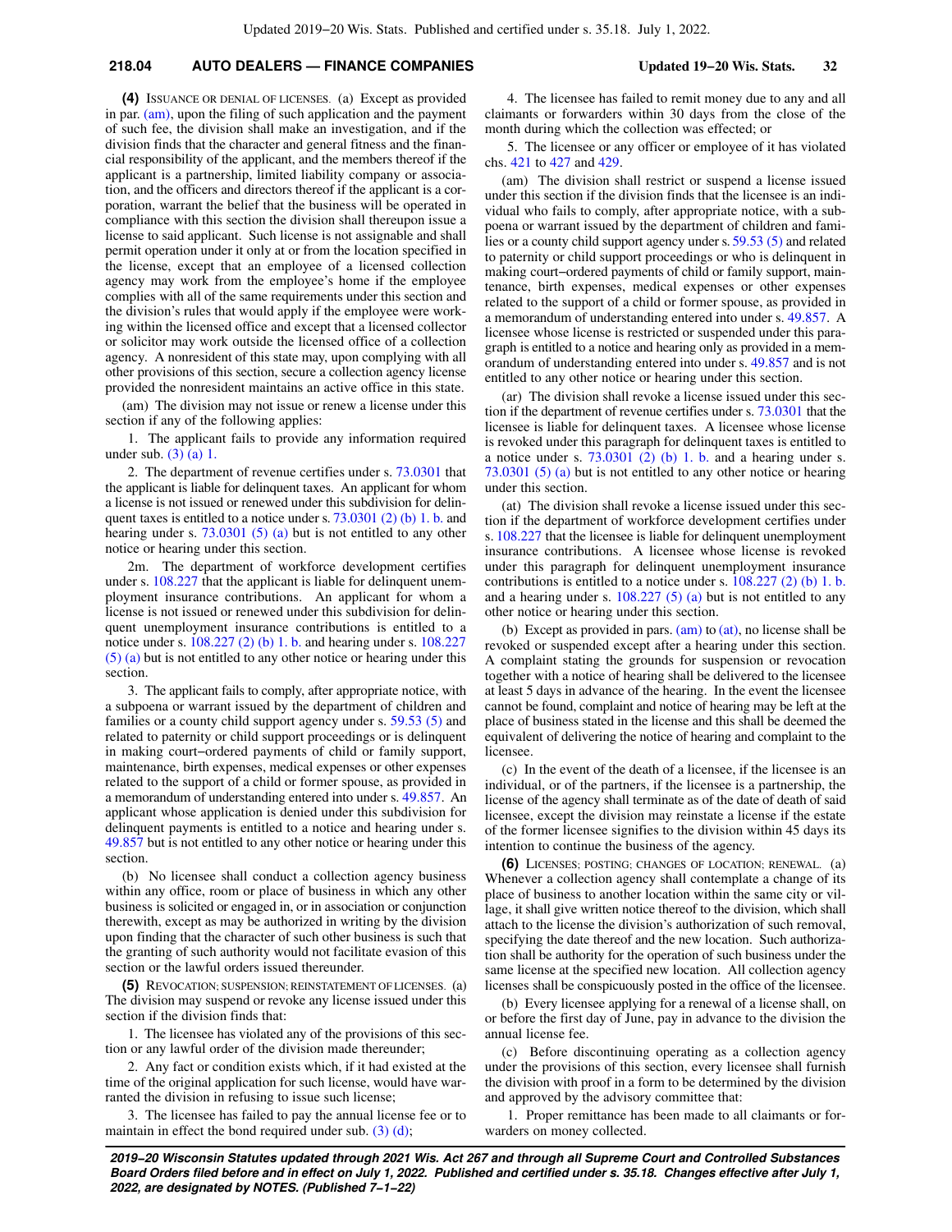## **218.04 AUTO DEALERS — FINANCE COMPANIES Updated 19−20 Wis. Stats. 32**

**(4)** ISSUANCE OR DENIAL OF LICENSES. (a) Except as provided in par. [\(am\),](https://docs.legis.wisconsin.gov/document/statutes/218.04(4)(am)) upon the filing of such application and the payment of such fee, the division shall make an investigation, and if the division finds that the character and general fitness and the financial responsibility of the applicant, and the members thereof if the applicant is a partnership, limited liability company or association, and the officers and directors thereof if the applicant is a corporation, warrant the belief that the business will be operated in compliance with this section the division shall thereupon issue a license to said applicant. Such license is not assignable and shall permit operation under it only at or from the location specified in the license, except that an employee of a licensed collection agency may work from the employee's home if the employee complies with all of the same requirements under this section and the division's rules that would apply if the employee were working within the licensed office and except that a licensed collector or solicitor may work outside the licensed office of a collection agency. A nonresident of this state may, upon complying with all other provisions of this section, secure a collection agency license provided the nonresident maintains an active office in this state.

(am) The division may not issue or renew a license under this section if any of the following applies:

1. The applicant fails to provide any information required under sub. [\(3\) \(a\) 1.](https://docs.legis.wisconsin.gov/document/statutes/218.04(3)(a)1.)

2. The department of revenue certifies under s. [73.0301](https://docs.legis.wisconsin.gov/document/statutes/73.0301) that the applicant is liable for delinquent taxes. An applicant for whom a license is not issued or renewed under this subdivision for delinquent taxes is entitled to a notice under s. [73.0301 \(2\) \(b\) 1. b.](https://docs.legis.wisconsin.gov/document/statutes/73.0301(2)(b)1.b.) and hearing under s. [73.0301 \(5\) \(a\)](https://docs.legis.wisconsin.gov/document/statutes/73.0301(5)(a)) but is not entitled to any other notice or hearing under this section.

2m. The department of workforce development certifies under s. [108.227](https://docs.legis.wisconsin.gov/document/statutes/108.227) that the applicant is liable for delinquent unemployment insurance contributions. An applicant for whom a license is not issued or renewed under this subdivision for delinquent unemployment insurance contributions is entitled to a notice under s. [108.227 \(2\) \(b\) 1. b.](https://docs.legis.wisconsin.gov/document/statutes/108.227(2)(b)1.b.) and hearing under s. [108.227](https://docs.legis.wisconsin.gov/document/statutes/108.227(5)(a)) [\(5\) \(a\)](https://docs.legis.wisconsin.gov/document/statutes/108.227(5)(a)) but is not entitled to any other notice or hearing under this section.

3. The applicant fails to comply, after appropriate notice, with a subpoena or warrant issued by the department of children and families or a county child support agency under s. [59.53 \(5\)](https://docs.legis.wisconsin.gov/document/statutes/59.53(5)) and related to paternity or child support proceedings or is delinquent in making court−ordered payments of child or family support, maintenance, birth expenses, medical expenses or other expenses related to the support of a child or former spouse, as provided in a memorandum of understanding entered into under s. [49.857.](https://docs.legis.wisconsin.gov/document/statutes/49.857) An applicant whose application is denied under this subdivision for delinquent payments is entitled to a notice and hearing under s. [49.857](https://docs.legis.wisconsin.gov/document/statutes/49.857) but is not entitled to any other notice or hearing under this section.

(b) No licensee shall conduct a collection agency business within any office, room or place of business in which any other business is solicited or engaged in, or in association or conjunction therewith, except as may be authorized in writing by the division upon finding that the character of such other business is such that the granting of such authority would not facilitate evasion of this section or the lawful orders issued thereunder.

**(5)** REVOCATION; SUSPENSION; REINSTATEMENT OF LICENSES. (a) The division may suspend or revoke any license issued under this section if the division finds that:

1. The licensee has violated any of the provisions of this section or any lawful order of the division made thereunder;

2. Any fact or condition exists which, if it had existed at the time of the original application for such license, would have warranted the division in refusing to issue such license;

3. The licensee has failed to pay the annual license fee or to maintain in effect the bond required under sub.  $(3)$   $(d)$ ;

4. The licensee has failed to remit money due to any and all claimants or forwarders within 30 days from the close of the month during which the collection was effected; or

5. The licensee or any officer or employee of it has violated chs. [421](https://docs.legis.wisconsin.gov/document/statutes/ch.%20421) to [427](https://docs.legis.wisconsin.gov/document/statutes/ch.%20427) and [429.](https://docs.legis.wisconsin.gov/document/statutes/ch.%20429)

(am) The division shall restrict or suspend a license issued under this section if the division finds that the licensee is an individual who fails to comply, after appropriate notice, with a subpoena or warrant issued by the department of children and families or a county child support agency under s. [59.53 \(5\)](https://docs.legis.wisconsin.gov/document/statutes/59.53(5)) and related to paternity or child support proceedings or who is delinquent in making court−ordered payments of child or family support, maintenance, birth expenses, medical expenses or other expenses related to the support of a child or former spouse, as provided in a memorandum of understanding entered into under s. [49.857.](https://docs.legis.wisconsin.gov/document/statutes/49.857) A licensee whose license is restricted or suspended under this paragraph is entitled to a notice and hearing only as provided in a memorandum of understanding entered into under s. [49.857](https://docs.legis.wisconsin.gov/document/statutes/49.857) and is not entitled to any other notice or hearing under this section.

(ar) The division shall revoke a license issued under this section if the department of revenue certifies under s. [73.0301](https://docs.legis.wisconsin.gov/document/statutes/73.0301) that the licensee is liable for delinquent taxes. A licensee whose license is revoked under this paragraph for delinquent taxes is entitled to a notice under s.  $73.0301$  (2) (b) 1. b. and a hearing under s. [73.0301 \(5\) \(a\)](https://docs.legis.wisconsin.gov/document/statutes/73.0301(5)(a)) but is not entitled to any other notice or hearing under this section.

(at) The division shall revoke a license issued under this section if the department of workforce development certifies under s. [108.227](https://docs.legis.wisconsin.gov/document/statutes/108.227) that the licensee is liable for delinquent unemployment insurance contributions. A licensee whose license is revoked under this paragraph for delinquent unemployment insurance contributions is entitled to a notice under s. [108.227 \(2\) \(b\) 1. b.](https://docs.legis.wisconsin.gov/document/statutes/108.227(2)(b)1.b.) and a hearing under s.  $108.227(5)$  (a) but is not entitled to any other notice or hearing under this section.

(b) Except as provided in pars. [\(am\)](https://docs.legis.wisconsin.gov/document/statutes/218.04(5)(am)) to [\(at\)](https://docs.legis.wisconsin.gov/document/statutes/218.04(5)(at)), no license shall be revoked or suspended except after a hearing under this section. A complaint stating the grounds for suspension or revocation together with a notice of hearing shall be delivered to the licensee at least 5 days in advance of the hearing. In the event the licensee cannot be found, complaint and notice of hearing may be left at the place of business stated in the license and this shall be deemed the equivalent of delivering the notice of hearing and complaint to the licensee.

(c) In the event of the death of a licensee, if the licensee is an individual, or of the partners, if the licensee is a partnership, the license of the agency shall terminate as of the date of death of said licensee, except the division may reinstate a license if the estate of the former licensee signifies to the division within 45 days its intention to continue the business of the agency.

**(6)** LICENSES; POSTING; CHANGES OF LOCATION; RENEWAL. (a) Whenever a collection agency shall contemplate a change of its place of business to another location within the same city or village, it shall give written notice thereof to the division, which shall attach to the license the division's authorization of such removal, specifying the date thereof and the new location. Such authorization shall be authority for the operation of such business under the same license at the specified new location. All collection agency licenses shall be conspicuously posted in the office of the licensee.

(b) Every licensee applying for a renewal of a license shall, on or before the first day of June, pay in advance to the division the annual license fee.

(c) Before discontinuing operating as a collection agency under the provisions of this section, every licensee shall furnish the division with proof in a form to be determined by the division and approved by the advisory committee that:

1. Proper remittance has been made to all claimants or forwarders on money collected.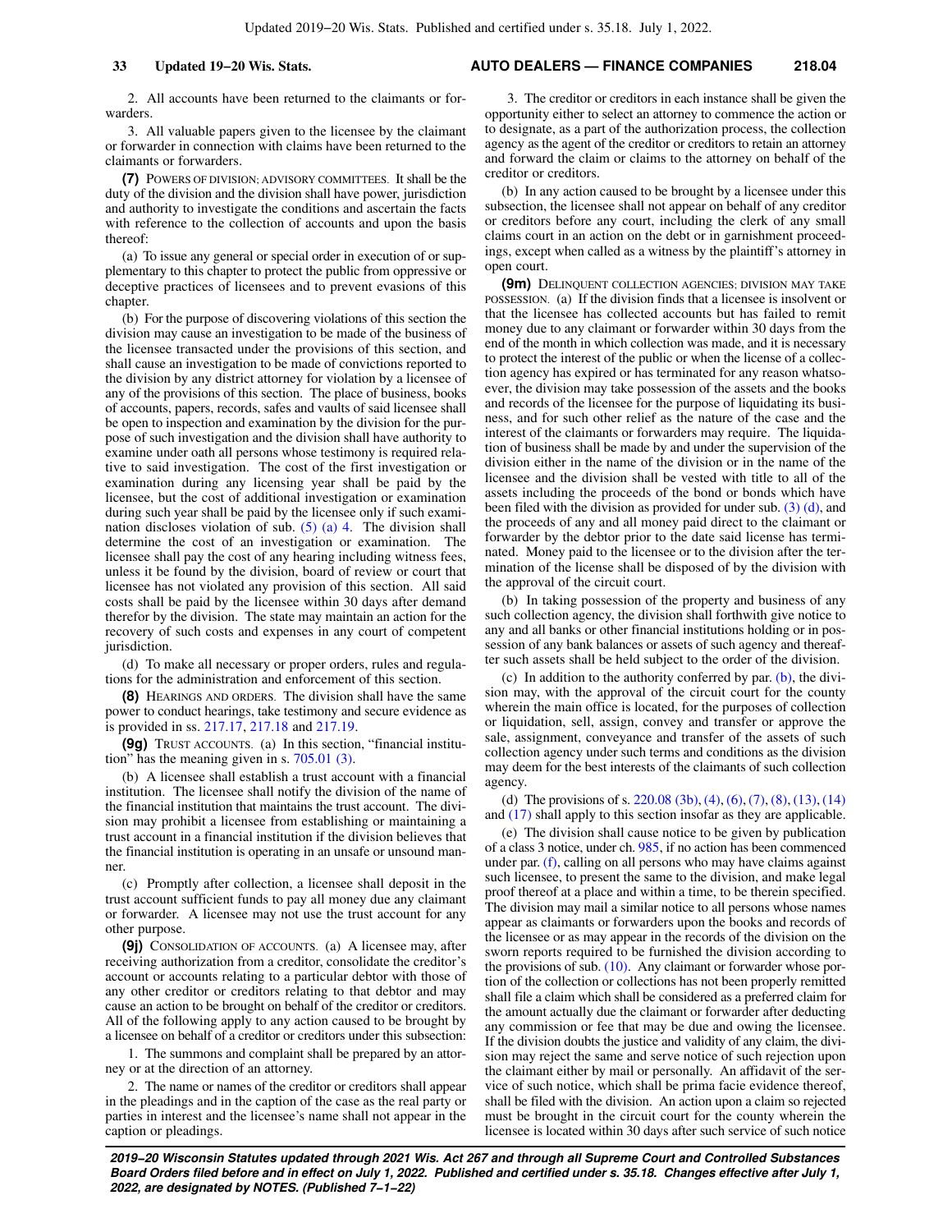2. All accounts have been returned to the claimants or forwarders.

3. All valuable papers given to the licensee by the claimant or forwarder in connection with claims have been returned to the claimants or forwarders.

**(7)** POWERS OF DIVISION; ADVISORY COMMITTEES. It shall be the duty of the division and the division shall have power, jurisdiction and authority to investigate the conditions and ascertain the facts with reference to the collection of accounts and upon the basis thereof:

(a) To issue any general or special order in execution of or supplementary to this chapter to protect the public from oppressive or deceptive practices of licensees and to prevent evasions of this chapter.

(b) For the purpose of discovering violations of this section the division may cause an investigation to be made of the business of the licensee transacted under the provisions of this section, and shall cause an investigation to be made of convictions reported to the division by any district attorney for violation by a licensee of any of the provisions of this section. The place of business, books of accounts, papers, records, safes and vaults of said licensee shall be open to inspection and examination by the division for the purpose of such investigation and the division shall have authority to examine under oath all persons whose testimony is required relative to said investigation. The cost of the first investigation or examination during any licensing year shall be paid by the licensee, but the cost of additional investigation or examination during such year shall be paid by the licensee only if such examination discloses violation of sub.  $(5)$  (a) 4. The division shall determine the cost of an investigation or examination. The licensee shall pay the cost of any hearing including witness fees, unless it be found by the division, board of review or court that licensee has not violated any provision of this section. All said costs shall be paid by the licensee within 30 days after demand therefor by the division. The state may maintain an action for the recovery of such costs and expenses in any court of competent jurisdiction.

(d) To make all necessary or proper orders, rules and regulations for the administration and enforcement of this section.

**(8)** HEARINGS AND ORDERS. The division shall have the same power to conduct hearings, take testimony and secure evidence as is provided in ss. [217.17](https://docs.legis.wisconsin.gov/document/statutes/217.17), [217.18](https://docs.legis.wisconsin.gov/document/statutes/217.18) and [217.19](https://docs.legis.wisconsin.gov/document/statutes/217.19).

**(9g)** TRUST ACCOUNTS. (a) In this section, "financial institution" has the meaning given in s. [705.01 \(3\).](https://docs.legis.wisconsin.gov/document/statutes/705.01(3))

(b) A licensee shall establish a trust account with a financial institution. The licensee shall notify the division of the name of the financial institution that maintains the trust account. The division may prohibit a licensee from establishing or maintaining a trust account in a financial institution if the division believes that the financial institution is operating in an unsafe or unsound manner.

(c) Promptly after collection, a licensee shall deposit in the trust account sufficient funds to pay all money due any claimant or forwarder. A licensee may not use the trust account for any other purpose.

**(9j)** CONSOLIDATION OF ACCOUNTS. (a) A licensee may, after receiving authorization from a creditor, consolidate the creditor's account or accounts relating to a particular debtor with those of any other creditor or creditors relating to that debtor and may cause an action to be brought on behalf of the creditor or creditors. All of the following apply to any action caused to be brought by a licensee on behalf of a creditor or creditors under this subsection:

1. The summons and complaint shall be prepared by an attorney or at the direction of an attorney.

2. The name or names of the creditor or creditors shall appear in the pleadings and in the caption of the case as the real party or parties in interest and the licensee's name shall not appear in the caption or pleadings.

## **33 Updated 19−20 Wis. Stats. AUTO DEALERS — FINANCE COMPANIES 218.04**

3. The creditor or creditors in each instance shall be given the opportunity either to select an attorney to commence the action or to designate, as a part of the authorization process, the collection agency as the agent of the creditor or creditors to retain an attorney and forward the claim or claims to the attorney on behalf of the creditor or creditors.

(b) In any action caused to be brought by a licensee under this subsection, the licensee shall not appear on behalf of any creditor or creditors before any court, including the clerk of any small claims court in an action on the debt or in garnishment proceedings, except when called as a witness by the plaintiff's attorney in open court.

**(9m)** DELINQUENT COLLECTION AGENCIES; DIVISION MAY TAKE POSSESSION. (a) If the division finds that a licensee is insolvent or that the licensee has collected accounts but has failed to remit money due to any claimant or forwarder within 30 days from the end of the month in which collection was made, and it is necessary to protect the interest of the public or when the license of a collection agency has expired or has terminated for any reason whatsoever, the division may take possession of the assets and the books and records of the licensee for the purpose of liquidating its business, and for such other relief as the nature of the case and the interest of the claimants or forwarders may require. The liquidation of business shall be made by and under the supervision of the division either in the name of the division or in the name of the licensee and the division shall be vested with title to all of the assets including the proceeds of the bond or bonds which have been filed with the division as provided for under sub.  $(3)$   $(d)$ , and the proceeds of any and all money paid direct to the claimant or forwarder by the debtor prior to the date said license has terminated. Money paid to the licensee or to the division after the termination of the license shall be disposed of by the division with the approval of the circuit court.

(b) In taking possession of the property and business of any such collection agency, the division shall forthwith give notice to any and all banks or other financial institutions holding or in possession of any bank balances or assets of such agency and thereafter such assets shall be held subject to the order of the division.

(c) In addition to the authority conferred by par. [\(b\),](https://docs.legis.wisconsin.gov/document/statutes/218.04(9m)(b)) the division may, with the approval of the circuit court for the county wherein the main office is located, for the purposes of collection or liquidation, sell, assign, convey and transfer or approve the sale, assignment, conveyance and transfer of the assets of such collection agency under such terms and conditions as the division may deem for the best interests of the claimants of such collection agency.

(d) The provisions of s. [220.08 \(3b\)](https://docs.legis.wisconsin.gov/document/statutes/220.08(3b)), [\(4\),](https://docs.legis.wisconsin.gov/document/statutes/220.08(4)) [\(6\),](https://docs.legis.wisconsin.gov/document/statutes/220.08(6)) [\(7\)](https://docs.legis.wisconsin.gov/document/statutes/220.08(7)), [\(8\),](https://docs.legis.wisconsin.gov/document/statutes/220.08(8)) [\(13\)](https://docs.legis.wisconsin.gov/document/statutes/220.08(13)), [\(14\)](https://docs.legis.wisconsin.gov/document/statutes/220.08(14)) and [\(17\)](https://docs.legis.wisconsin.gov/document/statutes/220.08(17)) shall apply to this section insofar as they are applicable.

(e) The division shall cause notice to be given by publication of a class 3 notice, under ch. [985](https://docs.legis.wisconsin.gov/document/statutes/ch.%20985), if no action has been commenced under par. [\(f\)](https://docs.legis.wisconsin.gov/document/statutes/218.04(9m)(f)), calling on all persons who may have claims against such licensee, to present the same to the division, and make legal proof thereof at a place and within a time, to be therein specified. The division may mail a similar notice to all persons whose names appear as claimants or forwarders upon the books and records of the licensee or as may appear in the records of the division on the sworn reports required to be furnished the division according to the provisions of sub.  $(10)$ . Any claimant or forwarder whose portion of the collection or collections has not been properly remitted shall file a claim which shall be considered as a preferred claim for the amount actually due the claimant or forwarder after deducting any commission or fee that may be due and owing the licensee. If the division doubts the justice and validity of any claim, the division may reject the same and serve notice of such rejection upon the claimant either by mail or personally. An affidavit of the service of such notice, which shall be prima facie evidence thereof, shall be filed with the division. An action upon a claim so rejected must be brought in the circuit court for the county wherein the licensee is located within 30 days after such service of such notice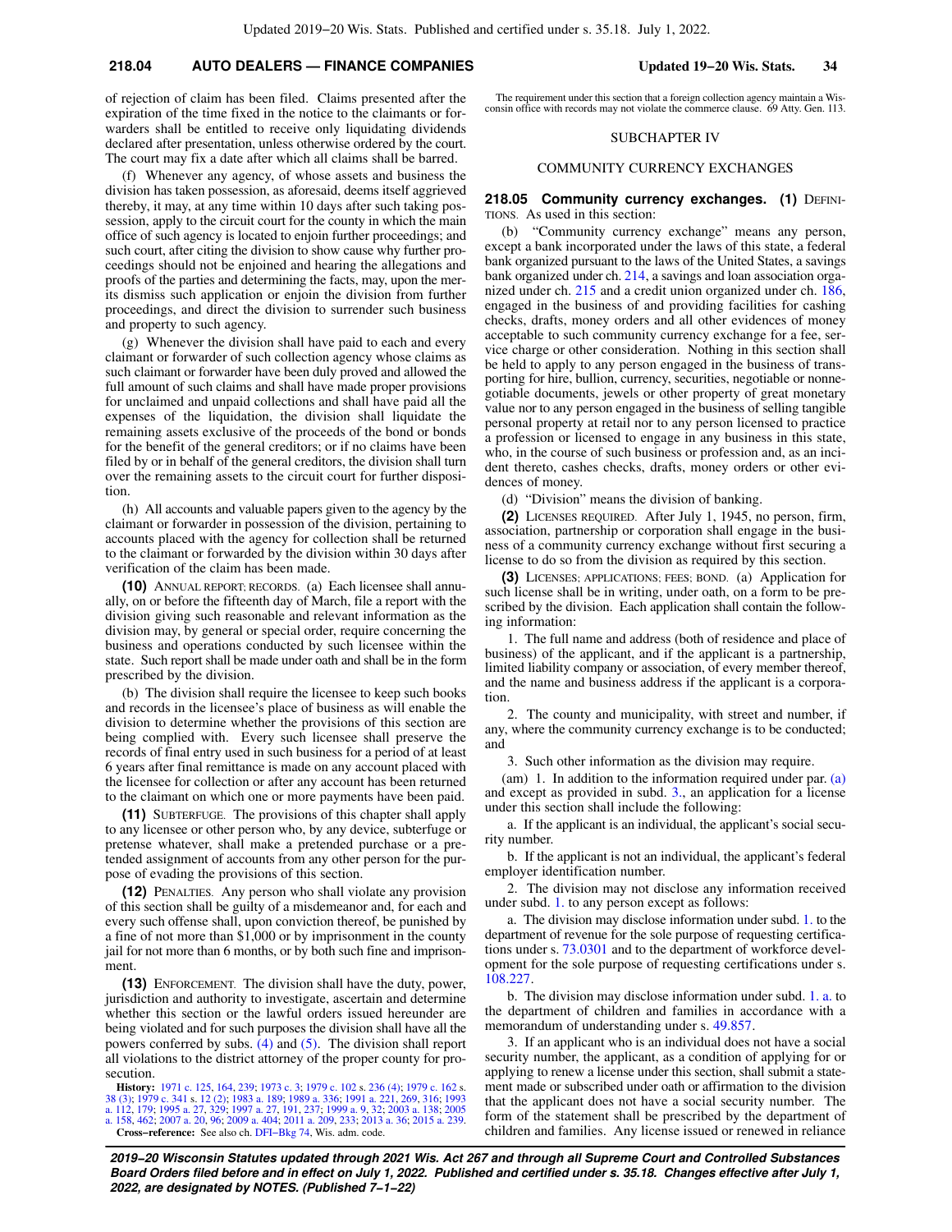## **218.04 AUTO DEALERS — FINANCE COMPANIES Updated 19−20 Wis. Stats. 34**

of rejection of claim has been filed. Claims presented after the expiration of the time fixed in the notice to the claimants or forwarders shall be entitled to receive only liquidating dividends declared after presentation, unless otherwise ordered by the court. The court may fix a date after which all claims shall be barred.

(f) Whenever any agency, of whose assets and business the division has taken possession, as aforesaid, deems itself aggrieved thereby, it may, at any time within 10 days after such taking possession, apply to the circuit court for the county in which the main office of such agency is located to enjoin further proceedings; and such court, after citing the division to show cause why further proceedings should not be enjoined and hearing the allegations and proofs of the parties and determining the facts, may, upon the merits dismiss such application or enjoin the division from further proceedings, and direct the division to surrender such business and property to such agency.

(g) Whenever the division shall have paid to each and every claimant or forwarder of such collection agency whose claims as such claimant or forwarder have been duly proved and allowed the full amount of such claims and shall have made proper provisions for unclaimed and unpaid collections and shall have paid all the expenses of the liquidation, the division shall liquidate the remaining assets exclusive of the proceeds of the bond or bonds for the benefit of the general creditors; or if no claims have been filed by or in behalf of the general creditors, the division shall turn over the remaining assets to the circuit court for further disposition.

(h) All accounts and valuable papers given to the agency by the claimant or forwarder in possession of the division, pertaining to accounts placed with the agency for collection shall be returned to the claimant or forwarded by the division within 30 days after verification of the claim has been made.

**(10)** ANNUAL REPORT; RECORDS. (a) Each licensee shall annually, on or before the fifteenth day of March, file a report with the division giving such reasonable and relevant information as the division may, by general or special order, require concerning the business and operations conducted by such licensee within the state. Such report shall be made under oath and shall be in the form prescribed by the division.

(b) The division shall require the licensee to keep such books and records in the licensee's place of business as will enable the division to determine whether the provisions of this section are being complied with. Every such licensee shall preserve the records of final entry used in such business for a period of at least 6 years after final remittance is made on any account placed with the licensee for collection or after any account has been returned to the claimant on which one or more payments have been paid.

**(11)** SUBTERFUGE. The provisions of this chapter shall apply to any licensee or other person who, by any device, subterfuge or pretense whatever, shall make a pretended purchase or a pretended assignment of accounts from any other person for the purpose of evading the provisions of this section.

**(12)** PENALTIES. Any person who shall violate any provision of this section shall be guilty of a misdemeanor and, for each and every such offense shall, upon conviction thereof, be punished by a fine of not more than \$1,000 or by imprisonment in the county jail for not more than 6 months, or by both such fine and imprisonment.

**(13)** ENFORCEMENT. The division shall have the duty, power, jurisdiction and authority to investigate, ascertain and determine whether this section or the lawful orders issued hereunder are being violated and for such purposes the division shall have all the powers conferred by subs. [\(4\)](https://docs.legis.wisconsin.gov/document/statutes/218.04(4)) and [\(5\)](https://docs.legis.wisconsin.gov/document/statutes/218.04(5)). The division shall report all violations to the district attorney of the proper county for prosecution.

**History:** [1971 c. 125,](https://docs.legis.wisconsin.gov/document/acts/1971/125) [164,](https://docs.legis.wisconsin.gov/document/acts/1971/164) [239;](https://docs.legis.wisconsin.gov/document/acts/1971/239) [1973 c. 3](https://docs.legis.wisconsin.gov/document/acts/1973/3); [1979 c. 102](https://docs.legis.wisconsin.gov/document/acts/1979/102) s. [236 \(4\);](https://docs.legis.wisconsin.gov/document/acts/1979/102,%20s.%20236) [1979 c. 162](https://docs.legis.wisconsin.gov/document/acts/1979/162) s. [38 \(3\);](https://docs.legis.wisconsin.gov/document/acts/1979/162,%20s.%2038) [1979 c. 341](https://docs.legis.wisconsin.gov/document/acts/1979/341) s. [12 \(2\);](https://docs.legis.wisconsin.gov/document/acts/1979/341,%20s.%2012) [1983 a. 189;](https://docs.legis.wisconsin.gov/document/acts/1983/189) [1989 a. 336](https://docs.legis.wisconsin.gov/document/acts/1989/336); [1991 a. 221,](https://docs.legis.wisconsin.gov/document/acts/1991/221) [269](https://docs.legis.wisconsin.gov/document/acts/1991/269), [316](https://docs.legis.wisconsin.gov/document/acts/1991/316); [1993](https://docs.legis.wisconsin.gov/document/acts/1993/112) [a. 112,](https://docs.legis.wisconsin.gov/document/acts/1993/112) [179](https://docs.legis.wisconsin.gov/document/acts/1993/179); [1995 a. 27](https://docs.legis.wisconsin.gov/document/acts/1995/27), [329](https://docs.legis.wisconsin.gov/document/acts/1995/329); [1997 a. 27](https://docs.legis.wisconsin.gov/document/acts/1997/27), [191](https://docs.legis.wisconsin.gov/document/acts/1997/191), [237](https://docs.legis.wisconsin.gov/document/acts/1997/237); [1999 a. 9,](https://docs.legis.wisconsin.gov/document/acts/1999/9) [32;](https://docs.legis.wisconsin.gov/document/acts/1999/32) [2003 a. 138](https://docs.legis.wisconsin.gov/document/acts/2003/138); [2005](https://docs.legis.wisconsin.gov/document/acts/2005/158) [a. 158,](https://docs.legis.wisconsin.gov/document/acts/2005/158) [462;](https://docs.legis.wisconsin.gov/document/acts/2005/462) [2007 a. 20,](https://docs.legis.wisconsin.gov/document/acts/2007/20) [96](https://docs.legis.wisconsin.gov/document/acts/2007/96); [2009 a. 404;](https://docs.legis.wisconsin.gov/document/acts/2009/404) [2011 a. 209,](https://docs.legis.wisconsin.gov/document/acts/2011/209) [233;](https://docs.legis.wisconsin.gov/document/acts/2011/233) [2013 a. 36;](https://docs.legis.wisconsin.gov/document/acts/2013/36) [2015 a. 239](https://docs.legis.wisconsin.gov/document/acts/2015/239). **Cross−reference:** See also ch. [DFI−Bkg 74](https://docs.legis.wisconsin.gov/document/administrativecode/ch.%20DFI-Bkg%2074), Wis. adm. code.

The requirement under this section that a foreign collection agency maintain a Wisconsin office with records may not violate the commerce clause. 69 Atty. Gen. 113.

#### SUBCHAPTER IV

#### COMMUNITY CURRENCY EXCHANGES

**218.05 Community currency exchanges. (1) DEFINI-**TIONS. As used in this section:

(b) "Community currency exchange" means any person, except a bank incorporated under the laws of this state, a federal bank organized pursuant to the laws of the United States, a savings bank organized under ch. [214](https://docs.legis.wisconsin.gov/document/statutes/ch.%20214), a savings and loan association organized under ch. [215](https://docs.legis.wisconsin.gov/document/statutes/ch.%20215) and a credit union organized under ch. [186,](https://docs.legis.wisconsin.gov/document/statutes/ch.%20186) engaged in the business of and providing facilities for cashing checks, drafts, money orders and all other evidences of money acceptable to such community currency exchange for a fee, service charge or other consideration. Nothing in this section shall be held to apply to any person engaged in the business of transporting for hire, bullion, currency, securities, negotiable or nonnegotiable documents, jewels or other property of great monetary value nor to any person engaged in the business of selling tangible personal property at retail nor to any person licensed to practice a profession or licensed to engage in any business in this state, who, in the course of such business or profession and, as an incident thereto, cashes checks, drafts, money orders or other evidences of money.

(d) "Division" means the division of banking.

**(2)** LICENSES REQUIRED. After July 1, 1945, no person, firm, association, partnership or corporation shall engage in the business of a community currency exchange without first securing a license to do so from the division as required by this section.

**(3)** LICENSES; APPLICATIONS; FEES; BOND. (a) Application for such license shall be in writing, under oath, on a form to be prescribed by the division. Each application shall contain the following information:

1. The full name and address (both of residence and place of business) of the applicant, and if the applicant is a partnership, limited liability company or association, of every member thereof, and the name and business address if the applicant is a corporation.

2. The county and municipality, with street and number, if any, where the community currency exchange is to be conducted; and

3. Such other information as the division may require.

(am) 1. In addition to the information required under par.  $(a)$ and except as provided in subd. [3.](https://docs.legis.wisconsin.gov/document/statutes/218.05(3)(am)3.), an application for a license under this section shall include the following:

a. If the applicant is an individual, the applicant's social security number.

b. If the applicant is not an individual, the applicant's federal employer identification number.

2. The division may not disclose any information received under subd. [1.](https://docs.legis.wisconsin.gov/document/statutes/218.05(3)(am)1.) to any person except as follows:

a. The division may disclose information under subd. [1.](https://docs.legis.wisconsin.gov/document/statutes/218.05(3)(am)1.) to the department of revenue for the sole purpose of requesting certifications under s. [73.0301](https://docs.legis.wisconsin.gov/document/statutes/73.0301) and to the department of workforce development for the sole purpose of requesting certifications under s. [108.227](https://docs.legis.wisconsin.gov/document/statutes/108.227).

b. The division may disclose information under subd. [1. a.](https://docs.legis.wisconsin.gov/document/statutes/218.05(3)(am)1.a.) to the department of children and families in accordance with a memorandum of understanding under s. [49.857.](https://docs.legis.wisconsin.gov/document/statutes/49.857)

3. If an applicant who is an individual does not have a social security number, the applicant, as a condition of applying for or applying to renew a license under this section, shall submit a statement made or subscribed under oath or affirmation to the division that the applicant does not have a social security number. The form of the statement shall be prescribed by the department of children and families. Any license issued or renewed in reliance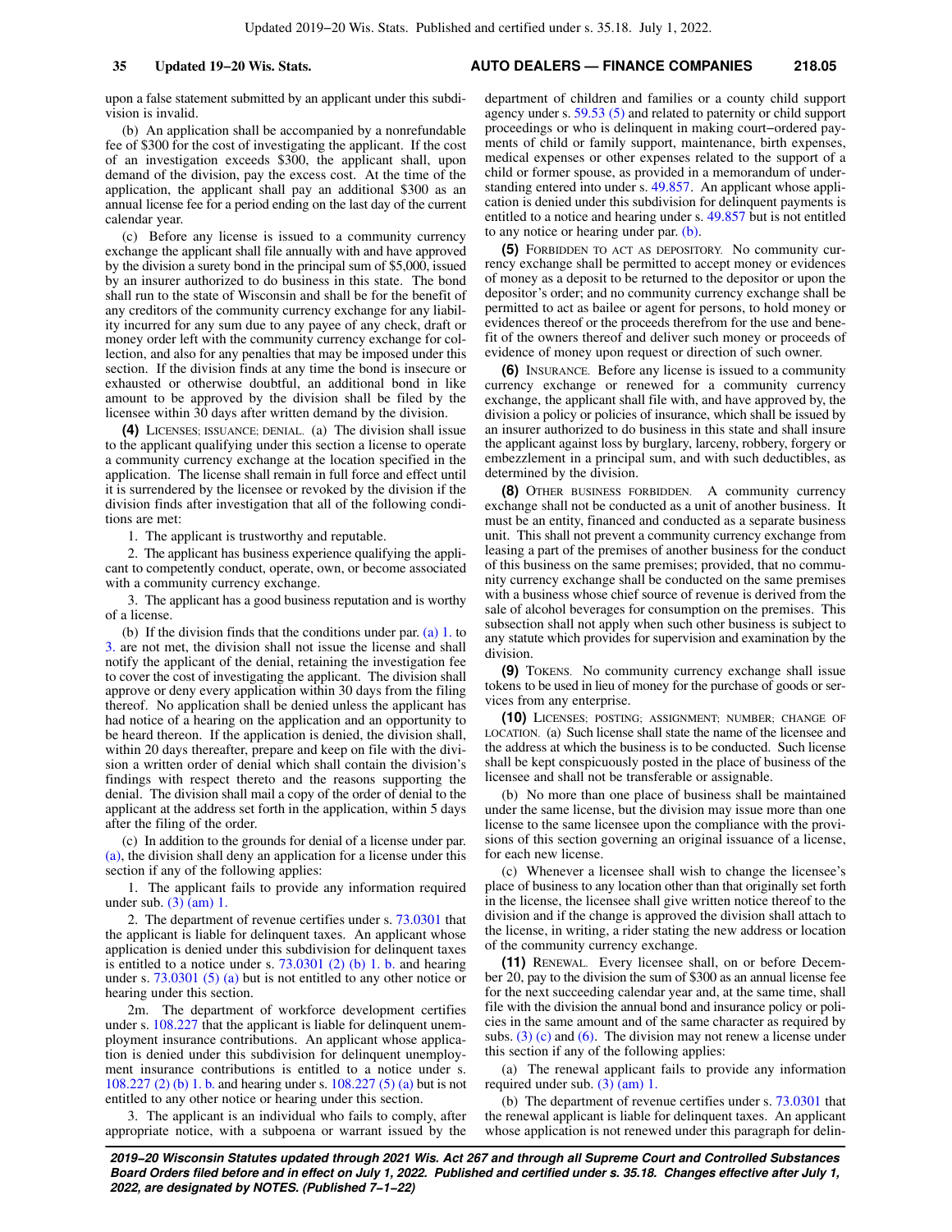upon a false statement submitted by an applicant under this subdivision is invalid.

(b) An application shall be accompanied by a nonrefundable fee of \$300 for the cost of investigating the applicant. If the cost of an investigation exceeds \$300, the applicant shall, upon demand of the division, pay the excess cost. At the time of the application, the applicant shall pay an additional \$300 as an annual license fee for a period ending on the last day of the current calendar year.

(c) Before any license is issued to a community currency exchange the applicant shall file annually with and have approved by the division a surety bond in the principal sum of \$5,000, issued by an insurer authorized to do business in this state. The bond shall run to the state of Wisconsin and shall be for the benefit of any creditors of the community currency exchange for any liability incurred for any sum due to any payee of any check, draft or money order left with the community currency exchange for collection, and also for any penalties that may be imposed under this section. If the division finds at any time the bond is insecure or exhausted or otherwise doubtful, an additional bond in like amount to be approved by the division shall be filed by the licensee within 30 days after written demand by the division.

**(4)** LICENSES; ISSUANCE; DENIAL. (a) The division shall issue to the applicant qualifying under this section a license to operate a community currency exchange at the location specified in the application. The license shall remain in full force and effect until it is surrendered by the licensee or revoked by the division if the division finds after investigation that all of the following conditions are met:

1. The applicant is trustworthy and reputable.

2. The applicant has business experience qualifying the applicant to competently conduct, operate, own, or become associated with a community currency exchange.

3. The applicant has a good business reputation and is worthy of a license.

(b) If the division finds that the conditions under par. [\(a\) 1.](https://docs.legis.wisconsin.gov/document/statutes/218.05(4)(a)1.) to [3.](https://docs.legis.wisconsin.gov/document/statutes/218.05(4)(a)3.) are not met, the division shall not issue the license and shall notify the applicant of the denial, retaining the investigation fee to cover the cost of investigating the applicant. The division shall approve or deny every application within 30 days from the filing thereof. No application shall be denied unless the applicant has had notice of a hearing on the application and an opportunity to be heard thereon. If the application is denied, the division shall, within 20 days thereafter, prepare and keep on file with the division a written order of denial which shall contain the division's findings with respect thereto and the reasons supporting the denial. The division shall mail a copy of the order of denial to the applicant at the address set forth in the application, within 5 days after the filing of the order.

(c) In addition to the grounds for denial of a license under par. [\(a\),](https://docs.legis.wisconsin.gov/document/statutes/218.05(4)(a)) the division shall deny an application for a license under this section if any of the following applies:

1. The applicant fails to provide any information required under sub. [\(3\) \(am\) 1.](https://docs.legis.wisconsin.gov/document/statutes/218.05(3)(am)1.)

2. The department of revenue certifies under s. [73.0301](https://docs.legis.wisconsin.gov/document/statutes/73.0301) that the applicant is liable for delinquent taxes. An applicant whose application is denied under this subdivision for delinquent taxes is entitled to a notice under s. [73.0301 \(2\) \(b\) 1. b.](https://docs.legis.wisconsin.gov/document/statutes/73.0301(2)(b)1.b.) and hearing under s. [73.0301 \(5\) \(a\)](https://docs.legis.wisconsin.gov/document/statutes/73.0301(5)(a)) but is not entitled to any other notice or hearing under this section.

2m. The department of workforce development certifies under s. [108.227](https://docs.legis.wisconsin.gov/document/statutes/108.227) that the applicant is liable for delinquent unemployment insurance contributions. An applicant whose application is denied under this subdivision for delinquent unemployment insurance contributions is entitled to a notice under s. [108.227 \(2\) \(b\) 1. b.](https://docs.legis.wisconsin.gov/document/statutes/108.227(2)(b)1.b.) and hearing under s. [108.227 \(5\) \(a\)](https://docs.legis.wisconsin.gov/document/statutes/108.227(5)(a)) but is not entitled to any other notice or hearing under this section.

3. The applicant is an individual who fails to comply, after appropriate notice, with a subpoena or warrant issued by the

department of children and families or a county child support agency under s. [59.53 \(5\)](https://docs.legis.wisconsin.gov/document/statutes/59.53(5)) and related to paternity or child support proceedings or who is delinquent in making court−ordered payments of child or family support, maintenance, birth expenses, medical expenses or other expenses related to the support of a

child or former spouse, as provided in a memorandum of understanding entered into under s. [49.857](https://docs.legis.wisconsin.gov/document/statutes/49.857). An applicant whose application is denied under this subdivision for delinquent payments is entitled to a notice and hearing under s. [49.857](https://docs.legis.wisconsin.gov/document/statutes/49.857) but is not entitled to any notice or hearing under par. [\(b\)](https://docs.legis.wisconsin.gov/document/statutes/218.05(4)(b)).

**(5)** FORBIDDEN TO ACT AS DEPOSITORY. No community currency exchange shall be permitted to accept money or evidences of money as a deposit to be returned to the depositor or upon the depositor's order; and no community currency exchange shall be permitted to act as bailee or agent for persons, to hold money or evidences thereof or the proceeds therefrom for the use and benefit of the owners thereof and deliver such money or proceeds of evidence of money upon request or direction of such owner.

**(6)** INSURANCE. Before any license is issued to a community currency exchange or renewed for a community currency exchange, the applicant shall file with, and have approved by, the division a policy or policies of insurance, which shall be issued by an insurer authorized to do business in this state and shall insure the applicant against loss by burglary, larceny, robbery, forgery or embezzlement in a principal sum, and with such deductibles, as determined by the division.

**(8)** OTHER BUSINESS FORBIDDEN. A community currency exchange shall not be conducted as a unit of another business. It must be an entity, financed and conducted as a separate business unit. This shall not prevent a community currency exchange from leasing a part of the premises of another business for the conduct of this business on the same premises; provided, that no community currency exchange shall be conducted on the same premises with a business whose chief source of revenue is derived from the sale of alcohol beverages for consumption on the premises. This subsection shall not apply when such other business is subject to any statute which provides for supervision and examination by the division.

**(9)** TOKENS. No community currency exchange shall issue tokens to be used in lieu of money for the purchase of goods or services from any enterprise.

**(10)** LICENSES; POSTING; ASSIGNMENT; NUMBER; CHANGE OF LOCATION. (a) Such license shall state the name of the licensee and the address at which the business is to be conducted. Such license shall be kept conspicuously posted in the place of business of the licensee and shall not be transferable or assignable.

(b) No more than one place of business shall be maintained under the same license, but the division may issue more than one license to the same licensee upon the compliance with the provisions of this section governing an original issuance of a license, for each new license.

(c) Whenever a licensee shall wish to change the licensee's place of business to any location other than that originally set forth in the license, the licensee shall give written notice thereof to the division and if the change is approved the division shall attach to the license, in writing, a rider stating the new address or location of the community currency exchange.

**(11)** RENEWAL. Every licensee shall, on or before December 20, pay to the division the sum of \$300 as an annual license fee for the next succeeding calendar year and, at the same time, shall file with the division the annual bond and insurance policy or policies in the same amount and of the same character as required by subs.  $(3)$  (c) and [\(6\)](https://docs.legis.wisconsin.gov/document/statutes/218.05(6)). The division may not renew a license under this section if any of the following applies:

(a) The renewal applicant fails to provide any information required under sub. [\(3\) \(am\) 1.](https://docs.legis.wisconsin.gov/document/statutes/218.05(3)(am)1.)

(b) The department of revenue certifies under s. [73.0301](https://docs.legis.wisconsin.gov/document/statutes/73.0301) that the renewal applicant is liable for delinquent taxes. An applicant whose application is not renewed under this paragraph for delin-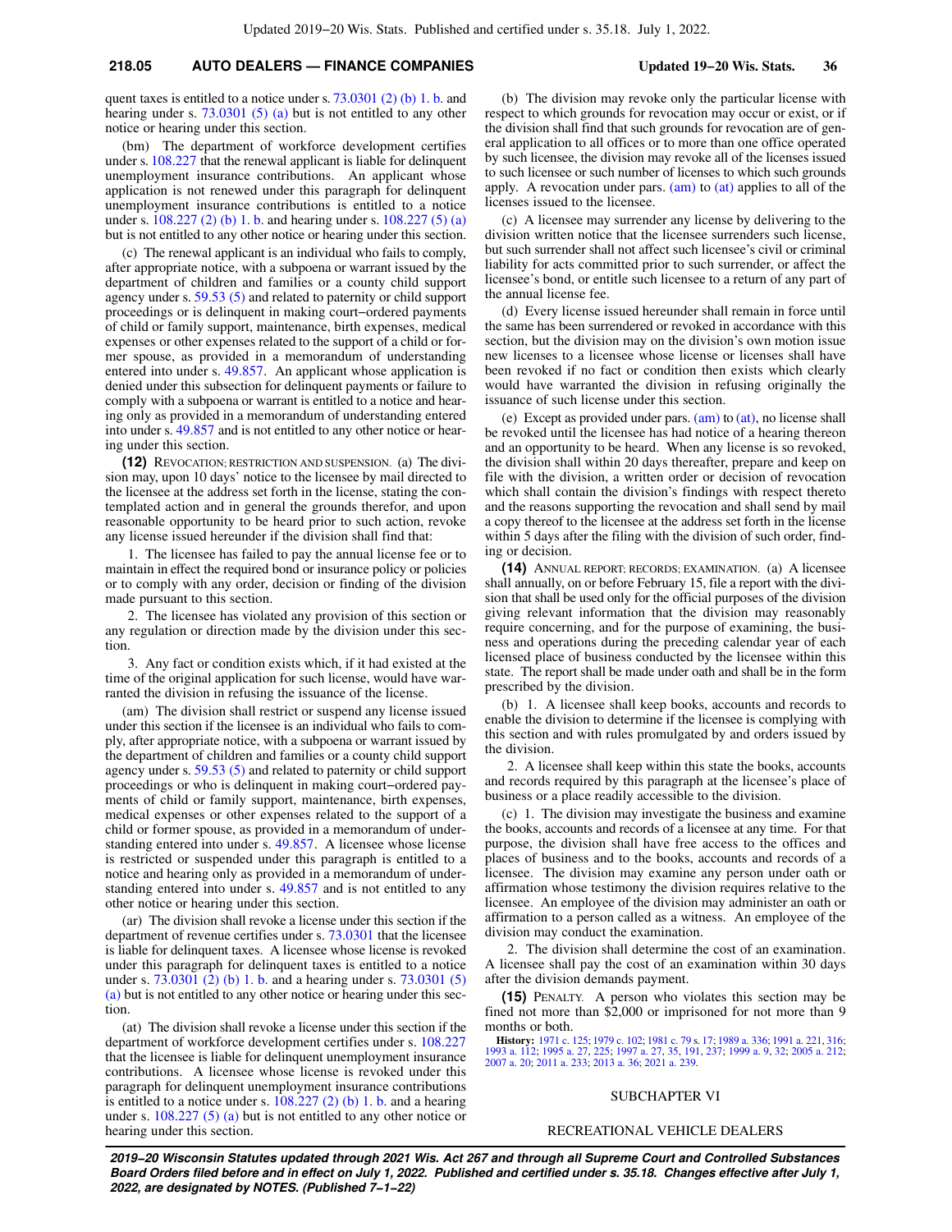## **218.05 AUTO DEALERS — FINANCE COMPANIES Updated 19−20 Wis. Stats. 36**

quent taxes is entitled to a notice under s. [73.0301 \(2\) \(b\) 1. b.](https://docs.legis.wisconsin.gov/document/statutes/73.0301(2)(b)1.b.) and hearing under s. [73.0301 \(5\) \(a\)](https://docs.legis.wisconsin.gov/document/statutes/73.0301(5)(a)) but is not entitled to any other notice or hearing under this section.

(bm) The department of workforce development certifies under s. [108.227](https://docs.legis.wisconsin.gov/document/statutes/108.227) that the renewal applicant is liable for delinquent unemployment insurance contributions. An applicant whose application is not renewed under this paragraph for delinquent unemployment insurance contributions is entitled to a notice under s. [108.227 \(2\) \(b\) 1. b.](https://docs.legis.wisconsin.gov/document/statutes/108.227(2)(b)1.b.) and hearing under s. [108.227 \(5\) \(a\)](https://docs.legis.wisconsin.gov/document/statutes/108.227(5)(a)) but is not entitled to any other notice or hearing under this section.

(c) The renewal applicant is an individual who fails to comply, after appropriate notice, with a subpoena or warrant issued by the department of children and families or a county child support agency under s. [59.53 \(5\)](https://docs.legis.wisconsin.gov/document/statutes/59.53(5)) and related to paternity or child support proceedings or is delinquent in making court−ordered payments of child or family support, maintenance, birth expenses, medical expenses or other expenses related to the support of a child or former spouse, as provided in a memorandum of understanding entered into under s. [49.857.](https://docs.legis.wisconsin.gov/document/statutes/49.857) An applicant whose application is denied under this subsection for delinquent payments or failure to comply with a subpoena or warrant is entitled to a notice and hearing only as provided in a memorandum of understanding entered into under s. [49.857](https://docs.legis.wisconsin.gov/document/statutes/49.857) and is not entitled to any other notice or hearing under this section.

**(12)** REVOCATION; RESTRICTION AND SUSPENSION. (a) The division may, upon 10 days' notice to the licensee by mail directed to the licensee at the address set forth in the license, stating the contemplated action and in general the grounds therefor, and upon reasonable opportunity to be heard prior to such action, revoke any license issued hereunder if the division shall find that:

1. The licensee has failed to pay the annual license fee or to maintain in effect the required bond or insurance policy or policies or to comply with any order, decision or finding of the division made pursuant to this section.

2. The licensee has violated any provision of this section or any regulation or direction made by the division under this section.

3. Any fact or condition exists which, if it had existed at the time of the original application for such license, would have warranted the division in refusing the issuance of the license.

(am) The division shall restrict or suspend any license issued under this section if the licensee is an individual who fails to comply, after appropriate notice, with a subpoena or warrant issued by the department of children and families or a county child support agency under s. [59.53 \(5\)](https://docs.legis.wisconsin.gov/document/statutes/59.53(5)) and related to paternity or child support proceedings or who is delinquent in making court−ordered payments of child or family support, maintenance, birth expenses, medical expenses or other expenses related to the support of a child or former spouse, as provided in a memorandum of understanding entered into under s. [49.857](https://docs.legis.wisconsin.gov/document/statutes/49.857). A licensee whose license is restricted or suspended under this paragraph is entitled to a notice and hearing only as provided in a memorandum of understanding entered into under s. [49.857](https://docs.legis.wisconsin.gov/document/statutes/49.857) and is not entitled to any other notice or hearing under this section.

(ar) The division shall revoke a license under this section if the department of revenue certifies under s. [73.0301](https://docs.legis.wisconsin.gov/document/statutes/73.0301) that the licensee is liable for delinquent taxes. A licensee whose license is revoked under this paragraph for delinquent taxes is entitled to a notice under s. [73.0301 \(2\) \(b\) 1. b.](https://docs.legis.wisconsin.gov/document/statutes/73.0301(2)(b)1.b.) and a hearing under s. [73.0301 \(5\)](https://docs.legis.wisconsin.gov/document/statutes/73.0301(5)(a)) [\(a\)](https://docs.legis.wisconsin.gov/document/statutes/73.0301(5)(a)) but is not entitled to any other notice or hearing under this section.

(at) The division shall revoke a license under this section if the department of workforce development certifies under s. [108.227](https://docs.legis.wisconsin.gov/document/statutes/108.227) that the licensee is liable for delinquent unemployment insurance contributions. A licensee whose license is revoked under this paragraph for delinquent unemployment insurance contributions is entitled to a notice under s.  $108.227$  (2) (b) 1. b. and a hearing under s. [108.227 \(5\) \(a\)](https://docs.legis.wisconsin.gov/document/statutes/108.227(5)(a)) but is not entitled to any other notice or hearing under this section.

(b) The division may revoke only the particular license with respect to which grounds for revocation may occur or exist, or if the division shall find that such grounds for revocation are of general application to all offices or to more than one office operated by such licensee, the division may revoke all of the licenses issued to such licensee or such number of licenses to which such grounds apply. A revocation under pars. [\(am\)](https://docs.legis.wisconsin.gov/document/statutes/218.05(12)(am)) to [\(at\)](https://docs.legis.wisconsin.gov/document/statutes/218.05(12)(at)) applies to all of the licenses issued to the licensee.

(c) A licensee may surrender any license by delivering to the division written notice that the licensee surrenders such license, but such surrender shall not affect such licensee's civil or criminal liability for acts committed prior to such surrender, or affect the licensee's bond, or entitle such licensee to a return of any part of the annual license fee.

(d) Every license issued hereunder shall remain in force until the same has been surrendered or revoked in accordance with this section, but the division may on the division's own motion issue new licenses to a licensee whose license or licenses shall have been revoked if no fact or condition then exists which clearly would have warranted the division in refusing originally the issuance of such license under this section.

(e) Except as provided under pars. [\(am\)](https://docs.legis.wisconsin.gov/document/statutes/218.05(12)(am)) to [\(at\)](https://docs.legis.wisconsin.gov/document/statutes/218.05(12)(at)), no license shall be revoked until the licensee has had notice of a hearing thereon and an opportunity to be heard. When any license is so revoked, the division shall within 20 days thereafter, prepare and keep on file with the division, a written order or decision of revocation which shall contain the division's findings with respect thereto and the reasons supporting the revocation and shall send by mail a copy thereof to the licensee at the address set forth in the license within 5 days after the filing with the division of such order, finding or decision.

**(14)** ANNUAL REPORT; RECORDS; EXAMINATION. (a) A licensee shall annually, on or before February 15, file a report with the division that shall be used only for the official purposes of the division giving relevant information that the division may reasonably require concerning, and for the purpose of examining, the business and operations during the preceding calendar year of each licensed place of business conducted by the licensee within this state. The report shall be made under oath and shall be in the form prescribed by the division.

(b) 1. A licensee shall keep books, accounts and records to enable the division to determine if the licensee is complying with this section and with rules promulgated by and orders issued by the division.

2. A licensee shall keep within this state the books, accounts and records required by this paragraph at the licensee's place of business or a place readily accessible to the division.

(c) 1. The division may investigate the business and examine the books, accounts and records of a licensee at any time. For that purpose, the division shall have free access to the offices and places of business and to the books, accounts and records of a licensee. The division may examine any person under oath or affirmation whose testimony the division requires relative to the licensee. An employee of the division may administer an oath or affirmation to a person called as a witness. An employee of the division may conduct the examination.

2. The division shall determine the cost of an examination. A licensee shall pay the cost of an examination within 30 days after the division demands payment.

**(15)** PENALTY. A person who violates this section may be fined not more than \$2,000 or imprisoned for not more than 9 months or both.

**History:** [1971 c. 125](https://docs.legis.wisconsin.gov/document/acts/1971/125); [1979 c. 102](https://docs.legis.wisconsin.gov/document/acts/1979/102); [1981 c. 79](https://docs.legis.wisconsin.gov/document/acts/1981/79) s. [17;](https://docs.legis.wisconsin.gov/document/acts/1981/79,%20s.%2017) [1989 a. 336;](https://docs.legis.wisconsin.gov/document/acts/1989/336) [1991 a. 221,](https://docs.legis.wisconsin.gov/document/acts/1991/221) [316](https://docs.legis.wisconsin.gov/document/acts/1991/316); [1993 a. 112;](https://docs.legis.wisconsin.gov/document/acts/1993/112) [1995 a. 27](https://docs.legis.wisconsin.gov/document/acts/1995/27), [225;](https://docs.legis.wisconsin.gov/document/acts/1995/225) [1997 a. 27,](https://docs.legis.wisconsin.gov/document/acts/1997/27) [35,](https://docs.legis.wisconsin.gov/document/acts/1997/35) [191,](https://docs.legis.wisconsin.gov/document/acts/1997/191) [237;](https://docs.legis.wisconsin.gov/document/acts/1997/237) [1999 a. 9,](https://docs.legis.wisconsin.gov/document/acts/1999/9) [32](https://docs.legis.wisconsin.gov/document/acts/1999/32); [2005 a. 212](https://docs.legis.wisconsin.gov/document/acts/2005/212); [2007 a. 20](https://docs.legis.wisconsin.gov/document/acts/2007/20); [2011 a. 233;](https://docs.legis.wisconsin.gov/document/acts/2011/233) [2013 a. 36](https://docs.legis.wisconsin.gov/document/acts/2013/36); [2021 a. 239.](https://docs.legis.wisconsin.gov/document/acts/2021/239)

## SUBCHAPTER VI

RECREATIONAL VEHICLE DEALERS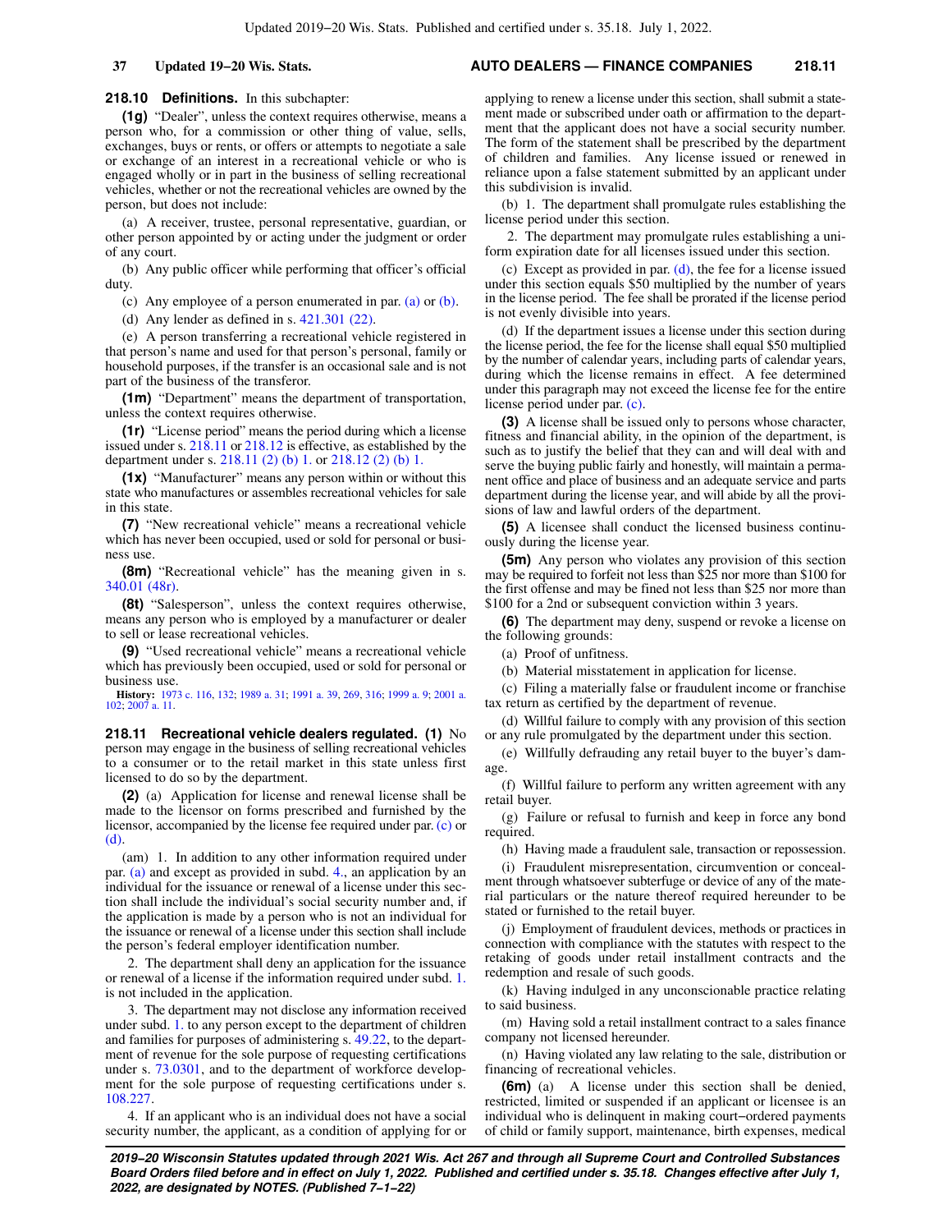## **37 Updated 19−20 Wis. Stats. AUTO DEALERS — FINANCE COMPANIES 218.11**

## **218.10 Definitions.** In this subchapter:

**(1g)** "Dealer", unless the context requires otherwise, means a person who, for a commission or other thing of value, sells, exchanges, buys or rents, or offers or attempts to negotiate a sale or exchange of an interest in a recreational vehicle or who is engaged wholly or in part in the business of selling recreational vehicles, whether or not the recreational vehicles are owned by the person, but does not include:

(a) A receiver, trustee, personal representative, guardian, or other person appointed by or acting under the judgment or order of any court.

(b) Any public officer while performing that officer's official duty.

(c) Any employee of a person enumerated in par. [\(a\)](https://docs.legis.wisconsin.gov/document/statutes/218.10(1g)(a)) or [\(b\)](https://docs.legis.wisconsin.gov/document/statutes/218.10(1g)(b)).

(d) Any lender as defined in s. [421.301 \(22\).](https://docs.legis.wisconsin.gov/document/statutes/421.301(22))

(e) A person transferring a recreational vehicle registered in that person's name and used for that person's personal, family or household purposes, if the transfer is an occasional sale and is not part of the business of the transferor.

**(1m)** "Department" means the department of transportation, unless the context requires otherwise.

**(1r)** "License period" means the period during which a license issued under s. [218.11](https://docs.legis.wisconsin.gov/document/statutes/218.11) or [218.12](https://docs.legis.wisconsin.gov/document/statutes/218.12) is effective, as established by the department under s. [218.11 \(2\) \(b\) 1.](https://docs.legis.wisconsin.gov/document/statutes/218.11(2)(b)1.) or [218.12 \(2\) \(b\) 1.](https://docs.legis.wisconsin.gov/document/statutes/218.12(2)(b)1.)

**(1x)** "Manufacturer" means any person within or without this state who manufactures or assembles recreational vehicles for sale in this state.

**(7)** "New recreational vehicle" means a recreational vehicle which has never been occupied, used or sold for personal or business use.

**(8m)** "Recreational vehicle" has the meaning given in s. [340.01 \(48r\)](https://docs.legis.wisconsin.gov/document/statutes/340.01(48r)).

**(8t)** "Salesperson", unless the context requires otherwise, means any person who is employed by a manufacturer or dealer to sell or lease recreational vehicles.

**(9)** "Used recreational vehicle" means a recreational vehicle which has previously been occupied, used or sold for personal or business use.

**History:** [1973 c. 116](https://docs.legis.wisconsin.gov/document/acts/1973/116), [132](https://docs.legis.wisconsin.gov/document/acts/1973/132); [1989 a. 31;](https://docs.legis.wisconsin.gov/document/acts/1989/31) [1991 a. 39](https://docs.legis.wisconsin.gov/document/acts/1991/39), [269](https://docs.legis.wisconsin.gov/document/acts/1991/269), [316;](https://docs.legis.wisconsin.gov/document/acts/1991/316) [1999 a. 9](https://docs.legis.wisconsin.gov/document/acts/1999/9); [2001 a.](https://docs.legis.wisconsin.gov/document/acts/2001/102) [102](https://docs.legis.wisconsin.gov/document/acts/2001/102); [2007 a. 11](https://docs.legis.wisconsin.gov/document/acts/2007/11).

**218.11 Recreational vehicle dealers regulated. (1)** No person may engage in the business of selling recreational vehicles to a consumer or to the retail market in this state unless first licensed to do so by the department.

**(2)** (a) Application for license and renewal license shall be made to the licensor on forms prescribed and furnished by the licensor, accompanied by the license fee required under par. [\(c\)](https://docs.legis.wisconsin.gov/document/statutes/218.11(2)(c)) or [\(d\)](https://docs.legis.wisconsin.gov/document/statutes/218.11(2)(d)).

(am) 1. In addition to any other information required under par. [\(a\)](https://docs.legis.wisconsin.gov/document/statutes/218.11(2)(a)) and except as provided in subd. [4.](https://docs.legis.wisconsin.gov/document/statutes/218.11(2)(am)4.), an application by an individual for the issuance or renewal of a license under this section shall include the individual's social security number and, if the application is made by a person who is not an individual for the issuance or renewal of a license under this section shall include the person's federal employer identification number.

2. The department shall deny an application for the issuance or renewal of a license if the information required under subd. [1.](https://docs.legis.wisconsin.gov/document/statutes/218.11(2)(am)1.) is not included in the application.

3. The department may not disclose any information received under subd. [1.](https://docs.legis.wisconsin.gov/document/statutes/218.11(2)(am)1.) to any person except to the department of children and families for purposes of administering s. [49.22,](https://docs.legis.wisconsin.gov/document/statutes/49.22) to the department of revenue for the sole purpose of requesting certifications under s. [73.0301](https://docs.legis.wisconsin.gov/document/statutes/73.0301), and to the department of workforce development for the sole purpose of requesting certifications under s. [108.227](https://docs.legis.wisconsin.gov/document/statutes/108.227).

4. If an applicant who is an individual does not have a social security number, the applicant, as a condition of applying for or

applying to renew a license under this section, shall submit a statement made or subscribed under oath or affirmation to the department that the applicant does not have a social security number. The form of the statement shall be prescribed by the department of children and families. Any license issued or renewed in reliance upon a false statement submitted by an applicant under this subdivision is invalid.

(b) 1. The department shall promulgate rules establishing the license period under this section.

2. The department may promulgate rules establishing a uniform expiration date for all licenses issued under this section.

(c) Except as provided in par.  $(d)$ , the fee for a license issued under this section equals \$50 multiplied by the number of years in the license period. The fee shall be prorated if the license period is not evenly divisible into years.

(d) If the department issues a license under this section during the license period, the fee for the license shall equal \$50 multiplied by the number of calendar years, including parts of calendar years, during which the license remains in effect. A fee determined under this paragraph may not exceed the license fee for the entire license period under par. [\(c\)](https://docs.legis.wisconsin.gov/document/statutes/218.11(2)(c)).

**(3)** A license shall be issued only to persons whose character, fitness and financial ability, in the opinion of the department, is such as to justify the belief that they can and will deal with and serve the buying public fairly and honestly, will maintain a permanent office and place of business and an adequate service and parts department during the license year, and will abide by all the provisions of law and lawful orders of the department.

**(5)** A licensee shall conduct the licensed business continuously during the license year.

**(5m)** Any person who violates any provision of this section may be required to forfeit not less than \$25 nor more than \$100 for the first offense and may be fined not less than \$25 nor more than \$100 for a 2nd or subsequent conviction within 3 years.

**(6)** The department may deny, suspend or revoke a license on the following grounds:

(a) Proof of unfitness.

(b) Material misstatement in application for license.

(c) Filing a materially false or fraudulent income or franchise tax return as certified by the department of revenue.

(d) Willful failure to comply with any provision of this section or any rule promulgated by the department under this section.

(e) Willfully defrauding any retail buyer to the buyer's damage.

(f) Willful failure to perform any written agreement with any retail buyer.

(g) Failure or refusal to furnish and keep in force any bond required.

(h) Having made a fraudulent sale, transaction or repossession.

(i) Fraudulent misrepresentation, circumvention or concealment through whatsoever subterfuge or device of any of the material particulars or the nature thereof required hereunder to be stated or furnished to the retail buyer.

(j) Employment of fraudulent devices, methods or practices in connection with compliance with the statutes with respect to the retaking of goods under retail installment contracts and the redemption and resale of such goods.

(k) Having indulged in any unconscionable practice relating to said business.

(m) Having sold a retail installment contract to a sales finance company not licensed hereunder.

(n) Having violated any law relating to the sale, distribution or financing of recreational vehicles.

**(6m)** (a) A license under this section shall be denied, restricted, limited or suspended if an applicant or licensee is an individual who is delinquent in making court−ordered payments of child or family support, maintenance, birth expenses, medical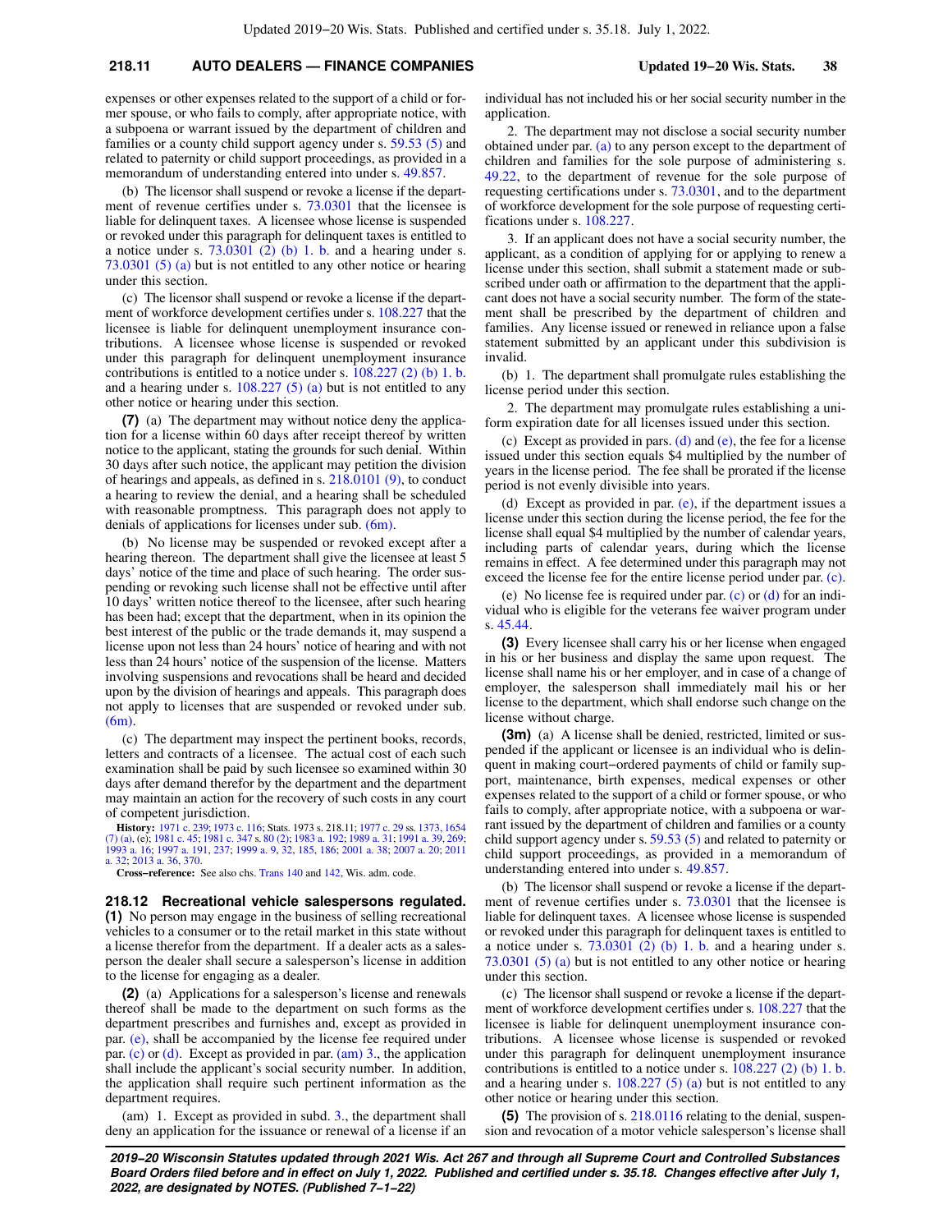## **218.11 AUTO DEALERS — FINANCE COMPANIES Updated 19−20 Wis. Stats. 38**

expenses or other expenses related to the support of a child or former spouse, or who fails to comply, after appropriate notice, with a subpoena or warrant issued by the department of children and families or a county child support agency under s. [59.53 \(5\)](https://docs.legis.wisconsin.gov/document/statutes/59.53(5)) and related to paternity or child support proceedings, as provided in a memorandum of understanding entered into under s. [49.857.](https://docs.legis.wisconsin.gov/document/statutes/49.857)

(b) The licensor shall suspend or revoke a license if the department of revenue certifies under s. [73.0301](https://docs.legis.wisconsin.gov/document/statutes/73.0301) that the licensee is liable for delinquent taxes. A licensee whose license is suspended or revoked under this paragraph for delinquent taxes is entitled to a notice under s.  $73.0301$  (2) (b) 1. b. and a hearing under s. [73.0301 \(5\) \(a\)](https://docs.legis.wisconsin.gov/document/statutes/73.0301(5)(a)) but is not entitled to any other notice or hearing under this section.

(c) The licensor shall suspend or revoke a license if the department of workforce development certifies under s. [108.227](https://docs.legis.wisconsin.gov/document/statutes/108.227) that the licensee is liable for delinquent unemployment insurance contributions. A licensee whose license is suspended or revoked under this paragraph for delinquent unemployment insurance contributions is entitled to a notice under s. [108.227 \(2\) \(b\) 1. b.](https://docs.legis.wisconsin.gov/document/statutes/108.227(2)(b)1.b.) and a hearing under s.  $108.227(5)$  (a) but is not entitled to any other notice or hearing under this section.

**(7)** (a) The department may without notice deny the application for a license within 60 days after receipt thereof by written notice to the applicant, stating the grounds for such denial. Within 30 days after such notice, the applicant may petition the division of hearings and appeals, as defined in s. [218.0101 \(9\)](https://docs.legis.wisconsin.gov/document/statutes/218.0101(9)), to conduct a hearing to review the denial, and a hearing shall be scheduled with reasonable promptness. This paragraph does not apply to denials of applications for licenses under sub. [\(6m\).](https://docs.legis.wisconsin.gov/document/statutes/218.11(6m))

(b) No license may be suspended or revoked except after a hearing thereon. The department shall give the licensee at least 5 days' notice of the time and place of such hearing. The order suspending or revoking such license shall not be effective until after 10 days' written notice thereof to the licensee, after such hearing has been had; except that the department, when in its opinion the best interest of the public or the trade demands it, may suspend a license upon not less than 24 hours' notice of hearing and with not less than 24 hours' notice of the suspension of the license. Matters involving suspensions and revocations shall be heard and decided upon by the division of hearings and appeals. This paragraph does not apply to licenses that are suspended or revoked under sub. [\(6m\)](https://docs.legis.wisconsin.gov/document/statutes/218.11(6m)).

(c) The department may inspect the pertinent books, records, letters and contracts of a licensee. The actual cost of each such examination shall be paid by such licensee so examined within 30 days after demand therefor by the department and the department may maintain an action for the recovery of such costs in any court of competent jurisdiction.

**History:** [1971 c. 239](https://docs.legis.wisconsin.gov/document/acts/1971/239); [1973 c. 116;](https://docs.legis.wisconsin.gov/document/acts/1973/116) Stats. 1973 s. 218.11; [1977 c. 29](https://docs.legis.wisconsin.gov/document/acts/1977/29) ss. [1373](https://docs.legis.wisconsin.gov/document/acts/1977/29,%20s.%201373), [1654](https://docs.legis.wisconsin.gov/document/acts/1977/29,%20s.%201654) [\(7\) \(a\),](https://docs.legis.wisconsin.gov/document/acts/1977/29,%20s.%201654) (e); [1981 c. 45](https://docs.legis.wisconsin.gov/document/acts/1981/45); [1981 c. 347](https://docs.legis.wisconsin.gov/document/acts/1981/347) s. [80 \(2\);](https://docs.legis.wisconsin.gov/document/acts/1981/347,%20s.%2080) [1983 a. 192](https://docs.legis.wisconsin.gov/document/acts/1983/192); [1989 a. 31;](https://docs.legis.wisconsin.gov/document/acts/1989/31) [1991 a. 39,](https://docs.legis.wisconsin.gov/document/acts/1991/39) [269](https://docs.legis.wisconsin.gov/document/acts/1991/269); [1993 a. 16](https://docs.legis.wisconsin.gov/document/acts/1993/16); [1997 a. 191,](https://docs.legis.wisconsin.gov/document/acts/1997/191) [237;](https://docs.legis.wisconsin.gov/document/acts/1997/237) [1999 a. 9,](https://docs.legis.wisconsin.gov/document/acts/1999/9) [32](https://docs.legis.wisconsin.gov/document/acts/1999/32), [185](https://docs.legis.wisconsin.gov/document/acts/1999/185), [186](https://docs.legis.wisconsin.gov/document/acts/1999/186); [2001 a. 38](https://docs.legis.wisconsin.gov/document/acts/2001/38); [2007 a. 20;](https://docs.legis.wisconsin.gov/document/acts/2007/20) [2011](https://docs.legis.wisconsin.gov/document/acts/2011/32) [a. 32](https://docs.legis.wisconsin.gov/document/acts/2011/32); [2013 a. 36,](https://docs.legis.wisconsin.gov/document/acts/2013/36) [370.](https://docs.legis.wisconsin.gov/document/acts/2013/370)

**Cross−reference:** See also chs. [Trans 140](https://docs.legis.wisconsin.gov/document/administrativecode/ch.%20Trans%20140) and [142](https://docs.legis.wisconsin.gov/document/administrativecode/ch.%20Trans%20142), Wis. adm. code.

**218.12 Recreational vehicle salespersons regulated. (1)** No person may engage in the business of selling recreational vehicles to a consumer or to the retail market in this state without a license therefor from the department. If a dealer acts as a salesperson the dealer shall secure a salesperson's license in addition to the license for engaging as a dealer.

**(2)** (a) Applications for a salesperson's license and renewals thereof shall be made to the department on such forms as the department prescribes and furnishes and, except as provided in par. [\(e\),](https://docs.legis.wisconsin.gov/document/statutes/218.12(2)(e)) shall be accompanied by the license fee required under par. [\(c\)](https://docs.legis.wisconsin.gov/document/statutes/218.12(2)(c)) or  $(d)$ . Except as provided in par.  $(am)$  3., the application shall include the applicant's social security number. In addition, the application shall require such pertinent information as the department requires.

(am) 1. Except as provided in subd. [3.,](https://docs.legis.wisconsin.gov/document/statutes/218.12(2)(am)3.) the department shall deny an application for the issuance or renewal of a license if an individual has not included his or her social security number in the application.

2. The department may not disclose a social security number obtained under par. [\(a\)](https://docs.legis.wisconsin.gov/document/statutes/218.12(2)(a)) to any person except to the department of children and families for the sole purpose of administering s. [49.22](https://docs.legis.wisconsin.gov/document/statutes/49.22), to the department of revenue for the sole purpose of requesting certifications under s. [73.0301](https://docs.legis.wisconsin.gov/document/statutes/73.0301), and to the department of workforce development for the sole purpose of requesting certifications under s. [108.227.](https://docs.legis.wisconsin.gov/document/statutes/108.227)

3. If an applicant does not have a social security number, the applicant, as a condition of applying for or applying to renew a license under this section, shall submit a statement made or subscribed under oath or affirmation to the department that the applicant does not have a social security number. The form of the statement shall be prescribed by the department of children and families. Any license issued or renewed in reliance upon a false statement submitted by an applicant under this subdivision is invalid.

(b) 1. The department shall promulgate rules establishing the license period under this section.

2. The department may promulgate rules establishing a uniform expiration date for all licenses issued under this section.

(c) Except as provided in pars. [\(d\)](https://docs.legis.wisconsin.gov/document/statutes/218.12(2)(d)) and [\(e\),](https://docs.legis.wisconsin.gov/document/statutes/218.12(2)(e)) the fee for a license issued under this section equals \$4 multiplied by the number of years in the license period. The fee shall be prorated if the license period is not evenly divisible into years.

(d) Except as provided in par.  $(e)$ , if the department issues a license under this section during the license period, the fee for the license shall equal \$4 multiplied by the number of calendar years, including parts of calendar years, during which the license remains in effect. A fee determined under this paragraph may not exceed the license fee for the entire license period under par. [\(c\).](https://docs.legis.wisconsin.gov/document/statutes/218.12(2)(c))

(e) No license fee is required under par. [\(c\)](https://docs.legis.wisconsin.gov/document/statutes/218.12(2)(c)) or [\(d\)](https://docs.legis.wisconsin.gov/document/statutes/218.12(2)(d)) for an individual who is eligible for the veterans fee waiver program under s. [45.44](https://docs.legis.wisconsin.gov/document/statutes/45.44).

**(3)** Every licensee shall carry his or her license when engaged in his or her business and display the same upon request. The license shall name his or her employer, and in case of a change of employer, the salesperson shall immediately mail his or her license to the department, which shall endorse such change on the license without charge.

**(3m)** (a) A license shall be denied, restricted, limited or suspended if the applicant or licensee is an individual who is delinquent in making court−ordered payments of child or family support, maintenance, birth expenses, medical expenses or other expenses related to the support of a child or former spouse, or who fails to comply, after appropriate notice, with a subpoena or warrant issued by the department of children and families or a county child support agency under s. [59.53 \(5\)](https://docs.legis.wisconsin.gov/document/statutes/59.53(5)) and related to paternity or child support proceedings, as provided in a memorandum of understanding entered into under s. [49.857.](https://docs.legis.wisconsin.gov/document/statutes/49.857)

(b) The licensor shall suspend or revoke a license if the department of revenue certifies under s. [73.0301](https://docs.legis.wisconsin.gov/document/statutes/73.0301) that the licensee is liable for delinquent taxes. A licensee whose license is suspended or revoked under this paragraph for delinquent taxes is entitled to a notice under s.  $73.0301$  (2) (b) 1. b. and a hearing under s. [73.0301 \(5\) \(a\)](https://docs.legis.wisconsin.gov/document/statutes/73.0301(5)(a)) but is not entitled to any other notice or hearing under this section.

(c) The licensor shall suspend or revoke a license if the department of workforce development certifies under s. [108.227](https://docs.legis.wisconsin.gov/document/statutes/108.227) that the licensee is liable for delinquent unemployment insurance contributions. A licensee whose license is suspended or revoked under this paragraph for delinquent unemployment insurance contributions is entitled to a notice under s. [108.227 \(2\) \(b\) 1. b.](https://docs.legis.wisconsin.gov/document/statutes/108.227(2)(b)1.b.) and a hearing under s.  $108.227(5)$  (a) but is not entitled to any other notice or hearing under this section.

**(5)** The provision of s. [218.0116](https://docs.legis.wisconsin.gov/document/statutes/218.0116) relating to the denial, suspension and revocation of a motor vehicle salesperson's license shall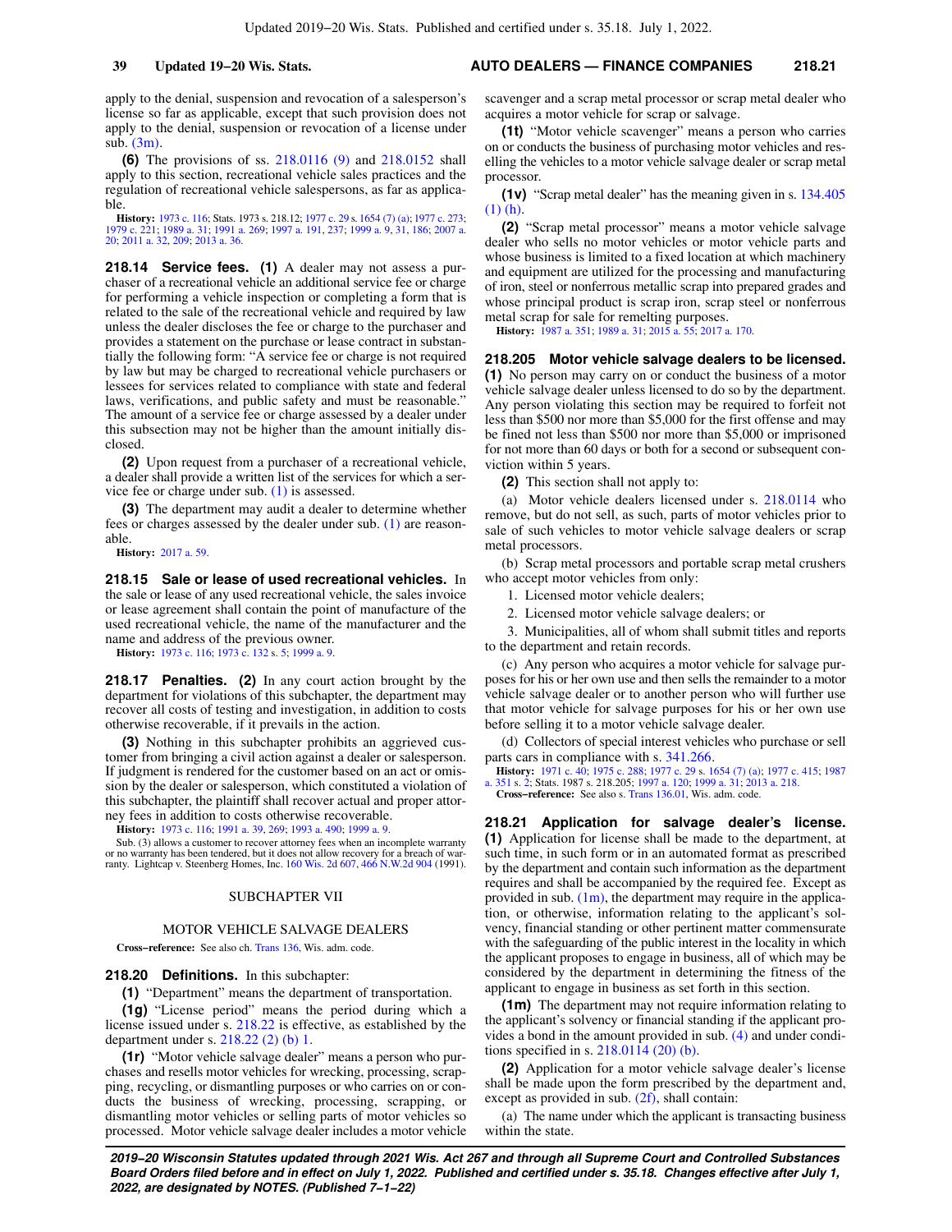apply to the denial, suspension and revocation of a salesperson's license so far as applicable, except that such provision does not apply to the denial, suspension or revocation of a license under  $\sinh(3m)$  $\sinh(3m)$ .

**(6)** The provisions of ss. [218.0116 \(9\)](https://docs.legis.wisconsin.gov/document/statutes/218.0116(9)) and [218.0152](https://docs.legis.wisconsin.gov/document/statutes/218.0152) shall apply to this section, recreational vehicle sales practices and the regulation of recreational vehicle salespersons, as far as applicable.

**History:** [1973 c. 116;](https://docs.legis.wisconsin.gov/document/acts/1973/116) Stats. 1973 s. 218.12; [1977 c. 29](https://docs.legis.wisconsin.gov/document/acts/1977/29) s. [1654 \(7\) \(a\)](https://docs.legis.wisconsin.gov/document/acts/1977/29,%20s.%201654); [1977 c. 273](https://docs.legis.wisconsin.gov/document/acts/1977/273); [1979 c. 221;](https://docs.legis.wisconsin.gov/document/acts/1979/221) [1989 a. 31;](https://docs.legis.wisconsin.gov/document/acts/1989/31) 186; 2007 a.<br>1979 c. 221; 1989 a. 31; [1991 a. 269;](https://docs.legis.wisconsin.gov/document/acts/1991/269) [1997 a. 191](https://docs.legis.wisconsin.gov/document/acts/1997/191), [237](https://docs.legis.wisconsin.gov/document/acts/1997/237); [1999 a. 9,](https://docs.legis.wisconsin.gov/document/acts/1999/9) [31,](https://docs.legis.wisconsin.gov/document/acts/1999/31) [186;](https://docs.legis.wisconsin.gov/document/acts/1999/186) [2007 a.](https://docs.legis.wisconsin.gov/document/acts/2007/20)<br>[20;](https://docs.legis.wisconsin.gov/document/acts/2007/20) 2011 a.

**218.14 Service fees. (1)** A dealer may not assess a purchaser of a recreational vehicle an additional service fee or charge for performing a vehicle inspection or completing a form that is related to the sale of the recreational vehicle and required by law unless the dealer discloses the fee or charge to the purchaser and provides a statement on the purchase or lease contract in substantially the following form: "A service fee or charge is not required by law but may be charged to recreational vehicle purchasers or lessees for services related to compliance with state and federal laws, verifications, and public safety and must be reasonable." The amount of a service fee or charge assessed by a dealer under this subsection may not be higher than the amount initially disclosed.

**(2)** Upon request from a purchaser of a recreational vehicle, a dealer shall provide a written list of the services for which a service fee or charge under sub. [\(1\)](https://docs.legis.wisconsin.gov/document/statutes/218.14(1)) is assessed.

**(3)** The department may audit a dealer to determine whether fees or charges assessed by the dealer under sub. [\(1\)](https://docs.legis.wisconsin.gov/document/statutes/218.14(1)) are reasonable.

**History:** [2017 a. 59.](https://docs.legis.wisconsin.gov/document/acts/2017/59)

**218.15 Sale or lease of used recreational vehicles.** In the sale or lease of any used recreational vehicle, the sales invoice or lease agreement shall contain the point of manufacture of the used recreational vehicle, the name of the manufacturer and the name and address of the previous owner.

**History:** [1973 c. 116](https://docs.legis.wisconsin.gov/document/acts/1973/116); [1973 c. 132](https://docs.legis.wisconsin.gov/document/acts/1973/132) s. [5](https://docs.legis.wisconsin.gov/document/acts/1973/132,%20s.%205); [1999 a. 9.](https://docs.legis.wisconsin.gov/document/acts/1999/9)

**218.17 Penalties. (2)** In any court action brought by the department for violations of this subchapter, the department may recover all costs of testing and investigation, in addition to costs otherwise recoverable, if it prevails in the action.

**(3)** Nothing in this subchapter prohibits an aggrieved customer from bringing a civil action against a dealer or salesperson. If judgment is rendered for the customer based on an act or omission by the dealer or salesperson, which constituted a violation of this subchapter, the plaintiff shall recover actual and proper attorney fees in addition to costs otherwise recoverable.

**History:** [1973 c. 116](https://docs.legis.wisconsin.gov/document/acts/1973/116); [1991 a. 39](https://docs.legis.wisconsin.gov/document/acts/1991/39), [269](https://docs.legis.wisconsin.gov/document/acts/1991/269); [1993 a. 490;](https://docs.legis.wisconsin.gov/document/acts/1993/490) [1999 a. 9.](https://docs.legis.wisconsin.gov/document/acts/1999/9)

Sub. (3) allows a customer to recover attorney fees when an incomplete warranty or no warranty has been tendered, but it does not allow recovery for a breach of war-ranty. Lightcap v. Steenberg Homes, Inc. [160 Wis. 2d 607](https://docs.legis.wisconsin.gov/document/courts/160%20Wis.%202d%20607), [466 N.W.2d 904](https://docs.legis.wisconsin.gov/document/courts/466%20N.W.2d%20904) (1991).

#### SUBCHAPTER VII

#### MOTOR VEHICLE SALVAGE DEALERS

**Cross−reference:** See also ch. [Trans 136](https://docs.legis.wisconsin.gov/document/administrativecode/ch.%20Trans%20136), Wis. adm. code.

#### **218.20 Definitions.** In this subchapter:

**(1)** "Department" means the department of transportation.

**(1g)** "License period" means the period during which a license issued under s. [218.22](https://docs.legis.wisconsin.gov/document/statutes/218.22) is effective, as established by the department under s. [218.22 \(2\) \(b\) 1.](https://docs.legis.wisconsin.gov/document/statutes/218.22(2)(b)1.)

**(1r)** "Motor vehicle salvage dealer" means a person who purchases and resells motor vehicles for wrecking, processing, scrapping, recycling, or dismantling purposes or who carries on or conducts the business of wrecking, processing, scrapping, or dismantling motor vehicles or selling parts of motor vehicles so processed. Motor vehicle salvage dealer includes a motor vehicle scavenger and a scrap metal processor or scrap metal dealer who acquires a motor vehicle for scrap or salvage.

**(1t)** "Motor vehicle scavenger" means a person who carries on or conducts the business of purchasing motor vehicles and reselling the vehicles to a motor vehicle salvage dealer or scrap metal processor.

**(1v)** "Scrap metal dealer" has the meaning given in s. [134.405](https://docs.legis.wisconsin.gov/document/statutes/134.405(1)(h)) [\(1\) \(h\)](https://docs.legis.wisconsin.gov/document/statutes/134.405(1)(h)).

**(2)** "Scrap metal processor" means a motor vehicle salvage dealer who sells no motor vehicles or motor vehicle parts and whose business is limited to a fixed location at which machinery and equipment are utilized for the processing and manufacturing of iron, steel or nonferrous metallic scrap into prepared grades and whose principal product is scrap iron, scrap steel or nonferrous metal scrap for sale for remelting purposes.

**History:** [1987 a. 351;](https://docs.legis.wisconsin.gov/document/acts/1987/351) [1989 a. 31;](https://docs.legis.wisconsin.gov/document/acts/1989/31) [2015 a. 55;](https://docs.legis.wisconsin.gov/document/acts/2015/55) [2017 a. 170.](https://docs.legis.wisconsin.gov/document/acts/2017/170)

#### **218.205 Motor vehicle salvage dealers to be licensed.**

**(1)** No person may carry on or conduct the business of a motor vehicle salvage dealer unless licensed to do so by the department. Any person violating this section may be required to forfeit not less than \$500 nor more than \$5,000 for the first offense and may be fined not less than \$500 nor more than \$5,000 or imprisoned for not more than 60 days or both for a second or subsequent conviction within 5 years.

**(2)** This section shall not apply to:

(a) Motor vehicle dealers licensed under s. [218.0114](https://docs.legis.wisconsin.gov/document/statutes/218.0114) who remove, but do not sell, as such, parts of motor vehicles prior to sale of such vehicles to motor vehicle salvage dealers or scrap metal processors.

(b) Scrap metal processors and portable scrap metal crushers who accept motor vehicles from only:

- 1. Licensed motor vehicle dealers;
- 2. Licensed motor vehicle salvage dealers; or

3. Municipalities, all of whom shall submit titles and reports to the department and retain records.

(c) Any person who acquires a motor vehicle for salvage purposes for his or her own use and then sells the remainder to a motor vehicle salvage dealer or to another person who will further use that motor vehicle for salvage purposes for his or her own use before selling it to a motor vehicle salvage dealer.

(d) Collectors of special interest vehicles who purchase or sell parts cars in compliance with s. [341.266.](https://docs.legis.wisconsin.gov/document/statutes/341.266)

**History:** [1971 c. 40](https://docs.legis.wisconsin.gov/document/acts/1971/40); [1975 c. 288](https://docs.legis.wisconsin.gov/document/acts/1975/288); [1977 c. 29](https://docs.legis.wisconsin.gov/document/acts/1977/29) s. [1654 \(7\) \(a\)](https://docs.legis.wisconsin.gov/document/acts/1977/29,%20s.%201654); [1977 c. 415](https://docs.legis.wisconsin.gov/document/acts/1977/415); [1987](https://docs.legis.wisconsin.gov/document/acts/1987/351) [a. 351](https://docs.legis.wisconsin.gov/document/acts/1987/351) s. [2;](https://docs.legis.wisconsin.gov/document/acts/1987/351,%20s.%202) Stats. 1987 s. 218.205; [1997 a. 120;](https://docs.legis.wisconsin.gov/document/acts/1997/120) [1999 a. 31](https://docs.legis.wisconsin.gov/document/acts/1999/31); [2013 a. 218.](https://docs.legis.wisconsin.gov/document/acts/2013/218)

**Cross−reference:** See also s. [Trans 136.01](https://docs.legis.wisconsin.gov/document/administrativecode/Trans%20136.01), Wis. adm. code.

**218.21 Application for salvage dealer's license. (1)** Application for license shall be made to the department, at such time, in such form or in an automated format as prescribed by the department and contain such information as the department requires and shall be accompanied by the required fee. Except as provided in sub.  $(1m)$ , the department may require in the application, or otherwise, information relating to the applicant's solvency, financial standing or other pertinent matter commensurate with the safeguarding of the public interest in the locality in which the applicant proposes to engage in business, all of which may be considered by the department in determining the fitness of the applicant to engage in business as set forth in this section.

**(1m)** The department may not require information relating to the applicant's solvency or financial standing if the applicant provides a bond in the amount provided in sub. [\(4\)](https://docs.legis.wisconsin.gov/document/statutes/218.21(4)) and under conditions specified in s. [218.0114 \(20\) \(b\).](https://docs.legis.wisconsin.gov/document/statutes/218.0114(20)(b))

**(2)** Application for a motor vehicle salvage dealer's license shall be made upon the form prescribed by the department and, except as provided in sub. [\(2f\)](https://docs.legis.wisconsin.gov/document/statutes/218.21(2f)), shall contain:

(a) The name under which the applicant is transacting business within the state.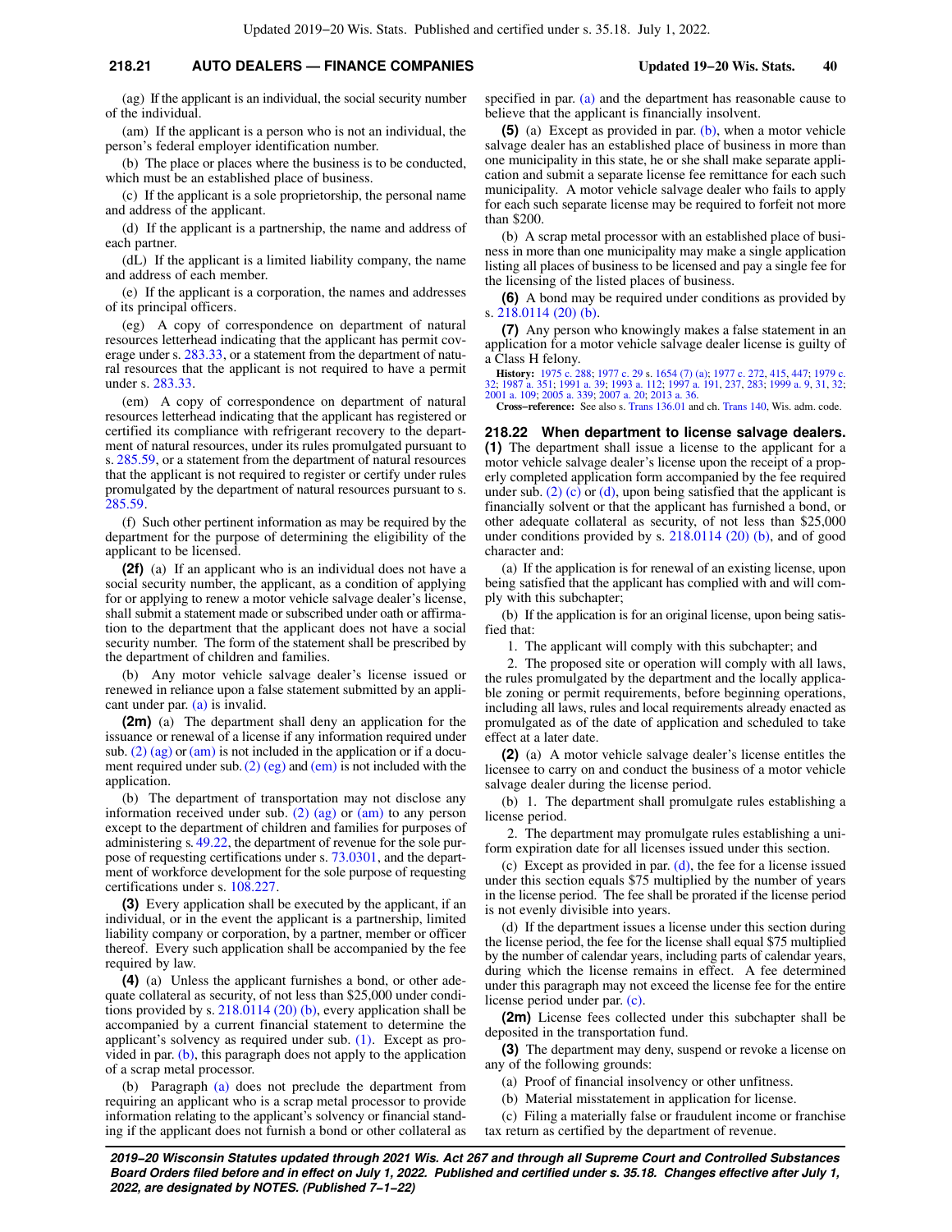## **218.21 AUTO DEALERS — FINANCE COMPANIES Updated 19−20 Wis. Stats. 40**

(ag) If the applicant is an individual, the social security number of the individual.

(am) If the applicant is a person who is not an individual, the person's federal employer identification number.

(b) The place or places where the business is to be conducted, which must be an established place of business.

(c) If the applicant is a sole proprietorship, the personal name and address of the applicant.

(d) If the applicant is a partnership, the name and address of each partner.

(dL) If the applicant is a limited liability company, the name and address of each member.

(e) If the applicant is a corporation, the names and addresses of its principal officers.

(eg) A copy of correspondence on department of natural resources letterhead indicating that the applicant has permit cov-erage under s. [283.33](https://docs.legis.wisconsin.gov/document/statutes/283.33), or a statement from the department of natural resources that the applicant is not required to have a permit under s. [283.33.](https://docs.legis.wisconsin.gov/document/statutes/283.33)

(em) A copy of correspondence on department of natural resources letterhead indicating that the applicant has registered or certified its compliance with refrigerant recovery to the department of natural resources, under its rules promulgated pursuant to s. [285.59](https://docs.legis.wisconsin.gov/document/statutes/285.59), or a statement from the department of natural resources that the applicant is not required to register or certify under rules promulgated by the department of natural resources pursuant to s. [285.59.](https://docs.legis.wisconsin.gov/document/statutes/285.59)

(f) Such other pertinent information as may be required by the department for the purpose of determining the eligibility of the applicant to be licensed.

**(2f)** (a) If an applicant who is an individual does not have a social security number, the applicant, as a condition of applying for or applying to renew a motor vehicle salvage dealer's license, shall submit a statement made or subscribed under oath or affirmation to the department that the applicant does not have a social security number. The form of the statement shall be prescribed by the department of children and families.

(b) Any motor vehicle salvage dealer's license issued or renewed in reliance upon a false statement submitted by an applicant under par. [\(a\)](https://docs.legis.wisconsin.gov/document/statutes/218.21(2f)(a)) is invalid.

**(2m)** (a) The department shall deny an application for the issuance or renewal of a license if any information required under sub.  $(2)$  (ag) or [\(am\)](https://docs.legis.wisconsin.gov/document/statutes/218.21(2)(am)) is not included in the application or if a document required under sub.  $(2)$  (eg) and [\(em\)](https://docs.legis.wisconsin.gov/document/statutes/218.21(2)(em)) is not included with the application.

(b) The department of transportation may not disclose any information received under sub.  $(2)$  (ag) or  $(am)$  to any person except to the department of children and families for purposes of administering s. [49.22,](https://docs.legis.wisconsin.gov/document/statutes/49.22) the department of revenue for the sole purpose of requesting certifications under s. [73.0301,](https://docs.legis.wisconsin.gov/document/statutes/73.0301) and the department of workforce development for the sole purpose of requesting certifications under s. [108.227.](https://docs.legis.wisconsin.gov/document/statutes/108.227)

**(3)** Every application shall be executed by the applicant, if an individual, or in the event the applicant is a partnership, limited liability company or corporation, by a partner, member or officer thereof. Every such application shall be accompanied by the fee required by law.

**(4)** (a) Unless the applicant furnishes a bond, or other adequate collateral as security, of not less than \$25,000 under conditions provided by s. [218.0114 \(20\) \(b\),](https://docs.legis.wisconsin.gov/document/statutes/218.0114(20)(b)) every application shall be accompanied by a current financial statement to determine the applicant's solvency as required under sub. [\(1\)](https://docs.legis.wisconsin.gov/document/statutes/218.21(1)). Except as provided in par.  $(b)$ , this paragraph does not apply to the application of a scrap metal processor.

(b) Paragraph [\(a\)](https://docs.legis.wisconsin.gov/document/statutes/218.21(4)(a)) does not preclude the department from requiring an applicant who is a scrap metal processor to provide information relating to the applicant's solvency or financial standing if the applicant does not furnish a bond or other collateral as specified in par. [\(a\)](https://docs.legis.wisconsin.gov/document/statutes/218.21(4)(a)) and the department has reasonable cause to believe that the applicant is financially insolvent.

**(5)** (a) Except as provided in par. [\(b\),](https://docs.legis.wisconsin.gov/document/statutes/218.21(5)(b)) when a motor vehicle salvage dealer has an established place of business in more than one municipality in this state, he or she shall make separate application and submit a separate license fee remittance for each such municipality. A motor vehicle salvage dealer who fails to apply for each such separate license may be required to forfeit not more than \$200.

(b) A scrap metal processor with an established place of business in more than one municipality may make a single application listing all places of business to be licensed and pay a single fee for the licensing of the listed places of business.

**(6)** A bond may be required under conditions as provided by s. [218.0114 \(20\) \(b\).](https://docs.legis.wisconsin.gov/document/statutes/218.0114(20)(b))

**(7)** Any person who knowingly makes a false statement in an application for a motor vehicle salvage dealer license is guilty of a Class H felony.

**History:** [1975 c. 288;](https://docs.legis.wisconsin.gov/document/acts/1975/288) [1977 c. 29](https://docs.legis.wisconsin.gov/document/acts/1977/29) s. [1654 \(7\) \(a\)](https://docs.legis.wisconsin.gov/document/acts/1977/29,%20s.%201654); [1977 c. 272,](https://docs.legis.wisconsin.gov/document/acts/1977/272) [415,](https://docs.legis.wisconsin.gov/document/acts/1977/415) [447;](https://docs.legis.wisconsin.gov/document/acts/1977/447) [1979 c.](https://docs.legis.wisconsin.gov/document/acts/1979/32) [32](https://docs.legis.wisconsin.gov/document/acts/1979/32); [1987 a. 351;](https://docs.legis.wisconsin.gov/document/acts/1987/351) [1991 a. 39](https://docs.legis.wisconsin.gov/document/acts/1991/39); [1993 a. 112;](https://docs.legis.wisconsin.gov/document/acts/1993/112) [1997 a. 191,](https://docs.legis.wisconsin.gov/document/acts/1997/191) [237](https://docs.legis.wisconsin.gov/document/acts/1997/237), [283](https://docs.legis.wisconsin.gov/document/acts/1997/283); [1999 a. 9](https://docs.legis.wisconsin.gov/document/acts/1999/9), [31,](https://docs.legis.wisconsin.gov/document/acts/1999/31) [32](https://docs.legis.wisconsin.gov/document/acts/1999/32); [2001 a. 109;](https://docs.legis.wisconsin.gov/document/acts/2001/109) [2005 a. 339;](https://docs.legis.wisconsin.gov/document/acts/2005/339) [2007 a. 20;](https://docs.legis.wisconsin.gov/document/acts/2007/20) [2013 a. 36.](https://docs.legis.wisconsin.gov/document/acts/2013/36)

**Cross−reference:** See also s. [Trans 136.01](https://docs.legis.wisconsin.gov/document/administrativecode/Trans%20136.01) and ch. [Trans 140](https://docs.legis.wisconsin.gov/document/administrativecode/ch.%20Trans%20140), Wis. adm. code.

**218.22 When department to license salvage dealers. (1)** The department shall issue a license to the applicant for a motor vehicle salvage dealer's license upon the receipt of a properly completed application form accompanied by the fee required under sub.  $(2)$  (c) or [\(d\)](https://docs.legis.wisconsin.gov/document/statutes/218.22(2)(d)), upon being satisfied that the applicant is financially solvent or that the applicant has furnished a bond, or other adequate collateral as security, of not less than \$25,000 under conditions provided by s. [218.0114 \(20\) \(b\)](https://docs.legis.wisconsin.gov/document/statutes/218.0114(20)(b)), and of good character and:

(a) If the application is for renewal of an existing license, upon being satisfied that the applicant has complied with and will comply with this subchapter;

(b) If the application is for an original license, upon being satisfied that:

1. The applicant will comply with this subchapter; and

2. The proposed site or operation will comply with all laws, the rules promulgated by the department and the locally applicable zoning or permit requirements, before beginning operations, including all laws, rules and local requirements already enacted as promulgated as of the date of application and scheduled to take effect at a later date.

**(2)** (a) A motor vehicle salvage dealer's license entitles the licensee to carry on and conduct the business of a motor vehicle salvage dealer during the license period.

(b) 1. The department shall promulgate rules establishing a license period.

2. The department may promulgate rules establishing a uniform expiration date for all licenses issued under this section.

(c) Except as provided in par.  $(d)$ , the fee for a license issued under this section equals \$75 multiplied by the number of years in the license period. The fee shall be prorated if the license period is not evenly divisible into years.

(d) If the department issues a license under this section during the license period, the fee for the license shall equal \$75 multiplied by the number of calendar years, including parts of calendar years, during which the license remains in effect. A fee determined under this paragraph may not exceed the license fee for the entire license period under par. [\(c\)](https://docs.legis.wisconsin.gov/document/statutes/218.22(2)(c)).

**(2m)** License fees collected under this subchapter shall be deposited in the transportation fund.

**(3)** The department may deny, suspend or revoke a license on any of the following grounds:

- (a) Proof of financial insolvency or other unfitness.
- (b) Material misstatement in application for license.

(c) Filing a materially false or fraudulent income or franchise tax return as certified by the department of revenue.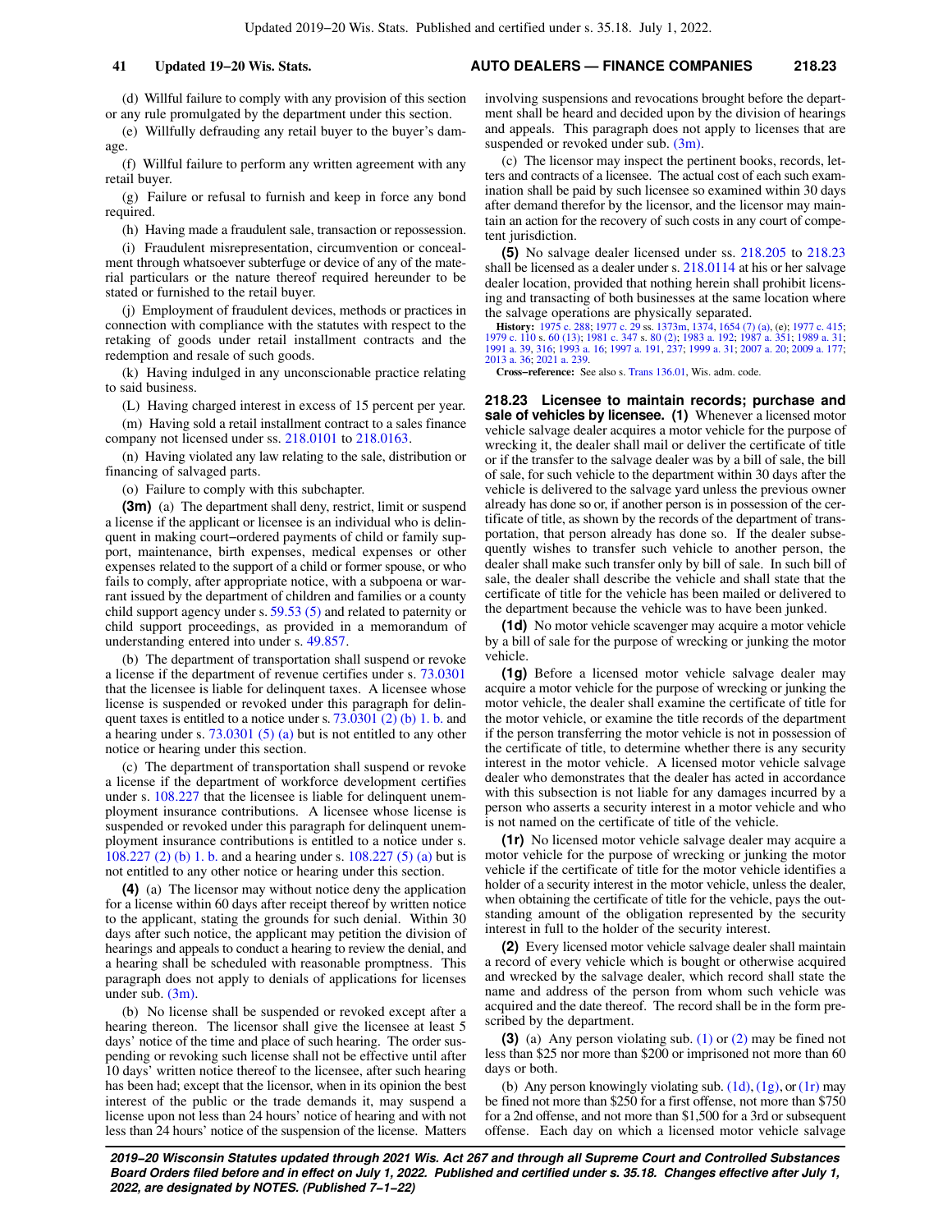(d) Willful failure to comply with any provision of this section or any rule promulgated by the department under this section.

(e) Willfully defrauding any retail buyer to the buyer's damage.

(f) Willful failure to perform any written agreement with any retail buyer.

(g) Failure or refusal to furnish and keep in force any bond required.

(h) Having made a fraudulent sale, transaction or repossession.

(i) Fraudulent misrepresentation, circumvention or concealment through whatsoever subterfuge or device of any of the material particulars or the nature thereof required hereunder to be stated or furnished to the retail buyer.

(j) Employment of fraudulent devices, methods or practices in connection with compliance with the statutes with respect to the retaking of goods under retail installment contracts and the redemption and resale of such goods.

(k) Having indulged in any unconscionable practice relating to said business.

(L) Having charged interest in excess of 15 percent per year.

(m) Having sold a retail installment contract to a sales finance company not licensed under ss. [218.0101](https://docs.legis.wisconsin.gov/document/statutes/218.0101) to [218.0163](https://docs.legis.wisconsin.gov/document/statutes/218.0163).

(n) Having violated any law relating to the sale, distribution or financing of salvaged parts.

(o) Failure to comply with this subchapter.

**(3m)** (a) The department shall deny, restrict, limit or suspend a license if the applicant or licensee is an individual who is delinquent in making court−ordered payments of child or family support, maintenance, birth expenses, medical expenses or other expenses related to the support of a child or former spouse, or who fails to comply, after appropriate notice, with a subpoena or warrant issued by the department of children and families or a county child support agency under s. [59.53 \(5\)](https://docs.legis.wisconsin.gov/document/statutes/59.53(5)) and related to paternity or child support proceedings, as provided in a memorandum of understanding entered into under s. [49.857](https://docs.legis.wisconsin.gov/document/statutes/49.857).

(b) The department of transportation shall suspend or revoke a license if the department of revenue certifies under s. [73.0301](https://docs.legis.wisconsin.gov/document/statutes/73.0301) that the licensee is liable for delinquent taxes. A licensee whose license is suspended or revoked under this paragraph for delinquent taxes is entitled to a notice under s.  $73.0301(2)$  (b) 1. b. and a hearing under s. [73.0301 \(5\) \(a\)](https://docs.legis.wisconsin.gov/document/statutes/73.0301(5)(a)) but is not entitled to any other notice or hearing under this section.

(c) The department of transportation shall suspend or revoke a license if the department of workforce development certifies under s. [108.227](https://docs.legis.wisconsin.gov/document/statutes/108.227) that the licensee is liable for delinquent unemployment insurance contributions. A licensee whose license is suspended or revoked under this paragraph for delinquent unemployment insurance contributions is entitled to a notice under s. [108.227 \(2\) \(b\) 1. b.](https://docs.legis.wisconsin.gov/document/statutes/108.227(2)(b)1.b.) and a hearing under s. [108.227 \(5\) \(a\)](https://docs.legis.wisconsin.gov/document/statutes/108.227(5)(a)) but is not entitled to any other notice or hearing under this section.

**(4)** (a) The licensor may without notice deny the application for a license within 60 days after receipt thereof by written notice to the applicant, stating the grounds for such denial. Within 30 days after such notice, the applicant may petition the division of hearings and appeals to conduct a hearing to review the denial, and a hearing shall be scheduled with reasonable promptness. This paragraph does not apply to denials of applications for licenses under sub. [\(3m\)](https://docs.legis.wisconsin.gov/document/statutes/218.22(3m)).

(b) No license shall be suspended or revoked except after a hearing thereon. The licensor shall give the licensee at least 5 days' notice of the time and place of such hearing. The order suspending or revoking such license shall not be effective until after 10 days' written notice thereof to the licensee, after such hearing has been had; except that the licensor, when in its opinion the best interest of the public or the trade demands it, may suspend a license upon not less than 24 hours' notice of hearing and with not less than 24 hours' notice of the suspension of the license. Matters involving suspensions and revocations brought before the department shall be heard and decided upon by the division of hearings and appeals. This paragraph does not apply to licenses that are suspended or revoked under sub.  $(3m)$ .

(c) The licensor may inspect the pertinent books, records, letters and contracts of a licensee. The actual cost of each such examination shall be paid by such licensee so examined within 30 days after demand therefor by the licensor, and the licensor may maintain an action for the recovery of such costs in any court of competent jurisdiction.

**(5)** No salvage dealer licensed under ss. [218.205](https://docs.legis.wisconsin.gov/document/statutes/218.205) to [218.23](https://docs.legis.wisconsin.gov/document/statutes/218.23) shall be licensed as a dealer under s. [218.0114](https://docs.legis.wisconsin.gov/document/statutes/218.0114) at his or her salvage dealer location, provided that nothing herein shall prohibit licensing and transacting of both businesses at the same location where the salvage operations are physically separated.

**History:** [1975 c. 288;](https://docs.legis.wisconsin.gov/document/acts/1975/288) [1977 c. 29](https://docs.legis.wisconsin.gov/document/acts/1977/29) ss. [1373m,](https://docs.legis.wisconsin.gov/document/acts/1977/29,%20s.%201373m) [1374](https://docs.legis.wisconsin.gov/document/acts/1977/29,%20s.%201374), [1654 \(7\) \(a\)](https://docs.legis.wisconsin.gov/document/acts/1977/29,%20s.%201654), (e): [1977 c. 415](https://docs.legis.wisconsin.gov/document/acts/1977/415);<br>[1979 c. 110](https://docs.legis.wisconsin.gov/document/acts/1979/110) s. [60 \(13\)](https://docs.legis.wisconsin.gov/document/acts/1979/110,%20s.%2060); [1981 c. 347](https://docs.legis.wisconsin.gov/document/acts/1981/347) s. [80 \(2\)](https://docs.legis.wisconsin.gov/document/acts/1981/347,%20s.%2080); [1983 a. 192](https://docs.legis.wisconsin.gov/document/acts/1983/192); [1987 a. 351](https://docs.legis.wisconsin.gov/document/acts/1987/351); [1989 a. 31](https://docs.legis.wisconsin.gov/document/acts/1989/31);<br>[1991 a. 39](https://docs.legis.wisconsin.gov/document/acts/1991/39), [316;](https://docs.legis.wisconsin.gov/document/acts/1991/316) [1993 a. 16;](https://docs.legis.wisconsin.gov/document/acts/1993/16) [1997 a. 191](https://docs.legis.wisconsin.gov/document/acts/1997/191), [237](https://docs.legis.wisconsin.gov/document/acts/1997/237); 1999 a [2013 a. 36](https://docs.legis.wisconsin.gov/document/acts/2013/36); [2021 a. 239](https://docs.legis.wisconsin.gov/document/acts/2021/239).

**Cross−reference:** See also s. [Trans 136.01](https://docs.legis.wisconsin.gov/document/administrativecode/Trans%20136.01), Wis. adm. code.

**218.23 Licensee to maintain records; purchase and** sale of vehicles by licensee. (1) Whenever a licensed motor vehicle salvage dealer acquires a motor vehicle for the purpose of wrecking it, the dealer shall mail or deliver the certificate of title or if the transfer to the salvage dealer was by a bill of sale, the bill of sale, for such vehicle to the department within 30 days after the vehicle is delivered to the salvage yard unless the previous owner already has done so or, if another person is in possession of the certificate of title, as shown by the records of the department of transportation, that person already has done so. If the dealer subsequently wishes to transfer such vehicle to another person, the dealer shall make such transfer only by bill of sale. In such bill of sale, the dealer shall describe the vehicle and shall state that the certificate of title for the vehicle has been mailed or delivered to the department because the vehicle was to have been junked.

**(1d)** No motor vehicle scavenger may acquire a motor vehicle by a bill of sale for the purpose of wrecking or junking the motor vehicle.

**(1g)** Before a licensed motor vehicle salvage dealer may acquire a motor vehicle for the purpose of wrecking or junking the motor vehicle, the dealer shall examine the certificate of title for the motor vehicle, or examine the title records of the department if the person transferring the motor vehicle is not in possession of the certificate of title, to determine whether there is any security interest in the motor vehicle. A licensed motor vehicle salvage dealer who demonstrates that the dealer has acted in accordance with this subsection is not liable for any damages incurred by a person who asserts a security interest in a motor vehicle and who is not named on the certificate of title of the vehicle.

**(1r)** No licensed motor vehicle salvage dealer may acquire a motor vehicle for the purpose of wrecking or junking the motor vehicle if the certificate of title for the motor vehicle identifies a holder of a security interest in the motor vehicle, unless the dealer, when obtaining the certificate of title for the vehicle, pays the outstanding amount of the obligation represented by the security interest in full to the holder of the security interest.

**(2)** Every licensed motor vehicle salvage dealer shall maintain a record of every vehicle which is bought or otherwise acquired and wrecked by the salvage dealer, which record shall state the name and address of the person from whom such vehicle was acquired and the date thereof. The record shall be in the form prescribed by the department.

**(3)** (a) Any person violating sub. [\(1\)](https://docs.legis.wisconsin.gov/document/statutes/218.23(1)) or [\(2\)](https://docs.legis.wisconsin.gov/document/statutes/218.23(2)) may be fined not less than \$25 nor more than \$200 or imprisoned not more than 60 days or both.

(b) Any person knowingly violating sub.  $(1d)$ ,  $(1g)$ , or  $(1r)$  may be fined not more than \$250 for a first offense, not more than \$750 for a 2nd offense, and not more than \$1,500 for a 3rd or subsequent offense. Each day on which a licensed motor vehicle salvage

**2019−20 Wisconsin Statutes updated through 2021 Wis. Act 267 and through all Supreme Court and Controlled Substances Board Orders filed before and in effect on July 1, 2022. Published and certified under s. 35.18. Changes effective after July 1, 2022, are designated by NOTES. (Published 7−1−22)**

## **41 Updated 19−20 Wis. Stats. AUTO DEALERS — FINANCE COMPANIES 218.23**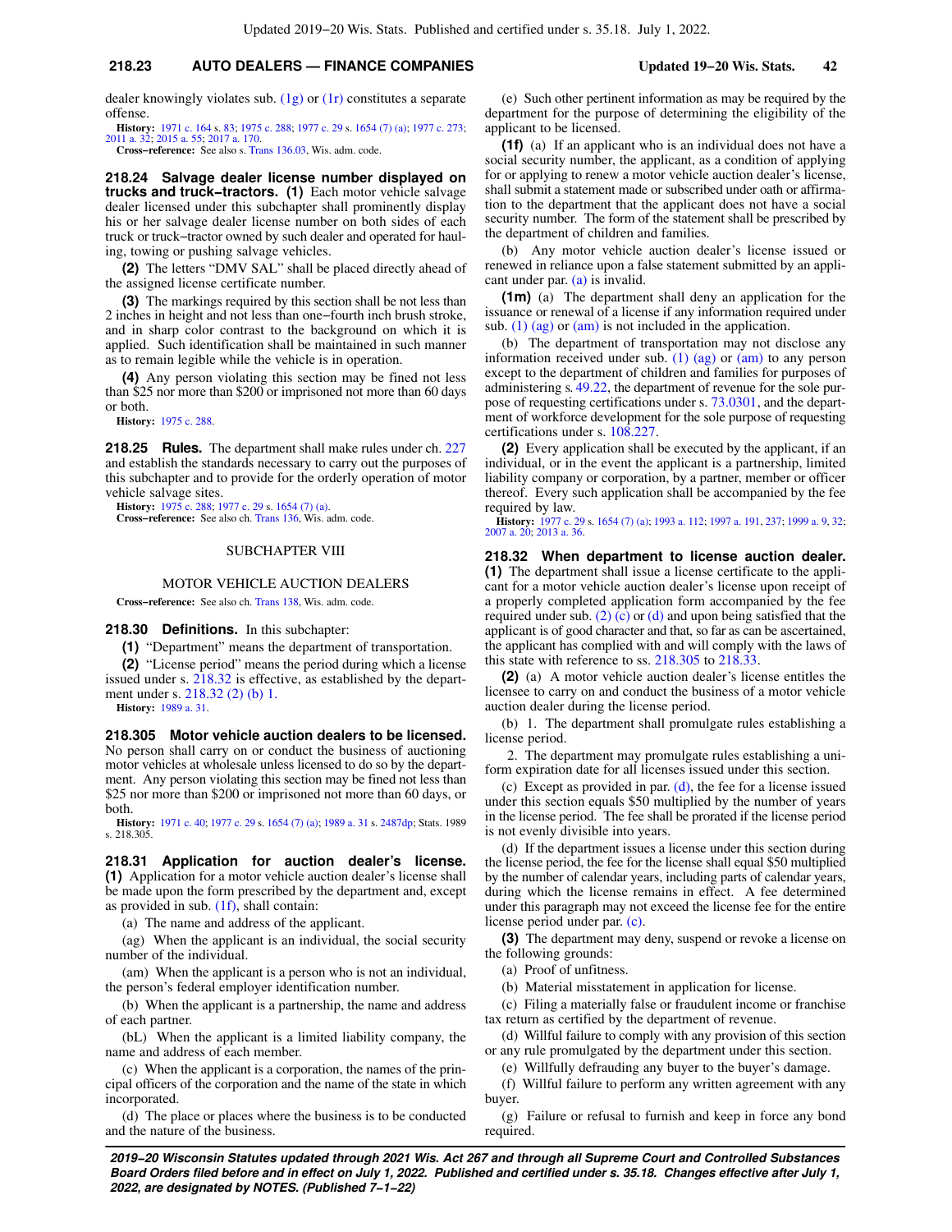## **218.23 AUTO DEALERS — FINANCE COMPANIES Updated 19−20 Wis. Stats. 42**

dealer knowingly violates sub. [\(1g\)](https://docs.legis.wisconsin.gov/document/statutes/218.23(1g)) or [\(1r\)](https://docs.legis.wisconsin.gov/document/statutes/218.23(1r)) constitutes a separate offense.

**History:** [1971 c. 164](https://docs.legis.wisconsin.gov/document/acts/1971/164) s. [83](https://docs.legis.wisconsin.gov/document/acts/1971/164,%20s.%2083); [1975 c. 288;](https://docs.legis.wisconsin.gov/document/acts/1975/288) [1977 c. 29](https://docs.legis.wisconsin.gov/document/acts/1977/29) s. [1654 \(7\) \(a\);](https://docs.legis.wisconsin.gov/document/acts/1977/29,%20s.%201654) [1977 c. 273](https://docs.legis.wisconsin.gov/document/acts/1977/273); [2011 a. 32;](https://docs.legis.wisconsin.gov/document/acts/2011/32) [2015 a. 55](https://docs.legis.wisconsin.gov/document/acts/2015/55); [2017 a. 170.](https://docs.legis.wisconsin.gov/document/acts/2017/170) **Cross−reference:** See also s. [Trans 136.03](https://docs.legis.wisconsin.gov/document/administrativecode/Trans%20136.03), Wis. adm. code.

**218.24 Salvage dealer license number displayed on trucks and truck−tractors. (1)** Each motor vehicle salvage dealer licensed under this subchapter shall prominently display his or her salvage dealer license number on both sides of each truck or truck−tractor owned by such dealer and operated for hauling, towing or pushing salvage vehicles.

**(2)** The letters "DMV SAL" shall be placed directly ahead of the assigned license certificate number.

**(3)** The markings required by this section shall be not less than 2 inches in height and not less than one−fourth inch brush stroke, and in sharp color contrast to the background on which it is applied. Such identification shall be maintained in such manner as to remain legible while the vehicle is in operation.

**(4)** Any person violating this section may be fined not less than \$25 nor more than \$200 or imprisoned not more than 60 days or both.

**History:** [1975 c. 288](https://docs.legis.wisconsin.gov/document/acts/1975/288).

**218.25 Rules.** The department shall make rules under ch. [227](https://docs.legis.wisconsin.gov/document/statutes/ch.%20227) and establish the standards necessary to carry out the purposes of this subchapter and to provide for the orderly operation of motor vehicle salvage sites.

**History:** [1975 c. 288](https://docs.legis.wisconsin.gov/document/acts/1975/288); [1977 c. 29](https://docs.legis.wisconsin.gov/document/acts/1977/29) s. [1654 \(7\) \(a\)](https://docs.legis.wisconsin.gov/document/acts/1977/29,%20s.%201654). **Cross−reference:** See also ch. [Trans 136](https://docs.legis.wisconsin.gov/document/administrativecode/ch.%20Trans%20136), Wis. adm. code.

#### SUBCHAPTER VIII

#### MOTOR VEHICLE AUCTION DEALERS

**Cross−reference:** See also ch. [Trans 138](https://docs.legis.wisconsin.gov/document/administrativecode/ch.%20Trans%20138), Wis. adm. code.

#### **218.30 Definitions.** In this subchapter:

**(1)** "Department" means the department of transportation.

**(2)** "License period" means the period during which a license issued under s. [218.32](https://docs.legis.wisconsin.gov/document/statutes/218.32) is effective, as established by the department under s. [218.32 \(2\) \(b\) 1.](https://docs.legis.wisconsin.gov/document/statutes/218.32(2)(b)1.)

**History:** [1989 a. 31.](https://docs.legis.wisconsin.gov/document/acts/1989/31)

**218.305 Motor vehicle auction dealers to be licensed.** No person shall carry on or conduct the business of auctioning motor vehicles at wholesale unless licensed to do so by the department. Any person violating this section may be fined not less than \$25 nor more than \$200 or imprisoned not more than 60 days, or both.

**History:** [1971 c. 40;](https://docs.legis.wisconsin.gov/document/acts/1971/40) [1977 c. 29](https://docs.legis.wisconsin.gov/document/acts/1977/29) s. [1654 \(7\) \(a\);](https://docs.legis.wisconsin.gov/document/acts/1977/29,%20s.%201654) [1989 a. 31](https://docs.legis.wisconsin.gov/document/acts/1989/31) s. [2487dp;](https://docs.legis.wisconsin.gov/document/acts/1989/31,%20s.%202487dp) Stats. 1989 s. 218.305.

**218.31 Application for auction dealer's license. (1)** Application for a motor vehicle auction dealer's license shall be made upon the form prescribed by the department and, except as provided in sub. [\(1f\),](https://docs.legis.wisconsin.gov/document/statutes/218.31(1f)) shall contain:

(a) The name and address of the applicant.

(ag) When the applicant is an individual, the social security number of the individual.

(am) When the applicant is a person who is not an individual, the person's federal employer identification number.

(b) When the applicant is a partnership, the name and address of each partner.

(bL) When the applicant is a limited liability company, the name and address of each member.

(c) When the applicant is a corporation, the names of the principal officers of the corporation and the name of the state in which incorporated.

(d) The place or places where the business is to be conducted and the nature of the business.

(e) Such other pertinent information as may be required by the department for the purpose of determining the eligibility of the applicant to be licensed.

**(1f)** (a) If an applicant who is an individual does not have a social security number, the applicant, as a condition of applying for or applying to renew a motor vehicle auction dealer's license, shall submit a statement made or subscribed under oath or affirmation to the department that the applicant does not have a social security number. The form of the statement shall be prescribed by the department of children and families.

(b) Any motor vehicle auction dealer's license issued or renewed in reliance upon a false statement submitted by an applicant under par. [\(a\)](https://docs.legis.wisconsin.gov/document/statutes/218.31(1f)(a)) is invalid.

**(1m)** (a) The department shall deny an application for the issuance or renewal of a license if any information required under sub.  $(1)$  (ag) or [\(am\)](https://docs.legis.wisconsin.gov/document/statutes/218.31(1)(am)) is not included in the application.

(b) The department of transportation may not disclose any information received under sub.  $(1)$  (ag) or  $(am)$  to any person except to the department of children and families for purposes of administering s. [49.22,](https://docs.legis.wisconsin.gov/document/statutes/49.22) the department of revenue for the sole purpose of requesting certifications under s. [73.0301](https://docs.legis.wisconsin.gov/document/statutes/73.0301), and the department of workforce development for the sole purpose of requesting certifications under s. [108.227.](https://docs.legis.wisconsin.gov/document/statutes/108.227)

**(2)** Every application shall be executed by the applicant, if an individual, or in the event the applicant is a partnership, limited liability company or corporation, by a partner, member or officer thereof. Every such application shall be accompanied by the fee required by law.

**History:** [1977 c. 29](https://docs.legis.wisconsin.gov/document/acts/1977/29) s. [1654 \(7\) \(a\)](https://docs.legis.wisconsin.gov/document/acts/1977/29,%20s.%201654); [1993 a. 112;](https://docs.legis.wisconsin.gov/document/acts/1993/112) [1997 a. 191](https://docs.legis.wisconsin.gov/document/acts/1997/191), [237;](https://docs.legis.wisconsin.gov/document/acts/1997/237) [1999 a. 9](https://docs.legis.wisconsin.gov/document/acts/1999/9), [32](https://docs.legis.wisconsin.gov/document/acts/1999/32); [2007 a. 20](https://docs.legis.wisconsin.gov/document/acts/2007/20); [2013 a. 36.](https://docs.legis.wisconsin.gov/document/acts/2013/36)

**218.32 When department to license auction dealer. (1)** The department shall issue a license certificate to the applicant for a motor vehicle auction dealer's license upon receipt of a properly completed application form accompanied by the fee required under sub. [\(2\) \(c\)](https://docs.legis.wisconsin.gov/document/statutes/218.32(2)(c)) or [\(d\)](https://docs.legis.wisconsin.gov/document/statutes/218.32(2)(d)) and upon being satisfied that the applicant is of good character and that, so far as can be ascertained, the applicant has complied with and will comply with the laws of this state with reference to ss. [218.305](https://docs.legis.wisconsin.gov/document/statutes/218.305) to [218.33](https://docs.legis.wisconsin.gov/document/statutes/218.33).

**(2)** (a) A motor vehicle auction dealer's license entitles the licensee to carry on and conduct the business of a motor vehicle auction dealer during the license period.

(b) 1. The department shall promulgate rules establishing a license period.

2. The department may promulgate rules establishing a uniform expiration date for all licenses issued under this section.

(c) Except as provided in par.  $(d)$ , the fee for a license issued under this section equals \$50 multiplied by the number of years in the license period. The fee shall be prorated if the license period is not evenly divisible into years.

(d) If the department issues a license under this section during the license period, the fee for the license shall equal \$50 multiplied by the number of calendar years, including parts of calendar years, during which the license remains in effect. A fee determined under this paragraph may not exceed the license fee for the entire license period under par. [\(c\)](https://docs.legis.wisconsin.gov/document/statutes/218.32(2)(c)).

**(3)** The department may deny, suspend or revoke a license on the following grounds:

(a) Proof of unfitness.

(b) Material misstatement in application for license.

(c) Filing a materially false or fraudulent income or franchise tax return as certified by the department of revenue.

(d) Willful failure to comply with any provision of this section or any rule promulgated by the department under this section.

(e) Willfully defrauding any buyer to the buyer's damage.

(f) Willful failure to perform any written agreement with any buyer.

(g) Failure or refusal to furnish and keep in force any bond required.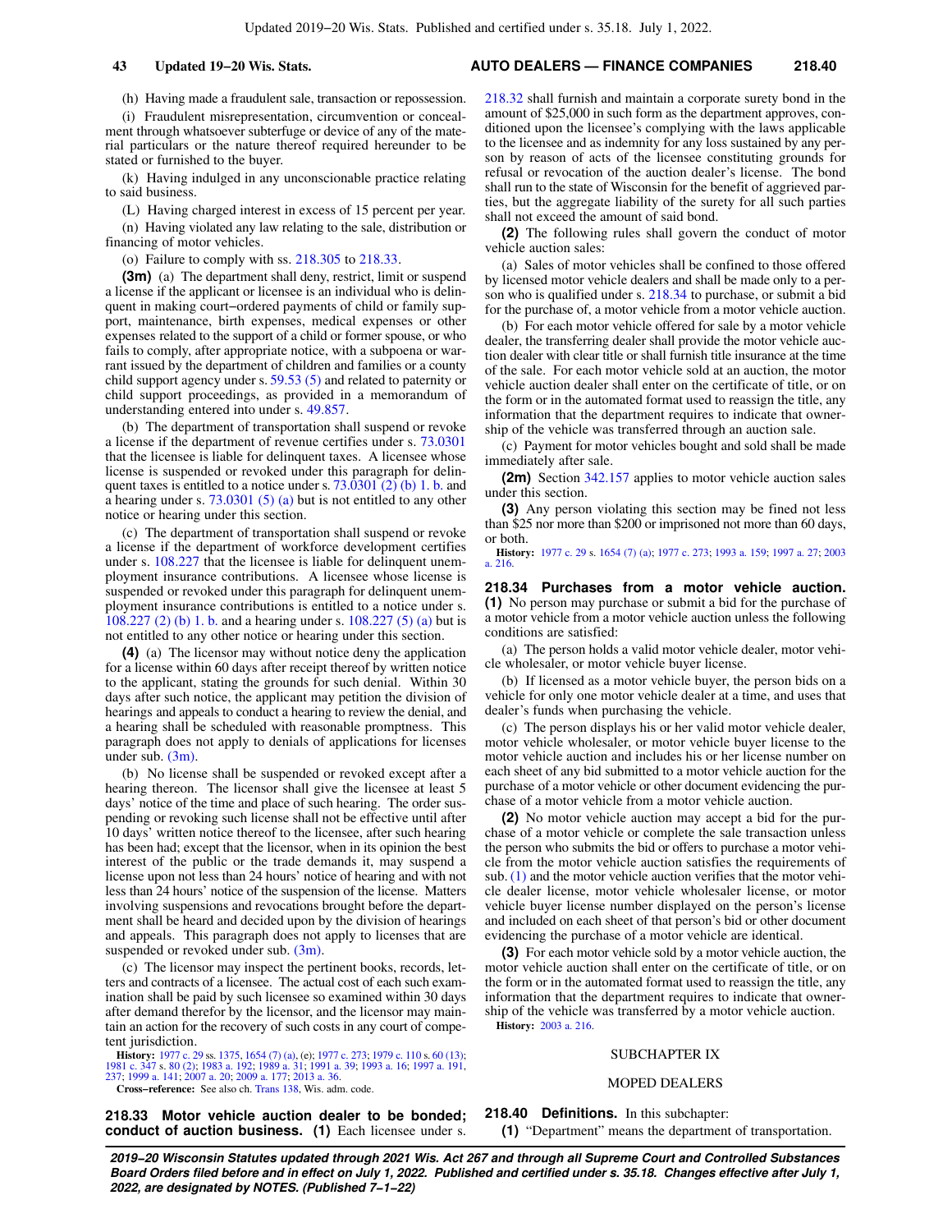## **43 Updated 19−20 Wis. Stats. AUTO DEALERS — FINANCE COMPANIES 218.40**

(h) Having made a fraudulent sale, transaction or repossession.

(i) Fraudulent misrepresentation, circumvention or concealment through whatsoever subterfuge or device of any of the material particulars or the nature thereof required hereunder to be stated or furnished to the buyer.

(k) Having indulged in any unconscionable practice relating to said business.

(L) Having charged interest in excess of 15 percent per year. (n) Having violated any law relating to the sale, distribution or financing of motor vehicles.

(o) Failure to comply with ss. [218.305](https://docs.legis.wisconsin.gov/document/statutes/218.305) to [218.33](https://docs.legis.wisconsin.gov/document/statutes/218.33).

**(3m)** (a) The department shall deny, restrict, limit or suspend a license if the applicant or licensee is an individual who is delinquent in making court−ordered payments of child or family support, maintenance, birth expenses, medical expenses or other expenses related to the support of a child or former spouse, or who fails to comply, after appropriate notice, with a subpoena or warrant issued by the department of children and families or a county child support agency under s. [59.53 \(5\)](https://docs.legis.wisconsin.gov/document/statutes/59.53(5)) and related to paternity or child support proceedings, as provided in a memorandum of understanding entered into under s. [49.857](https://docs.legis.wisconsin.gov/document/statutes/49.857).

(b) The department of transportation shall suspend or revoke a license if the department of revenue certifies under s. [73.0301](https://docs.legis.wisconsin.gov/document/statutes/73.0301) that the licensee is liable for delinquent taxes. A licensee whose license is suspended or revoked under this paragraph for delinquent taxes is entitled to a notice under s.  $73.0301$  (2) (b) 1. b. and a hearing under s. [73.0301 \(5\) \(a\)](https://docs.legis.wisconsin.gov/document/statutes/73.0301(5)(a)) but is not entitled to any other notice or hearing under this section.

(c) The department of transportation shall suspend or revoke a license if the department of workforce development certifies under s. [108.227](https://docs.legis.wisconsin.gov/document/statutes/108.227) that the licensee is liable for delinquent unemployment insurance contributions. A licensee whose license is suspended or revoked under this paragraph for delinquent unemployment insurance contributions is entitled to a notice under s. [108.227 \(2\) \(b\) 1. b.](https://docs.legis.wisconsin.gov/document/statutes/108.227(2)(b)1.b.) and a hearing under s. [108.227 \(5\) \(a\)](https://docs.legis.wisconsin.gov/document/statutes/108.227(5)(a)) but is not entitled to any other notice or hearing under this section.

**(4)** (a) The licensor may without notice deny the application for a license within 60 days after receipt thereof by written notice to the applicant, stating the grounds for such denial. Within 30 days after such notice, the applicant may petition the division of hearings and appeals to conduct a hearing to review the denial, and a hearing shall be scheduled with reasonable promptness. This paragraph does not apply to denials of applications for licenses under sub.  $(3m)$ .

(b) No license shall be suspended or revoked except after a hearing thereon. The licensor shall give the licensee at least 5 days' notice of the time and place of such hearing. The order suspending or revoking such license shall not be effective until after 10 days' written notice thereof to the licensee, after such hearing has been had; except that the licensor, when in its opinion the best interest of the public or the trade demands it, may suspend a license upon not less than 24 hours' notice of hearing and with not less than 24 hours' notice of the suspension of the license. Matters involving suspensions and revocations brought before the department shall be heard and decided upon by the division of hearings and appeals. This paragraph does not apply to licenses that are suspended or revoked under sub.  $(3m)$ .

(c) The licensor may inspect the pertinent books, records, letters and contracts of a licensee. The actual cost of each such examination shall be paid by such licensee so examined within 30 days after demand therefor by the licensor, and the licensor may maintain an action for the recovery of such costs in any court of competent jurisdiction.

**History:** [1977 c. 29](https://docs.legis.wisconsin.gov/document/acts/1977/29) ss. [1375,](https://docs.legis.wisconsin.gov/document/acts/1977/29,%20s.%201375) [1654 \(7\) \(a\)](https://docs.legis.wisconsin.gov/document/acts/1977/29,%20s.%201654), (e); [1977 c. 273](https://docs.legis.wisconsin.gov/document/acts/1977/273); [1979 c. 110](https://docs.legis.wisconsin.gov/document/acts/1979/110) s. [60 \(13\)](https://docs.legis.wisconsin.gov/document/acts/1979/110,%20s.%2060);<br>[1981 c. 347](https://docs.legis.wisconsin.gov/document/acts/1981/347) s. [80 \(2\);](https://docs.legis.wisconsin.gov/document/acts/1981/347,%20s.%2080) [1983 a. 192](https://docs.legis.wisconsin.gov/document/acts/1983/192); [1989 a. 31;](https://docs.legis.wisconsin.gov/document/acts/1989/31) [1991 a. 39;](https://docs.legis.wisconsin.gov/document/acts/1991/39) [1993 a. 16;](https://docs.legis.wisconsin.gov/document/acts/1993/16) [1997 a. 191](https://docs.legis.wisconsin.gov/document/acts/1997/191),<br>[237](https://docs.legis.wisconsin.gov/document/acts/1997/237); [1999 a. 141;](https://docs.legis.wisconsin.gov/document/acts/1999/141) [2007 a. 20](https://docs.legis.wisconsin.gov/document/acts/2007/20); [2009 a. 177;](https://docs.legis.wisconsin.gov/document/acts/2009/177) 2013 a **Cross−reference:** See also ch. [Trans 138](https://docs.legis.wisconsin.gov/document/administrativecode/ch.%20Trans%20138), Wis. adm. code.

**218.33 Motor vehicle auction dealer to be bonded; conduct of auction business. (1)** Each licensee under s.

[218.32](https://docs.legis.wisconsin.gov/document/statutes/218.32) shall furnish and maintain a corporate surety bond in the amount of \$25,000 in such form as the department approves, conditioned upon the licensee's complying with the laws applicable to the licensee and as indemnity for any loss sustained by any person by reason of acts of the licensee constituting grounds for refusal or revocation of the auction dealer's license. The bond shall run to the state of Wisconsin for the benefit of aggrieved parties, but the aggregate liability of the surety for all such parties shall not exceed the amount of said bond.

**(2)** The following rules shall govern the conduct of motor vehicle auction sales:

(a) Sales of motor vehicles shall be confined to those offered by licensed motor vehicle dealers and shall be made only to a person who is qualified under s. [218.34](https://docs.legis.wisconsin.gov/document/statutes/218.34) to purchase, or submit a bid for the purchase of, a motor vehicle from a motor vehicle auction.

(b) For each motor vehicle offered for sale by a motor vehicle dealer, the transferring dealer shall provide the motor vehicle auction dealer with clear title or shall furnish title insurance at the time of the sale. For each motor vehicle sold at an auction, the motor vehicle auction dealer shall enter on the certificate of title, or on the form or in the automated format used to reassign the title, any information that the department requires to indicate that ownership of the vehicle was transferred through an auction sale.

(c) Payment for motor vehicles bought and sold shall be made immediately after sale.

**(2m)** Section [342.157](https://docs.legis.wisconsin.gov/document/statutes/342.157) applies to motor vehicle auction sales under this section.

**(3)** Any person violating this section may be fined not less than \$25 nor more than \$200 or imprisoned not more than 60 days, or both.

**History:** [1977 c. 29](https://docs.legis.wisconsin.gov/document/acts/1977/29) s. [1654 \(7\) \(a\)](https://docs.legis.wisconsin.gov/document/acts/1977/29,%20s.%201654); [1977 c. 273](https://docs.legis.wisconsin.gov/document/acts/1977/273); [1993 a. 159](https://docs.legis.wisconsin.gov/document/acts/1993/159); [1997 a. 27](https://docs.legis.wisconsin.gov/document/acts/1997/27); [2003](https://docs.legis.wisconsin.gov/document/acts/2003/216) [a. 216](https://docs.legis.wisconsin.gov/document/acts/2003/216).

**218.34 Purchases from a motor vehicle auction. (1)** No person may purchase or submit a bid for the purchase of a motor vehicle from a motor vehicle auction unless the following conditions are satisfied:

(a) The person holds a valid motor vehicle dealer, motor vehicle wholesaler, or motor vehicle buyer license.

(b) If licensed as a motor vehicle buyer, the person bids on a vehicle for only one motor vehicle dealer at a time, and uses that dealer's funds when purchasing the vehicle.

(c) The person displays his or her valid motor vehicle dealer, motor vehicle wholesaler, or motor vehicle buyer license to the motor vehicle auction and includes his or her license number on each sheet of any bid submitted to a motor vehicle auction for the purchase of a motor vehicle or other document evidencing the purchase of a motor vehicle from a motor vehicle auction.

**(2)** No motor vehicle auction may accept a bid for the purchase of a motor vehicle or complete the sale transaction unless the person who submits the bid or offers to purchase a motor vehicle from the motor vehicle auction satisfies the requirements of sub. [\(1\)](https://docs.legis.wisconsin.gov/document/statutes/218.34(1)) and the motor vehicle auction verifies that the motor vehicle dealer license, motor vehicle wholesaler license, or motor vehicle buyer license number displayed on the person's license and included on each sheet of that person's bid or other document evidencing the purchase of a motor vehicle are identical.

**(3)** For each motor vehicle sold by a motor vehicle auction, the motor vehicle auction shall enter on the certificate of title, or on the form or in the automated format used to reassign the title, any information that the department requires to indicate that ownership of the vehicle was transferred by a motor vehicle auction. **History:** [2003 a. 216.](https://docs.legis.wisconsin.gov/document/acts/2003/216)

#### SUBCHAPTER IX

#### MOPED DEALERS

**218.40 Definitions.** In this subchapter: **(1)** "Department" means the department of transportation.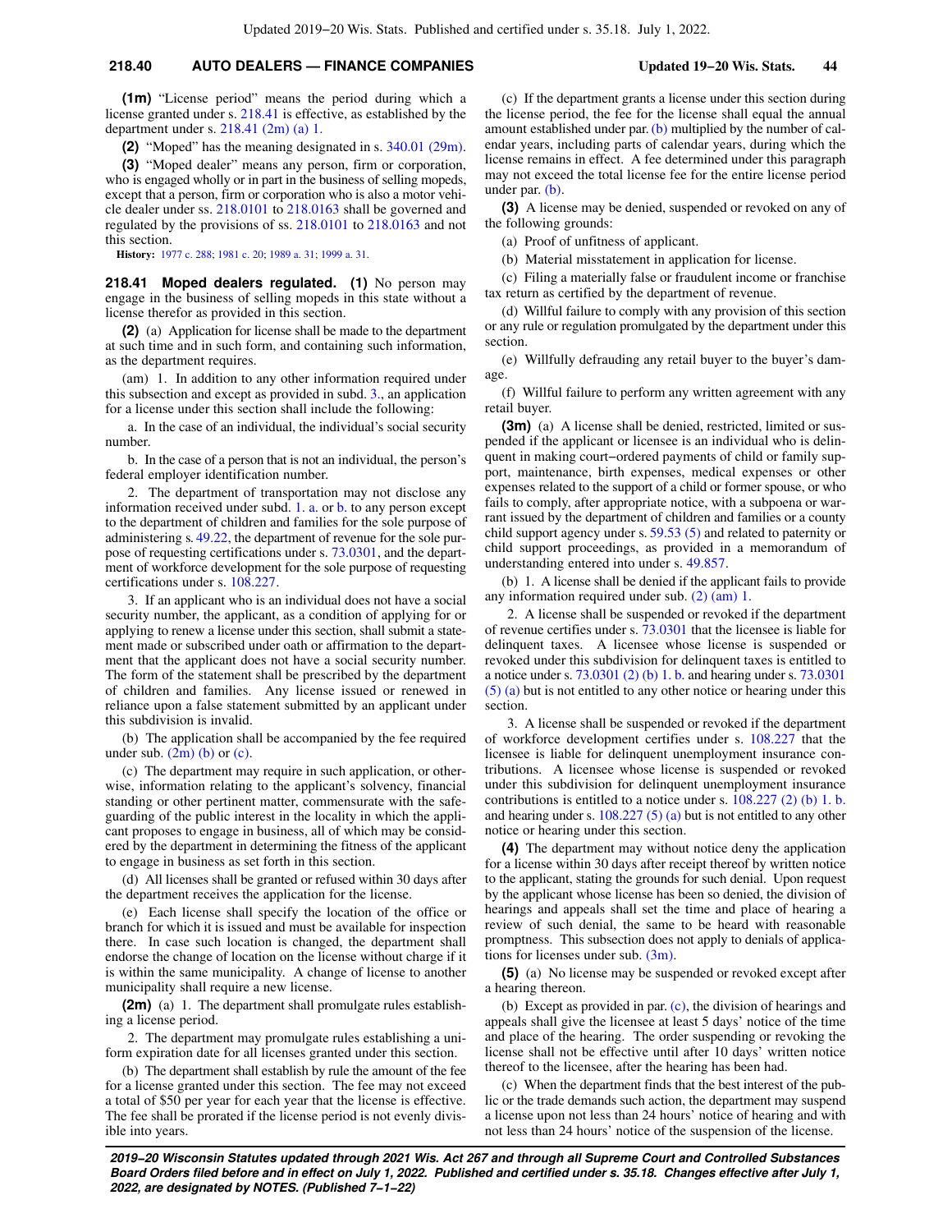## **218.40 AUTO DEALERS — FINANCE COMPANIES Updated 19−20 Wis. Stats. 44**

**(1m)** "License period" means the period during which a license granted under s. [218.41](https://docs.legis.wisconsin.gov/document/statutes/218.41) is effective, as established by the department under s. [218.41 \(2m\) \(a\) 1.](https://docs.legis.wisconsin.gov/document/statutes/218.41(2m)(a)1.)

**(2)** "Moped" has the meaning designated in s. [340.01 \(29m\).](https://docs.legis.wisconsin.gov/document/statutes/340.01(29m))

**(3)** "Moped dealer" means any person, firm or corporation, who is engaged wholly or in part in the business of selling mopeds, except that a person, firm or corporation who is also a motor vehicle dealer under ss. [218.0101](https://docs.legis.wisconsin.gov/document/statutes/218.0101) to [218.0163](https://docs.legis.wisconsin.gov/document/statutes/218.0163) shall be governed and regulated by the provisions of ss. [218.0101](https://docs.legis.wisconsin.gov/document/statutes/218.0101) to [218.0163](https://docs.legis.wisconsin.gov/document/statutes/218.0163) and not this section.

**History:** [1977 c. 288](https://docs.legis.wisconsin.gov/document/acts/1977/288); [1981 c. 20;](https://docs.legis.wisconsin.gov/document/acts/1981/20) [1989 a. 31;](https://docs.legis.wisconsin.gov/document/acts/1989/31) [1999 a. 31.](https://docs.legis.wisconsin.gov/document/acts/1999/31)

**218.41 Moped dealers regulated. (1)** No person may engage in the business of selling mopeds in this state without a license therefor as provided in this section.

**(2)** (a) Application for license shall be made to the department at such time and in such form, and containing such information, as the department requires.

(am) 1. In addition to any other information required under this subsection and except as provided in subd. [3.,](https://docs.legis.wisconsin.gov/document/statutes/218.41(2)(am)3.) an application for a license under this section shall include the following:

a. In the case of an individual, the individual's social security number.

b. In the case of a person that is not an individual, the person's federal employer identification number.

2. The department of transportation may not disclose any information received under subd. [1. a.](https://docs.legis.wisconsin.gov/document/statutes/218.41(2)(am)1.a.) or [b.](https://docs.legis.wisconsin.gov/document/statutes/218.41(2)(am)1.b.) to any person except to the department of children and families for the sole purpose of administering s. [49.22,](https://docs.legis.wisconsin.gov/document/statutes/49.22) the department of revenue for the sole purpose of requesting certifications under s. [73.0301,](https://docs.legis.wisconsin.gov/document/statutes/73.0301) and the department of workforce development for the sole purpose of requesting certifications under s. [108.227.](https://docs.legis.wisconsin.gov/document/statutes/108.227)

3. If an applicant who is an individual does not have a social security number, the applicant, as a condition of applying for or applying to renew a license under this section, shall submit a statement made or subscribed under oath or affirmation to the department that the applicant does not have a social security number. The form of the statement shall be prescribed by the department of children and families. Any license issued or renewed in reliance upon a false statement submitted by an applicant under this subdivision is invalid.

(b) The application shall be accompanied by the fee required under sub.  $(2m)$  (b) or [\(c\)](https://docs.legis.wisconsin.gov/document/statutes/218.41(2m)(c)).

(c) The department may require in such application, or otherwise, information relating to the applicant's solvency, financial standing or other pertinent matter, commensurate with the safeguarding of the public interest in the locality in which the applicant proposes to engage in business, all of which may be considered by the department in determining the fitness of the applicant to engage in business as set forth in this section.

(d) All licenses shall be granted or refused within 30 days after the department receives the application for the license.

(e) Each license shall specify the location of the office or branch for which it is issued and must be available for inspection there. In case such location is changed, the department shall endorse the change of location on the license without charge if it is within the same municipality. A change of license to another municipality shall require a new license.

**(2m)** (a) 1. The department shall promulgate rules establishing a license period.

2. The department may promulgate rules establishing a uniform expiration date for all licenses granted under this section.

(b) The department shall establish by rule the amount of the fee for a license granted under this section. The fee may not exceed a total of \$50 per year for each year that the license is effective. The fee shall be prorated if the license period is not evenly divisible into years.

(c) If the department grants a license under this section during the license period, the fee for the license shall equal the annual amount established under par.  $(b)$  multiplied by the number of calendar years, including parts of calendar years, during which the license remains in effect. A fee determined under this paragraph may not exceed the total license fee for the entire license period under par. [\(b\)](https://docs.legis.wisconsin.gov/document/statutes/218.41(2m)(b)).

**(3)** A license may be denied, suspended or revoked on any of the following grounds:

(a) Proof of unfitness of applicant.

(b) Material misstatement in application for license.

(c) Filing a materially false or fraudulent income or franchise tax return as certified by the department of revenue.

(d) Willful failure to comply with any provision of this section or any rule or regulation promulgated by the department under this section.

(e) Willfully defrauding any retail buyer to the buyer's damage.

(f) Willful failure to perform any written agreement with any retail buyer.

**(3m)** (a) A license shall be denied, restricted, limited or suspended if the applicant or licensee is an individual who is delinquent in making court−ordered payments of child or family support, maintenance, birth expenses, medical expenses or other expenses related to the support of a child or former spouse, or who fails to comply, after appropriate notice, with a subpoena or warrant issued by the department of children and families or a county child support agency under s. [59.53 \(5\)](https://docs.legis.wisconsin.gov/document/statutes/59.53(5)) and related to paternity or child support proceedings, as provided in a memorandum of understanding entered into under s. [49.857.](https://docs.legis.wisconsin.gov/document/statutes/49.857)

(b) 1. A license shall be denied if the applicant fails to provide any information required under sub. [\(2\) \(am\) 1.](https://docs.legis.wisconsin.gov/document/statutes/218.41(2)(am)1.)

2. A license shall be suspended or revoked if the department of revenue certifies under s. [73.0301](https://docs.legis.wisconsin.gov/document/statutes/73.0301) that the licensee is liable for delinquent taxes. A licensee whose license is suspended or revoked under this subdivision for delinquent taxes is entitled to a notice under s. [73.0301 \(2\) \(b\) 1. b.](https://docs.legis.wisconsin.gov/document/statutes/73.0301(2)(b)1.b.) and hearing under s. [73.0301](https://docs.legis.wisconsin.gov/document/statutes/73.0301(5)(a)) [\(5\) \(a\)](https://docs.legis.wisconsin.gov/document/statutes/73.0301(5)(a)) but is not entitled to any other notice or hearing under this section.

3. A license shall be suspended or revoked if the department of workforce development certifies under s. [108.227](https://docs.legis.wisconsin.gov/document/statutes/108.227) that the licensee is liable for delinquent unemployment insurance contributions. A licensee whose license is suspended or revoked under this subdivision for delinquent unemployment insurance contributions is entitled to a notice under s. [108.227 \(2\) \(b\) 1. b.](https://docs.legis.wisconsin.gov/document/statutes/108.227(2)(b)1.b.) and hearing under s.  $108.227(5)(a)$  but is not entitled to any other notice or hearing under this section.

**(4)** The department may without notice deny the application for a license within 30 days after receipt thereof by written notice to the applicant, stating the grounds for such denial. Upon request by the applicant whose license has been so denied, the division of hearings and appeals shall set the time and place of hearing a review of such denial, the same to be heard with reasonable promptness. This subsection does not apply to denials of applications for licenses under sub. [\(3m\)](https://docs.legis.wisconsin.gov/document/statutes/218.41(3m)).

**(5)** (a) No license may be suspended or revoked except after a hearing thereon.

(b) Except as provided in par. [\(c\)](https://docs.legis.wisconsin.gov/document/statutes/218.41(5)(c)), the division of hearings and appeals shall give the licensee at least 5 days' notice of the time and place of the hearing. The order suspending or revoking the license shall not be effective until after 10 days' written notice thereof to the licensee, after the hearing has been had.

(c) When the department finds that the best interest of the public or the trade demands such action, the department may suspend a license upon not less than 24 hours' notice of hearing and with not less than 24 hours' notice of the suspension of the license.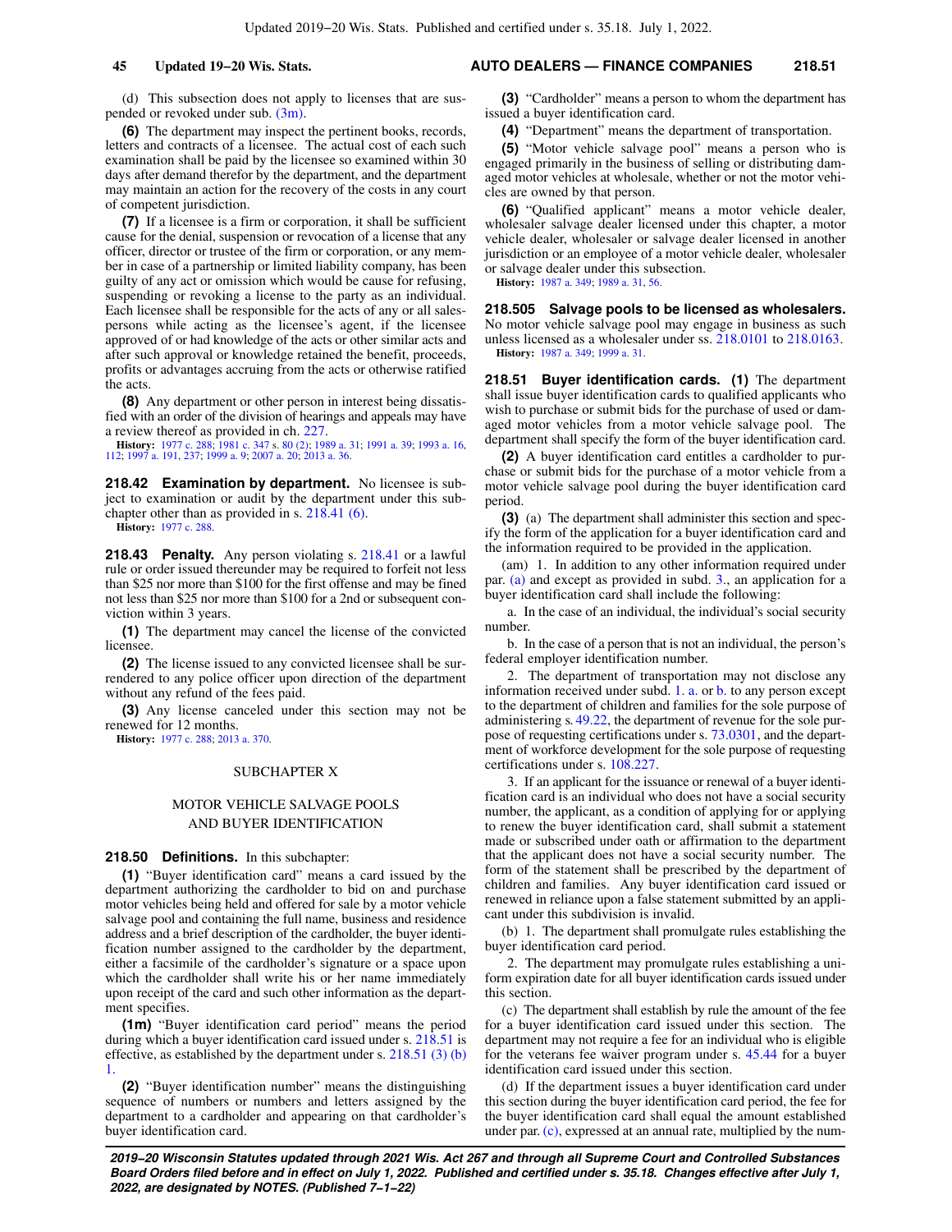(d) This subsection does not apply to licenses that are suspended or revoked under sub. [\(3m\)](https://docs.legis.wisconsin.gov/document/statutes/218.41(3m)).

**(6)** The department may inspect the pertinent books, records, letters and contracts of a licensee. The actual cost of each such examination shall be paid by the licensee so examined within 30 days after demand therefor by the department, and the department may maintain an action for the recovery of the costs in any court of competent jurisdiction.

**(7)** If a licensee is a firm or corporation, it shall be sufficient cause for the denial, suspension or revocation of a license that any officer, director or trustee of the firm or corporation, or any member in case of a partnership or limited liability company, has been guilty of any act or omission which would be cause for refusing, suspending or revoking a license to the party as an individual. Each licensee shall be responsible for the acts of any or all salespersons while acting as the licensee's agent, if the licensee approved of or had knowledge of the acts or other similar acts and after such approval or knowledge retained the benefit, proceeds, profits or advantages accruing from the acts or otherwise ratified the acts.

**(8)** Any department or other person in interest being dissatisfied with an order of the division of hearings and appeals may have a review thereof as provided in ch. [227](https://docs.legis.wisconsin.gov/document/statutes/ch.%20227).

**History:** [1977 c. 288;](https://docs.legis.wisconsin.gov/document/acts/1977/288) [1981 c. 347](https://docs.legis.wisconsin.gov/document/acts/1981/347) s. [80 \(2\);](https://docs.legis.wisconsin.gov/document/acts/1981/347,%20s.%2080) [1989 a. 31;](https://docs.legis.wisconsin.gov/document/acts/1989/31) [1991 a. 39](https://docs.legis.wisconsin.gov/document/acts/1991/39); [1993 a. 16](https://docs.legis.wisconsin.gov/document/acts/1993/16), [112](https://docs.legis.wisconsin.gov/document/acts/1993/112); [1997 a. 191,](https://docs.legis.wisconsin.gov/document/acts/1997/191) [237;](https://docs.legis.wisconsin.gov/document/acts/1997/237) [1999 a. 9](https://docs.legis.wisconsin.gov/document/acts/1999/9); [2007 a. 20;](https://docs.legis.wisconsin.gov/document/acts/2007/20) [2013 a. 36.](https://docs.legis.wisconsin.gov/document/acts/2013/36)

**218.42 Examination by department.** No licensee is subject to examination or audit by the department under this subchapter other than as provided in s. [218.41 \(6\).](https://docs.legis.wisconsin.gov/document/statutes/218.41(6))

**History:** [1977 c. 288](https://docs.legis.wisconsin.gov/document/acts/1977/288).

**218.43 Penalty.** Any person violating s. [218.41](https://docs.legis.wisconsin.gov/document/statutes/218.41) or a lawful rule or order issued thereunder may be required to forfeit not less than \$25 nor more than \$100 for the first offense and may be fined not less than \$25 nor more than \$100 for a 2nd or subsequent conviction within 3 years.

**(1)** The department may cancel the license of the convicted licensee.

**(2)** The license issued to any convicted licensee shall be surrendered to any police officer upon direction of the department without any refund of the fees paid.

**(3)** Any license canceled under this section may not be renewed for 12 months.

**History:** [1977 c. 288](https://docs.legis.wisconsin.gov/document/acts/1977/288); [2013 a. 370](https://docs.legis.wisconsin.gov/document/acts/2013/370).

#### SUBCHAPTER X

## MOTOR VEHICLE SALVAGE POOLS AND BUYER IDENTIFICATION

**218.50 Definitions.** In this subchapter:

**(1)** "Buyer identification card" means a card issued by the department authorizing the cardholder to bid on and purchase motor vehicles being held and offered for sale by a motor vehicle salvage pool and containing the full name, business and residence address and a brief description of the cardholder, the buyer identification number assigned to the cardholder by the department, either a facsimile of the cardholder's signature or a space upon which the cardholder shall write his or her name immediately upon receipt of the card and such other information as the department specifies.

**(1m)** "Buyer identification card period" means the period during which a buyer identification card issued under s. [218.51](https://docs.legis.wisconsin.gov/document/statutes/218.51) is effective, as established by the department under s. [218.51 \(3\) \(b\)](https://docs.legis.wisconsin.gov/document/statutes/218.51(3)(b)1.) [1.](https://docs.legis.wisconsin.gov/document/statutes/218.51(3)(b)1.)

**(2)** "Buyer identification number" means the distinguishing sequence of numbers or numbers and letters assigned by the department to a cardholder and appearing on that cardholder's buyer identification card.

## **45 Updated 19−20 Wis. Stats. AUTO DEALERS — FINANCE COMPANIES 218.51**

**(3)** "Cardholder" means a person to whom the department has issued a buyer identification card.

**(4)** "Department" means the department of transportation.

**(5)** "Motor vehicle salvage pool" means a person who is engaged primarily in the business of selling or distributing damaged motor vehicles at wholesale, whether or not the motor vehicles are owned by that person.

**(6)** "Qualified applicant" means a motor vehicle dealer, wholesaler salvage dealer licensed under this chapter, a motor vehicle dealer, wholesaler or salvage dealer licensed in another jurisdiction or an employee of a motor vehicle dealer, wholesaler or salvage dealer under this subsection.

**History:** [1987 a. 349;](https://docs.legis.wisconsin.gov/document/acts/1987/349) [1989 a. 31,](https://docs.legis.wisconsin.gov/document/acts/1989/31) [56](https://docs.legis.wisconsin.gov/document/acts/1989/56).

**218.505 Salvage pools to be licensed as wholesalers.** No motor vehicle salvage pool may engage in business as such unless licensed as a wholesaler under ss. [218.0101](https://docs.legis.wisconsin.gov/document/statutes/218.0101) to [218.0163](https://docs.legis.wisconsin.gov/document/statutes/218.0163). **History:** [1987 a. 349;](https://docs.legis.wisconsin.gov/document/acts/1987/349) [1999 a. 31.](https://docs.legis.wisconsin.gov/document/acts/1999/31)

**218.51 Buyer identification cards. (1)** The department shall issue buyer identification cards to qualified applicants who wish to purchase or submit bids for the purchase of used or damaged motor vehicles from a motor vehicle salvage pool. The department shall specify the form of the buyer identification card.

**(2)** A buyer identification card entitles a cardholder to purchase or submit bids for the purchase of a motor vehicle from a motor vehicle salvage pool during the buyer identification card period.

**(3)** (a) The department shall administer this section and specify the form of the application for a buyer identification card and the information required to be provided in the application.

(am) 1. In addition to any other information required under par. [\(a\)](https://docs.legis.wisconsin.gov/document/statutes/218.51(3)(a)) and except as provided in subd. [3.](https://docs.legis.wisconsin.gov/document/statutes/218.51(3)(am)3.), an application for a buyer identification card shall include the following:

a. In the case of an individual, the individual's social security number.

b. In the case of a person that is not an individual, the person's federal employer identification number.

2. The department of transportation may not disclose any information received under subd. [1. a.](https://docs.legis.wisconsin.gov/document/statutes/218.51(3)(am)1.a.) or [b.](https://docs.legis.wisconsin.gov/document/statutes/218.51(3)(am)1.b.) to any person except to the department of children and families for the sole purpose of administering s. [49.22,](https://docs.legis.wisconsin.gov/document/statutes/49.22) the department of revenue for the sole purpose of requesting certifications under s. [73.0301](https://docs.legis.wisconsin.gov/document/statutes/73.0301), and the department of workforce development for the sole purpose of requesting certifications under s. [108.227.](https://docs.legis.wisconsin.gov/document/statutes/108.227)

3. If an applicant for the issuance or renewal of a buyer identification card is an individual who does not have a social security number, the applicant, as a condition of applying for or applying to renew the buyer identification card, shall submit a statement made or subscribed under oath or affirmation to the department that the applicant does not have a social security number. The form of the statement shall be prescribed by the department of children and families. Any buyer identification card issued or renewed in reliance upon a false statement submitted by an applicant under this subdivision is invalid.

(b) 1. The department shall promulgate rules establishing the buyer identification card period.

2. The department may promulgate rules establishing a uniform expiration date for all buyer identification cards issued under this section.

(c) The department shall establish by rule the amount of the fee for a buyer identification card issued under this section. The department may not require a fee for an individual who is eligible for the veterans fee waiver program under s. [45.44](https://docs.legis.wisconsin.gov/document/statutes/45.44) for a buyer identification card issued under this section.

(d) If the department issues a buyer identification card under this section during the buyer identification card period, the fee for the buyer identification card shall equal the amount established under par. [\(c\)](https://docs.legis.wisconsin.gov/document/statutes/218.51(3)(c)), expressed at an annual rate, multiplied by the num-